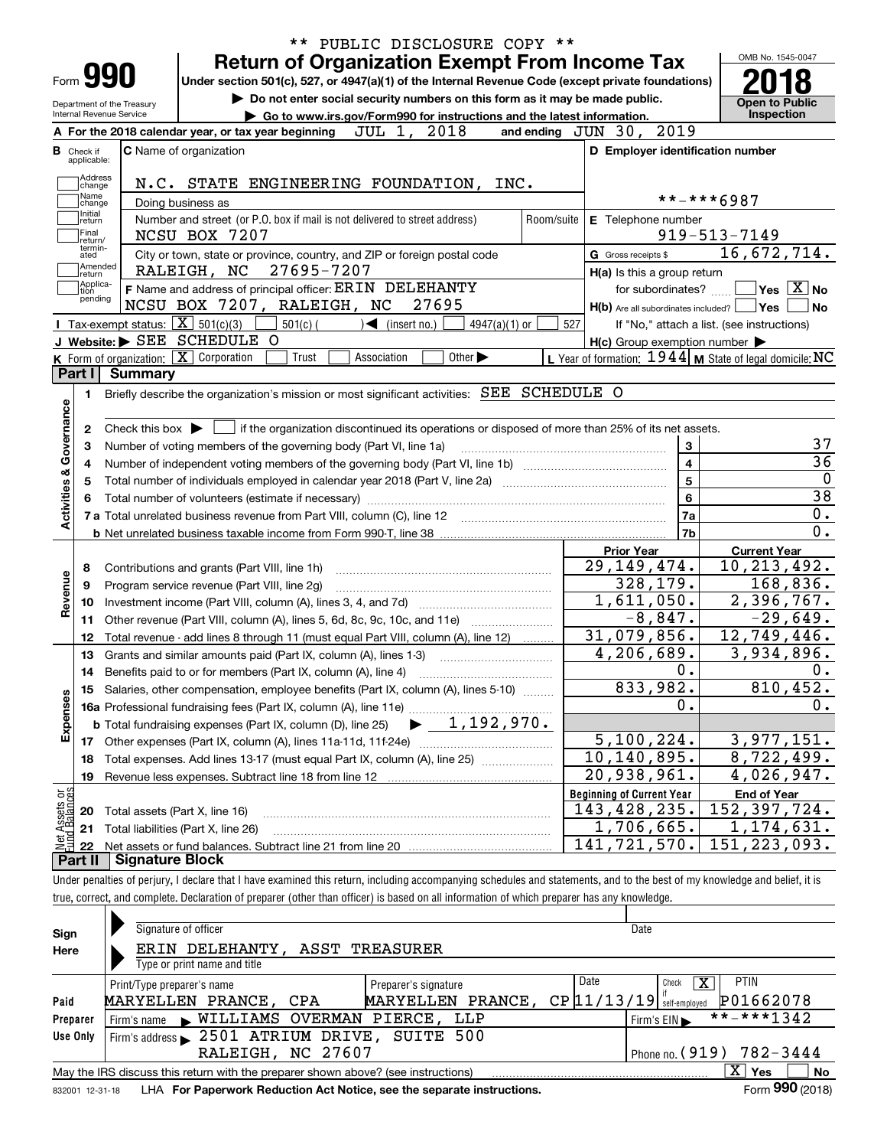|                           | Form <b>990</b>                                |                            | PUBLIC DISCLOSURE COPY **<br><b>Return of Organization Exempt From Income Tax</b><br>Under section 501(c), 527, or 4947(a)(1) of the Internal Revenue Code (except private foundations)                                       |                                                                       | OMB No. 1545-0047                              |
|---------------------------|------------------------------------------------|----------------------------|-------------------------------------------------------------------------------------------------------------------------------------------------------------------------------------------------------------------------------|-----------------------------------------------------------------------|------------------------------------------------|
|                           | Internal Revenue Service                       | Department of the Treasury | Do not enter social security numbers on this form as it may be made public.<br>► Go to www.irs.gov/Form990 for instructions and the latest information.                                                                       |                                                                       | <b>Open to Public</b><br><b>Inspection</b>     |
|                           |                                                |                            | 2018<br>JUL 1,<br>A For the 2018 calendar year, or tax year beginning                                                                                                                                                         | and ending JUN 30, 2019                                               |                                                |
| <b>B</b> Check if         | applicable:                                    |                            | <b>C</b> Name of organization                                                                                                                                                                                                 | D Employer identification number                                      |                                                |
|                           | Address<br>change<br>Name<br>change<br>Initial |                            | N.C. STATE ENGINEERING FOUNDATION, INC.<br>Doing business as                                                                                                                                                                  |                                                                       | **-***6987                                     |
|                           | return<br> Final<br>Ireturn/<br>termin-        |                            | Number and street (or P.O. box if mail is not delivered to street address)<br>Room/suite<br>NCSU BOX 7207                                                                                                                     | E Telephone number                                                    | $919 - 513 - 7149$                             |
|                           | ated<br>Amended<br>∣return                     |                            | City or town, state or province, country, and ZIP or foreign postal code<br>27695-7207<br>RALEIGH, NC                                                                                                                         | G Gross receipts \$<br>$H(a)$ is this a group return                  | 16,672,714.                                    |
|                           | Applica-<br>tion<br>pending                    |                            | F Name and address of principal officer: ERIN DELEHANTY<br>27695<br>NCSU BOX 7207, RALEIGH, NC                                                                                                                                | for subordinates?<br>$H(b)$ Are all subordinates included? $\Box$ Yes | $\sqrt{}$ Yes $\sqrt{}$ X $\sqrt{}$ No<br>l No |
|                           |                                                |                            | Tax-exempt status: $\boxed{\mathbf{X}}$ 501(c)(3)<br>$501(c)$ (<br>$\sqrt{\phantom{a}}$ (insert no.)<br>$4947(a)(1)$ or                                                                                                       | 527                                                                   | If "No," attach a list. (see instructions)     |
|                           |                                                |                            | J Website: SEE SCHEDULE O                                                                                                                                                                                                     | $H(c)$ Group exemption number $\blacktriangleright$                   |                                                |
|                           |                                                |                            | $K$ Form of organization: $X$ Corporation<br>Other $\blacktriangleright$<br>Trust<br>Association                                                                                                                              | L Year of formation: $1944$ M State of legal domicile: NC             |                                                |
|                           | 1.                                             |                            | Briefly describe the organization's mission or most significant activities: SEE SCHEDULE O                                                                                                                                    |                                                                       |                                                |
| Activities & Governance   | 4<br>5                                         |                            | Total number of volunteers (estimate if necessary) manufacture content content content of the content of the content of the content of the content of the content of the content of the content of the content of the content | 4<br>$\overline{5}$<br>$\bf 6$<br>7a<br>7b                            | $\overline{36}$<br>$\overline{38}$<br>0.<br>0. |
|                           |                                                |                            |                                                                                                                                                                                                                               | <b>Prior Year</b>                                                     | <b>Current Year</b>                            |
|                           | 8                                              |                            | Contributions and grants (Part VIII, line 1h)                                                                                                                                                                                 | 29, 149, 474.                                                         | $\overline{10}$ , 213, 492.                    |
|                           | 9                                              |                            | Program service revenue (Part VIII, line 2g)                                                                                                                                                                                  | 328, 179.                                                             | 168,836.                                       |
| Revenue                   | 10                                             |                            |                                                                                                                                                                                                                               | 1,611,050.                                                            | $\overline{2,396,767}$ .                       |
|                           | 11                                             |                            | Other revenue (Part VIII, column (A), lines 5, 6d, 8c, 9c, 10c, and 11e)                                                                                                                                                      | $-8,847.$                                                             | $-29,649.$                                     |
|                           | 12                                             |                            | Total revenue - add lines 8 through 11 (must equal Part VIII, column (A), line 12)                                                                                                                                            | 31,079,856.                                                           | 12,749,446.                                    |
|                           | 13                                             |                            | Grants and similar amounts paid (Part IX, column (A), lines 1-3)                                                                                                                                                              | 4,206,689.                                                            | 3,934,896.                                     |
|                           | 14                                             |                            |                                                                                                                                                                                                                               | 0.                                                                    |                                                |
|                           |                                                |                            | 15 Salaries, other compensation, employee benefits (Part IX, column (A), lines 5-10)                                                                                                                                          | 833,982.                                                              | 810,452.                                       |
|                           |                                                |                            | 16a Professional fundraising fees (Part IX, column (A), line 11e)                                                                                                                                                             | 0.                                                                    |                                                |
| Expenses                  |                                                |                            | 1,192,970.<br><b>b</b> Total fundraising expenses (Part IX, column (D), line 25)                                                                                                                                              |                                                                       |                                                |
|                           | 17                                             |                            | Other expenses (Part IX, column (A), lines 11a-11d, 11f-24e)                                                                                                                                                                  | 5, 100, 224.                                                          | 3,977,151.<br>8,722,499.                       |
|                           | 18                                             |                            | Total expenses. Add lines 13-17 (must equal Part IX, column (A), line 25)                                                                                                                                                     | $\overline{10,140,895}$ .<br>20,938,961.                              |                                                |
|                           | 19                                             |                            | Revenue less expenses. Subtract line 18 from line 12                                                                                                                                                                          |                                                                       | 4,026,947.                                     |
|                           |                                                |                            |                                                                                                                                                                                                                               | <b>Beginning of Current Year</b><br>143,428,235.                      | <b>End of Year</b><br>152,397,724.             |
| t Assets or<br>d Balances | 20                                             |                            | Total assets (Part X, line 16)                                                                                                                                                                                                | $\overline{1}$ , 706, 665.                                            | 1,174,631.                                     |
|                           | 21                                             |                            | Total liabilities (Part X, line 26)                                                                                                                                                                                           | 141, 721, 570.                                                        | 151, 223, 093.                                 |
| Part II                   | -22                                            | <b>Signature Block</b>     |                                                                                                                                                                                                                               |                                                                       |                                                |
|                           |                                                |                            | Under penalties of perjury, I declare that I have examined this return, including accompanying schedules and statements, and to the best of my knowledge and belief, it is                                                    |                                                                       |                                                |
|                           |                                                |                            | true, correct, and complete. Declaration of preparer (other than officer) is based on all information of which preparer has any knowledge.                                                                                    |                                                                       |                                                |
|                           |                                                |                            |                                                                                                                                                                                                                               |                                                                       |                                                |
|                           |                                                |                            |                                                                                                                                                                                                                               |                                                                       |                                                |

| Sign     | Signature of officer                                                              | Date                                           |  |  |  |  |  |  |  |  |
|----------|-----------------------------------------------------------------------------------|------------------------------------------------|--|--|--|--|--|--|--|--|
| Here     | ERIN DELEHANTY, ASST TREASURER                                                    |                                                |  |  |  |  |  |  |  |  |
|          | Type or print name and title                                                      |                                                |  |  |  |  |  |  |  |  |
|          | Print/Type preparer's name<br>Preparer's signature                                | Date<br><b>PTIN</b><br>x<br>Check              |  |  |  |  |  |  |  |  |
| Paid     | MARYELLEN PRANCE, CPA<br>PRANCE,<br>MARYELLEN                                     | P01662078<br>$CP$ $11/13/19$ self-employed     |  |  |  |  |  |  |  |  |
| Preparer | WILLIAMS OVERMAN PIERCE, LLP<br>Firm's name                                       | **-***1342<br>Firm's $EIN \blacktriangleright$ |  |  |  |  |  |  |  |  |
| Use Only | 2501 ATRIUM DRIVE, SUITE 500<br>Firm's address                                    |                                                |  |  |  |  |  |  |  |  |
|          | RALEIGH, NC 27607<br>Phone no. $(919)$ 782-3444                                   |                                                |  |  |  |  |  |  |  |  |
|          | May the IRS discuss this return with the preparer shown above? (see instructions) | X'<br>No<br>Yes                                |  |  |  |  |  |  |  |  |
|          |                                                                                   | $000 \div 0.00$                                |  |  |  |  |  |  |  |  |

832001\_12-31-18 LHA **For Paperwork Reduction Act Notice, see the separate instructions.** Form 990 (2018)

**990**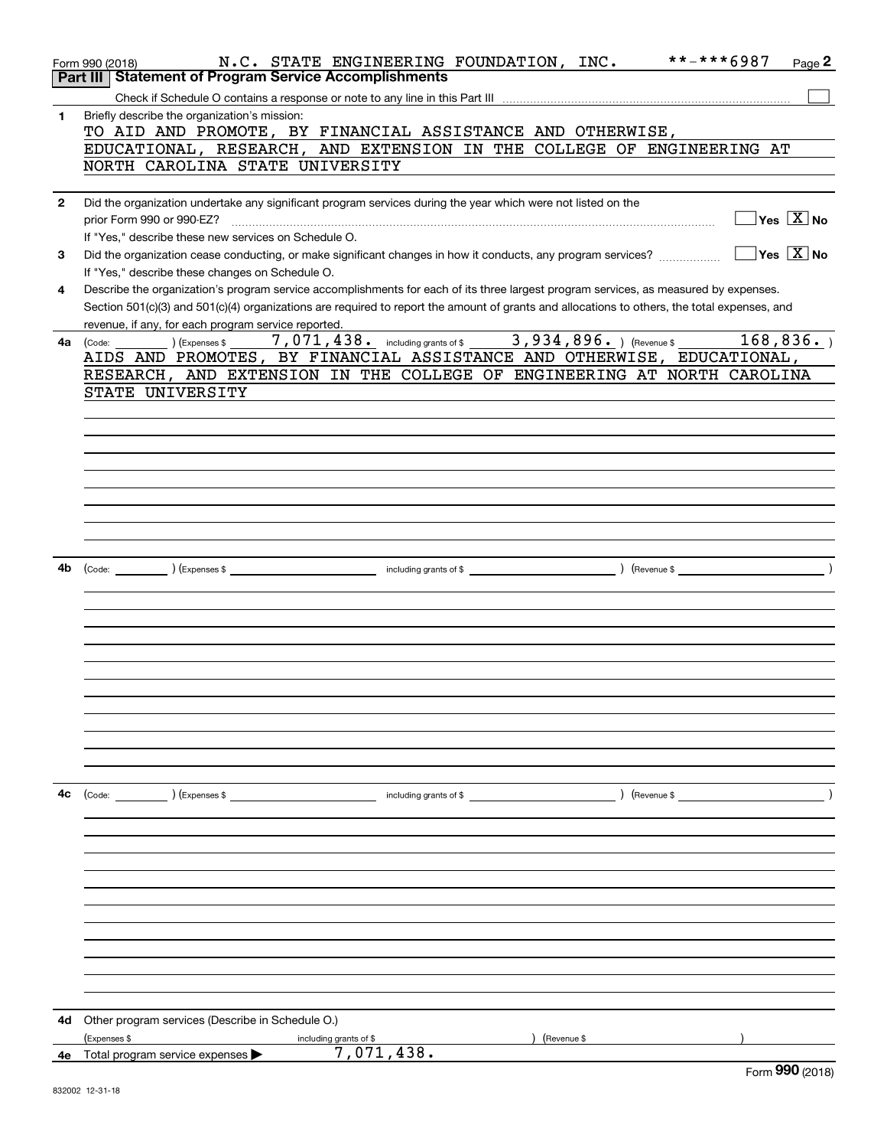|              | **-***6987<br>N.C. STATE ENGINEERING FOUNDATION, INC.<br>Page $2$<br>Form 990 (2018)                                                                            |
|--------------|-----------------------------------------------------------------------------------------------------------------------------------------------------------------|
|              | Part III   Statement of Program Service Accomplishments                                                                                                         |
|              |                                                                                                                                                                 |
| $\mathbf{1}$ | Briefly describe the organization's mission:                                                                                                                    |
|              | TO AID AND PROMOTE, BY FINANCIAL ASSISTANCE AND OTHERWISE,                                                                                                      |
|              | EDUCATIONAL, RESEARCH, AND EXTENSION IN THE COLLEGE OF ENGINEERING AT                                                                                           |
|              | NORTH CAROLINA STATE UNIVERSITY                                                                                                                                 |
|              |                                                                                                                                                                 |
| $\mathbf{2}$ | Did the organization undertake any significant program services during the year which were not listed on the<br>$\sqrt{}$ Yes $\sqrt{X}$ No                     |
|              | If "Yes," describe these new services on Schedule O.                                                                                                            |
|              | $\sqrt{Y}$ Yes $\boxed{X}$ No                                                                                                                                   |
| 3            | Did the organization cease conducting, or make significant changes in how it conducts, any program services?<br>If "Yes," describe these changes on Schedule O. |
|              |                                                                                                                                                                 |
| 4            | Describe the organization's program service accomplishments for each of its three largest program services, as measured by expenses.                            |
|              | Section 501(c)(3) and 501(c)(4) organizations are required to report the amount of grants and allocations to others, the total expenses, and                    |
|              | revenue, if any, for each program service reported.<br>7,071,438. including grants of \$ _ 3,934,896. ) (Revenue \$ _ 168,836. )                                |
|              | <b>4a</b> $\left(\text{Code:}\right)$ $\left(\text{Expenses $}\right)$<br>AIDS AND PROMOTES, BY FINANCIAL ASSISTANCE AND OTHERWISE, EDUCATIONAL,                |
|              | RESEARCH, AND EXTENSION IN THE COLLEGE OF ENGINEERING AT NORTH CAROLINA                                                                                         |
|              | STATE UNIVERSITY                                                                                                                                                |
|              |                                                                                                                                                                 |
|              |                                                                                                                                                                 |
|              |                                                                                                                                                                 |
|              |                                                                                                                                                                 |
|              |                                                                                                                                                                 |
|              |                                                                                                                                                                 |
|              |                                                                                                                                                                 |
|              |                                                                                                                                                                 |
|              |                                                                                                                                                                 |
|              |                                                                                                                                                                 |
| 4b           |                                                                                                                                                                 |
|              |                                                                                                                                                                 |
|              |                                                                                                                                                                 |
|              |                                                                                                                                                                 |
|              |                                                                                                                                                                 |
|              |                                                                                                                                                                 |
|              |                                                                                                                                                                 |
|              |                                                                                                                                                                 |
|              |                                                                                                                                                                 |
|              |                                                                                                                                                                 |
|              |                                                                                                                                                                 |
|              |                                                                                                                                                                 |
|              |                                                                                                                                                                 |
| 4c           |                                                                                                                                                                 |
|              |                                                                                                                                                                 |
|              |                                                                                                                                                                 |
|              |                                                                                                                                                                 |
|              |                                                                                                                                                                 |
|              |                                                                                                                                                                 |
|              |                                                                                                                                                                 |
|              |                                                                                                                                                                 |
|              |                                                                                                                                                                 |
|              |                                                                                                                                                                 |
|              |                                                                                                                                                                 |
|              |                                                                                                                                                                 |
|              |                                                                                                                                                                 |
|              | 4d Other program services (Describe in Schedule O.)                                                                                                             |
|              | ) (Revenue \$<br>(Expenses \$<br>including grants of \$                                                                                                         |
| 4е           | Total program service expenses $\triangleright$ 7, 071, 438.                                                                                                    |
|              | $F_{\text{arm}}$ 990 $(2019)$                                                                                                                                   |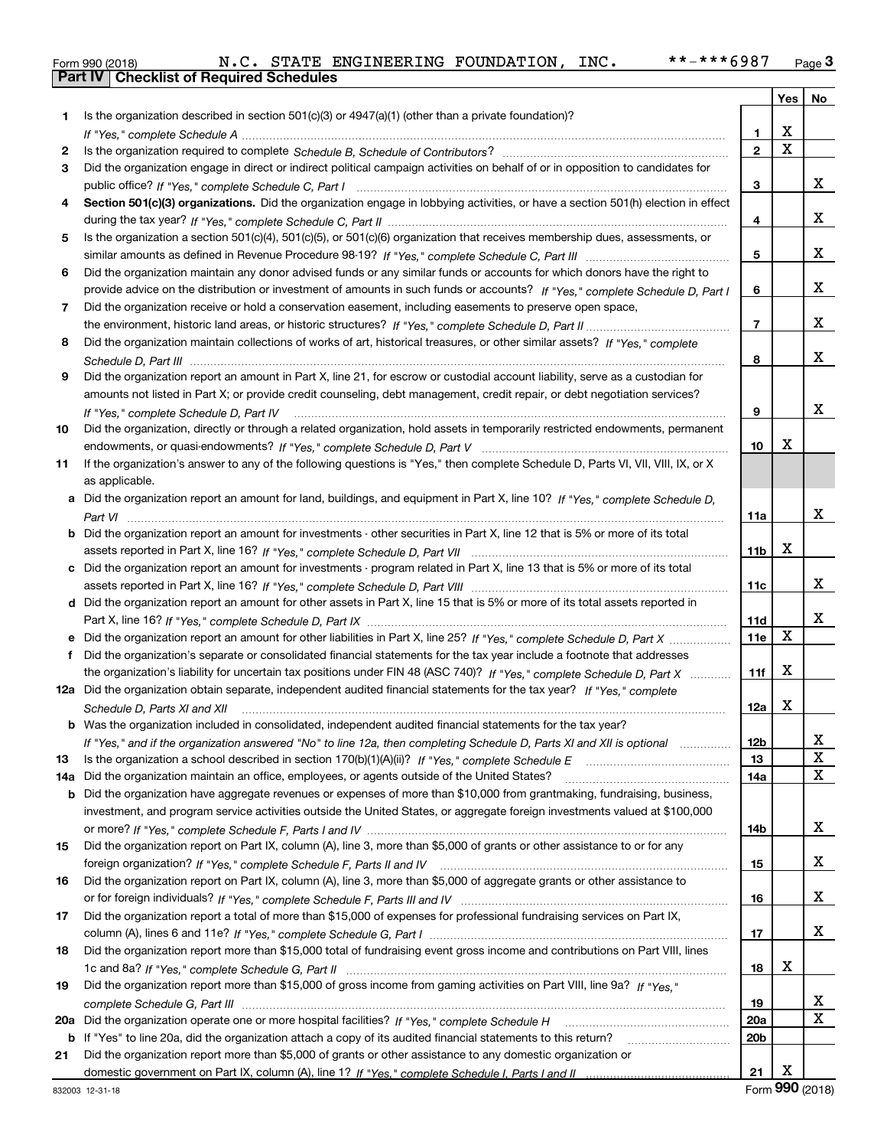|  | Form 990 (2018) |  |
|--|-----------------|--|

|     |                                                                                                                                      |                 | Yes                     | No                      |
|-----|--------------------------------------------------------------------------------------------------------------------------------------|-----------------|-------------------------|-------------------------|
| 1   | Is the organization described in section 501(c)(3) or 4947(a)(1) (other than a private foundation)?                                  |                 |                         |                         |
|     |                                                                                                                                      | 1               | х                       |                         |
| 2   |                                                                                                                                      | $\mathbf{2}$    | $\overline{\mathbf{x}}$ |                         |
| 3   | Did the organization engage in direct or indirect political campaign activities on behalf of or in opposition to candidates for      |                 |                         |                         |
|     |                                                                                                                                      | 3               |                         | X.                      |
| 4   | Section 501(c)(3) organizations. Did the organization engage in lobbying activities, or have a section 501(h) election in effect     |                 |                         |                         |
|     |                                                                                                                                      | 4               |                         | X.                      |
| 5   | Is the organization a section 501(c)(4), 501(c)(5), or 501(c)(6) organization that receives membership dues, assessments, or         |                 |                         |                         |
|     |                                                                                                                                      | 5               |                         | X.                      |
| 6   | Did the organization maintain any donor advised funds or any similar funds or accounts for which donors have the right to            |                 |                         |                         |
|     | provide advice on the distribution or investment of amounts in such funds or accounts? If "Yes," complete Schedule D, Part I         | 6               |                         | X.                      |
| 7   | Did the organization receive or hold a conservation easement, including easements to preserve open space,                            |                 |                         |                         |
|     |                                                                                                                                      | 7               |                         | X.                      |
| 8   | Did the organization maintain collections of works of art, historical treasures, or other similar assets? If "Yes," complete         |                 |                         |                         |
|     |                                                                                                                                      | 8               |                         | X.                      |
| 9   | Did the organization report an amount in Part X, line 21, for escrow or custodial account liability, serve as a custodian for        |                 |                         |                         |
|     | amounts not listed in Part X; or provide credit counseling, debt management, credit repair, or debt negotiation services?            |                 |                         |                         |
|     | If "Yes," complete Schedule D, Part IV                                                                                               | 9               |                         | x                       |
| 10  | Did the organization, directly or through a related organization, hold assets in temporarily restricted endowments, permanent        |                 |                         |                         |
|     |                                                                                                                                      | 10              | х                       |                         |
| 11  | If the organization's answer to any of the following questions is "Yes," then complete Schedule D, Parts VI, VII, VIII, IX, or X     |                 |                         |                         |
|     | as applicable.                                                                                                                       |                 |                         |                         |
|     | a Did the organization report an amount for land, buildings, and equipment in Part X, line 10? If "Yes," complete Schedule D,        |                 |                         |                         |
|     |                                                                                                                                      | 11a             |                         | x                       |
|     | <b>b</b> Did the organization report an amount for investments - other securities in Part X, line 12 that is 5% or more of its total |                 |                         |                         |
|     |                                                                                                                                      | 11b             | x                       |                         |
|     | c Did the organization report an amount for investments - program related in Part X, line 13 that is 5% or more of its total         |                 |                         |                         |
|     |                                                                                                                                      | 11c             |                         | X.                      |
|     | d Did the organization report an amount for other assets in Part X, line 15 that is 5% or more of its total assets reported in       |                 |                         |                         |
|     |                                                                                                                                      | 11d             |                         | X.                      |
|     | e Did the organization report an amount for other liabilities in Part X, line 25? If "Yes," complete Schedule D, Part X              | <b>11e</b>      | X                       |                         |
| f   | Did the organization's separate or consolidated financial statements for the tax year include a footnote that addresses              |                 |                         |                         |
|     | the organization's liability for uncertain tax positions under FIN 48 (ASC 740)? If "Yes," complete Schedule D, Part X               | 11f             | X                       |                         |
|     | 12a Did the organization obtain separate, independent audited financial statements for the tax year? If "Yes," complete              |                 |                         |                         |
|     | Schedule D, Parts XI and XII                                                                                                         | 12a             | x                       |                         |
|     | <b>b</b> Was the organization included in consolidated, independent audited financial statements for the tax year?                   |                 |                         |                         |
|     | If "Yes," and if the organization answered "No" to line 12a, then completing Schedule D, Parts XI and XII is optional                | 12 <sub>b</sub> |                         | X<br>X                  |
| 13  |                                                                                                                                      | 13              |                         | X                       |
| 14a | Did the organization maintain an office, employees, or agents outside of the United States?                                          | 14a             |                         |                         |
| b   | Did the organization have aggregate revenues or expenses of more than \$10,000 from grantmaking, fundraising, business,              |                 |                         |                         |
|     | investment, and program service activities outside the United States, or aggregate foreign investments valued at \$100,000           | 14b             |                         | X.                      |
| 15  | Did the organization report on Part IX, column (A), line 3, more than \$5,000 of grants or other assistance to or for any            |                 |                         |                         |
|     |                                                                                                                                      | 15              |                         | X.                      |
| 16  | Did the organization report on Part IX, column (A), line 3, more than \$5,000 of aggregate grants or other assistance to             |                 |                         |                         |
|     |                                                                                                                                      | 16              |                         | X.                      |
| 17  | Did the organization report a total of more than \$15,000 of expenses for professional fundraising services on Part IX,              |                 |                         |                         |
|     |                                                                                                                                      | 17              |                         | X.                      |
| 18  | Did the organization report more than \$15,000 total of fundraising event gross income and contributions on Part VIII, lines         |                 |                         |                         |
|     |                                                                                                                                      | 18              | x                       |                         |
| 19  | Did the organization report more than \$15,000 of gross income from gaming activities on Part VIII, line 9a? If "Yes."               |                 |                         |                         |
|     |                                                                                                                                      | 19              |                         | X.                      |
| 20a | Did the organization operate one or more hospital facilities? If "Yes," complete Schedule H                                          | 20a             |                         | $\overline{\mathbf{x}}$ |
|     | <b>b</b> If "Yes" to line 20a, did the organization attach a copy of its audited financial statements to this return?                | 20b             |                         |                         |
| 21  | Did the organization report more than \$5,000 of grants or other assistance to any domestic organization or                          |                 |                         |                         |
|     |                                                                                                                                      | 21              | x                       |                         |
|     |                                                                                                                                      |                 |                         |                         |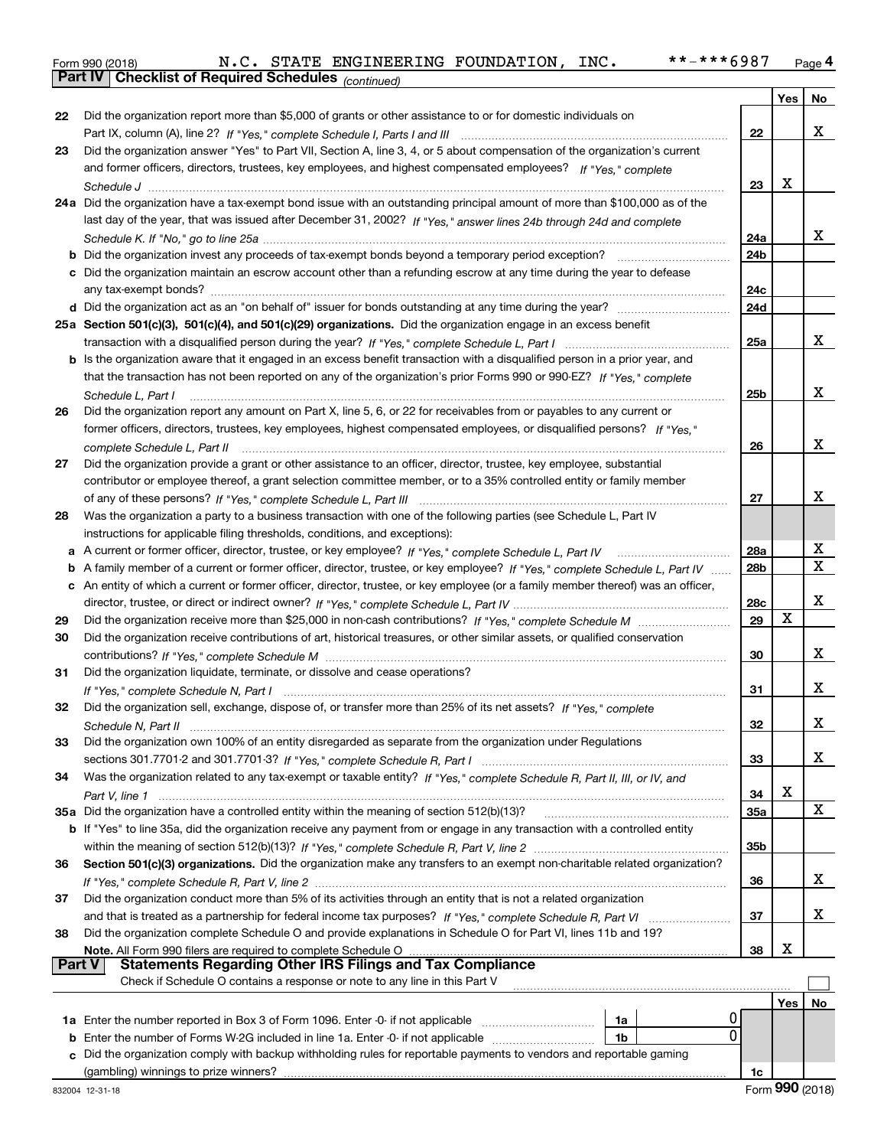|  | Form 990 (2018) |
|--|-----------------|
|  |                 |

*(continued)*

|               |                                                                                                                                   |                 | Yes         | No          |
|---------------|-----------------------------------------------------------------------------------------------------------------------------------|-----------------|-------------|-------------|
| 22            | Did the organization report more than \$5,000 of grants or other assistance to or for domestic individuals on                     |                 |             |             |
|               |                                                                                                                                   | 22              |             | x           |
| 23            | Did the organization answer "Yes" to Part VII, Section A, line 3, 4, or 5 about compensation of the organization's current        |                 |             |             |
|               | and former officers, directors, trustees, key employees, and highest compensated employees? If "Yes," complete                    |                 |             |             |
|               |                                                                                                                                   | 23              | X           |             |
|               | 24a Did the organization have a tax-exempt bond issue with an outstanding principal amount of more than \$100,000 as of the       |                 |             |             |
|               | last day of the year, that was issued after December 31, 2002? If "Yes," answer lines 24b through 24d and complete                |                 |             |             |
|               |                                                                                                                                   | 24a             |             | x           |
|               | <b>b</b> Did the organization invest any proceeds of tax-exempt bonds beyond a temporary period exception?                        | 24b             |             |             |
|               | c Did the organization maintain an escrow account other than a refunding escrow at any time during the year to defease            |                 |             |             |
|               | any tax-exempt bonds?                                                                                                             | 24c             |             |             |
|               |                                                                                                                                   | 24d             |             |             |
|               | 25a Section 501(c)(3), 501(c)(4), and 501(c)(29) organizations. Did the organization engage in an excess benefit                  |                 |             |             |
|               |                                                                                                                                   | 25a             |             | x           |
|               | b Is the organization aware that it engaged in an excess benefit transaction with a disqualified person in a prior year, and      |                 |             |             |
|               | that the transaction has not been reported on any of the organization's prior Forms 990 or 990-EZ? If "Yes," complete             |                 |             |             |
|               | Schedule L, Part I                                                                                                                | 25b             |             | x           |
| 26            | Did the organization report any amount on Part X, line 5, 6, or 22 for receivables from or payables to any current or             |                 |             |             |
|               | former officers, directors, trustees, key employees, highest compensated employees, or disqualified persons? If "Yes."            |                 |             |             |
|               |                                                                                                                                   | 26              |             | x           |
| 27            | Did the organization provide a grant or other assistance to an officer, director, trustee, key employee, substantial              |                 |             |             |
|               | contributor or employee thereof, a grant selection committee member, or to a 35% controlled entity or family member               |                 |             |             |
|               |                                                                                                                                   | 27              |             | х           |
| 28            | Was the organization a party to a business transaction with one of the following parties (see Schedule L, Part IV                 |                 |             |             |
|               | instructions for applicable filing thresholds, conditions, and exceptions):                                                       |                 |             |             |
| а             |                                                                                                                                   | 28a             |             | X           |
| b             | A family member of a current or former officer, director, trustee, or key employee? If "Yes," complete Schedule L, Part IV        | 28 <sub>b</sub> |             | $\mathbf X$ |
|               | c An entity of which a current or former officer, director, trustee, or key employee (or a family member thereof) was an officer, |                 |             |             |
|               |                                                                                                                                   | 28c             |             | х           |
| 29            |                                                                                                                                   | 29              | $\mathbf X$ |             |
| 30            | Did the organization receive contributions of art, historical treasures, or other similar assets, or qualified conservation       |                 |             |             |
|               |                                                                                                                                   | 30              |             | x           |
| 31            | Did the organization liquidate, terminate, or dissolve and cease operations?                                                      |                 |             | x           |
|               |                                                                                                                                   | 31              |             |             |
| 32            | Did the organization sell, exchange, dispose of, or transfer more than 25% of its net assets? If "Yes," complete                  |                 |             | х           |
|               | Did the organization own 100% of an entity disregarded as separate from the organization under Regulations                        | 32              |             |             |
|               |                                                                                                                                   |                 |             | x           |
| 34            | Was the organization related to any tax-exempt or taxable entity? If "Yes," complete Schedule R, Part II, III, or IV, and         | 33              |             |             |
|               |                                                                                                                                   | 34              | X           |             |
|               | 35a Did the organization have a controlled entity within the meaning of section 512(b)(13)?                                       | <b>35a</b>      |             | X           |
|               | b If "Yes" to line 35a, did the organization receive any payment from or engage in any transaction with a controlled entity       |                 |             |             |
|               |                                                                                                                                   | 35 <sub>b</sub> |             |             |
| 36            | Section 501(c)(3) organizations. Did the organization make any transfers to an exempt non-charitable related organization?        |                 |             |             |
|               |                                                                                                                                   | 36              |             | x           |
| 37            | Did the organization conduct more than 5% of its activities through an entity that is not a related organization                  |                 |             |             |
|               |                                                                                                                                   | 37              |             | x           |
| 38            | Did the organization complete Schedule O and provide explanations in Schedule O for Part VI, lines 11b and 19?                    |                 |             |             |
|               |                                                                                                                                   | 38              | X           |             |
| <b>Part V</b> | <b>Statements Regarding Other IRS Filings and Tax Compliance</b>                                                                  |                 |             |             |
|               | Check if Schedule O contains a response or note to any line in this Part V                                                        |                 |             |             |
|               |                                                                                                                                   |                 | Yes         | No          |
|               | 0<br>1a                                                                                                                           |                 |             |             |
|               | 0<br><b>b</b> Enter the number of Forms W-2G included in line 1a. Enter -0- if not applicable<br>1b                               |                 |             |             |
|               | c Did the organization comply with backup withholding rules for reportable payments to vendors and reportable gaming              |                 |             |             |
|               |                                                                                                                                   | 1c              |             |             |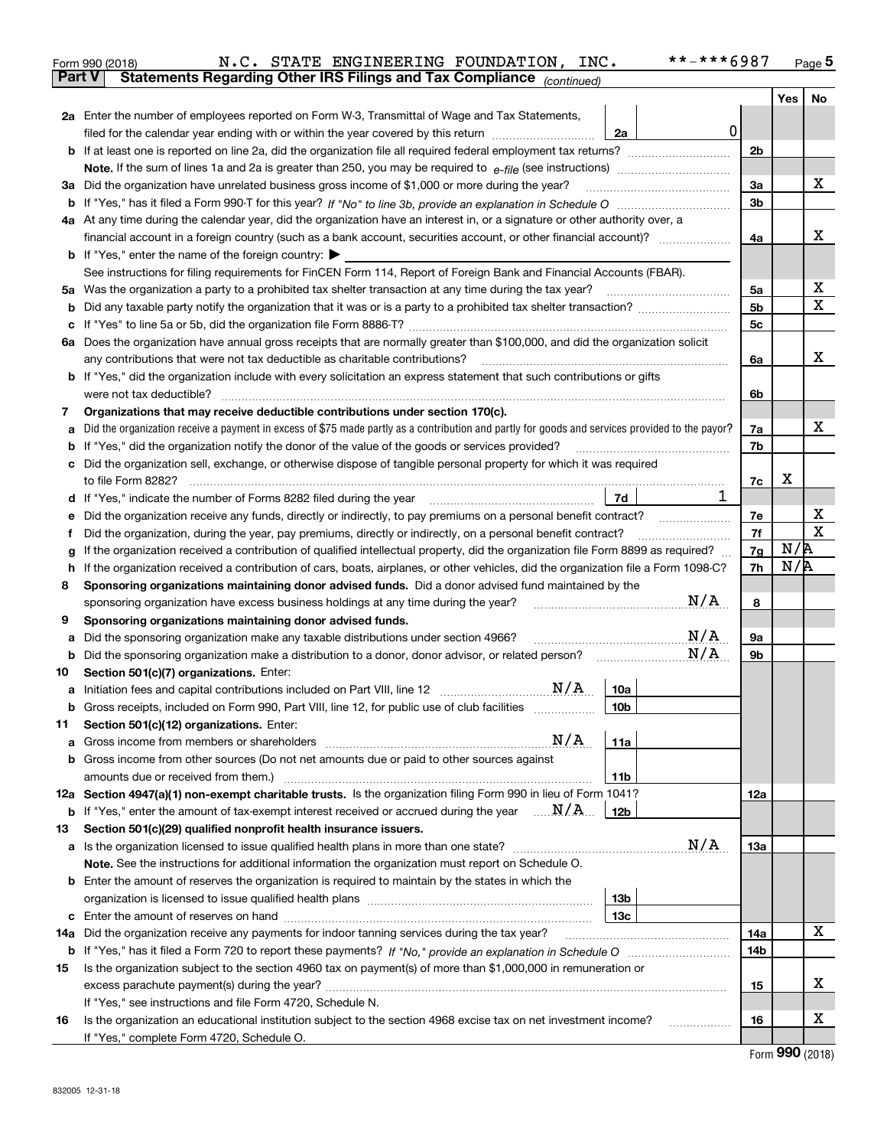|               | **-***6987<br>N.C. STATE ENGINEERING FOUNDATION, INC.<br>Form 990 (2018)                                                                        |                |     | $_{\text{Page}}$ 5 |
|---------------|-------------------------------------------------------------------------------------------------------------------------------------------------|----------------|-----|--------------------|
| <b>Part V</b> | Statements Regarding Other IRS Filings and Tax Compliance (continued)                                                                           |                |     |                    |
|               |                                                                                                                                                 |                | Yes | No                 |
|               | 2a Enter the number of employees reported on Form W-3, Transmittal of Wage and Tax Statements,                                                  |                |     |                    |
|               | 0<br>filed for the calendar year ending with or within the year covered by this return<br>2a                                                    |                |     |                    |
|               |                                                                                                                                                 | 2 <sub>b</sub> |     |                    |
|               |                                                                                                                                                 |                |     |                    |
| За            | Did the organization have unrelated business gross income of \$1,000 or more during the year?                                                   | 3a             |     | x                  |
| b             |                                                                                                                                                 | 3 <sub>b</sub> |     |                    |
|               | 4a At any time during the calendar year, did the organization have an interest in, or a signature or other authority over, a                    |                |     |                    |
|               |                                                                                                                                                 | 4a             |     | х                  |
|               | <b>b</b> If "Yes," enter the name of the foreign country: $\blacktriangleright$                                                                 |                |     |                    |
|               | See instructions for filing requirements for FinCEN Form 114, Report of Foreign Bank and Financial Accounts (FBAR).                             |                |     |                    |
|               | 5a Was the organization a party to a prohibited tax shelter transaction at any time during the tax year?                                        | 5a             |     | х                  |
| b             |                                                                                                                                                 | 5 <sub>b</sub> |     | X                  |
| с             |                                                                                                                                                 | 5с             |     |                    |
|               | 6a Does the organization have annual gross receipts that are normally greater than \$100,000, and did the organization solicit                  |                |     |                    |
|               | any contributions that were not tax deductible as charitable contributions?                                                                     | 6a             |     | x                  |
|               | <b>b</b> If "Yes," did the organization include with every solicitation an express statement that such contributions or gifts                   |                |     |                    |
|               | were not tax deductible?                                                                                                                        | 6b             |     |                    |
| 7             | Organizations that may receive deductible contributions under section 170(c).                                                                   |                |     |                    |
| а             | Did the organization receive a payment in excess of \$75 made partly as a contribution and partly for goods and services provided to the payor? | 7a             |     | x                  |
| b             | If "Yes," did the organization notify the donor of the value of the goods or services provided?                                                 | 7b             |     |                    |
|               | c Did the organization sell, exchange, or otherwise dispose of tangible personal property for which it was required                             |                |     |                    |
|               |                                                                                                                                                 | 7c             | х   |                    |
|               | 1<br>7d<br>d If "Yes," indicate the number of Forms 8282 filed during the year [11] [11] No. 2010 [12] Hyllands Holman [1                       |                |     |                    |
| е             | Did the organization receive any funds, directly or indirectly, to pay premiums on a personal benefit contract?                                 | 7е             |     | х                  |
| f             | Did the organization, during the year, pay premiums, directly or indirectly, on a personal benefit contract?                                    | 7f             |     | X                  |
| g             | If the organization received a contribution of qualified intellectual property, did the organization file Form 8899 as required?                | 7g             | N/R |                    |
| h             | If the organization received a contribution of cars, boats, airplanes, or other vehicles, did the organization file a Form 1098-C?              | 7h             | N/R |                    |
| 8             | Sponsoring organizations maintaining donor advised funds. Did a donor advised fund maintained by the                                            |                |     |                    |
|               | N/A<br>sponsoring organization have excess business holdings at any time during the year?                                                       | 8              |     |                    |
| 9             | Sponsoring organizations maintaining donor advised funds.                                                                                       |                |     |                    |
| а             | N/A<br>Did the sponsoring organization make any taxable distributions under section 4966?                                                       | 9а             |     |                    |
| b             | N/A<br>Did the sponsoring organization make a distribution to a donor, donor advisor, or related person?                                        | 9b             |     |                    |
| 10            | Section 501(c)(7) organizations. Enter:                                                                                                         |                |     |                    |
| а             | N/A<br>10a                                                                                                                                      |                |     |                    |
|               | Gross receipts, included on Form 990, Part VIII, line 12, for public use of club facilities<br>10 <sub>b</sub>                                  |                |     |                    |
| 11            | Section 501(c)(12) organizations. Enter:                                                                                                        |                |     |                    |
| a             | N/A<br>11a                                                                                                                                      |                |     |                    |
|               | <b>b</b> Gross income from other sources (Do not net amounts due or paid to other sources against                                               |                |     |                    |
|               | 11 <sub>b</sub>                                                                                                                                 |                |     |                    |
|               | 12a Section 4947(a)(1) non-exempt charitable trusts. Is the organization filing Form 990 in lieu of Form 1041?                                  | 12a            |     |                    |
| b             | If "Yes," enter the amount of tax-exempt interest received or accrued during the year $\ldots \mathbf{N}/\mathbf{A}$<br>12b                     |                |     |                    |
| 13            | Section 501(c)(29) qualified nonprofit health insurance issuers.                                                                                |                |     |                    |
| а             | N/A<br>Is the organization licensed to issue qualified health plans in more than one state?                                                     | 13а            |     |                    |
|               | Note. See the instructions for additional information the organization must report on Schedule O.                                               |                |     |                    |
|               | <b>b</b> Enter the amount of reserves the organization is required to maintain by the states in which the                                       |                |     |                    |
|               | 13b                                                                                                                                             |                |     |                    |
|               | 13c                                                                                                                                             |                |     |                    |
| 14a           | Did the organization receive any payments for indoor tanning services during the tax year?                                                      | 14a            |     | X                  |
| b             |                                                                                                                                                 | 14b            |     |                    |
| 15            | Is the organization subject to the section 4960 tax on payment(s) of more than \$1,000,000 in remuneration or                                   |                |     |                    |
|               |                                                                                                                                                 | 15             |     | х                  |
|               | If "Yes," see instructions and file Form 4720, Schedule N.                                                                                      |                |     |                    |
| 16            | Is the organization an educational institution subject to the section 4968 excise tax on net investment income?                                 | 16             |     | х                  |
|               | If "Yes," complete Form 4720, Schedule O.                                                                                                       |                | റററ |                    |

| Form 990 (2018) |  |
|-----------------|--|
|-----------------|--|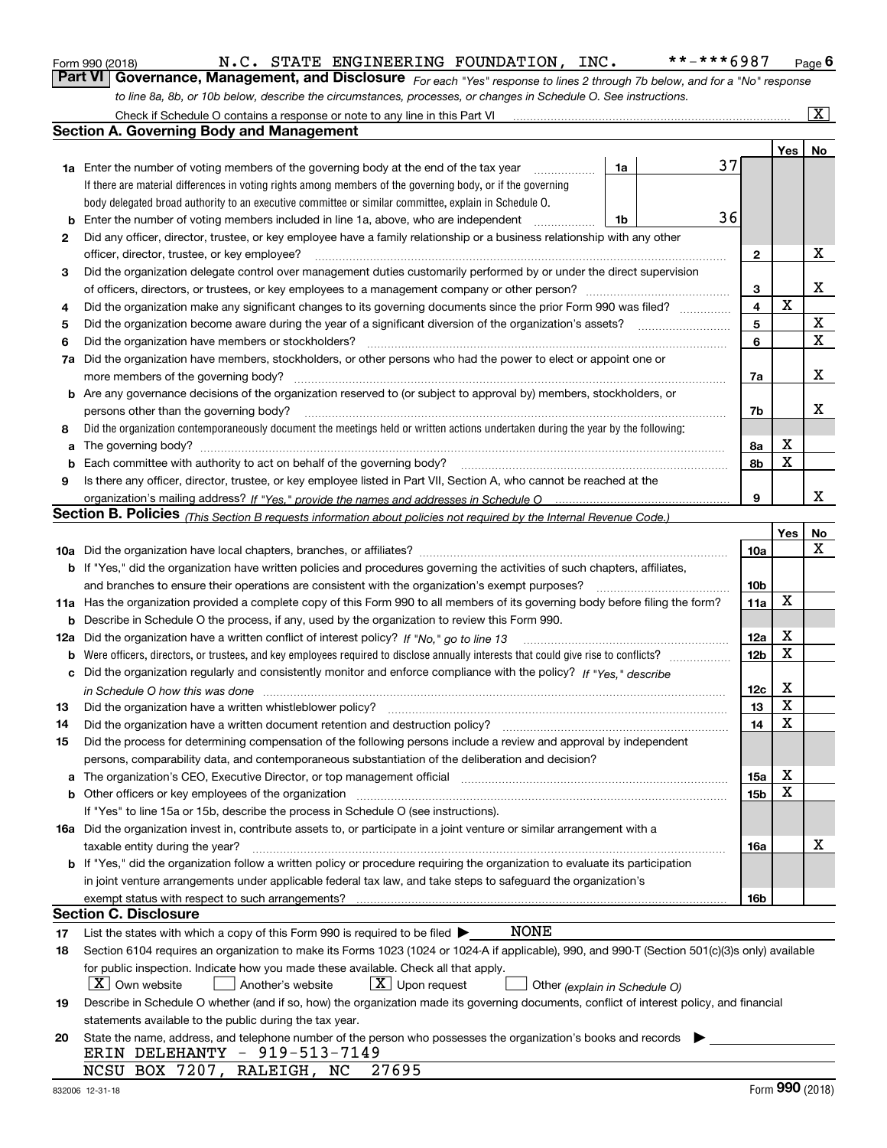|  | Form 990 (2018) |
|--|-----------------|
|  |                 |

*For each "Yes" response to lines 2 through 7b below, and for a "No" response to line 8a, 8b, or 10b below, describe the circumstances, processes, or changes in Schedule O. See instructions.* Form 990 (2018) **M.C. STATE ENGINEERING FOUNDATION, INC.** \*\*-\*\*\*6987 Page 6<br>**Part VI Governance, Management, and Disclosure** *For each "Yes" response to lines 2 through 7b below, and for a "No" response* 

|     | Check if Schedule O contains a response or note to any line in this Part VI                                                                                           |                 |     | $\mathbf{X}$ |
|-----|-----------------------------------------------------------------------------------------------------------------------------------------------------------------------|-----------------|-----|--------------|
|     | Section A. Governing Body and Management                                                                                                                              |                 |     |              |
|     |                                                                                                                                                                       |                 | Yes | No           |
|     | <b>1a</b> Enter the number of voting members of the governing body at the end of the tax year<br>1a                                                                   | 37              |     |              |
|     | If there are material differences in voting rights among members of the governing body, or if the governing                                                           |                 |     |              |
|     | body delegated broad authority to an executive committee or similar committee, explain in Schedule O.                                                                 |                 |     |              |
| b   | Enter the number of voting members included in line 1a, above, who are independent<br>1b                                                                              | 36              |     |              |
| 2   | Did any officer, director, trustee, or key employee have a family relationship or a business relationship with any other                                              |                 |     |              |
|     | officer, director, trustee, or key employee?<br>.                                                                                                                     | 2               |     | Х            |
| 3   | Did the organization delegate control over management duties customarily performed by or under the direct supervision                                                 |                 |     |              |
|     |                                                                                                                                                                       | 3               |     | X            |
| 4   | Did the organization make any significant changes to its governing documents since the prior Form 990 was filed?                                                      | 4               | X   |              |
| 5   |                                                                                                                                                                       | 5               |     | X            |
| 6   | Did the organization have members or stockholders?                                                                                                                    | 6               |     | х            |
| 7a  | Did the organization have members, stockholders, or other persons who had the power to elect or appoint one or                                                        |                 |     |              |
|     | more members of the governing body?                                                                                                                                   | 7a              |     | X            |
|     | <b>b</b> Are any governance decisions of the organization reserved to (or subject to approval by) members, stockholders, or                                           |                 |     |              |
|     | persons other than the governing body?                                                                                                                                | 7b              |     | x            |
| 8   | Did the organization contemporaneously document the meetings held or written actions undertaken during the vear by the following:                                     |                 |     |              |
| a   |                                                                                                                                                                       | 8а              | X   |              |
| b   |                                                                                                                                                                       | 8b              | X   |              |
| 9   | Is there any officer, director, trustee, or key employee listed in Part VII, Section A, who cannot be reached at the                                                  |                 |     |              |
|     |                                                                                                                                                                       | 9               |     | x            |
|     | <b>Section B. Policies</b> (This Section B requests information about policies not required by the Internal Revenue Code.)                                            |                 |     |              |
|     |                                                                                                                                                                       |                 | Yes | No           |
|     |                                                                                                                                                                       | 10a             |     | x            |
|     | <b>b</b> If "Yes," did the organization have written policies and procedures governing the activities of such chapters, affiliates,                                   |                 |     |              |
|     | and branches to ensure their operations are consistent with the organization's exempt purposes?                                                                       | 10 <sub>b</sub> |     |              |
|     | 11a Has the organization provided a complete copy of this Form 990 to all members of its governing body before filing the form?                                       | 11a             | X   |              |
| b   | Describe in Schedule O the process, if any, used by the organization to review this Form 990.                                                                         |                 |     |              |
| 12a | Did the organization have a written conflict of interest policy? If "No," go to line 13                                                                               | 12a             | X   |              |
| b   |                                                                                                                                                                       | 12 <sub>b</sub> | x   |              |
|     | c Did the organization regularly and consistently monitor and enforce compliance with the policy? If "Yes." describe                                                  |                 |     |              |
|     | in Schedule O how this was done www.communication.com/www.communications.com/www.communications.com/                                                                  | 12c             | X   |              |
| 13  | Did the organization have a written whistleblower policy?                                                                                                             | 13              | X   |              |
| 14  | Did the organization have a written document retention and destruction policy?                                                                                        | 14              | X   |              |
| 15  | Did the process for determining compensation of the following persons include a review and approval by independent                                                    |                 |     |              |
|     | persons, comparability data, and contemporaneous substantiation of the deliberation and decision?                                                                     |                 |     |              |
| a   | The organization's CEO, Executive Director, or top management official manufactured content of the organization's CEO, Executive Director, or top management official | 15a             | х   |              |
|     | <b>b</b> Other officers or key employees of the organization                                                                                                          | 15 <sub>b</sub> | х   |              |
|     | If "Yes" to line 15a or 15b, describe the process in Schedule O (see instructions).                                                                                   |                 |     |              |
|     | 16a Did the organization invest in, contribute assets to, or participate in a joint venture or similar arrangement with a                                             |                 |     |              |
|     | taxable entity during the year?                                                                                                                                       | 16a             |     | х            |
|     | <b>b</b> If "Yes," did the organization follow a written policy or procedure requiring the organization to evaluate its participation                                 |                 |     |              |
|     | in joint venture arrangements under applicable federal tax law, and take steps to safequard the organization's                                                        |                 |     |              |
|     | exempt status with respect to such arrangements?                                                                                                                      | 16b             |     |              |
|     | Section C. Disclosure                                                                                                                                                 |                 |     |              |
| 17  | NONE<br>List the states with which a copy of this Form 990 is required to be filed $\blacktriangleright$                                                              |                 |     |              |
| 18  | Section 6104 requires an organization to make its Forms 1023 (1024 or 1024-A if applicable), 990, and 990-T (Section 501(c)(3)s only) available                       |                 |     |              |
|     | for public inspection. Indicate how you made these available. Check all that apply.                                                                                   |                 |     |              |
|     | $X$ Own website<br>$\lfloor x \rfloor$ Upon request<br>Another's website<br>Other (explain in Schedule O)                                                             |                 |     |              |
| 19  | Describe in Schedule O whether (and if so, how) the organization made its governing documents, conflict of interest policy, and financial                             |                 |     |              |
|     | statements available to the public during the tax year.                                                                                                               |                 |     |              |
| 20  | State the name, address, and telephone number of the person who possesses the organization's books and records                                                        |                 |     |              |
|     | ERIN DELEHANTY - 919-513-7149                                                                                                                                         |                 |     |              |
|     | NCSU BOX 7207,<br>27695<br>RALEIGH, NC                                                                                                                                |                 |     |              |
|     |                                                                                                                                                                       |                 | nnn |              |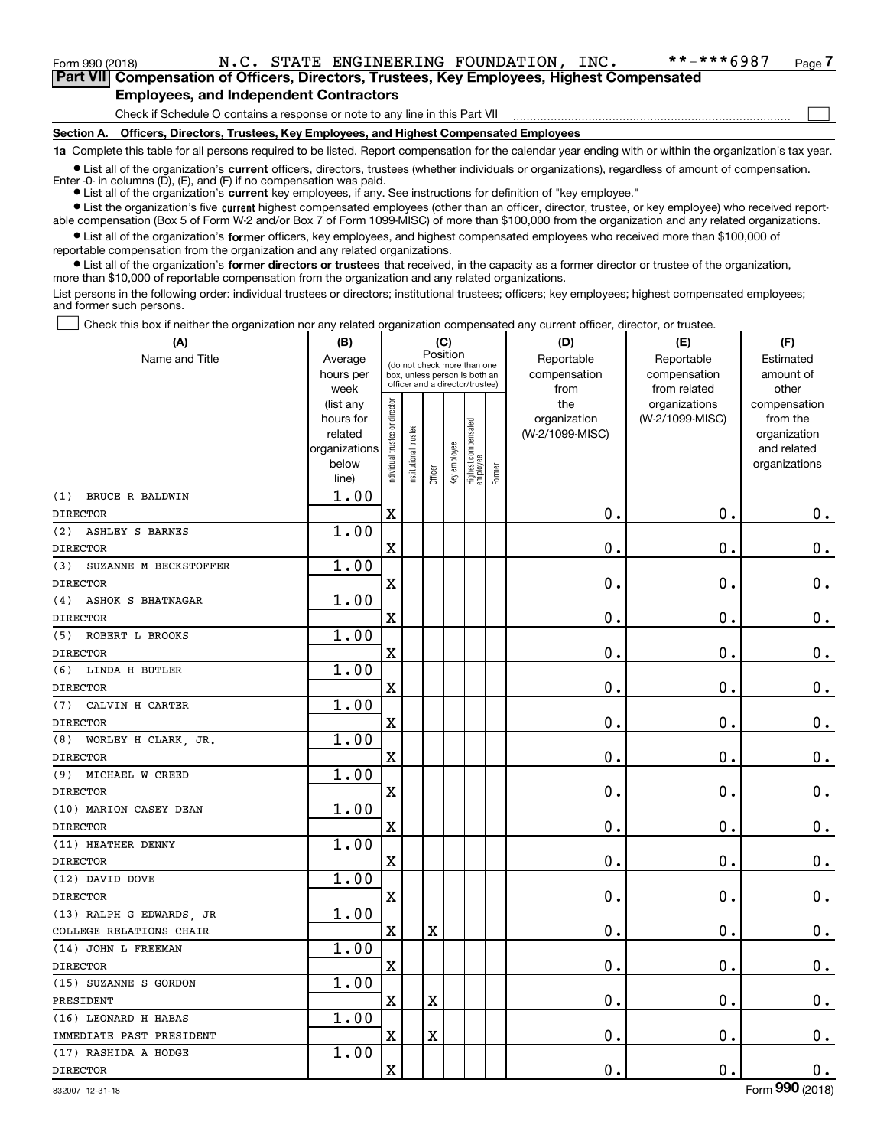$\mathcal{L}^{\text{max}}$ 

**7Part VII Compensation of Officers, Directors, Trustees, Key Employees, Highest Compensated Employees, and Independent Contractors**

Check if Schedule O contains a response or note to any line in this Part VII

**Section A. Officers, Directors, Trustees, Key Employees, and Highest Compensated Employees**

**1a**  Complete this table for all persons required to be listed. Report compensation for the calendar year ending with or within the organization's tax year.

**•** List all of the organization's current officers, directors, trustees (whether individuals or organizations), regardless of amount of compensation. Enter -0- in columns  $(D)$ ,  $(E)$ , and  $(F)$  if no compensation was paid.

● List all of the organization's **current** key employees, if any. See instructions for definition of "key employee."

**•** List the organization's five current highest compensated employees (other than an officer, director, trustee, or key employee) who received reportable compensation (Box 5 of Form W-2 and/or Box 7 of Form 1099-MISC) of more than \$100,000 from the organization and any related organizations.

 $\bullet$  List all of the organization's **former** officers, key employees, and highest compensated employees who received more than \$100,000 of reportable compensation from the organization and any related organizations.

**•** List all of the organization's former directors or trustees that received, in the capacity as a former director or trustee of the organization, more than \$10,000 of reportable compensation from the organization and any related organizations.

List persons in the following order: individual trustees or directors; institutional trustees; officers; key employees; highest compensated employees; and former such persons.

Check this box if neither the organization nor any related organization compensated any current officer, director, or trustee.  $\mathcal{L}^{\text{max}}$ 

| (A)                                             | (B)                                                                          |                                                                                                             |                      | (C)                     |              |                                   |        | (D)                                            | (E)                                              | (F)                                                                               |
|-------------------------------------------------|------------------------------------------------------------------------------|-------------------------------------------------------------------------------------------------------------|----------------------|-------------------------|--------------|-----------------------------------|--------|------------------------------------------------|--------------------------------------------------|-----------------------------------------------------------------------------------|
| Name and Title                                  | Average<br>hours per                                                         | Position<br>(do not check more than one<br>box, unless person is both an<br>officer and a director/trustee) |                      |                         |              |                                   |        | Reportable<br>compensation                     | Reportable<br>compensation                       | Estimated<br>amount of                                                            |
|                                                 | week<br>(list any<br>hours for<br>related<br>organizations<br>below<br>line) | ndividual trustee or director                                                                               | nstitutional trustee | Officer                 | Key employee | Highest compensated<br>  employee | Former | from<br>the<br>organization<br>(W-2/1099-MISC) | from related<br>organizations<br>(W-2/1099-MISC) | other<br>compensation<br>from the<br>organization<br>and related<br>organizations |
| BRUCE R BALDWIN<br>(1)                          | 1.00                                                                         |                                                                                                             |                      |                         |              |                                   |        |                                                |                                                  |                                                                                   |
| <b>DIRECTOR</b>                                 |                                                                              | $\rm X$                                                                                                     |                      |                         |              |                                   |        | 0.                                             | 0.                                               | $0_{.}$                                                                           |
| (2)<br><b>ASHLEY S BARNES</b>                   | 1.00                                                                         |                                                                                                             |                      |                         |              |                                   |        |                                                |                                                  |                                                                                   |
| <b>DIRECTOR</b>                                 |                                                                              | X                                                                                                           |                      |                         |              |                                   |        | 0.                                             | 0.                                               | $\mathbf 0$ .                                                                     |
| SUZANNE M BECKSTOFFER<br>(3)<br><b>DIRECTOR</b> | 1.00                                                                         | $\mathbf X$                                                                                                 |                      |                         |              |                                   |        | $\mathbf 0$ .                                  | $\mathbf 0$ .                                    | 0.                                                                                |
| <b>ASHOK S BHATNAGAR</b><br>(4)                 | 1.00                                                                         |                                                                                                             |                      |                         |              |                                   |        |                                                |                                                  |                                                                                   |
| <b>DIRECTOR</b>                                 |                                                                              | X                                                                                                           |                      |                         |              |                                   |        | 0.                                             | 0.                                               | $\mathbf 0$ .                                                                     |
| (5) ROBERT L BROOKS                             | 1.00                                                                         |                                                                                                             |                      |                         |              |                                   |        |                                                |                                                  |                                                                                   |
| <b>DIRECTOR</b>                                 |                                                                              | $\mathbf X$                                                                                                 |                      |                         |              |                                   |        | 0.                                             | $\mathbf 0$ .                                    | $0_{.}$                                                                           |
| (6) LINDA H BUTLER                              | 1.00                                                                         |                                                                                                             |                      |                         |              |                                   |        |                                                |                                                  |                                                                                   |
| <b>DIRECTOR</b>                                 |                                                                              | X                                                                                                           |                      |                         |              |                                   |        | 0.                                             | $\mathbf 0$ .                                    | $\mathbf 0$ .                                                                     |
| CALVIN H CARTER<br>(7)                          | 1.00                                                                         |                                                                                                             |                      |                         |              |                                   |        |                                                |                                                  |                                                                                   |
| <b>DIRECTOR</b>                                 |                                                                              | $\rm X$                                                                                                     |                      |                         |              |                                   |        | 0.                                             | $\mathbf 0$ .                                    | $\mathbf 0$ .                                                                     |
| (8) WORLEY H CLARK, JR.                         | 1.00                                                                         |                                                                                                             |                      |                         |              |                                   |        |                                                |                                                  |                                                                                   |
| <b>DIRECTOR</b>                                 |                                                                              | $\overline{\textbf{X}}$                                                                                     |                      |                         |              |                                   |        | 0.                                             | $\mathbf 0$ .                                    | $\mathbf 0$ .                                                                     |
| (9) MICHAEL W CREED                             | 1.00                                                                         |                                                                                                             |                      |                         |              |                                   |        |                                                |                                                  |                                                                                   |
| <b>DIRECTOR</b>                                 |                                                                              | $\rm X$                                                                                                     |                      |                         |              |                                   |        | 0.                                             | $\mathbf 0$ .                                    | $\mathbf 0$ .                                                                     |
| (10) MARION CASEY DEAN                          | 1.00                                                                         |                                                                                                             |                      |                         |              |                                   |        |                                                |                                                  |                                                                                   |
| <b>DIRECTOR</b>                                 |                                                                              | $\overline{\textbf{X}}$                                                                                     |                      |                         |              |                                   |        | 0.                                             | $\mathbf 0$ .                                    | $\mathbf 0$ .                                                                     |
| (11) HEATHER DENNY                              | 1.00                                                                         |                                                                                                             |                      |                         |              |                                   |        |                                                |                                                  |                                                                                   |
| <b>DIRECTOR</b>                                 |                                                                              | $\rm X$                                                                                                     |                      |                         |              |                                   |        | 0.                                             | $\mathbf 0$ .                                    | $0_{.}$                                                                           |
| (12) DAVID DOVE                                 | 1.00                                                                         |                                                                                                             |                      |                         |              |                                   |        |                                                |                                                  |                                                                                   |
| <b>DIRECTOR</b>                                 |                                                                              | $\overline{\mathbf{X}}$                                                                                     |                      |                         |              |                                   |        | 0.                                             | $\mathbf 0$ .                                    | $0_{.}$                                                                           |
| (13) RALPH G EDWARDS, JR                        | 1.00                                                                         |                                                                                                             |                      |                         |              |                                   |        |                                                |                                                  |                                                                                   |
| COLLEGE RELATIONS CHAIR                         |                                                                              | $\mathbf x$                                                                                                 |                      | $\rm X$                 |              |                                   |        | 0.                                             | $\mathbf 0$ .                                    | 0.                                                                                |
| (14) JOHN L FREEMAN                             | 1.00                                                                         |                                                                                                             |                      |                         |              |                                   |        |                                                |                                                  |                                                                                   |
| <b>DIRECTOR</b>                                 |                                                                              | X                                                                                                           |                      |                         |              |                                   |        | $0$ .                                          | $\mathbf 0$ .                                    | $\mathbf 0$ .                                                                     |
| (15) SUZANNE S GORDON                           | 1.00                                                                         |                                                                                                             |                      |                         |              |                                   |        |                                                |                                                  |                                                                                   |
| PRESIDENT                                       |                                                                              | $\rm X$                                                                                                     |                      | $\rm X$                 |              |                                   |        | 0.                                             | $\mathbf 0$ .                                    | $\mathbf 0$ .                                                                     |
| (16) LEONARD H HABAS                            | 1.00                                                                         |                                                                                                             |                      |                         |              |                                   |        |                                                |                                                  |                                                                                   |
| IMMEDIATE PAST PRESIDENT                        |                                                                              | X                                                                                                           |                      | $\overline{\mathbf{X}}$ |              |                                   |        | 0.                                             | $\mathbf 0$ .                                    | 0.                                                                                |
| (17) RASHIDA A HODGE                            | 1.00                                                                         |                                                                                                             |                      |                         |              |                                   |        |                                                |                                                  |                                                                                   |
| <b>DIRECTOR</b>                                 |                                                                              | $\mathbf x$                                                                                                 |                      |                         |              |                                   |        | $\mathbf{0}$ .                                 | 0.                                               | $\mathbf 0$ .                                                                     |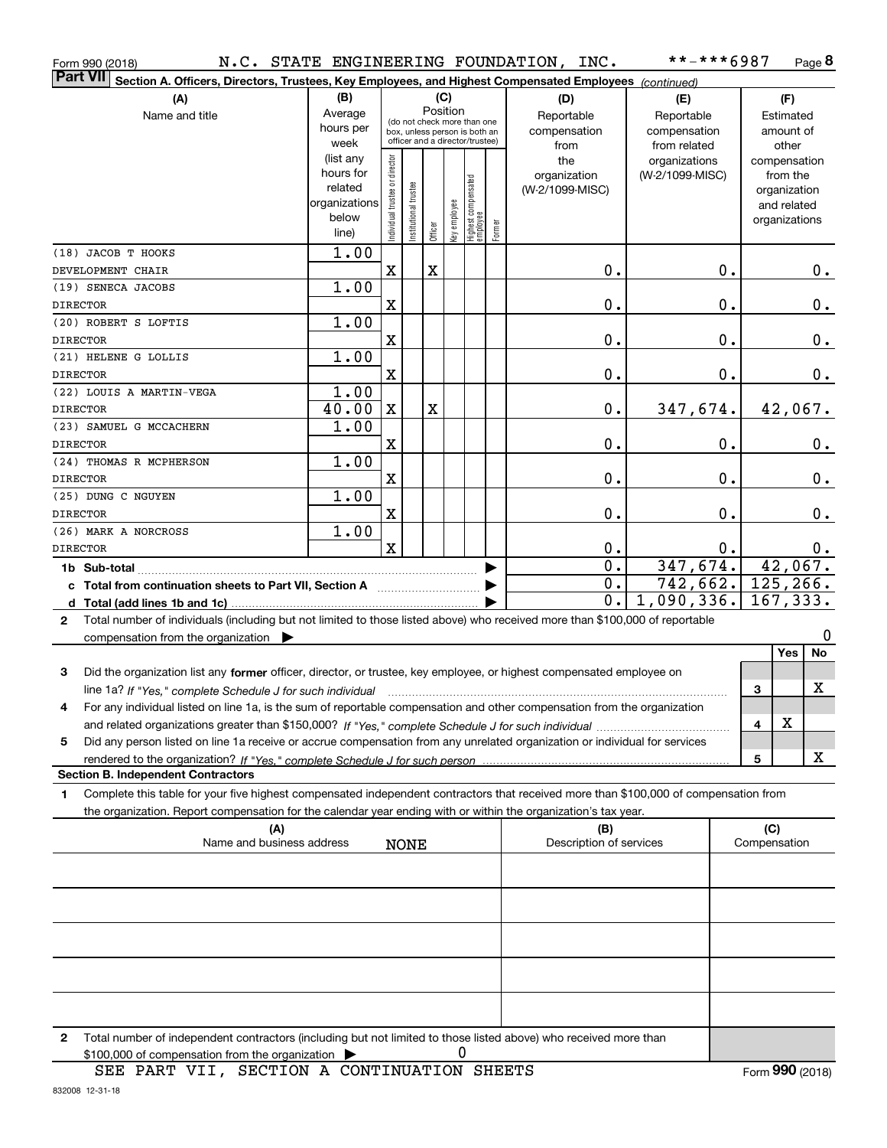| Form 990 (2018)                                                                                                                                                                                                                                  |                      |                               |                       |          |              |                                   |        | N.C. STATE ENGINEERING FOUNDATION, INC. | **-***6987             |    |              | Page 8                      |
|--------------------------------------------------------------------------------------------------------------------------------------------------------------------------------------------------------------------------------------------------|----------------------|-------------------------------|-----------------------|----------|--------------|-----------------------------------|--------|-----------------------------------------|------------------------|----|--------------|-----------------------------|
| Part VII<br>Section A. Officers, Directors, Trustees, Key Employees, and Highest Compensated Employees (continued)                                                                                                                               |                      |                               |                       |          |              |                                   |        |                                         |                        |    |              |                             |
| (B)<br>(A)                                                                                                                                                                                                                                       |                      |                               |                       |          | (C)          |                                   |        | (D)                                     | (E)                    |    |              | (F)                         |
| Name and title                                                                                                                                                                                                                                   | Average              |                               |                       | Position |              | (do not check more than one       |        | Reportable                              | Reportable             |    |              | Estimated                   |
|                                                                                                                                                                                                                                                  | hours per            |                               |                       |          |              | box, unless person is both an     |        | compensation                            | compensation           |    |              | amount of                   |
|                                                                                                                                                                                                                                                  | week                 |                               |                       |          |              | officer and a director/trustee)   |        | from                                    | from related           |    |              | other                       |
|                                                                                                                                                                                                                                                  | (list any            |                               |                       |          |              |                                   |        | the                                     | organizations          |    |              | compensation                |
|                                                                                                                                                                                                                                                  | hours for<br>related |                               |                       |          |              |                                   |        | organization                            | (W-2/1099-MISC)        |    |              | from the                    |
|                                                                                                                                                                                                                                                  | organizations        |                               |                       |          |              |                                   |        | (W-2/1099-MISC)                         |                        |    |              | organization<br>and related |
|                                                                                                                                                                                                                                                  | below                | ndividual trustee or director | Institutional trustee |          | key employee |                                   |        |                                         |                        |    |              | organizations               |
|                                                                                                                                                                                                                                                  | line)                |                               |                       | Officer  |              | Highest compensated<br>  employee | Former |                                         |                        |    |              |                             |
| (18) JACOB T HOOKS                                                                                                                                                                                                                               | 1.00                 |                               |                       |          |              |                                   |        |                                         |                        |    |              |                             |
| DEVELOPMENT CHAIR                                                                                                                                                                                                                                |                      | X                             |                       | X        |              |                                   |        | 0.                                      |                        | 0. |              | 0.                          |
| (19) SENECA JACOBS                                                                                                                                                                                                                               | 1.00                 |                               |                       |          |              |                                   |        |                                         |                        |    |              |                             |
| <b>DIRECTOR</b>                                                                                                                                                                                                                                  |                      | X                             |                       |          |              |                                   |        | 0.                                      |                        | 0. |              | $\mathbf 0$ .               |
| (20) ROBERT S LOFTIS                                                                                                                                                                                                                             | 1.00                 |                               |                       |          |              |                                   |        |                                         |                        |    |              |                             |
| <b>DIRECTOR</b>                                                                                                                                                                                                                                  |                      | X                             |                       |          |              |                                   |        | 0.                                      |                        | 0. |              | $\mathbf 0$ .               |
| (21) HELENE G LOLLIS                                                                                                                                                                                                                             | 1.00                 |                               |                       |          |              |                                   |        |                                         |                        |    |              |                             |
| <b>DIRECTOR</b>                                                                                                                                                                                                                                  |                      | X                             |                       |          |              |                                   |        | 0.                                      |                        | 0. |              | 0.                          |
| (22) LOUIS A MARTIN-VEGA                                                                                                                                                                                                                         | 1.00                 |                               |                       |          |              |                                   |        |                                         |                        |    |              |                             |
| <b>DIRECTOR</b>                                                                                                                                                                                                                                  | 40.00                | $\mathbf X$                   |                       | X        |              |                                   |        | 0.                                      | 347,674.               |    |              | 42,067.                     |
| (23) SAMUEL G MCCACHERN                                                                                                                                                                                                                          | 1.00                 |                               |                       |          |              |                                   |        |                                         |                        |    |              |                             |
| <b>DIRECTOR</b>                                                                                                                                                                                                                                  |                      | X                             |                       |          |              |                                   |        | 0.                                      |                        | 0. |              | $\mathbf 0$ .               |
| (24) THOMAS R MCPHERSON                                                                                                                                                                                                                          | 1.00                 |                               |                       |          |              |                                   |        |                                         |                        |    |              |                             |
| <b>DIRECTOR</b>                                                                                                                                                                                                                                  |                      | $\mathbf X$                   |                       |          |              |                                   |        | 0.                                      |                        | 0. |              | $\mathbf 0$ .               |
| (25) DUNG C NGUYEN                                                                                                                                                                                                                               | 1.00                 |                               |                       |          |              |                                   |        |                                         |                        |    |              |                             |
| <b>DIRECTOR</b>                                                                                                                                                                                                                                  |                      | $\mathbf X$                   |                       |          |              |                                   |        | 0.                                      |                        | 0. |              | $\mathbf 0$ .               |
| (26) MARK A NORCROSS                                                                                                                                                                                                                             | 1.00                 |                               |                       |          |              |                                   |        |                                         |                        |    |              |                             |
| <b>DIRECTOR</b>                                                                                                                                                                                                                                  |                      | $\mathbf X$                   |                       |          |              |                                   |        | $0$ .<br>$\overline{0}$ .               |                        | 0. |              | 0.                          |
| 1b Sub-total                                                                                                                                                                                                                                     |                      |                               |                       |          |              |                                   |        | $\overline{0}$ .                        | 347,674.               |    |              | 42,067.                     |
| c Total from continuation sheets to Part VII, Section A                                                                                                                                                                                          |                      |                               |                       |          |              |                                   |        | $\overline{0}$ .                        | 742,662.<br>1,090,336. |    |              | 125, 266.<br>167, 333.      |
|                                                                                                                                                                                                                                                  |                      |                               |                       |          |              |                                   |        |                                         |                        |    |              |                             |
| Total number of individuals (including but not limited to those listed above) who received more than \$100,000 of reportable<br>$\mathbf{2}$                                                                                                     |                      |                               |                       |          |              |                                   |        |                                         |                        |    |              | 0                           |
| compensation from the organization $\blacktriangleright$                                                                                                                                                                                         |                      |                               |                       |          |              |                                   |        |                                         |                        |    |              | No<br>Yes                   |
| 3<br>Did the organization list any former officer, director, or trustee, key employee, or highest compensated employee on                                                                                                                        |                      |                               |                       |          |              |                                   |        |                                         |                        |    |              |                             |
|                                                                                                                                                                                                                                                  |                      |                               |                       |          |              |                                   |        |                                         |                        |    | 3            | X                           |
| line 1a? If "Yes," complete Schedule J for such individual manufactured contained and the Schedule J for such i<br>For any individual listed on line 1a, is the sum of reportable compensation and other compensation from the organization<br>4 |                      |                               |                       |          |              |                                   |        |                                         |                        |    |              |                             |
|                                                                                                                                                                                                                                                  |                      |                               |                       |          |              |                                   |        |                                         |                        |    | 4            | х                           |
| Did any person listed on line 1a receive or accrue compensation from any unrelated organization or individual for services<br>5                                                                                                                  |                      |                               |                       |          |              |                                   |        |                                         |                        |    |              |                             |
|                                                                                                                                                                                                                                                  |                      |                               |                       |          |              |                                   |        |                                         |                        |    | 5            | x                           |
| <b>Section B. Independent Contractors</b>                                                                                                                                                                                                        |                      |                               |                       |          |              |                                   |        |                                         |                        |    |              |                             |
| Complete this table for your five highest compensated independent contractors that received more than \$100,000 of compensation from<br>1                                                                                                        |                      |                               |                       |          |              |                                   |        |                                         |                        |    |              |                             |
| the organization. Report compensation for the calendar year ending with or within the organization's tax year.                                                                                                                                   |                      |                               |                       |          |              |                                   |        |                                         |                        |    |              |                             |
| (A)                                                                                                                                                                                                                                              |                      |                               |                       |          |              |                                   |        | (B)                                     |                        |    | (C)          |                             |
| Name and business address                                                                                                                                                                                                                        |                      |                               | <b>NONE</b>           |          |              |                                   |        | Description of services                 |                        |    | Compensation |                             |
|                                                                                                                                                                                                                                                  |                      |                               |                       |          |              |                                   |        |                                         |                        |    |              |                             |
|                                                                                                                                                                                                                                                  |                      |                               |                       |          |              |                                   |        |                                         |                        |    |              |                             |
|                                                                                                                                                                                                                                                  |                      |                               |                       |          |              |                                   |        |                                         |                        |    |              |                             |
|                                                                                                                                                                                                                                                  |                      |                               |                       |          |              |                                   |        |                                         |                        |    |              |                             |
|                                                                                                                                                                                                                                                  |                      |                               |                       |          |              |                                   |        |                                         |                        |    |              |                             |
|                                                                                                                                                                                                                                                  |                      |                               |                       |          |              |                                   |        |                                         |                        |    |              |                             |
|                                                                                                                                                                                                                                                  |                      |                               |                       |          |              |                                   |        |                                         |                        |    |              |                             |
| Total number of independent contractors (including but not limited to those listed above) who received more than<br>2                                                                                                                            |                      |                               |                       |          |              |                                   |        |                                         |                        |    |              |                             |
|                                                                                                                                                                                                                                                  |                      |                               |                       |          |              |                                   |        |                                         |                        |    |              |                             |

 $$100,000$  of compensation from the organization  $\qquad \blacktriangleright$   $\qquad \qquad 0$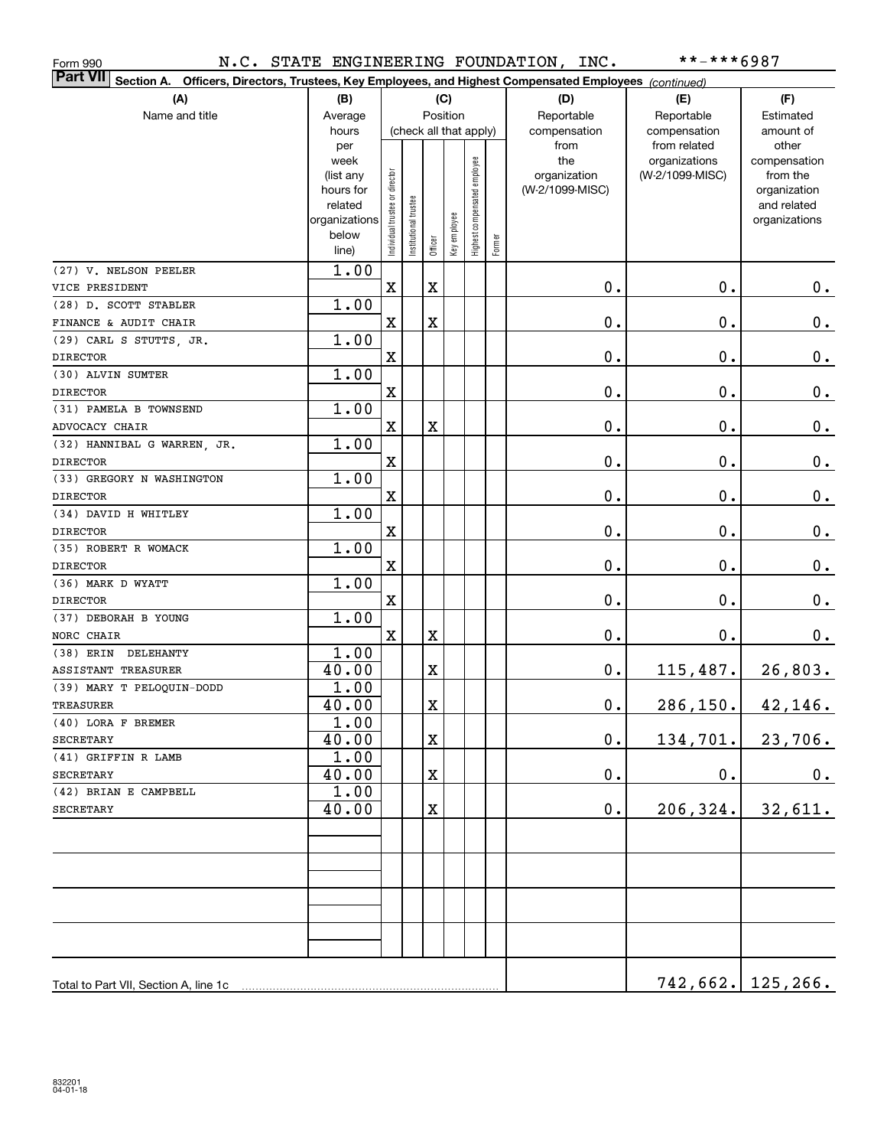| Form 990                                                                                                                  |                |                                |                        |             |              |                              |        | N.C. STATE ENGINEERING FOUNDATION, INC. | **-***6987                    |                       |
|---------------------------------------------------------------------------------------------------------------------------|----------------|--------------------------------|------------------------|-------------|--------------|------------------------------|--------|-----------------------------------------|-------------------------------|-----------------------|
| <b>Part VII</b><br>Section A. Officers, Directors, Trustees, Key Employees, and Highest Compensated Employees (continued) |                |                                |                        |             |              |                              |        |                                         |                               |                       |
| (A)<br>(B)                                                                                                                |                |                                |                        |             | (C)          |                              |        | (D)                                     | (E)                           | (F)                   |
| Name and title                                                                                                            | Average        | Position                       |                        |             |              |                              |        | Reportable                              | Reportable                    | Estimated             |
|                                                                                                                           | hours          |                                | (check all that apply) |             |              |                              |        | compensation                            | compensation                  | amount of             |
|                                                                                                                           | per<br>week    |                                |                        |             |              |                              |        | from<br>the                             | from related<br>organizations | other<br>compensation |
|                                                                                                                           | (list any      |                                |                        |             |              |                              |        | organization                            | (W-2/1099-MISC)               | from the              |
|                                                                                                                           | hours for      |                                |                        |             |              |                              |        | (W-2/1099-MISC)                         |                               | organization          |
|                                                                                                                           | related        |                                |                        |             |              |                              |        |                                         |                               | and related           |
|                                                                                                                           | organizations  |                                |                        |             |              |                              |        |                                         |                               | organizations         |
|                                                                                                                           | below<br>line) | Individual trustee or director | nstitutional trustee   | Officer     | Key employee | Highest compensated employee | Former |                                         |                               |                       |
| (27) V. NELSON PEELER                                                                                                     | 1.00           |                                |                        |             |              |                              |        |                                         |                               |                       |
| VICE PRESIDENT                                                                                                            |                | $\mathbf X$                    |                        | $\mathbf X$ |              |                              |        | 0.                                      | 0.                            | $0$ .                 |
| (28) D. SCOTT STABLER                                                                                                     | 1.00           |                                |                        |             |              |                              |        |                                         |                               |                       |
| FINANCE & AUDIT CHAIR                                                                                                     |                | $\mathbf X$                    |                        | $\mathbf X$ |              |                              |        | 0.                                      | 0.                            | 0.                    |
| (29) CARL S STUTTS, JR.                                                                                                   | 1.00           |                                |                        |             |              |                              |        |                                         |                               |                       |
| <b>DIRECTOR</b>                                                                                                           |                | $\mathbf X$                    |                        |             |              |                              |        | 0.                                      | 0.                            | 0.                    |
| (30) ALVIN SUMTER                                                                                                         | 1.00           |                                |                        |             |              |                              |        |                                         |                               |                       |
| <b>DIRECTOR</b>                                                                                                           |                | $\mathbf X$                    |                        |             |              |                              |        | 0.                                      | 0.                            | 0.                    |
| (31) PAMELA B TOWNSEND                                                                                                    | 1.00           |                                |                        |             |              |                              |        |                                         |                               |                       |
| ADVOCACY CHAIR                                                                                                            |                | $\mathbf X$                    |                        | $\mathbf X$ |              |                              |        | 0.                                      | 0.                            | 0.                    |
| (32) HANNIBAL G WARREN, JR.                                                                                               | 1.00           |                                |                        |             |              |                              |        |                                         |                               |                       |
| <b>DIRECTOR</b>                                                                                                           |                | $\mathbf X$                    |                        |             |              |                              |        | 0.                                      | 0.                            | 0.                    |
| (33) GREGORY N WASHINGTON                                                                                                 | 1.00           |                                |                        |             |              |                              |        |                                         |                               |                       |
| <b>DIRECTOR</b>                                                                                                           |                | $\mathbf X$                    |                        |             |              |                              |        | 0.                                      | 0.                            | 0.                    |
| (34) DAVID H WHITLEY                                                                                                      | 1.00           |                                |                        |             |              |                              |        |                                         |                               |                       |
| <b>DIRECTOR</b>                                                                                                           |                | $\mathbf X$                    |                        |             |              |                              |        | 0.                                      | 0.                            | 0.                    |
| (35) ROBERT R WOMACK<br><b>DIRECTOR</b>                                                                                   | 1.00           | $\mathbf X$                    |                        |             |              |                              |        |                                         | 0.                            |                       |
| (36) MARK D WYATT                                                                                                         | 1.00           |                                |                        |             |              |                              |        | 0.                                      |                               | 0.                    |
| <b>DIRECTOR</b>                                                                                                           |                | $\mathbf X$                    |                        |             |              |                              |        | 0.                                      | 0.                            | $\mathbf 0$ .         |
| (37) DEBORAH B YOUNG                                                                                                      | 1.00           |                                |                        |             |              |                              |        |                                         |                               |                       |
| NORC CHAIR                                                                                                                |                | $\mathbf X$                    |                        | $\mathbf X$ |              |                              |        | 0.                                      | $\mathbf 0$ .                 | 0.                    |
| (38) ERIN DELEHANTY                                                                                                       | 1.00           |                                |                        |             |              |                              |        |                                         |                               |                       |
| ASSISTANT TREASURER                                                                                                       | 40.00          |                                |                        | X           |              |                              |        | $\mathbf 0$ .                           | 115,487.                      | 26,803.               |
| (39) MARY T PELOQUIN-DODD                                                                                                 | 1.00           |                                |                        |             |              |                              |        |                                         |                               |                       |
| TREASURER                                                                                                                 | 40.00          |                                |                        | $\mathbf X$ |              |                              |        | 0.                                      | 286, 150.                     | 42,146.               |
| (40) LORA F BREMER                                                                                                        | 1.00           |                                |                        |             |              |                              |        |                                         |                               |                       |
| SECRETARY                                                                                                                 | 40.00          |                                |                        | х           |              |                              |        | $\mathbf 0$ .                           | 134,701.                      | 23,706.               |
| (41) GRIFFIN R LAMB                                                                                                       | 1.00           |                                |                        |             |              |                              |        |                                         |                               |                       |
| SECRETARY                                                                                                                 | 40.00          |                                |                        | X           |              |                              |        | $\mathbf 0$ .                           | $\mathbf 0$ .                 | 0.                    |
| (42) BRIAN E CAMPBELL                                                                                                     | 1.00           |                                |                        |             |              |                              |        |                                         |                               |                       |
| <b>SECRETARY</b>                                                                                                          | 40.00          |                                |                        | X           |              |                              |        | 0.                                      | 206, 324.                     | 32,611.               |
|                                                                                                                           |                |                                |                        |             |              |                              |        |                                         |                               |                       |
|                                                                                                                           |                |                                |                        |             |              |                              |        |                                         |                               |                       |
|                                                                                                                           |                |                                |                        |             |              |                              |        |                                         |                               |                       |
|                                                                                                                           |                |                                |                        |             |              |                              |        |                                         |                               |                       |
|                                                                                                                           |                |                                |                        |             |              |                              |        |                                         |                               |                       |
|                                                                                                                           |                |                                |                        |             |              |                              |        |                                         |                               |                       |
| Total to Part VII, Section A, line 1c                                                                                     |                |                                |                        |             |              |                              |        |                                         |                               | $742,662.$ 125,266.   |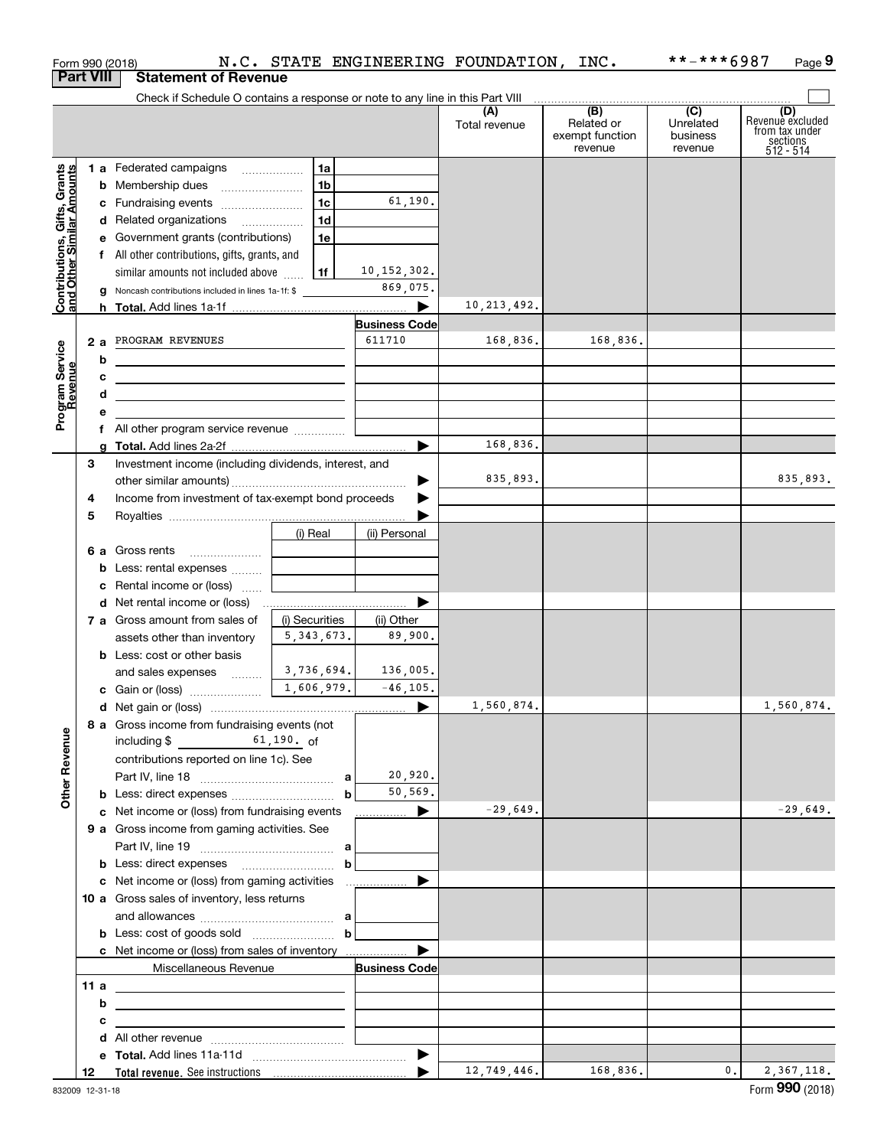|                                                           |     |    | Form 990 (2018)                                                                                                      |                |                                | N.C. STATE ENGINEERING FOUNDATION, INC. |                                                              | **-***6987                                           | Page 9                                                                             |
|-----------------------------------------------------------|-----|----|----------------------------------------------------------------------------------------------------------------------|----------------|--------------------------------|-----------------------------------------|--------------------------------------------------------------|------------------------------------------------------|------------------------------------------------------------------------------------|
| <b>Part VIII</b>                                          |     |    | <b>Statement of Revenue</b>                                                                                          |                |                                |                                         |                                                              |                                                      |                                                                                    |
|                                                           |     |    | Check if Schedule O contains a response or note to any line in this Part VIII                                        |                |                                |                                         |                                                              |                                                      |                                                                                    |
|                                                           |     |    |                                                                                                                      |                |                                | (A)<br>Total revenue                    | $\overline{(B)}$<br>Related or<br>exempt function<br>revenue | $\overline{(C)}$<br>Unrelated<br>business<br>revenue | (D)<br>Revenue excluded<br>from tax under<br>$\frac{200}{3}$ sections<br>512 - 514 |
|                                                           |     |    | 1 a Federated campaigns                                                                                              | 1a             |                                |                                         |                                                              |                                                      |                                                                                    |
| Contributions, Gifts, Grants<br>and Other Similar Amounts |     |    | <b>b</b> Membership dues                                                                                             | 1b             |                                |                                         |                                                              |                                                      |                                                                                    |
|                                                           |     |    | c Fundraising events                                                                                                 | 1 <sub>c</sub> | 61,190.                        |                                         |                                                              |                                                      |                                                                                    |
|                                                           |     |    | d Related organizations                                                                                              | 1d             |                                |                                         |                                                              |                                                      |                                                                                    |
|                                                           |     |    | e Government grants (contributions)                                                                                  | 1e             |                                |                                         |                                                              |                                                      |                                                                                    |
|                                                           |     |    | f All other contributions, gifts, grants, and                                                                        |                |                                |                                         |                                                              |                                                      |                                                                                    |
|                                                           |     |    | similar amounts not included above                                                                                   | 1f             | 10, 152, 302.                  |                                         |                                                              |                                                      |                                                                                    |
|                                                           |     |    | <b>g</b> Noncash contributions included in lines 1a-1f: \$                                                           |                | 869,075.                       |                                         |                                                              |                                                      |                                                                                    |
|                                                           |     |    |                                                                                                                      |                | ▶                              | 10, 213, 492.                           |                                                              |                                                      |                                                                                    |
|                                                           |     |    |                                                                                                                      |                | <b>Business Code</b><br>611710 |                                         |                                                              |                                                      |                                                                                    |
|                                                           |     | 2a | PROGRAM REVENUES                                                                                                     |                |                                | 168,836.                                | 168,836.                                                     |                                                      |                                                                                    |
|                                                           |     | b  | <u> 1989 - Johann Barbara, martxa alemaniar amerikan a</u>                                                           |                |                                |                                         |                                                              |                                                      |                                                                                    |
| Program Service<br>Revenue                                |     | с  | <u> 1989 - Johann John Stone, markin fan it ferstjer fan de ferstjer fan it ferstjer fan de ferstjer fan it fers</u> |                |                                |                                         |                                                              |                                                      |                                                                                    |
|                                                           |     | d  | <u> 1989 - Andrea State Barbara, amerikan personal (</u>                                                             |                |                                |                                         |                                                              |                                                      |                                                                                    |
|                                                           |     | е  |                                                                                                                      |                |                                |                                         |                                                              |                                                      |                                                                                    |
|                                                           |     | f  |                                                                                                                      |                |                                | 168,836.                                |                                                              |                                                      |                                                                                    |
|                                                           | 3   |    | Investment income (including dividends, interest, and                                                                |                |                                |                                         |                                                              |                                                      |                                                                                    |
|                                                           |     |    |                                                                                                                      |                |                                | 835,893.                                |                                                              |                                                      | 835,893.                                                                           |
|                                                           | 4   |    | Income from investment of tax-exempt bond proceeds                                                                   |                |                                |                                         |                                                              |                                                      |                                                                                    |
|                                                           | 5   |    |                                                                                                                      |                |                                |                                         |                                                              |                                                      |                                                                                    |
|                                                           |     |    |                                                                                                                      | (i) Real       | (ii) Personal                  |                                         |                                                              |                                                      |                                                                                    |
|                                                           |     |    | 6 a Gross rents                                                                                                      |                |                                |                                         |                                                              |                                                      |                                                                                    |
|                                                           |     |    | <b>b</b> Less: rental expenses                                                                                       |                |                                |                                         |                                                              |                                                      |                                                                                    |
|                                                           |     |    | Rental income or (loss)                                                                                              |                |                                |                                         |                                                              |                                                      |                                                                                    |
|                                                           |     |    |                                                                                                                      |                |                                |                                         |                                                              |                                                      |                                                                                    |
|                                                           |     |    | 7 a Gross amount from sales of                                                                                       | (i) Securities | (ii) Other                     |                                         |                                                              |                                                      |                                                                                    |
|                                                           |     |    | assets other than inventory                                                                                          | 5, 343, 673.   | 89,900.                        |                                         |                                                              |                                                      |                                                                                    |
|                                                           |     |    | <b>b</b> Less: cost or other basis                                                                                   |                |                                |                                         |                                                              |                                                      |                                                                                    |
|                                                           |     |    | and sales expenses                                                                                                   | 3,736,694.     | 136,005.                       |                                         |                                                              |                                                      |                                                                                    |
|                                                           |     |    | c Gain or (loss)                                                                                                     | 1,606,979.     | $-46, 105.$                    |                                         |                                                              |                                                      |                                                                                    |
|                                                           |     |    |                                                                                                                      |                |                                | 1,560,874.                              |                                                              |                                                      | 1,560,874.                                                                         |
|                                                           |     |    | 8 a Gross income from fundraising events (not                                                                        |                |                                |                                         |                                                              |                                                      |                                                                                    |
|                                                           |     |    | $61,190.$ of<br>including \$                                                                                         |                |                                |                                         |                                                              |                                                      |                                                                                    |
|                                                           |     |    | contributions reported on line 1c). See                                                                              |                |                                |                                         |                                                              |                                                      |                                                                                    |
| <b>Other Revenue</b>                                      |     |    |                                                                                                                      |                | 20,920.                        |                                         |                                                              |                                                      |                                                                                    |
|                                                           |     |    |                                                                                                                      | b              | 50,569.                        |                                         |                                                              |                                                      |                                                                                    |
|                                                           |     |    | c Net income or (loss) from fundraising events                                                                       |                | ____________ ▶                 | $-29,649.$                              |                                                              |                                                      | $-29,649.$                                                                         |
|                                                           |     |    | 9 a Gross income from gaming activities. See                                                                         |                |                                |                                         |                                                              |                                                      |                                                                                    |
|                                                           |     |    |                                                                                                                      |                |                                |                                         |                                                              |                                                      |                                                                                    |
|                                                           |     |    |                                                                                                                      | $\mathbf b$    |                                |                                         |                                                              |                                                      |                                                                                    |
|                                                           |     |    | 10 a Gross sales of inventory, less returns                                                                          |                |                                |                                         |                                                              |                                                      |                                                                                    |
|                                                           |     |    |                                                                                                                      |                |                                |                                         |                                                              |                                                      |                                                                                    |
|                                                           |     |    |                                                                                                                      |                |                                |                                         |                                                              |                                                      |                                                                                    |
|                                                           |     |    |                                                                                                                      |                |                                |                                         |                                                              |                                                      |                                                                                    |
|                                                           |     |    | Miscellaneous Revenue                                                                                                |                | <b>Business Code</b>           |                                         |                                                              |                                                      |                                                                                    |
|                                                           | 11a |    | <u> 1989 - Andrea Stadt Britain, amerikansk politiker (</u>                                                          |                |                                |                                         |                                                              |                                                      |                                                                                    |
|                                                           |     | b  |                                                                                                                      |                |                                |                                         |                                                              |                                                      |                                                                                    |
|                                                           |     | с  | <u> 1989 - Johann Stein, fransk politiker (d. 1989)</u>                                                              |                |                                |                                         |                                                              |                                                      |                                                                                    |
|                                                           |     |    |                                                                                                                      |                |                                |                                         |                                                              |                                                      |                                                                                    |
|                                                           |     |    |                                                                                                                      |                |                                |                                         |                                                              |                                                      |                                                                                    |
|                                                           | 12  |    |                                                                                                                      |                |                                | 12,749,446.                             | 168,836.                                                     | 0.                                                   | 2,367,118.                                                                         |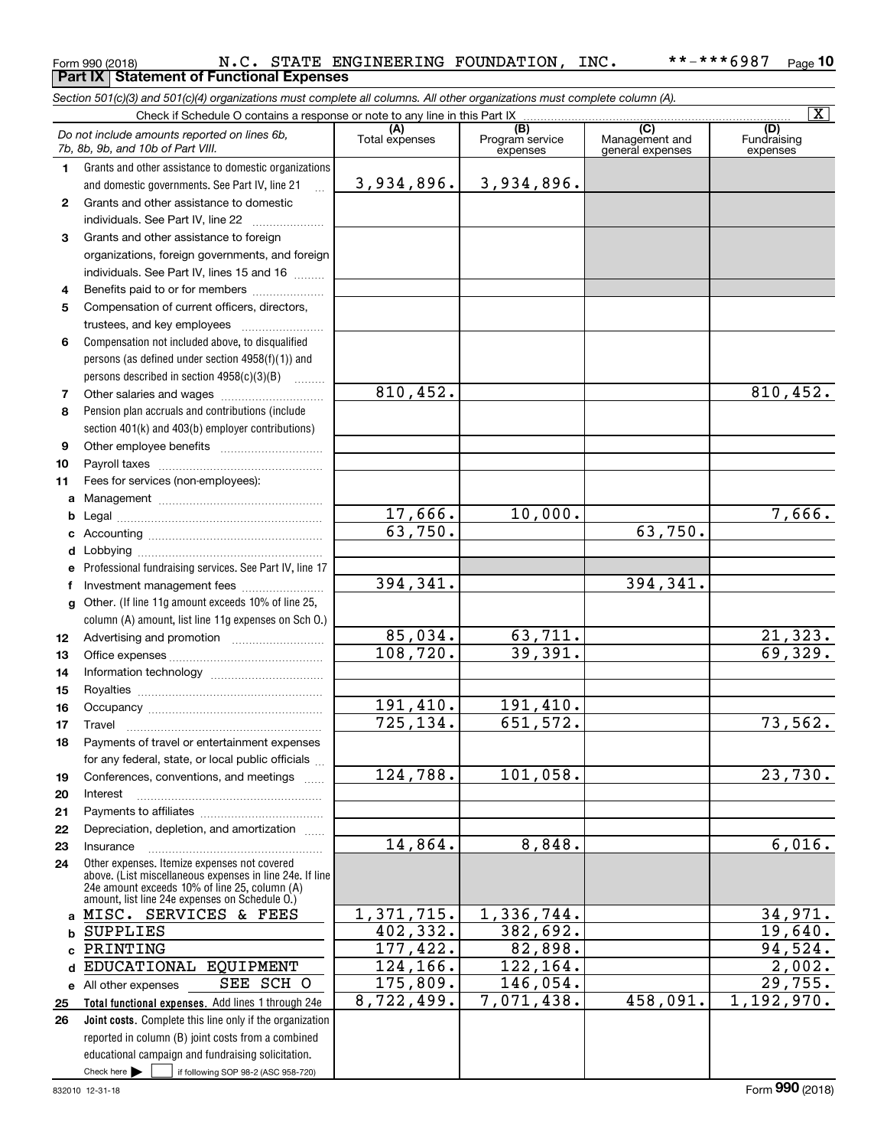#### Form 990 (2018) Page **Part IX Statement of Functional Expenses 10** N.C. STATE ENGINEERING FOUNDATION, INC. \*\*-\*\*\*6987

*Section 501(c)(3) and 501(c)(4) organizations must complete all columns. All other organizations must complete column (A).*

|              |                                                                                                           |                       |                                    |                                                      | $\overline{\mathbf{X}}$        |
|--------------|-----------------------------------------------------------------------------------------------------------|-----------------------|------------------------------------|------------------------------------------------------|--------------------------------|
|              | Do not include amounts reported on lines 6b,<br>7b, 8b, 9b, and 10b of Part VIII.                         | (A)<br>Total expenses | (B)<br>Program service<br>expenses | $\overline{C}$<br>Management and<br>general expenses | (D)<br>Fundraising<br>expenses |
| 1.           | Grants and other assistance to domestic organizations                                                     |                       |                                    |                                                      |                                |
|              | and domestic governments. See Part IV, line 21                                                            | 3,934,896.            | 3,934,896.                         |                                                      |                                |
| $\mathbf{2}$ | Grants and other assistance to domestic                                                                   |                       |                                    |                                                      |                                |
|              | individuals. See Part IV, line 22                                                                         |                       |                                    |                                                      |                                |
| 3            | Grants and other assistance to foreign                                                                    |                       |                                    |                                                      |                                |
|              | organizations, foreign governments, and foreign                                                           |                       |                                    |                                                      |                                |
|              | individuals. See Part IV, lines 15 and 16                                                                 |                       |                                    |                                                      |                                |
| 4            | Benefits paid to or for members                                                                           |                       |                                    |                                                      |                                |
| 5            | Compensation of current officers, directors,                                                              |                       |                                    |                                                      |                                |
|              | trustees, and key employees                                                                               |                       |                                    |                                                      |                                |
| 6            | Compensation not included above, to disqualified                                                          |                       |                                    |                                                      |                                |
|              | persons (as defined under section 4958(f)(1)) and                                                         |                       |                                    |                                                      |                                |
|              | persons described in section 4958(c)(3)(B)                                                                |                       |                                    |                                                      |                                |
| 7            |                                                                                                           | 810, 452.             |                                    |                                                      | 810,452.                       |
| 8            | Pension plan accruals and contributions (include                                                          |                       |                                    |                                                      |                                |
|              | section 401(k) and 403(b) employer contributions)                                                         |                       |                                    |                                                      |                                |
| 9            |                                                                                                           |                       |                                    |                                                      |                                |
| 10           |                                                                                                           |                       |                                    |                                                      |                                |
| 11           | Fees for services (non-employees):                                                                        |                       |                                    |                                                      |                                |
| а            |                                                                                                           |                       |                                    |                                                      |                                |
| b            |                                                                                                           | 17,666.               | 10,000.                            |                                                      | 7,666.                         |
| с            |                                                                                                           | 63,750.               |                                    | 63,750.                                              |                                |
| d            |                                                                                                           |                       |                                    |                                                      |                                |
| е            | Professional fundraising services. See Part IV, line 17                                                   |                       |                                    |                                                      |                                |
| f            | Investment management fees                                                                                | 394, 341.             |                                    | 394, 341.                                            |                                |
| g            | Other. (If line 11g amount exceeds 10% of line 25,                                                        |                       |                                    |                                                      |                                |
|              | column (A) amount, list line 11g expenses on Sch O.)                                                      |                       |                                    |                                                      |                                |
| 12           |                                                                                                           | 85,034.               | 63,711.<br>39,391.                 |                                                      | $\frac{21,323.}{69,329.}$      |
| 13           |                                                                                                           | 108, 720.             |                                    |                                                      |                                |
| 14           |                                                                                                           |                       |                                    |                                                      |                                |
| 15           |                                                                                                           |                       |                                    |                                                      |                                |
| 16           |                                                                                                           | 191,410.<br>725, 134. | 191,410.<br>651,572.               |                                                      |                                |
| 17           | Travel                                                                                                    |                       |                                    |                                                      | 73,562.                        |
| 18           | Payments of travel or entertainment expenses                                                              |                       |                                    |                                                      |                                |
|              | for any federal, state, or local public officials                                                         | 124,788.              | 101,058.                           |                                                      | $\overline{23,730}$ .          |
| 19           | Conferences, conventions, and meetings                                                                    |                       |                                    |                                                      |                                |
| 20           | Interest                                                                                                  |                       |                                    |                                                      |                                |
| 21<br>22     | Depreciation, depletion, and amortization                                                                 |                       |                                    |                                                      |                                |
| 23           | Insurance                                                                                                 | 14,864.               | 8,848.                             |                                                      | 6,016.                         |
| 24           | Other expenses. Itemize expenses not covered                                                              |                       |                                    |                                                      |                                |
|              | above. (List miscellaneous expenses in line 24e. If line<br>24e amount exceeds 10% of line 25, column (A) |                       |                                    |                                                      |                                |
|              | amount, list line 24e expenses on Schedule O.)<br>MISC. SERVICES & FEES                                   | 1,371,715.            | 1,336,744.                         |                                                      | 34,971.                        |
| a            | <b>SUPPLIES</b>                                                                                           | 402, 332.             | 382,692.                           |                                                      | 19,640.                        |
| b<br>C       | PRINTING                                                                                                  | 177,422.              | 82,898.                            |                                                      | 94,524.                        |
| d            | EDUCATIONAL EQUIPMENT                                                                                     | 124,166.              | 122,164.                           |                                                      | 2,002.                         |
| е            | SEE SCH O<br>All other expenses                                                                           | 175,809.              | 146,054.                           |                                                      | 29,755.                        |
| 25           | Total functional expenses. Add lines 1 through 24e                                                        | 8,722,499.            | 7,071,438.                         | 458,091.                                             | 1,192,970.                     |
| 26           | Joint costs. Complete this line only if the organization                                                  |                       |                                    |                                                      |                                |
|              | reported in column (B) joint costs from a combined                                                        |                       |                                    |                                                      |                                |
|              | educational campaign and fundraising solicitation.                                                        |                       |                                    |                                                      |                                |
|              | Check here $\blacktriangleright$<br>if following SOP 98-2 (ASC 958-720)                                   |                       |                                    |                                                      |                                |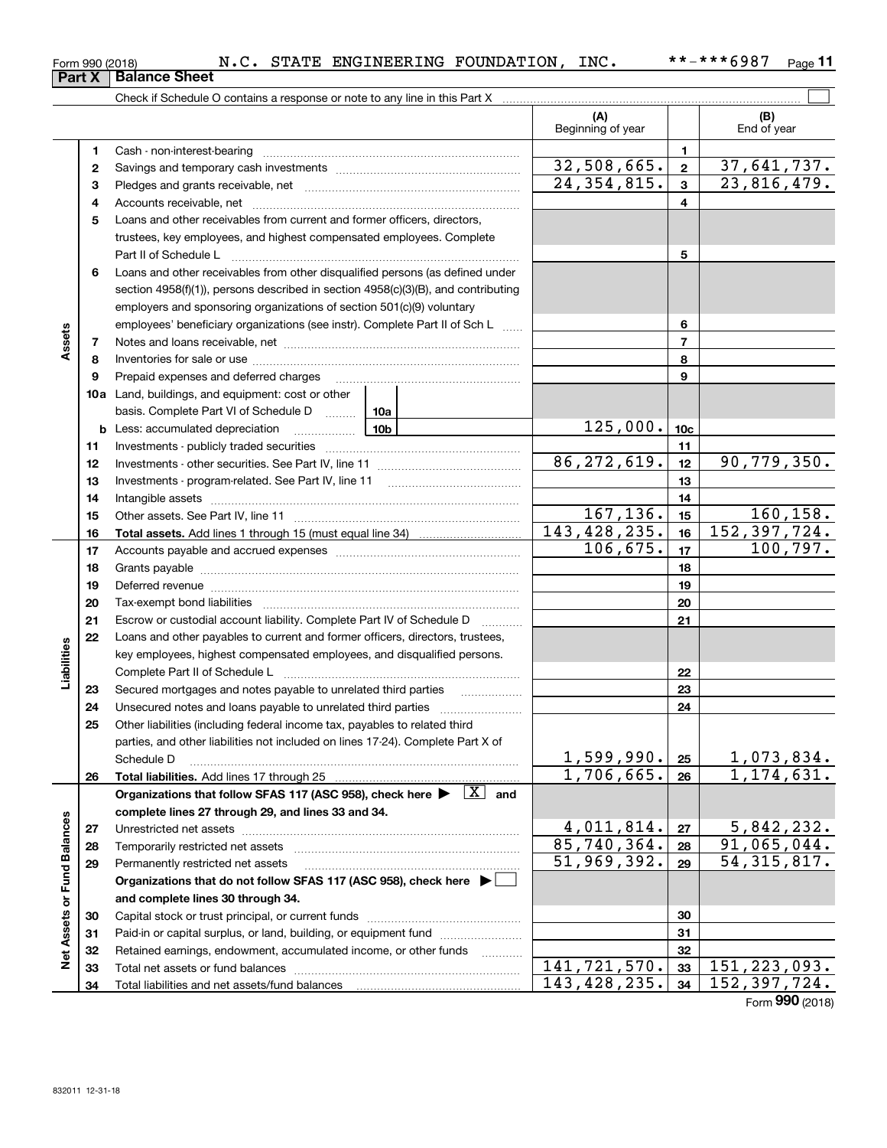| 832011 12-31-18 |
|-----------------|

| Form 990 (2018)               |  |  |
|-------------------------------|--|--|
| <b>Part X   Balance Sheet</b> |  |  |

|                             |    | Check if Schedule O contains a response or note to any line in this Part X                                                                |                           |                         |                           |
|-----------------------------|----|-------------------------------------------------------------------------------------------------------------------------------------------|---------------------------|-------------------------|---------------------------|
|                             |    |                                                                                                                                           | (A)<br>Beginning of year  |                         | (B)<br>End of year        |
|                             | 1  |                                                                                                                                           |                           | 1                       |                           |
|                             | 2  |                                                                                                                                           | 32,508,665.               | $\overline{\mathbf{2}}$ | 37,641,737.               |
|                             | з  |                                                                                                                                           | $\overline{24,354,815}$ . | 3                       | 23,816,479.               |
|                             | 4  |                                                                                                                                           |                           | 4                       |                           |
|                             | 5  | Loans and other receivables from current and former officers, directors,                                                                  |                           |                         |                           |
|                             |    | trustees, key employees, and highest compensated employees. Complete                                                                      |                           |                         |                           |
|                             |    | Part II of Schedule L                                                                                                                     |                           | 5                       |                           |
|                             | 6  | Loans and other receivables from other disqualified persons (as defined under                                                             |                           |                         |                           |
|                             |    | section 4958(f)(1)), persons described in section 4958(c)(3)(B), and contributing                                                         |                           |                         |                           |
|                             |    | employers and sponsoring organizations of section 501(c)(9) voluntary                                                                     |                           |                         |                           |
|                             |    | employees' beneficiary organizations (see instr). Complete Part II of Sch L                                                               |                           | 6                       |                           |
| Assets                      | 7  |                                                                                                                                           |                           | $\overline{7}$          |                           |
|                             | 8  |                                                                                                                                           |                           | 8                       |                           |
|                             | 9  | Prepaid expenses and deferred charges                                                                                                     |                           | 9                       |                           |
|                             |    | <b>10a</b> Land, buildings, and equipment: cost or other                                                                                  |                           |                         |                           |
|                             |    | basis. Complete Part VI of Schedule D  10a                                                                                                |                           |                         |                           |
|                             |    | 10b<br><b>b</b> Less: accumulated depreciation<br>. 1                                                                                     | 125,000.                  | 10 <sub>c</sub>         |                           |
|                             | 11 |                                                                                                                                           |                           | 11                      |                           |
|                             | 12 |                                                                                                                                           | 86, 272, 619.             | 12                      | 90,779,350.               |
|                             | 13 |                                                                                                                                           |                           | 13                      |                           |
|                             | 14 |                                                                                                                                           |                           | 14                      |                           |
|                             | 15 |                                                                                                                                           | 167, 136.                 | 15                      | 160,158.                  |
|                             | 16 |                                                                                                                                           | 143,428,235.              | 16                      | 152, 397, 724.            |
|                             | 17 |                                                                                                                                           | 106,675.                  | 17                      | 100, 797.                 |
|                             | 18 |                                                                                                                                           |                           | 18                      |                           |
|                             | 19 | Deferred revenue manual contracts and contracts are all the manual contracts and contracts are the contracts of                           |                           | 19                      |                           |
|                             | 20 |                                                                                                                                           |                           | 20                      |                           |
|                             | 21 | Escrow or custodial account liability. Complete Part IV of Schedule D                                                                     |                           | 21                      |                           |
|                             | 22 | Loans and other payables to current and former officers, directors, trustees,                                                             |                           |                         |                           |
|                             |    | key employees, highest compensated employees, and disqualified persons.                                                                   |                           |                         |                           |
| Liabilities                 |    |                                                                                                                                           |                           | 22                      |                           |
|                             | 23 | Secured mortgages and notes payable to unrelated third parties <i>manufactured</i> mortgages and notes payable to unrelated third parties |                           | 23                      |                           |
|                             | 24 |                                                                                                                                           |                           | 24                      |                           |
|                             | 25 | Other liabilities (including federal income tax, payables to related third                                                                |                           |                         |                           |
|                             |    | parties, and other liabilities not included on lines 17-24). Complete Part X of                                                           | 1,599,990.                |                         | 1,073,834.                |
|                             |    | Schedule D<br>Total liabilities. Add lines 17 through 25                                                                                  | 1,706,665.                | 25<br>26                | 1, 174, 631.              |
|                             | 26 | $\overline{X}$ and<br>Organizations that follow SFAS 117 (ASC 958), check here >                                                          |                           |                         |                           |
|                             |    | complete lines 27 through 29, and lines 33 and 34.                                                                                        |                           |                         |                           |
|                             | 27 |                                                                                                                                           | 4,011,814.                | 27                      | 5,842,232.                |
|                             | 28 | Temporarily restricted net assets                                                                                                         | 85,740,364.               | 28                      | 91,065,044.               |
|                             | 29 | Permanently restricted net assets                                                                                                         | 51,969,392.               | 29                      | $\overline{54,315,817}$ . |
| Net Assets or Fund Balances |    | Organizations that do not follow SFAS 117 (ASC 958), check here ▶                                                                         |                           |                         |                           |
|                             |    | and complete lines 30 through 34.                                                                                                         |                           |                         |                           |
|                             | 30 |                                                                                                                                           |                           | 30                      |                           |
|                             | 31 | Paid-in or capital surplus, or land, building, or equipment fund                                                                          |                           | 31                      |                           |
|                             | 32 | Retained earnings, endowment, accumulated income, or other funds<br>1.1.1.1.1.1.1.1.1.1                                                   |                           | 32                      |                           |
|                             | 33 | Total net assets or fund balances                                                                                                         | 141, 721, 570.            | 33                      | 151, 223, 093.            |
|                             | 34 |                                                                                                                                           | 143,428,235.              | 34                      | 152,397,724.              |

Form (2018) **990**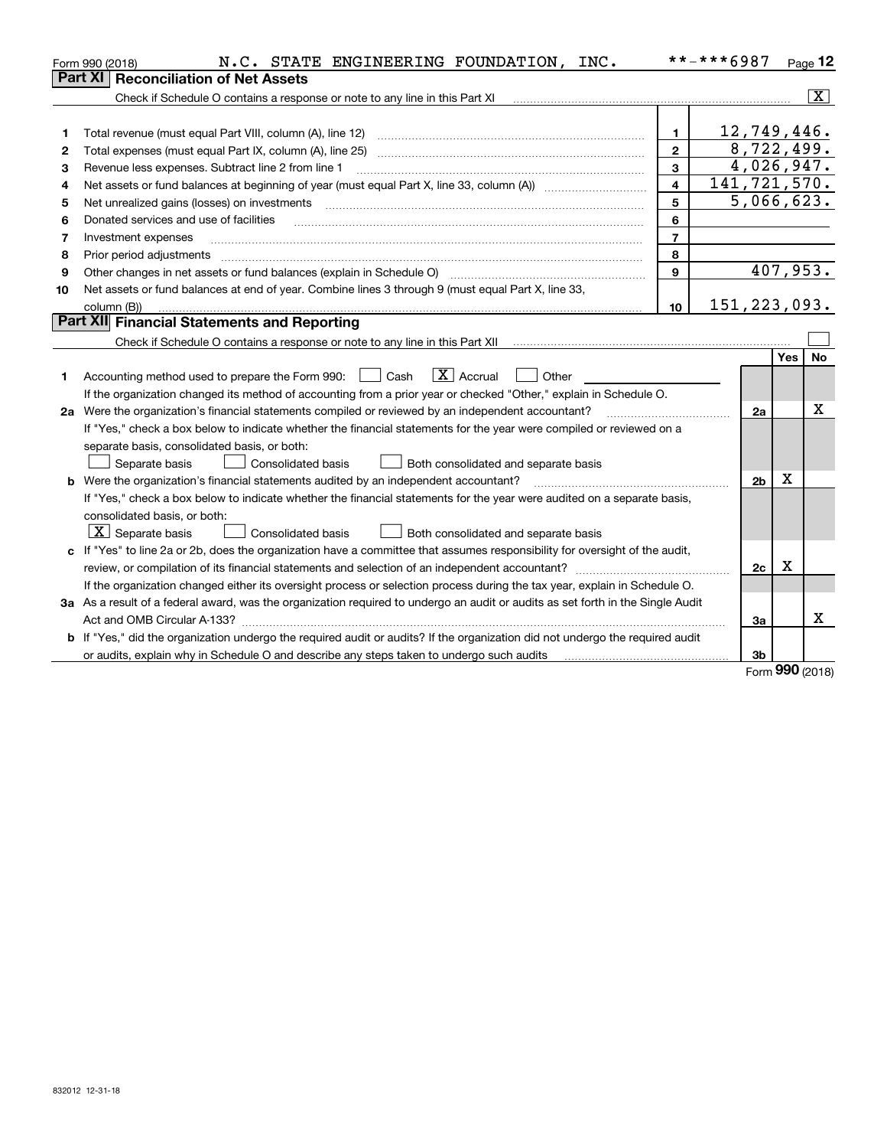|    | N.C. STATE ENGINEERING FOUNDATION, INC.<br>Form 990 (2018)                                                                      |                         | **-***6987     |          | $Page$ 12               |
|----|---------------------------------------------------------------------------------------------------------------------------------|-------------------------|----------------|----------|-------------------------|
|    | <b>Reconciliation of Net Assets</b><br><b>Part XI</b>                                                                           |                         |                |          |                         |
|    | Check if Schedule O contains a response or note to any line in this Part XI                                                     |                         |                |          | $\overline{\mathbf{x}}$ |
|    |                                                                                                                                 |                         |                |          |                         |
| 1  | Total revenue (must equal Part VIII, column (A), line 12)                                                                       | 1.                      | 12,749,446.    |          |                         |
| 2  | Total expenses (must equal Part IX, column (A), line 25)                                                                        | $\mathbf{2}$            | 8,722,499.     |          |                         |
| З  | Revenue less expenses. Subtract line 2 from line 1                                                                              | 3                       | 4,026,947.     |          |                         |
| 4  |                                                                                                                                 | $\overline{\mathbf{4}}$ | 141,721,570.   |          |                         |
| 5  | Net unrealized gains (losses) on investments                                                                                    | 5                       | 5,066,623.     |          |                         |
| 6  | Donated services and use of facilities                                                                                          | 6                       |                |          |                         |
| 7  | Investment expenses                                                                                                             | $\overline{7}$          |                |          |                         |
| 8  | Prior period adjustments                                                                                                        | 8                       |                |          |                         |
| 9  | Other changes in net assets or fund balances (explain in Schedule O)                                                            | 9                       |                | 407,953. |                         |
| 10 | Net assets or fund balances at end of year. Combine lines 3 through 9 (must equal Part X, line 33,                              |                         |                |          |                         |
|    | column (B))                                                                                                                     | 10                      | 151, 223, 093. |          |                         |
|    | Part XII Financial Statements and Reporting                                                                                     |                         |                |          |                         |
|    |                                                                                                                                 |                         |                |          |                         |
|    |                                                                                                                                 |                         |                | Yes      | <b>No</b>               |
| 1  | $\boxed{\mathbf{X}}$ Accrual<br>Other<br>Accounting method used to prepare the Form 990:<br>  Cash                              |                         |                |          |                         |
|    | If the organization changed its method of accounting from a prior year or checked "Other," explain in Schedule O.               |                         |                |          |                         |
|    | 2a Were the organization's financial statements compiled or reviewed by an independent accountant?                              |                         | 2a             |          | X                       |
|    | If "Yes," check a box below to indicate whether the financial statements for the year were compiled or reviewed on a            |                         |                |          |                         |
|    | separate basis, consolidated basis, or both:                                                                                    |                         |                |          |                         |
|    | Separate basis<br><b>Consolidated basis</b><br>Both consolidated and separate basis                                             |                         |                |          |                         |
|    | <b>b</b> Were the organization's financial statements audited by an independent accountant?                                     |                         | 2 <sub>b</sub> | Χ        |                         |
|    | If "Yes," check a box below to indicate whether the financial statements for the year were audited on a separate basis,         |                         |                |          |                         |
|    | consolidated basis, or both:                                                                                                    |                         |                |          |                         |
|    | $X$ Separate basis<br><b>Consolidated basis</b><br>Both consolidated and separate basis                                         |                         |                |          |                         |
|    | c If "Yes" to line 2a or 2b, does the organization have a committee that assumes responsibility for oversight of the audit,     |                         |                |          |                         |
|    |                                                                                                                                 |                         | 2c             | x        |                         |
|    | If the organization changed either its oversight process or selection process during the tax year, explain in Schedule O.       |                         |                |          |                         |
|    | 3a As a result of a federal award, was the organization required to undergo an audit or audits as set forth in the Single Audit |                         |                |          |                         |
|    |                                                                                                                                 |                         | За             |          | x                       |
|    | b If "Yes," did the organization undergo the required audit or audits? If the organization did not undergo the required audit   |                         |                |          |                         |
|    | or audits, explain why in Schedule O and describe any steps taken to undergo such audits                                        |                         | 3b             |          |                         |

Form (2018) **990**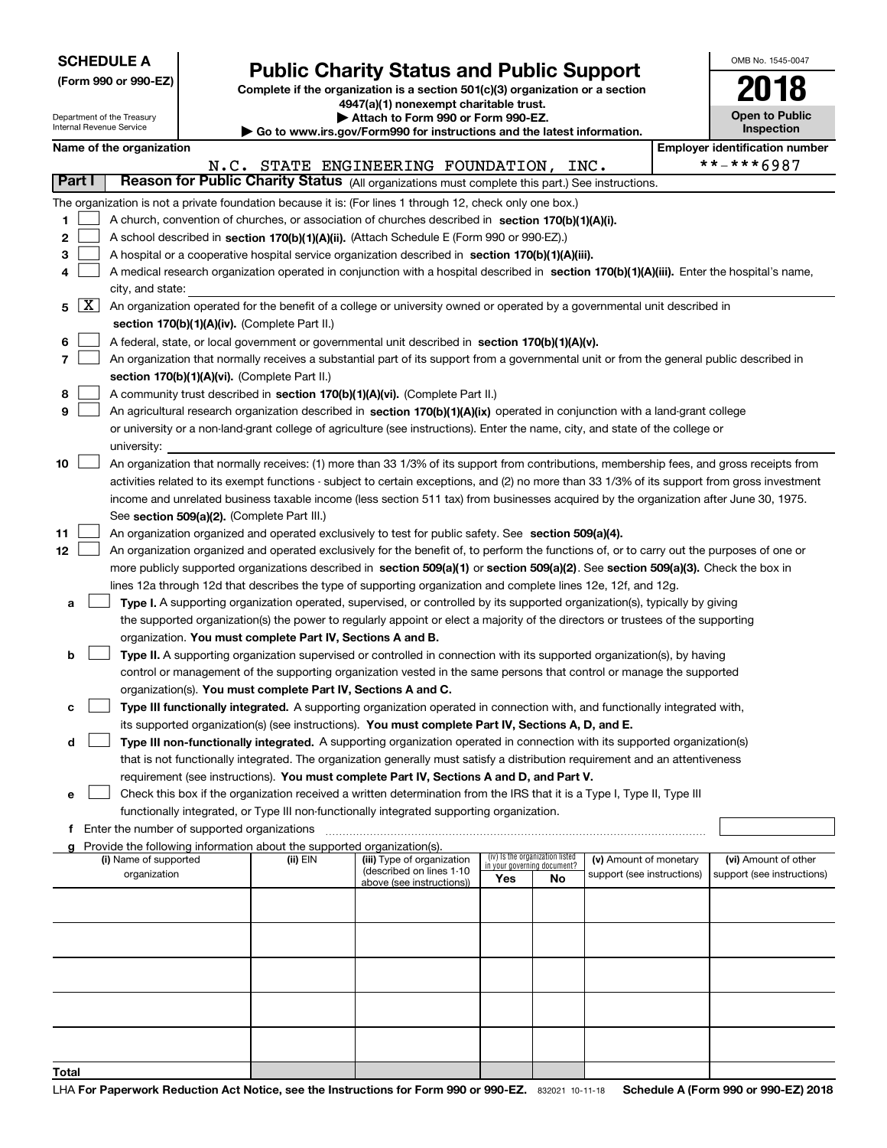Department of the Treasury Internal Revenue Service

# **Public Charity Status and Public Support**

**Complete if the organization is a section 501(c)(3) organization or a section 4947(a)(1) nonexempt charitable trust.**

**| Attach to Form 990 or Form 990-EZ.** 

**| Go to www.irs.gov/Form990 for instructions and the latest information.**

| OMB No. 1545-0047                   |
|-------------------------------------|
| 2018                                |
| <b>Open to Public</b><br>Inspection |

|                   | Name of the organization                                                                                                                                                                                                                                                                                                                                                                                                                                                                                                                                        |          |                                                       |                                                                |    |                            |  | <b>Employer identification number</b> |  |  |
|-------------------|-----------------------------------------------------------------------------------------------------------------------------------------------------------------------------------------------------------------------------------------------------------------------------------------------------------------------------------------------------------------------------------------------------------------------------------------------------------------------------------------------------------------------------------------------------------------|----------|-------------------------------------------------------|----------------------------------------------------------------|----|----------------------------|--|---------------------------------------|--|--|
|                   |                                                                                                                                                                                                                                                                                                                                                                                                                                                                                                                                                                 |          | N.C. STATE ENGINEERING FOUNDATION, INC.               |                                                                |    |                            |  | **-***6987                            |  |  |
| Part I            | Reason for Public Charity Status (All organizations must complete this part.) See instructions.                                                                                                                                                                                                                                                                                                                                                                                                                                                                 |          |                                                       |                                                                |    |                            |  |                                       |  |  |
| 1.<br>2<br>3<br>4 | The organization is not a private foundation because it is: (For lines 1 through 12, check only one box.)<br>A church, convention of churches, or association of churches described in section 170(b)(1)(A)(i).<br>A school described in section 170(b)(1)(A)(ii). (Attach Schedule E (Form 990 or 990-EZ).)<br>A hospital or a cooperative hospital service organization described in section 170(b)(1)(A)(iii).<br>A medical research organization operated in conjunction with a hospital described in section 170(b)(1)(A)(iii). Enter the hospital's name, |          |                                                       |                                                                |    |                            |  |                                       |  |  |
|                   | city, and state:                                                                                                                                                                                                                                                                                                                                                                                                                                                                                                                                                |          |                                                       |                                                                |    |                            |  |                                       |  |  |
| $5 \mid X$        | An organization operated for the benefit of a college or university owned or operated by a governmental unit described in<br>section 170(b)(1)(A)(iv). (Complete Part II.)                                                                                                                                                                                                                                                                                                                                                                                      |          |                                                       |                                                                |    |                            |  |                                       |  |  |
| 6                 | A federal, state, or local government or governmental unit described in section 170(b)(1)(A)(v).                                                                                                                                                                                                                                                                                                                                                                                                                                                                |          |                                                       |                                                                |    |                            |  |                                       |  |  |
| 7                 | An organization that normally receives a substantial part of its support from a governmental unit or from the general public described in                                                                                                                                                                                                                                                                                                                                                                                                                       |          |                                                       |                                                                |    |                            |  |                                       |  |  |
|                   | section 170(b)(1)(A)(vi). (Complete Part II.)                                                                                                                                                                                                                                                                                                                                                                                                                                                                                                                   |          |                                                       |                                                                |    |                            |  |                                       |  |  |
| 8                 | A community trust described in section 170(b)(1)(A)(vi). (Complete Part II.)                                                                                                                                                                                                                                                                                                                                                                                                                                                                                    |          |                                                       |                                                                |    |                            |  |                                       |  |  |
| 9                 | An agricultural research organization described in section 170(b)(1)(A)(ix) operated in conjunction with a land-grant college                                                                                                                                                                                                                                                                                                                                                                                                                                   |          |                                                       |                                                                |    |                            |  |                                       |  |  |
|                   | or university or a non-land-grant college of agriculture (see instructions). Enter the name, city, and state of the college or                                                                                                                                                                                                                                                                                                                                                                                                                                  |          |                                                       |                                                                |    |                            |  |                                       |  |  |
|                   | university:                                                                                                                                                                                                                                                                                                                                                                                                                                                                                                                                                     |          |                                                       |                                                                |    |                            |  |                                       |  |  |
| 10                | An organization that normally receives: (1) more than 33 1/3% of its support from contributions, membership fees, and gross receipts from<br>activities related to its exempt functions - subject to certain exceptions, and (2) no more than 33 1/3% of its support from gross investment                                                                                                                                                                                                                                                                      |          |                                                       |                                                                |    |                            |  |                                       |  |  |
|                   | income and unrelated business taxable income (less section 511 tax) from businesses acquired by the organization after June 30, 1975.                                                                                                                                                                                                                                                                                                                                                                                                                           |          |                                                       |                                                                |    |                            |  |                                       |  |  |
|                   | See section 509(a)(2). (Complete Part III.)                                                                                                                                                                                                                                                                                                                                                                                                                                                                                                                     |          |                                                       |                                                                |    |                            |  |                                       |  |  |
| 11                | An organization organized and operated exclusively to test for public safety. See section 509(a)(4).                                                                                                                                                                                                                                                                                                                                                                                                                                                            |          |                                                       |                                                                |    |                            |  |                                       |  |  |
| 12                | An organization organized and operated exclusively for the benefit of, to perform the functions of, or to carry out the purposes of one or                                                                                                                                                                                                                                                                                                                                                                                                                      |          |                                                       |                                                                |    |                            |  |                                       |  |  |
|                   | more publicly supported organizations described in section 509(a)(1) or section 509(a)(2). See section 509(a)(3). Check the box in                                                                                                                                                                                                                                                                                                                                                                                                                              |          |                                                       |                                                                |    |                            |  |                                       |  |  |
|                   | lines 12a through 12d that describes the type of supporting organization and complete lines 12e, 12f, and 12g.                                                                                                                                                                                                                                                                                                                                                                                                                                                  |          |                                                       |                                                                |    |                            |  |                                       |  |  |
| а                 | Type I. A supporting organization operated, supervised, or controlled by its supported organization(s), typically by giving                                                                                                                                                                                                                                                                                                                                                                                                                                     |          |                                                       |                                                                |    |                            |  |                                       |  |  |
|                   | the supported organization(s) the power to regularly appoint or elect a majority of the directors or trustees of the supporting                                                                                                                                                                                                                                                                                                                                                                                                                                 |          |                                                       |                                                                |    |                            |  |                                       |  |  |
|                   | organization. You must complete Part IV, Sections A and B.                                                                                                                                                                                                                                                                                                                                                                                                                                                                                                      |          |                                                       |                                                                |    |                            |  |                                       |  |  |
| b                 | Type II. A supporting organization supervised or controlled in connection with its supported organization(s), by having                                                                                                                                                                                                                                                                                                                                                                                                                                         |          |                                                       |                                                                |    |                            |  |                                       |  |  |
|                   | control or management of the supporting organization vested in the same persons that control or manage the supported                                                                                                                                                                                                                                                                                                                                                                                                                                            |          |                                                       |                                                                |    |                            |  |                                       |  |  |
|                   | organization(s). You must complete Part IV, Sections A and C.                                                                                                                                                                                                                                                                                                                                                                                                                                                                                                   |          |                                                       |                                                                |    |                            |  |                                       |  |  |
| с                 | Type III functionally integrated. A supporting organization operated in connection with, and functionally integrated with,                                                                                                                                                                                                                                                                                                                                                                                                                                      |          |                                                       |                                                                |    |                            |  |                                       |  |  |
|                   | its supported organization(s) (see instructions). You must complete Part IV, Sections A, D, and E.                                                                                                                                                                                                                                                                                                                                                                                                                                                              |          |                                                       |                                                                |    |                            |  |                                       |  |  |
| d                 | Type III non-functionally integrated. A supporting organization operated in connection with its supported organization(s)                                                                                                                                                                                                                                                                                                                                                                                                                                       |          |                                                       |                                                                |    |                            |  |                                       |  |  |
|                   | that is not functionally integrated. The organization generally must satisfy a distribution requirement and an attentiveness                                                                                                                                                                                                                                                                                                                                                                                                                                    |          |                                                       |                                                                |    |                            |  |                                       |  |  |
|                   | requirement (see instructions). You must complete Part IV, Sections A and D, and Part V.                                                                                                                                                                                                                                                                                                                                                                                                                                                                        |          |                                                       |                                                                |    |                            |  |                                       |  |  |
| е                 | Check this box if the organization received a written determination from the IRS that it is a Type I, Type II, Type III                                                                                                                                                                                                                                                                                                                                                                                                                                         |          |                                                       |                                                                |    |                            |  |                                       |  |  |
|                   | functionally integrated, or Type III non-functionally integrated supporting organization.                                                                                                                                                                                                                                                                                                                                                                                                                                                                       |          |                                                       |                                                                |    |                            |  |                                       |  |  |
|                   | Enter the number of supported organizations<br>f.<br>Provide the following information about the supported organization(s).                                                                                                                                                                                                                                                                                                                                                                                                                                     |          |                                                       |                                                                |    |                            |  |                                       |  |  |
| a                 | (i) Name of supported                                                                                                                                                                                                                                                                                                                                                                                                                                                                                                                                           | (ii) EIN | (iii) Type of organization                            | (iv) Is the organization listed<br>in your governing document? |    | (v) Amount of monetary     |  | (vi) Amount of other                  |  |  |
|                   | organization                                                                                                                                                                                                                                                                                                                                                                                                                                                                                                                                                    |          | (described on lines 1-10<br>above (see instructions)) | Yes                                                            | No | support (see instructions) |  | support (see instructions)            |  |  |
|                   |                                                                                                                                                                                                                                                                                                                                                                                                                                                                                                                                                                 |          |                                                       |                                                                |    |                            |  |                                       |  |  |
|                   |                                                                                                                                                                                                                                                                                                                                                                                                                                                                                                                                                                 |          |                                                       |                                                                |    |                            |  |                                       |  |  |
|                   |                                                                                                                                                                                                                                                                                                                                                                                                                                                                                                                                                                 |          |                                                       |                                                                |    |                            |  |                                       |  |  |
|                   |                                                                                                                                                                                                                                                                                                                                                                                                                                                                                                                                                                 |          |                                                       |                                                                |    |                            |  |                                       |  |  |
|                   |                                                                                                                                                                                                                                                                                                                                                                                                                                                                                                                                                                 |          |                                                       |                                                                |    |                            |  |                                       |  |  |
|                   |                                                                                                                                                                                                                                                                                                                                                                                                                                                                                                                                                                 |          |                                                       |                                                                |    |                            |  |                                       |  |  |
|                   |                                                                                                                                                                                                                                                                                                                                                                                                                                                                                                                                                                 |          |                                                       |                                                                |    |                            |  |                                       |  |  |
|                   |                                                                                                                                                                                                                                                                                                                                                                                                                                                                                                                                                                 |          |                                                       |                                                                |    |                            |  |                                       |  |  |
|                   |                                                                                                                                                                                                                                                                                                                                                                                                                                                                                                                                                                 |          |                                                       |                                                                |    |                            |  |                                       |  |  |
| Total             |                                                                                                                                                                                                                                                                                                                                                                                                                                                                                                                                                                 |          |                                                       |                                                                |    |                            |  |                                       |  |  |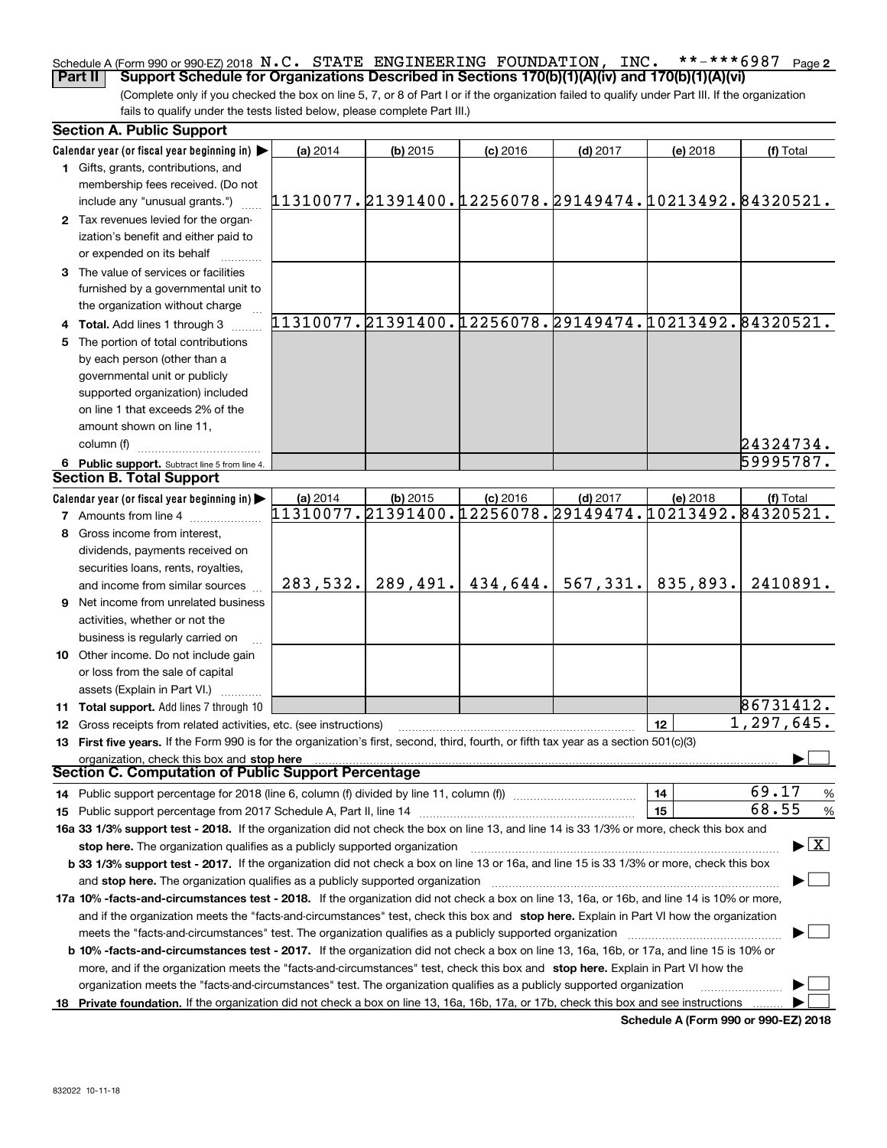#### **2** Schedule A (Form 990 or 990-EZ) 2018  $\, {\bf N}$  ,  $\, {\bf C}$  ,  $\,$  STATE ENGINEERING FOUNDATION ,  $\,$  INC  $_{\bullet}$   $\,$  \* \* – \* \* \* 6  $987$   $\,$  Page **Part II Support Schedule for Organizations Described in Sections 170(b)(1)(A)(iv) and 170(b)(1)(A)(vi)**

(Complete only if you checked the box on line 5, 7, or 8 of Part I or if the organization failed to qualify under Part III. If the organization fails to qualify under the tests listed below, please complete Part III.)

| <b>Section A. Public Support</b>                                                                                                                                                                                                                                    |                                                        |            |            |                                                           |          |            |
|---------------------------------------------------------------------------------------------------------------------------------------------------------------------------------------------------------------------------------------------------------------------|--------------------------------------------------------|------------|------------|-----------------------------------------------------------|----------|------------|
| Calendar year (or fiscal year beginning in) $\blacktriangleright$                                                                                                                                                                                                   | (a) 2014                                               | $(b)$ 2015 | $(c)$ 2016 | $(d)$ 2017                                                | (e) 2018 | (f) Total  |
| 1 Gifts, grants, contributions, and                                                                                                                                                                                                                                 |                                                        |            |            |                                                           |          |            |
| membership fees received. (Do not                                                                                                                                                                                                                                   |                                                        |            |            |                                                           |          |            |
| include any "unusual grants.")                                                                                                                                                                                                                                      | 11310077.21391400.12256078.29149474.10213492.84320521. |            |            |                                                           |          |            |
| 2 Tax revenues levied for the organ-                                                                                                                                                                                                                                |                                                        |            |            |                                                           |          |            |
| ization's benefit and either paid to                                                                                                                                                                                                                                |                                                        |            |            |                                                           |          |            |
| or expended on its behalf                                                                                                                                                                                                                                           |                                                        |            |            |                                                           |          |            |
| 3 The value of services or facilities                                                                                                                                                                                                                               |                                                        |            |            |                                                           |          |            |
| furnished by a governmental unit to                                                                                                                                                                                                                                 |                                                        |            |            |                                                           |          |            |
| the organization without charge                                                                                                                                                                                                                                     |                                                        |            |            |                                                           |          |            |
| 4 Total. Add lines 1 through 3                                                                                                                                                                                                                                      |                                                        |            |            | 11310077.21391400.12256078.29149474.10213492.84320521.    |          |            |
| 5 The portion of total contributions                                                                                                                                                                                                                                |                                                        |            |            |                                                           |          |            |
| by each person (other than a                                                                                                                                                                                                                                        |                                                        |            |            |                                                           |          |            |
| governmental unit or publicly                                                                                                                                                                                                                                       |                                                        |            |            |                                                           |          |            |
| supported organization) included                                                                                                                                                                                                                                    |                                                        |            |            |                                                           |          |            |
| on line 1 that exceeds 2% of the                                                                                                                                                                                                                                    |                                                        |            |            |                                                           |          |            |
| amount shown on line 11,                                                                                                                                                                                                                                            |                                                        |            |            |                                                           |          |            |
| column (f)                                                                                                                                                                                                                                                          |                                                        |            |            |                                                           |          | 24324734.  |
| 6 Public support. Subtract line 5 from line 4.                                                                                                                                                                                                                      |                                                        |            |            |                                                           |          | 59995787.  |
| <b>Section B. Total Support</b>                                                                                                                                                                                                                                     |                                                        |            |            |                                                           |          |            |
| Calendar year (or fiscal year beginning in)                                                                                                                                                                                                                         | (a) 2014                                               | $(b)$ 2015 | $(c)$ 2016 | $(d)$ 2017                                                | (e) 2018 | (f) Total  |
| <b>7</b> Amounts from line 4                                                                                                                                                                                                                                        |                                                        |            |            | $11310077$ ,21391400,12256078,29149474,10213492,84320521, |          |            |
| 8 Gross income from interest,                                                                                                                                                                                                                                       |                                                        |            |            |                                                           |          |            |
| dividends, payments received on                                                                                                                                                                                                                                     |                                                        |            |            |                                                           |          |            |
| securities loans, rents, royalties,                                                                                                                                                                                                                                 |                                                        |            |            |                                                           |          |            |
| and income from similar sources                                                                                                                                                                                                                                     | 283,532.                                               | 289,491.   | 434,644.   | 567, 331.                                                 | 835,893. | 2410891.   |
| 9 Net income from unrelated business                                                                                                                                                                                                                                |                                                        |            |            |                                                           |          |            |
| activities, whether or not the                                                                                                                                                                                                                                      |                                                        |            |            |                                                           |          |            |
| business is regularly carried on                                                                                                                                                                                                                                    |                                                        |            |            |                                                           |          |            |
| 10 Other income. Do not include gain                                                                                                                                                                                                                                |                                                        |            |            |                                                           |          |            |
| or loss from the sale of capital                                                                                                                                                                                                                                    |                                                        |            |            |                                                           |          |            |
| assets (Explain in Part VI.)                                                                                                                                                                                                                                        |                                                        |            |            |                                                           |          |            |
| 11 Total support. Add lines 7 through 10                                                                                                                                                                                                                            |                                                        |            |            |                                                           |          | 86731412.  |
| <b>12</b> Gross receipts from related activities, etc. (see instructions)                                                                                                                                                                                           |                                                        |            |            |                                                           | 12       | 1,297,645. |
| 13 First five years. If the Form 990 is for the organization's first, second, third, fourth, or fifth tax year as a section 501(c)(3)                                                                                                                               |                                                        |            |            |                                                           |          |            |
| organization, check this box and stop here                                                                                                                                                                                                                          |                                                        |            |            |                                                           |          |            |
| Section C. Computation of Public Support Percentage                                                                                                                                                                                                                 |                                                        |            |            |                                                           |          |            |
| 14 Public support percentage for 2018 (line 6, column (f) divided by line 11, column (f) <i>marrouum</i> manu-                                                                                                                                                      |                                                        |            |            |                                                           | 14       | 69.17<br>% |
|                                                                                                                                                                                                                                                                     |                                                        |            |            |                                                           | 15       | 68.55<br>% |
|                                                                                                                                                                                                                                                                     |                                                        |            |            |                                                           |          |            |
| 16a 33 1/3% support test - 2018. If the organization did not check the box on line 13, and line 14 is 33 1/3% or more, check this box and<br>$\blacktriangleright$ $\boxed{\text{X}}$<br>stop here. The organization qualifies as a publicly supported organization |                                                        |            |            |                                                           |          |            |
| b 33 1/3% support test - 2017. If the organization did not check a box on line 13 or 16a, and line 15 is 33 1/3% or more, check this box                                                                                                                            |                                                        |            |            |                                                           |          |            |
| and stop here. The organization qualifies as a publicly supported organization                                                                                                                                                                                      |                                                        |            |            |                                                           |          |            |
| 17a 10% -facts-and-circumstances test - 2018. If the organization did not check a box on line 13, 16a, or 16b, and line 14 is 10% or more,                                                                                                                          |                                                        |            |            |                                                           |          |            |
| and if the organization meets the "facts-and-circumstances" test, check this box and stop here. Explain in Part VI how the organization                                                                                                                             |                                                        |            |            |                                                           |          |            |
| meets the "facts-and-circumstances" test. The organization qualifies as a publicly supported organization                                                                                                                                                           |                                                        |            |            |                                                           |          |            |
| <b>b 10% -facts-and-circumstances test - 2017.</b> If the organization did not check a box on line 13, 16a, 16b, or 17a, and line 15 is 10% or                                                                                                                      |                                                        |            |            |                                                           |          |            |
|                                                                                                                                                                                                                                                                     |                                                        |            |            |                                                           |          |            |
| more, and if the organization meets the "facts-and-circumstances" test, check this box and stop here. Explain in Part VI how the<br>organization meets the "facts-and-circumstances" test. The organization qualifies as a publicly supported organization          |                                                        |            |            |                                                           |          |            |
| 18 Private foundation. If the organization did not check a box on line 13, 16a, 16b, 17a, or 17b, check this box and see instructions                                                                                                                               |                                                        |            |            |                                                           |          |            |
|                                                                                                                                                                                                                                                                     |                                                        |            |            |                                                           |          |            |

**Schedule A (Form 990 or 990-EZ) 2018**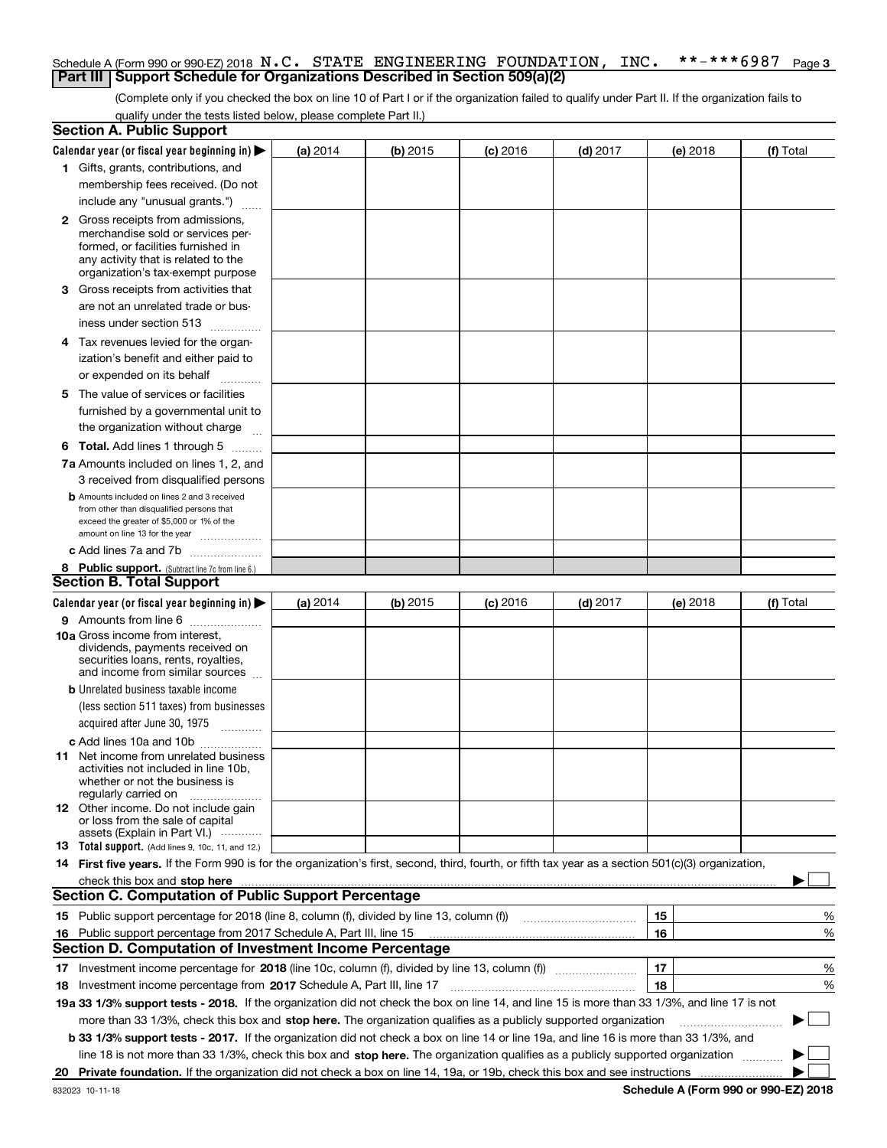#### **3** Schedule A (Form 990 or 990-EZ) 2018  $\, {\bf N}$  ,  $\, {\bf C}$  ,  $\,$  STATE ENGINEERING FOUNDATION ,  $\,$  INC  $_{\bullet}$   $\,$  \* \* – \* \* \* 6987  $\,$  Page **Part III** | Support Schedule for Organizations Described in Section 509(a)(2)

(Complete only if you checked the box on line 10 of Part I or if the organization failed to qualify under Part II. If the organization fails to qualify under the tests listed below, please complete Part II.)

| <b>Section A. Public Support</b>                                                                                                                                                                                               |          |          |                 |                                                                                                                        |          |             |
|--------------------------------------------------------------------------------------------------------------------------------------------------------------------------------------------------------------------------------|----------|----------|-----------------|------------------------------------------------------------------------------------------------------------------------|----------|-------------|
| Calendar year (or fiscal year beginning in) $\blacktriangleright$                                                                                                                                                              | (a) 2014 | (b) 2015 | <b>(c)</b> 2016 | $(d)$ 2017                                                                                                             | (e) 2018 | (f) Total   |
| 1 Gifts, grants, contributions, and                                                                                                                                                                                            |          |          |                 |                                                                                                                        |          |             |
| membership fees received. (Do not                                                                                                                                                                                              |          |          |                 |                                                                                                                        |          |             |
| include any "unusual grants.")                                                                                                                                                                                                 |          |          |                 |                                                                                                                        |          |             |
| <b>2</b> Gross receipts from admissions,                                                                                                                                                                                       |          |          |                 |                                                                                                                        |          |             |
| merchandise sold or services per-                                                                                                                                                                                              |          |          |                 |                                                                                                                        |          |             |
| formed, or facilities furnished in                                                                                                                                                                                             |          |          |                 |                                                                                                                        |          |             |
| any activity that is related to the<br>organization's tax-exempt purpose                                                                                                                                                       |          |          |                 |                                                                                                                        |          |             |
| 3 Gross receipts from activities that                                                                                                                                                                                          |          |          |                 |                                                                                                                        |          |             |
| are not an unrelated trade or bus-                                                                                                                                                                                             |          |          |                 |                                                                                                                        |          |             |
|                                                                                                                                                                                                                                |          |          |                 |                                                                                                                        |          |             |
| iness under section 513                                                                                                                                                                                                        |          |          |                 |                                                                                                                        |          |             |
| 4 Tax revenues levied for the organ-                                                                                                                                                                                           |          |          |                 |                                                                                                                        |          |             |
| ization's benefit and either paid to                                                                                                                                                                                           |          |          |                 |                                                                                                                        |          |             |
| or expended on its behalf<br>.                                                                                                                                                                                                 |          |          |                 |                                                                                                                        |          |             |
| 5 The value of services or facilities                                                                                                                                                                                          |          |          |                 |                                                                                                                        |          |             |
| furnished by a governmental unit to                                                                                                                                                                                            |          |          |                 |                                                                                                                        |          |             |
| the organization without charge                                                                                                                                                                                                |          |          |                 |                                                                                                                        |          |             |
| <b>6 Total.</b> Add lines 1 through 5                                                                                                                                                                                          |          |          |                 |                                                                                                                        |          |             |
| 7a Amounts included on lines 1, 2, and                                                                                                                                                                                         |          |          |                 |                                                                                                                        |          |             |
| 3 received from disqualified persons                                                                                                                                                                                           |          |          |                 |                                                                                                                        |          |             |
| <b>b</b> Amounts included on lines 2 and 3 received                                                                                                                                                                            |          |          |                 |                                                                                                                        |          |             |
| from other than disqualified persons that                                                                                                                                                                                      |          |          |                 |                                                                                                                        |          |             |
| exceed the greater of \$5,000 or 1% of the<br>amount on line 13 for the year                                                                                                                                                   |          |          |                 |                                                                                                                        |          |             |
| c Add lines 7a and 7b                                                                                                                                                                                                          |          |          |                 |                                                                                                                        |          |             |
| 8 Public support. (Subtract line 7c from line 6.)                                                                                                                                                                              |          |          |                 |                                                                                                                        |          |             |
| <b>Section B. Total Support</b>                                                                                                                                                                                                |          |          |                 |                                                                                                                        |          |             |
| Calendar year (or fiscal year beginning in) $\blacktriangleright$                                                                                                                                                              | (a) 2014 | (b) 2015 | $(c)$ 2016      | $(d)$ 2017                                                                                                             | (e) 2018 | (f) Total   |
| 9 Amounts from line 6                                                                                                                                                                                                          |          |          |                 |                                                                                                                        |          |             |
| 10a Gross income from interest,                                                                                                                                                                                                |          |          |                 |                                                                                                                        |          |             |
| dividends, payments received on                                                                                                                                                                                                |          |          |                 |                                                                                                                        |          |             |
| securities loans, rents, royalties,<br>and income from similar sources                                                                                                                                                         |          |          |                 |                                                                                                                        |          |             |
| <b>b</b> Unrelated business taxable income                                                                                                                                                                                     |          |          |                 |                                                                                                                        |          |             |
| (less section 511 taxes) from businesses                                                                                                                                                                                       |          |          |                 |                                                                                                                        |          |             |
| acquired after June 30, 1975                                                                                                                                                                                                   |          |          |                 |                                                                                                                        |          |             |
|                                                                                                                                                                                                                                |          |          |                 |                                                                                                                        |          |             |
| c Add lines 10a and 10b<br>11 Net income from unrelated business                                                                                                                                                               |          |          |                 |                                                                                                                        |          |             |
| activities not included in line 10b.                                                                                                                                                                                           |          |          |                 |                                                                                                                        |          |             |
| whether or not the business is                                                                                                                                                                                                 |          |          |                 |                                                                                                                        |          |             |
| regularly carried on                                                                                                                                                                                                           |          |          |                 |                                                                                                                        |          |             |
| 12 Other income. Do not include gain<br>or loss from the sale of capital                                                                                                                                                       |          |          |                 |                                                                                                                        |          |             |
| assets (Explain in Part VI.)                                                                                                                                                                                                   |          |          |                 |                                                                                                                        |          |             |
| <b>13</b> Total support. (Add lines 9, 10c, 11, and 12.)                                                                                                                                                                       |          |          |                 |                                                                                                                        |          |             |
| 14 First five years. If the Form 990 is for the organization's first, second, third, fourth, or fifth tax year as a section 501(c)(3) organization,                                                                            |          |          |                 |                                                                                                                        |          |             |
| check this box and stop here measurements are all the state of the state of the state of the state of the state of the state of the state of the state of the state of the state of the state of the state of the state of the |          |          |                 |                                                                                                                        |          |             |
| <b>Section C. Computation of Public Support Percentage</b>                                                                                                                                                                     |          |          |                 |                                                                                                                        |          |             |
| 15 Public support percentage for 2018 (line 8, column (f), divided by line 13, column (f))                                                                                                                                     |          |          |                 | <u> 1986 - Jan Barthard Bartham Barthard Barthard Barthard Barthard Barthard Barthard Barthard Barthard Barthard B</u> | 15       | %           |
| 16 Public support percentage from 2017 Schedule A, Part III, line 15                                                                                                                                                           |          |          |                 |                                                                                                                        | 16       | %           |
| <b>Section D. Computation of Investment Income Percentage</b>                                                                                                                                                                  |          |          |                 |                                                                                                                        |          |             |
|                                                                                                                                                                                                                                |          |          |                 |                                                                                                                        | 17       | %           |
| <b>18</b> Investment income percentage from <b>2017</b> Schedule A, Part III, line 17                                                                                                                                          |          |          |                 |                                                                                                                        | 18       | %           |
| 19a 33 1/3% support tests - 2018. If the organization did not check the box on line 14, and line 15 is more than 33 1/3%, and line 17 is not                                                                                   |          |          |                 |                                                                                                                        |          |             |
| more than 33 1/3%, check this box and stop here. The organization qualifies as a publicly supported organization                                                                                                               |          |          |                 |                                                                                                                        |          | $\sim$<br>▶ |
| b 33 1/3% support tests - 2017. If the organization did not check a box on line 14 or line 19a, and line 16 is more than 33 1/3%, and                                                                                          |          |          |                 |                                                                                                                        |          |             |
| line 18 is not more than 33 1/3%, check this box and stop here. The organization qualifies as a publicly supported organization                                                                                                |          |          |                 |                                                                                                                        |          |             |
| 20                                                                                                                                                                                                                             |          |          |                 |                                                                                                                        |          |             |

**Schedule A (Form 990 or 990-EZ) 2018**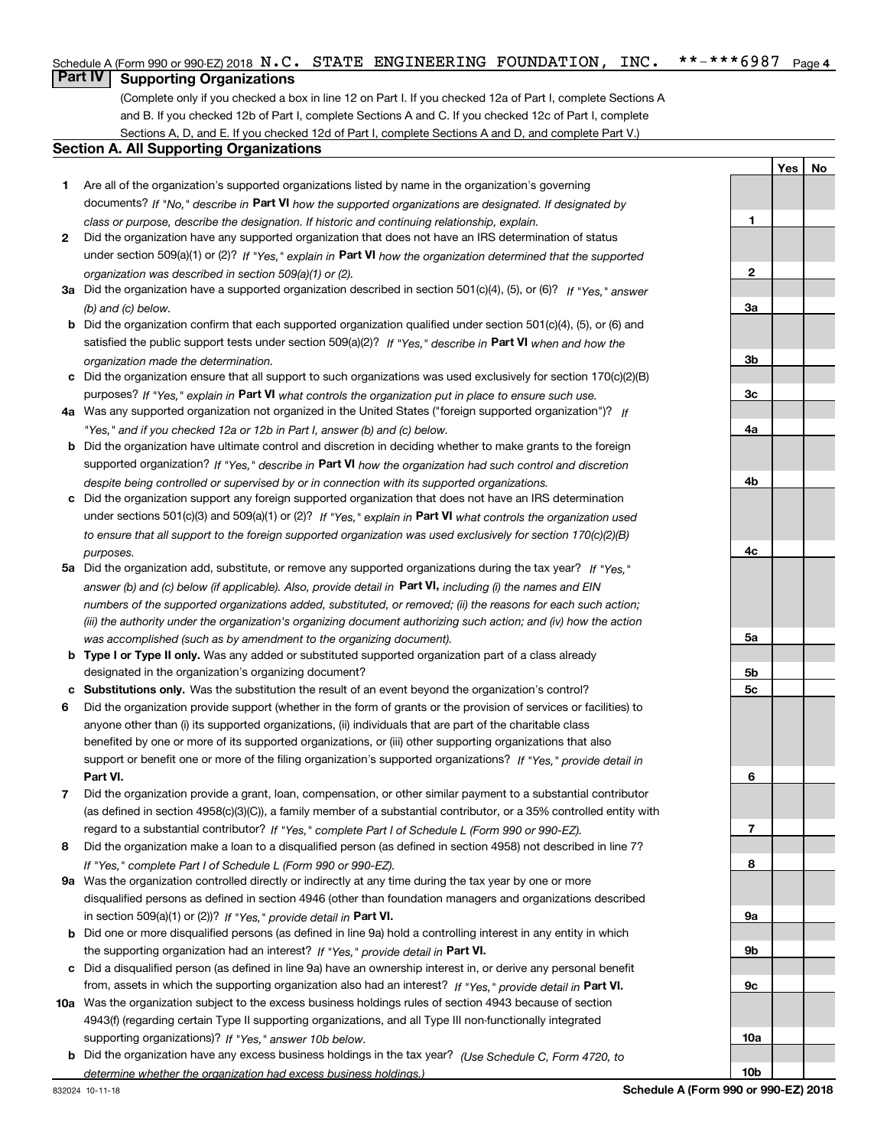#### $***$   $***$  6987 Page 4 Schedule A (Form 990 or 990-EZ) 2018  $\, {\bf N}$  ,  $\, {\bf C}$  ,  $\,$  STATE ENGINEERING FOUNDATION ,  $\,$  INC  $_{\bullet}$   $\,$  \* \* – \* \* \* 6987  $\,$  Page

## **Part IV Supporting Organizations**

(Complete only if you checked a box in line 12 on Part I. If you checked 12a of Part I, complete Sections A and B. If you checked 12b of Part I, complete Sections A and C. If you checked 12c of Part I, complete Sections A, D, and E. If you checked 12d of Part I, complete Sections A and D, and complete Part V.)

#### **Section A. All Supporting Organizations**

- **1** Are all of the organization's supported organizations listed by name in the organization's governing documents? If "No," describe in **Part VI** how the supported organizations are designated. If designated by *class or purpose, describe the designation. If historic and continuing relationship, explain.*
- **2** Did the organization have any supported organization that does not have an IRS determination of status under section 509(a)(1) or (2)? If "Yes," explain in Part VI how the organization determined that the supported *organization was described in section 509(a)(1) or (2).*
- **3a** Did the organization have a supported organization described in section 501(c)(4), (5), or (6)? If "Yes," answer *(b) and (c) below.*
- **b** Did the organization confirm that each supported organization qualified under section 501(c)(4), (5), or (6) and satisfied the public support tests under section 509(a)(2)? If "Yes," describe in **Part VI** when and how the *organization made the determination.*
- **c**Did the organization ensure that all support to such organizations was used exclusively for section 170(c)(2)(B) purposes? If "Yes," explain in **Part VI** what controls the organization put in place to ensure such use.
- **4a***If* Was any supported organization not organized in the United States ("foreign supported organization")? *"Yes," and if you checked 12a or 12b in Part I, answer (b) and (c) below.*
- **b** Did the organization have ultimate control and discretion in deciding whether to make grants to the foreign supported organization? If "Yes," describe in **Part VI** how the organization had such control and discretion *despite being controlled or supervised by or in connection with its supported organizations.*
- **c** Did the organization support any foreign supported organization that does not have an IRS determination under sections 501(c)(3) and 509(a)(1) or (2)? If "Yes," explain in **Part VI** what controls the organization used *to ensure that all support to the foreign supported organization was used exclusively for section 170(c)(2)(B) purposes.*
- **5a***If "Yes,"* Did the organization add, substitute, or remove any supported organizations during the tax year? answer (b) and (c) below (if applicable). Also, provide detail in **Part VI,** including (i) the names and EIN *numbers of the supported organizations added, substituted, or removed; (ii) the reasons for each such action; (iii) the authority under the organization's organizing document authorizing such action; and (iv) how the action was accomplished (such as by amendment to the organizing document).*
- **b** Type I or Type II only. Was any added or substituted supported organization part of a class already designated in the organization's organizing document?
- **cSubstitutions only.**  Was the substitution the result of an event beyond the organization's control?
- **6** Did the organization provide support (whether in the form of grants or the provision of services or facilities) to **Part VI.** *If "Yes," provide detail in* support or benefit one or more of the filing organization's supported organizations? anyone other than (i) its supported organizations, (ii) individuals that are part of the charitable class benefited by one or more of its supported organizations, or (iii) other supporting organizations that also
- **7**Did the organization provide a grant, loan, compensation, or other similar payment to a substantial contributor *If "Yes," complete Part I of Schedule L (Form 990 or 990-EZ).* regard to a substantial contributor? (as defined in section 4958(c)(3)(C)), a family member of a substantial contributor, or a 35% controlled entity with
- **8** Did the organization make a loan to a disqualified person (as defined in section 4958) not described in line 7? *If "Yes," complete Part I of Schedule L (Form 990 or 990-EZ).*
- **9a** Was the organization controlled directly or indirectly at any time during the tax year by one or more in section 509(a)(1) or (2))? If "Yes," *provide detail in* <code>Part VI.</code> disqualified persons as defined in section 4946 (other than foundation managers and organizations described
- **b** Did one or more disqualified persons (as defined in line 9a) hold a controlling interest in any entity in which the supporting organization had an interest? If "Yes," provide detail in P**art VI**.
- **c**Did a disqualified person (as defined in line 9a) have an ownership interest in, or derive any personal benefit from, assets in which the supporting organization also had an interest? If "Yes," provide detail in P**art VI.**
- **10a** Was the organization subject to the excess business holdings rules of section 4943 because of section supporting organizations)? If "Yes," answer 10b below. 4943(f) (regarding certain Type II supporting organizations, and all Type III non-functionally integrated
- **b** Did the organization have any excess business holdings in the tax year? (Use Schedule C, Form 4720, to *determine whether the organization had excess business holdings.)*

**YesNo**

**1**

**2**

**3a**

**3b**

**3c**

**4a**

**4b**

**4c**

**5a**

**5b5c**

**6**

**7**

**8**

**9a**

**9b**

**9c**

**10a**

**10b**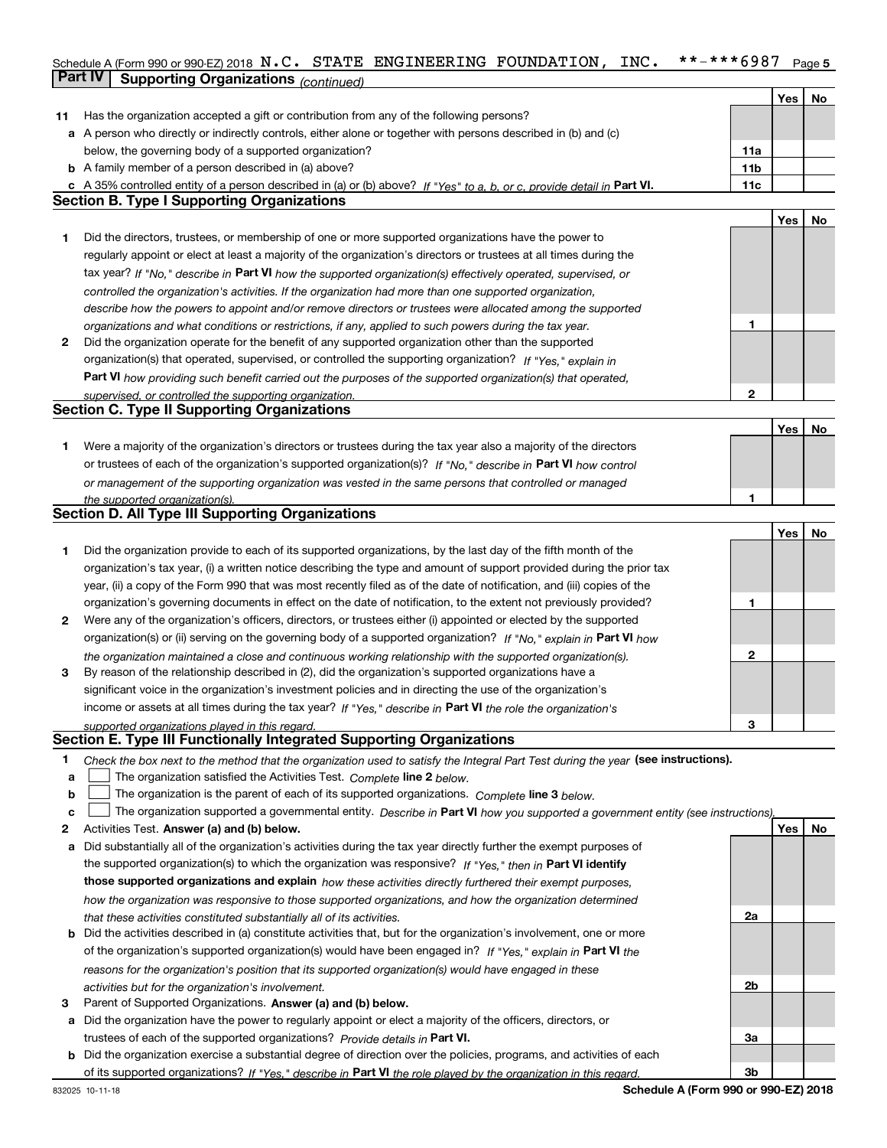#### Schedule A (Form 990 or 990-EZ) 2018  $\, {\bf N}$  **. C .**  $\,$  STATE <code>ENGINEERING</code> <code>FOUNDATION</code> , <code>INC. \*\*-\*\*\*6987</code> <code>Page 5</code> **Part IV** Supporting Organizations (*continued*)

|    |                                                                                                                                                                                                             |                 | Yes        | No |
|----|-------------------------------------------------------------------------------------------------------------------------------------------------------------------------------------------------------------|-----------------|------------|----|
| 11 | Has the organization accepted a gift or contribution from any of the following persons?                                                                                                                     |                 |            |    |
|    | a A person who directly or indirectly controls, either alone or together with persons described in (b) and (c)                                                                                              |                 |            |    |
|    | below, the governing body of a supported organization?                                                                                                                                                      | 11a             |            |    |
|    | <b>b</b> A family member of a person described in (a) above?                                                                                                                                                | 11 <sub>b</sub> |            |    |
| c  | A 35% controlled entity of a person described in (a) or (b) above? If "Yes" to a, b, or c, provide detail in Part VI.                                                                                       | 11c             |            |    |
|    | <b>Section B. Type I Supporting Organizations</b>                                                                                                                                                           |                 |            |    |
|    |                                                                                                                                                                                                             |                 | <b>Yes</b> | No |
| 1. | Did the directors, trustees, or membership of one or more supported organizations have the power to                                                                                                         |                 |            |    |
|    | regularly appoint or elect at least a majority of the organization's directors or trustees at all times during the                                                                                          |                 |            |    |
|    | tax year? If "No," describe in Part VI how the supported organization(s) effectively operated, supervised, or                                                                                               |                 |            |    |
|    | controlled the organization's activities. If the organization had more than one supported organization,                                                                                                     |                 |            |    |
|    | describe how the powers to appoint and/or remove directors or trustees were allocated among the supported                                                                                                   |                 |            |    |
|    | organizations and what conditions or restrictions, if any, applied to such powers during the tax year.                                                                                                      | 1               |            |    |
| 2  | Did the organization operate for the benefit of any supported organization other than the supported                                                                                                         |                 |            |    |
|    | organization(s) that operated, supervised, or controlled the supporting organization? If "Yes," explain in                                                                                                  |                 |            |    |
|    | Part VI how providing such benefit carried out the purposes of the supported organization(s) that operated,                                                                                                 |                 |            |    |
|    | supervised, or controlled the supporting organization.                                                                                                                                                      | $\mathbf{2}$    |            |    |
|    | <b>Section C. Type II Supporting Organizations</b>                                                                                                                                                          |                 |            |    |
|    |                                                                                                                                                                                                             |                 | Yes        | No |
| 1. | Were a majority of the organization's directors or trustees during the tax year also a majority of the directors                                                                                            |                 |            |    |
|    | or trustees of each of the organization's supported organization(s)? If "No," describe in Part VI how control                                                                                               |                 |            |    |
|    | or management of the supporting organization was vested in the same persons that controlled or managed                                                                                                      |                 |            |    |
|    | the supported organization(s).                                                                                                                                                                              | 1               |            |    |
|    | <b>Section D. All Type III Supporting Organizations</b>                                                                                                                                                     |                 |            |    |
|    |                                                                                                                                                                                                             |                 | <b>Yes</b> | No |
| 1. | Did the organization provide to each of its supported organizations, by the last day of the fifth month of the                                                                                              |                 |            |    |
|    | organization's tax year, (i) a written notice describing the type and amount of support provided during the prior tax                                                                                       |                 |            |    |
|    | year, (ii) a copy of the Form 990 that was most recently filed as of the date of notification, and (iii) copies of the                                                                                      |                 |            |    |
|    | organization's governing documents in effect on the date of notification, to the extent not previously provided?                                                                                            | 1               |            |    |
| 2  | Were any of the organization's officers, directors, or trustees either (i) appointed or elected by the supported                                                                                            |                 |            |    |
|    | organization(s) or (ii) serving on the governing body of a supported organization? If "No," explain in Part VI how                                                                                          |                 |            |    |
|    | the organization maintained a close and continuous working relationship with the supported organization(s).                                                                                                 | 2               |            |    |
| 3  | By reason of the relationship described in (2), did the organization's supported organizations have a                                                                                                       |                 |            |    |
|    | significant voice in the organization's investment policies and in directing the use of the organization's                                                                                                  |                 |            |    |
|    | income or assets at all times during the tax year? If "Yes," describe in Part VI the role the organization's                                                                                                |                 |            |    |
|    |                                                                                                                                                                                                             | 3               |            |    |
|    | supported organizations played in this regard.<br>Section E. Type III Functionally Integrated Supporting Organizations                                                                                      |                 |            |    |
| 1  |                                                                                                                                                                                                             |                 |            |    |
| а  | Check the box next to the method that the organization used to satisfy the Integral Part Test during the year (see instructions).<br>The organization satisfied the Activities Test. Complete line 2 below. |                 |            |    |
| b  | The organization is the parent of each of its supported organizations. Complete line 3 below.                                                                                                               |                 |            |    |
| c  | The organization supported a governmental entity. Describe in Part VI how you supported a government entity (see instructions).                                                                             |                 |            |    |
| 2  | Activities Test. Answer (a) and (b) below.                                                                                                                                                                  |                 | Yes        | No |
| а  | Did substantially all of the organization's activities during the tax year directly further the exempt purposes of                                                                                          |                 |            |    |
|    | the supported organization(s) to which the organization was responsive? If "Yes," then in Part VI identify                                                                                                  |                 |            |    |
|    |                                                                                                                                                                                                             |                 |            |    |
|    | those supported organizations and explain how these activities directly furthered their exempt purposes,                                                                                                    |                 |            |    |
|    | how the organization was responsive to those supported organizations, and how the organization determined                                                                                                   | 2a              |            |    |
|    | that these activities constituted substantially all of its activities.                                                                                                                                      |                 |            |    |
| b  | Did the activities described in (a) constitute activities that, but for the organization's involvement, one or more                                                                                         |                 |            |    |
|    | of the organization's supported organization(s) would have been engaged in? If "Yes," explain in Part VI the                                                                                                |                 |            |    |
|    | reasons for the organization's position that its supported organization(s) would have engaged in these                                                                                                      |                 |            |    |
|    | activities but for the organization's involvement.                                                                                                                                                          | 2b              |            |    |
| З  | Parent of Supported Organizations. Answer (a) and (b) below.                                                                                                                                                |                 |            |    |
| а  | Did the organization have the power to regularly appoint or elect a majority of the officers, directors, or                                                                                                 |                 |            |    |
|    | trustees of each of the supported organizations? Provide details in Part VI.                                                                                                                                | 3a              |            |    |
| b  | Did the organization exercise a substantial degree of direction over the policies, programs, and activities of each                                                                                         |                 |            |    |
|    | of its supported organizations? If "Yes," describe in Part VI the role played by the organization in this regard.                                                                                           | 3 <sub>b</sub>  |            |    |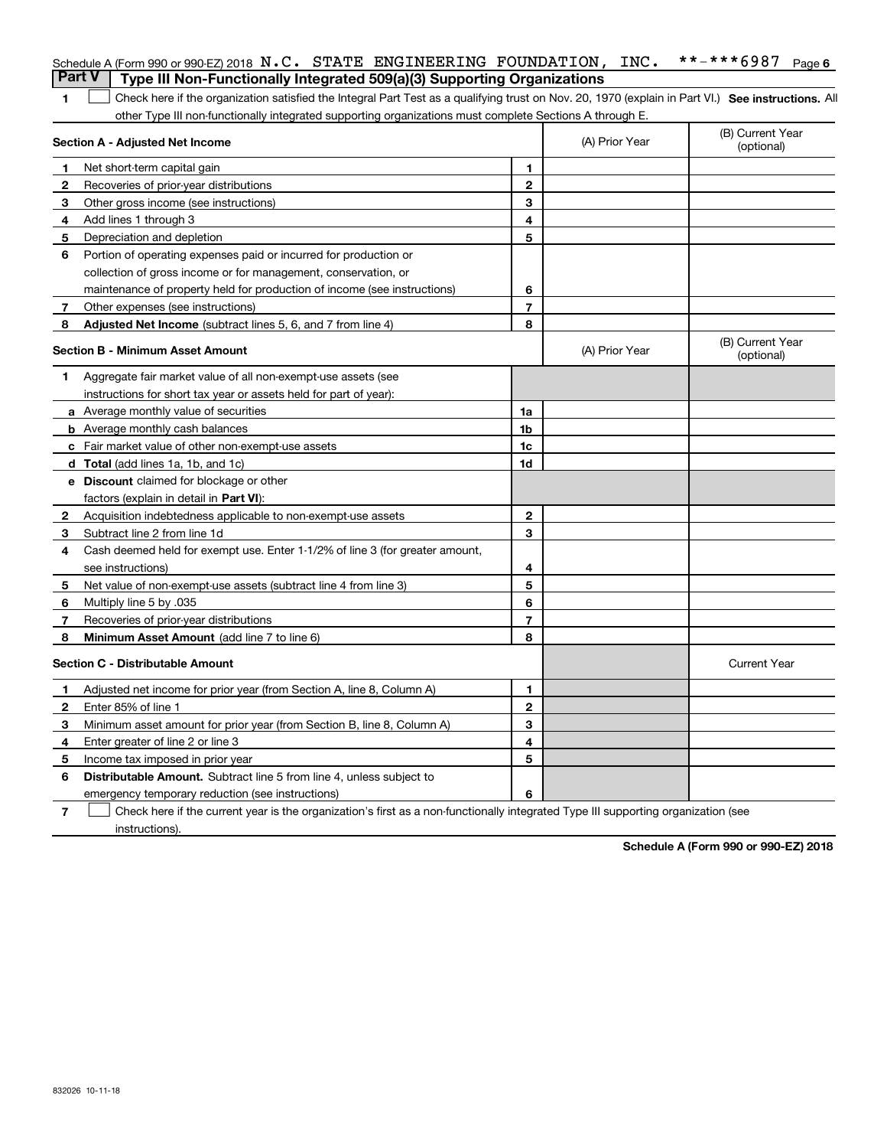|   | Schedule A (Form 990 or 990-EZ) 2018 $N.C.$ STATE ENGINEERING FOUNDATION, INC.<br><b>Part V</b><br>Type III Non-Functionally Integrated 509(a)(3) Supporting Organizations |                |                | **-***6987<br>Page 6           |
|---|----------------------------------------------------------------------------------------------------------------------------------------------------------------------------|----------------|----------------|--------------------------------|
|   |                                                                                                                                                                            |                |                |                                |
| 1 | Check here if the organization satisfied the Integral Part Test as a qualifying trust on Nov. 20, 1970 (explain in Part VI.) See instructions. Al                          |                |                |                                |
|   | other Type III non-functionally integrated supporting organizations must complete Sections A through E.<br>Section A - Adjusted Net Income                                 |                | (A) Prior Year | (B) Current Year<br>(optional) |
| 1 | Net short-term capital gain                                                                                                                                                | 1              |                |                                |
| 2 | Recoveries of prior-year distributions                                                                                                                                     | $\mathbf{2}$   |                |                                |
| З | Other gross income (see instructions)                                                                                                                                      | 3              |                |                                |
| 4 | Add lines 1 through 3                                                                                                                                                      | 4              |                |                                |
| 5 | Depreciation and depletion                                                                                                                                                 | 5              |                |                                |
| 6 | Portion of operating expenses paid or incurred for production or                                                                                                           |                |                |                                |
|   | collection of gross income or for management, conservation, or                                                                                                             |                |                |                                |
|   | maintenance of property held for production of income (see instructions)                                                                                                   | 6              |                |                                |
| 7 | Other expenses (see instructions)                                                                                                                                          | $\overline{7}$ |                |                                |
| 8 | <b>Adjusted Net Income</b> (subtract lines 5, 6, and 7 from line 4)                                                                                                        | 8              |                |                                |
|   | <b>Section B - Minimum Asset Amount</b>                                                                                                                                    |                | (A) Prior Year | (B) Current Year<br>(optional) |
| 1 | Aggregate fair market value of all non-exempt-use assets (see                                                                                                              |                |                |                                |
|   | instructions for short tax year or assets held for part of year):                                                                                                          |                |                |                                |
|   | a Average monthly value of securities                                                                                                                                      | 1a             |                |                                |
|   | <b>b</b> Average monthly cash balances                                                                                                                                     | 1b             |                |                                |
|   | c Fair market value of other non-exempt-use assets                                                                                                                         | 1c             |                |                                |
|   | d Total (add lines 1a, 1b, and 1c)                                                                                                                                         | 1d             |                |                                |
|   | e Discount claimed for blockage or other                                                                                                                                   |                |                |                                |
|   | factors (explain in detail in Part VI):                                                                                                                                    |                |                |                                |
| 2 | Acquisition indebtedness applicable to non-exempt-use assets                                                                                                               | $\mathbf{2}$   |                |                                |
| 3 | Subtract line 2 from line 1d                                                                                                                                               | 3              |                |                                |
| 4 | Cash deemed held for exempt use. Enter 1-1/2% of line 3 (for greater amount,                                                                                               |                |                |                                |
|   | see instructions)                                                                                                                                                          | 4              |                |                                |
| 5 | Net value of non-exempt-use assets (subtract line 4 from line 3)                                                                                                           | 5              |                |                                |
| 6 | Multiply line 5 by .035                                                                                                                                                    | 6              |                |                                |
| 7 | Recoveries of prior-year distributions                                                                                                                                     | $\overline{7}$ |                |                                |
| 8 | Minimum Asset Amount (add line 7 to line 6)                                                                                                                                | 8              |                |                                |
|   | <b>Section C - Distributable Amount</b>                                                                                                                                    |                |                | <b>Current Year</b>            |
| 1 | Adjusted net income for prior year (from Section A, line 8, Column A)                                                                                                      | 1              |                |                                |
| 2 | Enter 85% of line 1                                                                                                                                                        | 2              |                |                                |
| 3 | Minimum asset amount for prior year (from Section B, line 8, Column A)                                                                                                     | 3              |                |                                |
| 4 | Enter greater of line 2 or line 3                                                                                                                                          | 4              |                |                                |
| 5 | Income tax imposed in prior year                                                                                                                                           | 5              |                |                                |
| 6 | <b>Distributable Amount.</b> Subtract line 5 from line 4, unless subject to                                                                                                |                |                |                                |
|   | emergency temporary reduction (see instructions)                                                                                                                           | 6              |                |                                |

**7** Check here if the current year is the organization's first as a non-functionally integrated Type III supporting organization (see instructions).

**Schedule A (Form 990 or 990-EZ) 2018**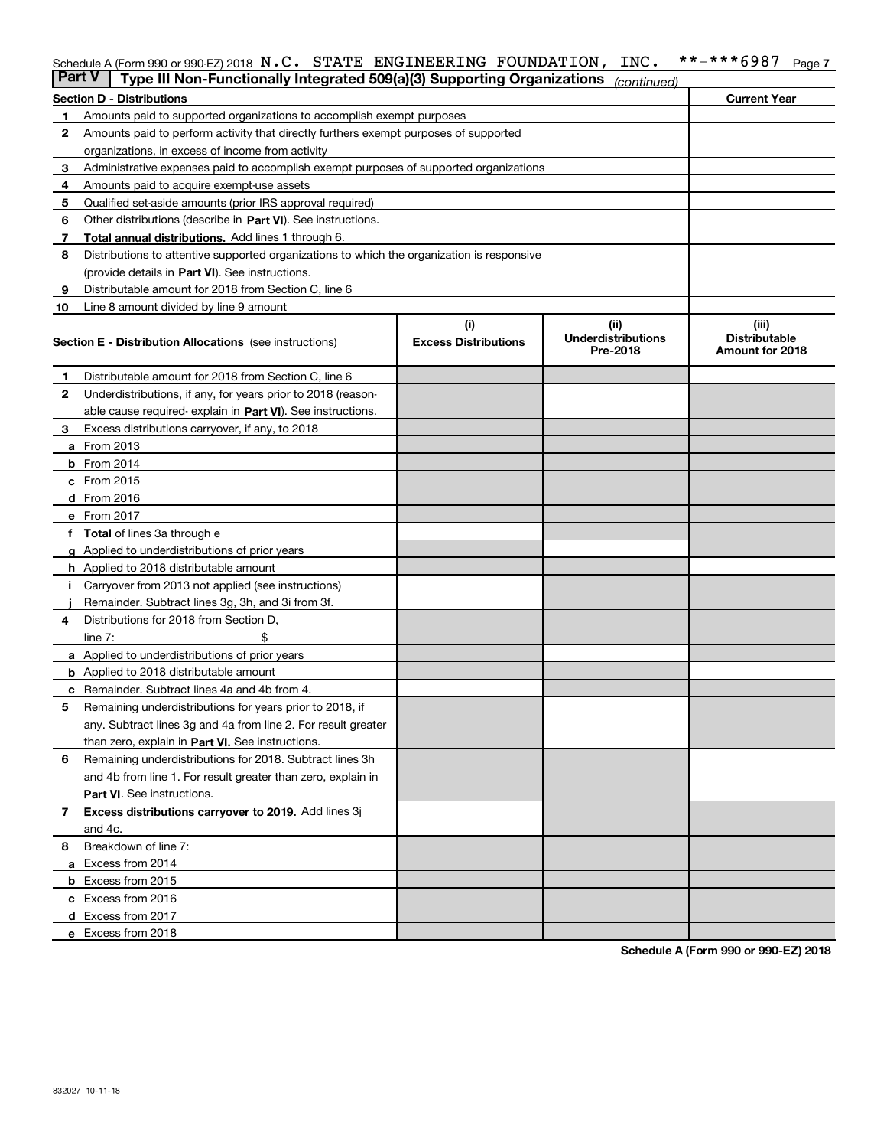#### Schedule A (Form 990 or 990-EZ) 2018  $\, {\bf N}$  **. C .**  $\,$  STATE <code>ENGINEERING</code> <code>FOUNDATION</code> , <code>INC. \*\*-\*\*\*6987</code> <code>Page 7</code>

| Part V | Type III Non-Functionally Integrated 509(a)(3) Supporting Organizations                    |                             | (continued)                           |                                         |
|--------|--------------------------------------------------------------------------------------------|-----------------------------|---------------------------------------|-----------------------------------------|
|        | <b>Section D - Distributions</b>                                                           |                             |                                       | <b>Current Year</b>                     |
| 1      | Amounts paid to supported organizations to accomplish exempt purposes                      |                             |                                       |                                         |
| 2      | Amounts paid to perform activity that directly furthers exempt purposes of supported       |                             |                                       |                                         |
|        | organizations, in excess of income from activity                                           |                             |                                       |                                         |
| 3      | Administrative expenses paid to accomplish exempt purposes of supported organizations      |                             |                                       |                                         |
| 4      | Amounts paid to acquire exempt-use assets                                                  |                             |                                       |                                         |
| 5      | Qualified set-aside amounts (prior IRS approval required)                                  |                             |                                       |                                         |
| 6      | Other distributions (describe in Part VI). See instructions.                               |                             |                                       |                                         |
| 7      | Total annual distributions. Add lines 1 through 6.                                         |                             |                                       |                                         |
| 8      | Distributions to attentive supported organizations to which the organization is responsive |                             |                                       |                                         |
|        | (provide details in Part VI). See instructions.                                            |                             |                                       |                                         |
| 9      | Distributable amount for 2018 from Section C, line 6                                       |                             |                                       |                                         |
| 10     | Line 8 amount divided by line 9 amount                                                     |                             |                                       |                                         |
|        |                                                                                            | (i)                         | (ii)                                  | (iii)                                   |
|        | Section E - Distribution Allocations (see instructions)                                    | <b>Excess Distributions</b> | <b>Underdistributions</b><br>Pre-2018 | <b>Distributable</b><br>Amount for 2018 |
| 1      | Distributable amount for 2018 from Section C, line 6                                       |                             |                                       |                                         |
| 2      | Underdistributions, if any, for years prior to 2018 (reason-                               |                             |                                       |                                         |
|        | able cause required- explain in Part VI). See instructions.                                |                             |                                       |                                         |
| З      | Excess distributions carryover, if any, to 2018                                            |                             |                                       |                                         |
|        | <b>a</b> From 2013                                                                         |                             |                                       |                                         |
|        | $b$ From 2014                                                                              |                             |                                       |                                         |
|        | c From 2015                                                                                |                             |                                       |                                         |
|        | <b>d</b> From 2016                                                                         |                             |                                       |                                         |
|        | e From 2017                                                                                |                             |                                       |                                         |
|        | Total of lines 3a through e                                                                |                             |                                       |                                         |
|        | <b>g</b> Applied to underdistributions of prior years                                      |                             |                                       |                                         |
|        | <b>h</b> Applied to 2018 distributable amount                                              |                             |                                       |                                         |
|        | Carryover from 2013 not applied (see instructions)                                         |                             |                                       |                                         |
|        | Remainder. Subtract lines 3g, 3h, and 3i from 3f.                                          |                             |                                       |                                         |
| 4      | Distributions for 2018 from Section D,                                                     |                             |                                       |                                         |
|        | line $7:$                                                                                  |                             |                                       |                                         |
|        | <b>a</b> Applied to underdistributions of prior years                                      |                             |                                       |                                         |
|        | <b>b</b> Applied to 2018 distributable amount                                              |                             |                                       |                                         |
| c      | Remainder. Subtract lines 4a and 4b from 4.                                                |                             |                                       |                                         |
| 5      | Remaining underdistributions for years prior to 2018, if                                   |                             |                                       |                                         |
|        | any. Subtract lines 3g and 4a from line 2. For result greater                              |                             |                                       |                                         |
|        | than zero, explain in Part VI. See instructions.                                           |                             |                                       |                                         |
| 6      | Remaining underdistributions for 2018. Subtract lines 3h                                   |                             |                                       |                                         |
|        | and 4b from line 1. For result greater than zero, explain in                               |                             |                                       |                                         |
|        | Part VI. See instructions.                                                                 |                             |                                       |                                         |
| 7      | Excess distributions carryover to 2019. Add lines 3j                                       |                             |                                       |                                         |
|        | and 4c.                                                                                    |                             |                                       |                                         |
| 8      | Breakdown of line 7:                                                                       |                             |                                       |                                         |
|        | a Excess from 2014                                                                         |                             |                                       |                                         |
|        | <b>b</b> Excess from 2015                                                                  |                             |                                       |                                         |
|        | c Excess from 2016                                                                         |                             |                                       |                                         |
|        | d Excess from 2017                                                                         |                             |                                       |                                         |
|        | e Excess from 2018                                                                         |                             |                                       |                                         |

**Schedule A (Form 990 or 990-EZ) 2018**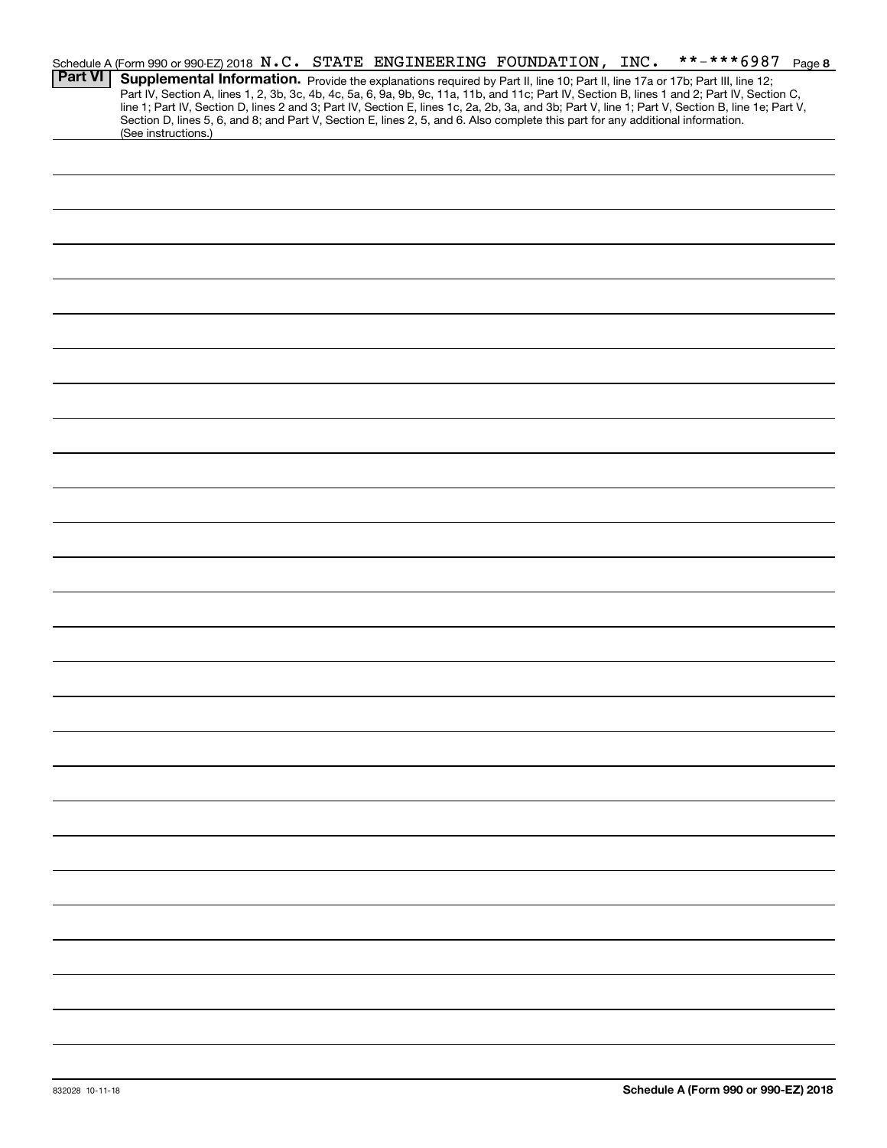|                | Schedule A (Form 990 or 990-EZ) 2018 N.C. STATE ENGINEERING FOUNDATION, INC.                                                                                                                                                                                                                     |  |  | **-***6987 Page 8 |  |
|----------------|--------------------------------------------------------------------------------------------------------------------------------------------------------------------------------------------------------------------------------------------------------------------------------------------------|--|--|-------------------|--|
| <b>Part VI</b> | Supplemental Information. Provide the explanations required by Part II, line 10; Part II, line 17a or 17b; Part III, line 12;                                                                                                                                                                    |  |  |                   |  |
|                | Part IV, Section A, lines 1, 2, 3b, 3c, 4b, 4c, 5a, 6, 9a, 9b, 9c, 11a, 11b, and 11c; Part IV, Section B, lines 1 and 2; Part IV, Section C,<br>line 1; Part IV, Section D, lines 2 and 3; Part IV, Section E, lines 1c, 2a, 2b, 3a, and 3b; Part V, line 1; Part V, Section B, line 1e; Part V, |  |  |                   |  |
|                | Section D, lines 5, 6, and 8; and Part V, Section E, lines 2, 5, and 6. Also complete this part for any additional information.                                                                                                                                                                  |  |  |                   |  |
|                | (See instructions.)                                                                                                                                                                                                                                                                              |  |  |                   |  |
|                |                                                                                                                                                                                                                                                                                                  |  |  |                   |  |
|                |                                                                                                                                                                                                                                                                                                  |  |  |                   |  |
|                |                                                                                                                                                                                                                                                                                                  |  |  |                   |  |
|                |                                                                                                                                                                                                                                                                                                  |  |  |                   |  |
|                |                                                                                                                                                                                                                                                                                                  |  |  |                   |  |
|                |                                                                                                                                                                                                                                                                                                  |  |  |                   |  |
|                |                                                                                                                                                                                                                                                                                                  |  |  |                   |  |
|                |                                                                                                                                                                                                                                                                                                  |  |  |                   |  |
|                |                                                                                                                                                                                                                                                                                                  |  |  |                   |  |
|                |                                                                                                                                                                                                                                                                                                  |  |  |                   |  |
|                |                                                                                                                                                                                                                                                                                                  |  |  |                   |  |
|                |                                                                                                                                                                                                                                                                                                  |  |  |                   |  |
|                |                                                                                                                                                                                                                                                                                                  |  |  |                   |  |
|                |                                                                                                                                                                                                                                                                                                  |  |  |                   |  |
|                |                                                                                                                                                                                                                                                                                                  |  |  |                   |  |
|                |                                                                                                                                                                                                                                                                                                  |  |  |                   |  |
|                |                                                                                                                                                                                                                                                                                                  |  |  |                   |  |
|                |                                                                                                                                                                                                                                                                                                  |  |  |                   |  |
|                |                                                                                                                                                                                                                                                                                                  |  |  |                   |  |
|                |                                                                                                                                                                                                                                                                                                  |  |  |                   |  |
|                |                                                                                                                                                                                                                                                                                                  |  |  |                   |  |
|                |                                                                                                                                                                                                                                                                                                  |  |  |                   |  |
|                |                                                                                                                                                                                                                                                                                                  |  |  |                   |  |
|                |                                                                                                                                                                                                                                                                                                  |  |  |                   |  |
|                |                                                                                                                                                                                                                                                                                                  |  |  |                   |  |
|                |                                                                                                                                                                                                                                                                                                  |  |  |                   |  |
|                |                                                                                                                                                                                                                                                                                                  |  |  |                   |  |
|                |                                                                                                                                                                                                                                                                                                  |  |  |                   |  |
|                |                                                                                                                                                                                                                                                                                                  |  |  |                   |  |
|                |                                                                                                                                                                                                                                                                                                  |  |  |                   |  |
|                |                                                                                                                                                                                                                                                                                                  |  |  |                   |  |
|                |                                                                                                                                                                                                                                                                                                  |  |  |                   |  |
|                |                                                                                                                                                                                                                                                                                                  |  |  |                   |  |
|                |                                                                                                                                                                                                                                                                                                  |  |  |                   |  |
|                |                                                                                                                                                                                                                                                                                                  |  |  |                   |  |
|                |                                                                                                                                                                                                                                                                                                  |  |  |                   |  |
|                |                                                                                                                                                                                                                                                                                                  |  |  |                   |  |
|                |                                                                                                                                                                                                                                                                                                  |  |  |                   |  |
|                |                                                                                                                                                                                                                                                                                                  |  |  |                   |  |
|                |                                                                                                                                                                                                                                                                                                  |  |  |                   |  |
|                |                                                                                                                                                                                                                                                                                                  |  |  |                   |  |
|                |                                                                                                                                                                                                                                                                                                  |  |  |                   |  |
|                |                                                                                                                                                                                                                                                                                                  |  |  |                   |  |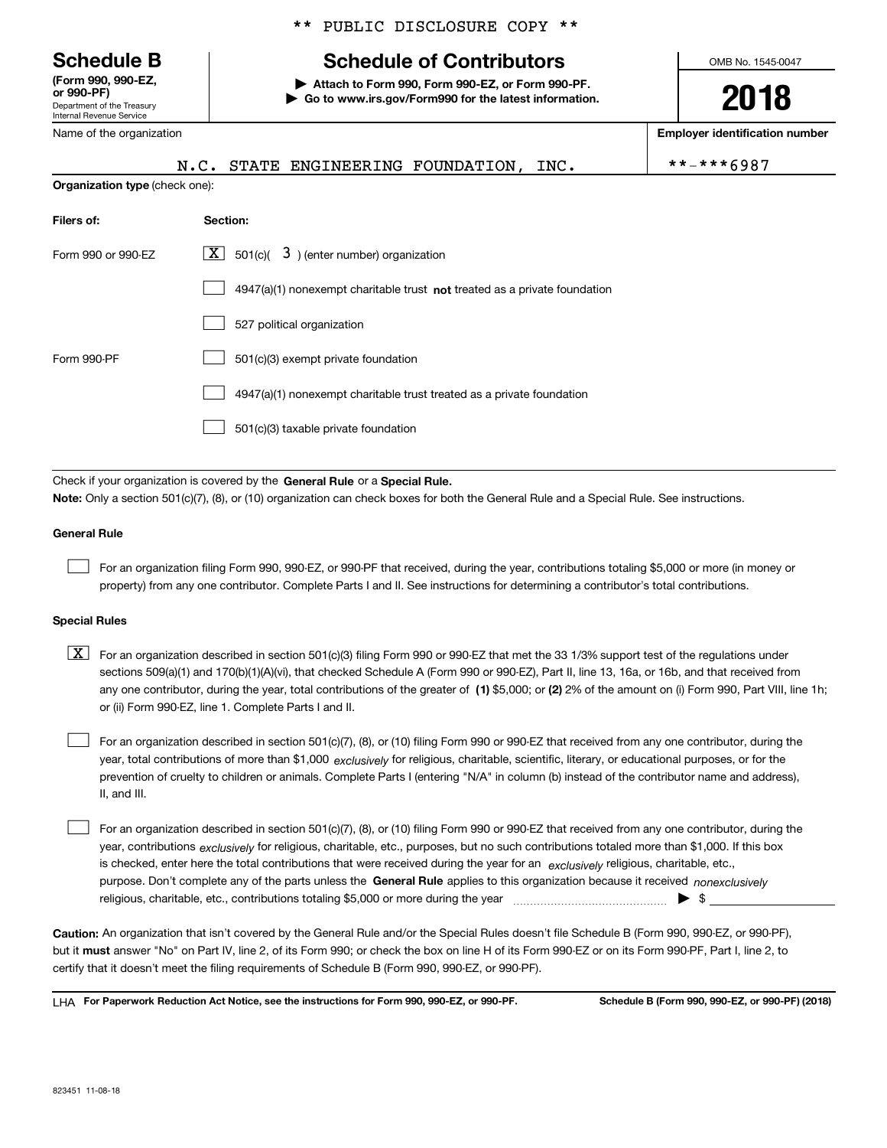Department of the Treasury Internal Revenue Service **(Form 990, 990-EZ, or 990-PF)**

Name of the organization

#### \*\* PUBLIC DISCLOSURE COPY \*\*

# **Schedule B Schedule of Contributors**

**| Attach to Form 990, Form 990-EZ, or Form 990-PF. | Go to www.irs.gov/Form990 for the latest information.** OMB No. 1545-0047

**2018**

**Employer identification number**

|                                | N.C. STATE ENGINEERING FOUNDATION, INC.                                   | **-***6987 |
|--------------------------------|---------------------------------------------------------------------------|------------|
| Organization type (check one): |                                                                           |            |
| Filers of:                     | Section:                                                                  |            |
| Form 990 or 990-EZ             | $ \mathbf{X} $ 501(c)( 3) (enter number) organization                     |            |
|                                | 4947(a)(1) nonexempt charitable trust not treated as a private foundation |            |
|                                | 527 political organization                                                |            |
| Form 990-PF                    | 501(c)(3) exempt private foundation                                       |            |
|                                | 4947(a)(1) nonexempt charitable trust treated as a private foundation     |            |
|                                | 501(c)(3) taxable private foundation                                      |            |

Check if your organization is covered by the **General Rule** or a **Special Rule. Note:**  Only a section 501(c)(7), (8), or (10) organization can check boxes for both the General Rule and a Special Rule. See instructions.

#### **General Rule**

 $\mathcal{L}^{\text{max}}$ 

For an organization filing Form 990, 990-EZ, or 990-PF that received, during the year, contributions totaling \$5,000 or more (in money or property) from any one contributor. Complete Parts I and II. See instructions for determining a contributor's total contributions.

#### **Special Rules**

any one contributor, during the year, total contributions of the greater of  $\,$  (1) \$5,000; or **(2)** 2% of the amount on (i) Form 990, Part VIII, line 1h;  $\boxed{\textbf{X}}$  For an organization described in section 501(c)(3) filing Form 990 or 990-EZ that met the 33 1/3% support test of the regulations under sections 509(a)(1) and 170(b)(1)(A)(vi), that checked Schedule A (Form 990 or 990-EZ), Part II, line 13, 16a, or 16b, and that received from or (ii) Form 990-EZ, line 1. Complete Parts I and II.

year, total contributions of more than \$1,000 *exclusively* for religious, charitable, scientific, literary, or educational purposes, or for the For an organization described in section 501(c)(7), (8), or (10) filing Form 990 or 990-EZ that received from any one contributor, during the prevention of cruelty to children or animals. Complete Parts I (entering "N/A" in column (b) instead of the contributor name and address), II, and III.  $\mathcal{L}^{\text{max}}$ 

purpose. Don't complete any of the parts unless the **General Rule** applies to this organization because it received *nonexclusively* year, contributions <sub>exclusively</sub> for religious, charitable, etc., purposes, but no such contributions totaled more than \$1,000. If this box is checked, enter here the total contributions that were received during the year for an  $\;$ exclusively religious, charitable, etc., For an organization described in section 501(c)(7), (8), or (10) filing Form 990 or 990-EZ that received from any one contributor, during the religious, charitable, etc., contributions totaling \$5,000 or more during the year  $\Box$ — $\Box$   $\Box$  $\mathcal{L}^{\text{max}}$ 

**Caution:**  An organization that isn't covered by the General Rule and/or the Special Rules doesn't file Schedule B (Form 990, 990-EZ, or 990-PF),  **must** but it answer "No" on Part IV, line 2, of its Form 990; or check the box on line H of its Form 990-EZ or on its Form 990-PF, Part I, line 2, to certify that it doesn't meet the filing requirements of Schedule B (Form 990, 990-EZ, or 990-PF).

**For Paperwork Reduction Act Notice, see the instructions for Form 990, 990-EZ, or 990-PF. Schedule B (Form 990, 990-EZ, or 990-PF) (2018)** LHA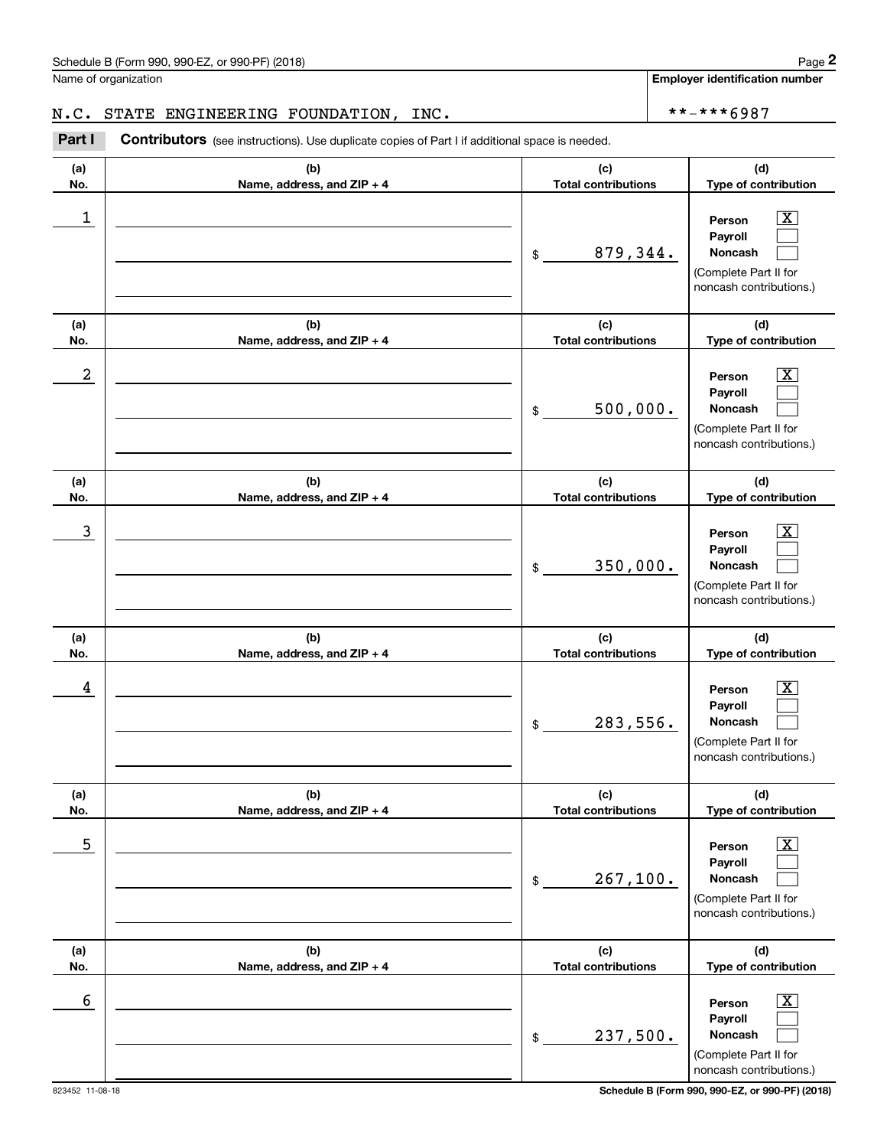Name of organization

**Employer identification number**

## N.C. STATE ENGINEERING FOUNDATION, INC.  $\vert$  \*\*-\*\*\*6987

Chedule B (Form 990, 990-EZ, or 990-PF) (2018)<br> **2018** alame of organization<br> **2. C.** STATE ENGINEERING FOUNDATION, INC.<br> **2018 2. Part I Contributors** (see instructions). Use duplicate copies of Part I if additional s

| (a)<br>No. | (b)<br>Name, address, and ZIP + 4 | (c)<br><b>Total contributions</b>                      | (d)<br>Type of contribution                                                                               |
|------------|-----------------------------------|--------------------------------------------------------|-----------------------------------------------------------------------------------------------------------|
| 1          |                                   | 879,344.<br>\$                                         | $\overline{\text{X}}$<br>Person<br>Payroll<br>Noncash<br>(Complete Part II for<br>noncash contributions.) |
| (a)<br>No. | (b)<br>Name, address, and ZIP + 4 | (c)<br><b>Total contributions</b>                      | (d)<br>Type of contribution                                                                               |
| 2          |                                   | 500,000.<br>\$                                         | $\overline{\text{X}}$<br>Person<br>Payroll<br>Noncash<br>(Complete Part II for<br>noncash contributions.) |
| (a)<br>No. | (b)<br>Name, address, and ZIP + 4 | (c)<br><b>Total contributions</b>                      | (d)<br>Type of contribution                                                                               |
| 3          |                                   | 350,000.<br>\$                                         | $\overline{\text{X}}$<br>Person<br>Payroll<br>Noncash<br>(Complete Part II for<br>noncash contributions.) |
| (a)<br>No. | (b)<br>Name, address, and ZIP + 4 | (c)<br><b>Total contributions</b>                      | (d)<br>Type of contribution                                                                               |
| 4          |                                   | 283,556.<br>\$                                         | $\overline{\text{X}}$<br>Person<br>Payroll<br>Noncash<br>(Complete Part II for<br>noncash contributions.) |
| (a)<br>No. | (b)<br>Name, address, and ZIP + 4 | (c)<br><b>Total contributions</b>                      | (d)<br>Type of contribution                                                                               |
| 5          |                                   | 267, 100.<br>$\, \, \raisebox{12pt}{$\scriptstyle \$}$ | $\overline{\text{X}}$<br>Person<br>Payroll<br>Noncash<br>(Complete Part II for<br>noncash contributions.) |
| (a)<br>No. | (b)<br>Name, address, and ZIP + 4 | (c)<br><b>Total contributions</b>                      | (d)<br>Type of contribution                                                                               |
| 6          |                                   | 237,500.<br>$\, \, \raisebox{12pt}{$\scriptstyle \$}$  | $\overline{\text{X}}$<br>Person<br>Payroll<br>Noncash<br>(Complete Part II for<br>noncash contributions.) |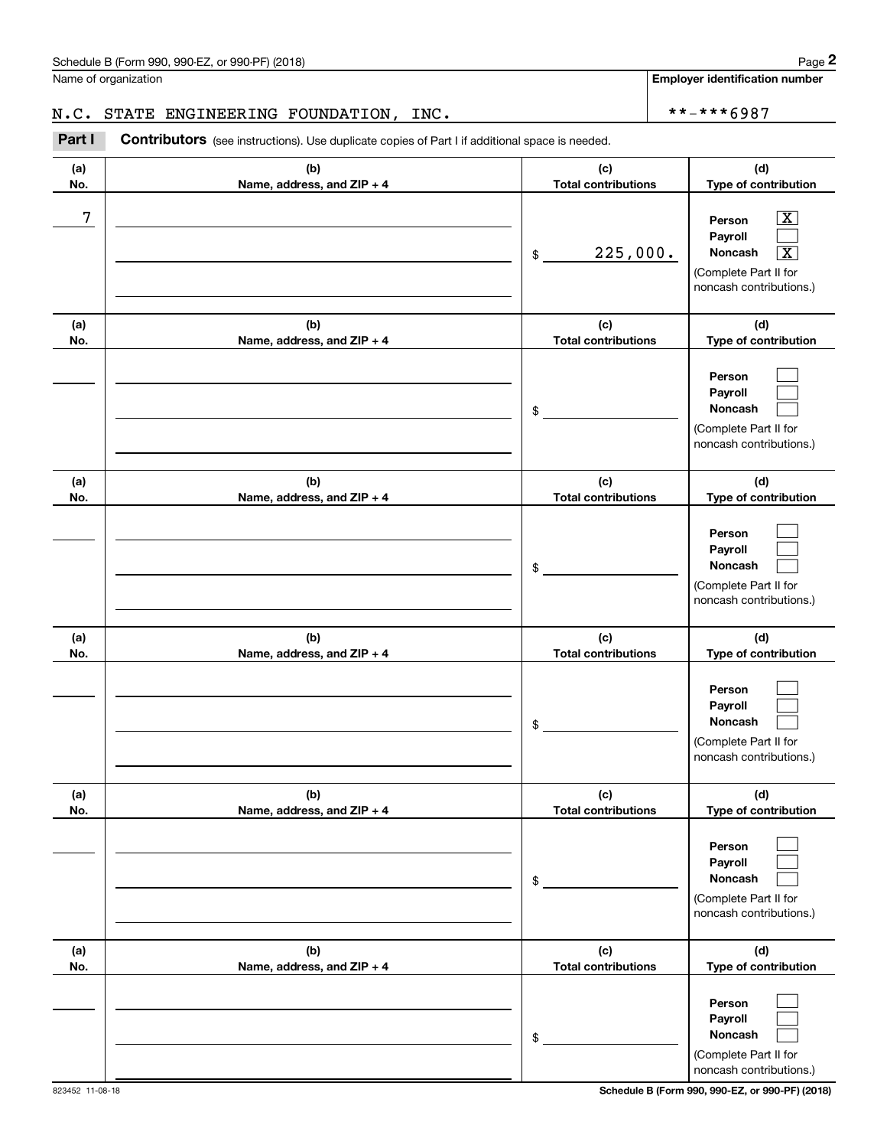Name of organization

**Employer identification number**

**(d) Type of contribution**

### N.C. STATE ENGINEERING FOUNDATION, INC. \*\*-\*\*\*6987

**(a) No.(b) Name, address, and ZIP + 4 (c) Total contributions Contributors** (see instructions). Use duplicate copies of Part I if additional space is needed. Chedule B (Form 990, 990-EZ, or 990-PF) (2018)<br>Iame of organization<br>**1. C. STATE ENGINEERING FOUNDATION, INC.**<br>**Part I** Contributors (see instructions). Use duplicate copies of Part I if additional space is needed.

| 7          |                                   | 225,000.<br>\$                    | $\overline{\texttt{X}}$<br>Person<br>Payroll<br><b>Noncash</b><br>$\boxed{\text{X}}$<br>(Complete Part II for<br>noncash contributions.) |
|------------|-----------------------------------|-----------------------------------|------------------------------------------------------------------------------------------------------------------------------------------|
| (a)<br>No. | (b)<br>Name, address, and ZIP + 4 | (c)<br><b>Total contributions</b> | (d)<br>Type of contribution                                                                                                              |
|            |                                   | \$                                | Person<br>Payroll<br>Noncash<br>(Complete Part II for<br>noncash contributions.)                                                         |
| (a)<br>No. | (b)<br>Name, address, and ZIP + 4 | (c)<br><b>Total contributions</b> | (d)<br>Type of contribution                                                                                                              |
|            |                                   | \$                                | Person<br>Payroll<br>Noncash<br>(Complete Part II for<br>noncash contributions.)                                                         |
| (a)<br>No. | (b)<br>Name, address, and ZIP + 4 | (c)<br><b>Total contributions</b> | (d)<br>Type of contribution                                                                                                              |
|            |                                   | \$                                | Person<br>Payroll<br>Noncash<br>(Complete Part II for<br>noncash contributions.)                                                         |
| (a)<br>No. | (b)<br>Name, address, and ZIP + 4 | (c)<br><b>Total contributions</b> | (d)<br>Type of contribution                                                                                                              |
|            |                                   | \$                                | Person<br>Payroll<br>Noncash<br>(Complete Part II for<br>noncash contributions.)                                                         |
| (a)<br>No. | (b)<br>Name, address, and ZIP + 4 | (c)<br><b>Total contributions</b> | (d)<br>Type of contribution                                                                                                              |
|            |                                   | \$                                | Person<br>Payroll<br>Noncash<br>(Complete Part II for<br>noncash contributions.)                                                         |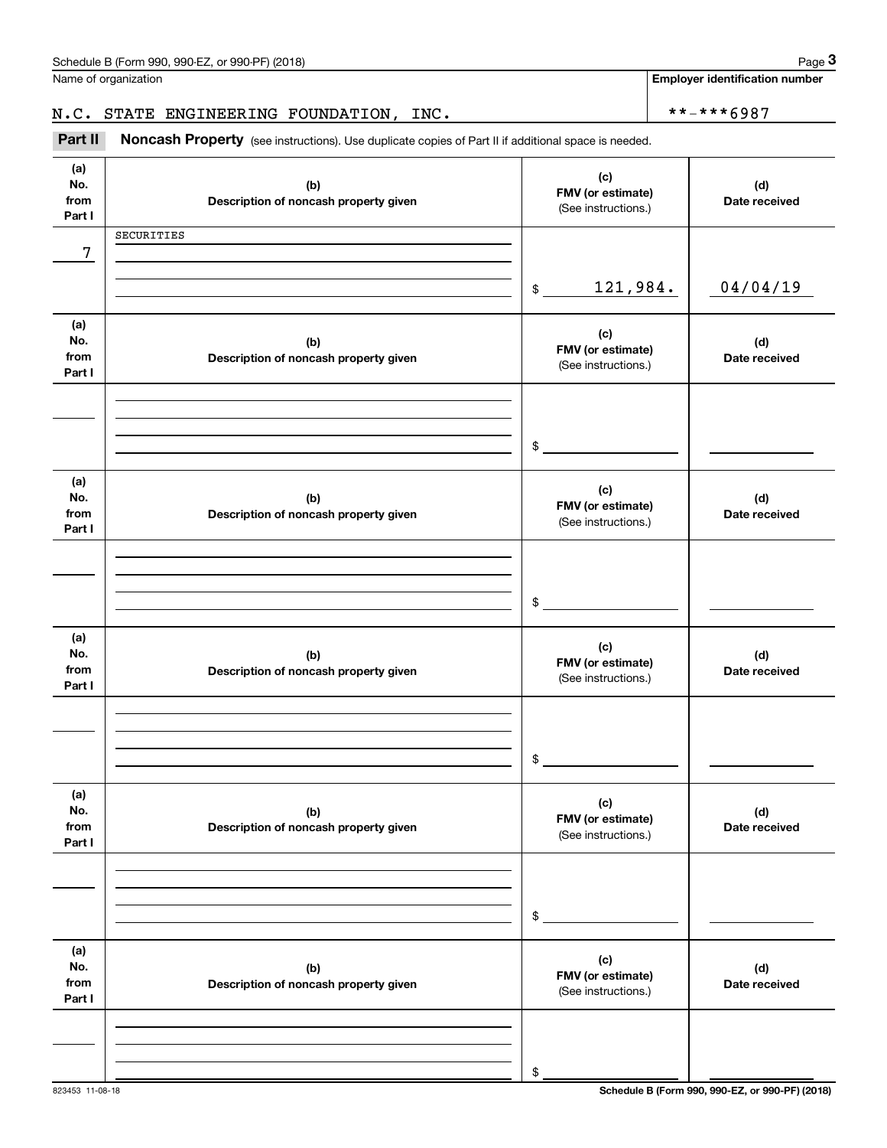**Employer identification number**

Chedule B (Form 990, 990-EZ, or 990-PF) (2018)<br>Iame of organization<br>**3Part II Noncash Property** (see instructions). Use duplicate copies of Part II if additional space is needed. N.C. STATE ENGINEERING FOUNDATION, INC. \*\*-\*\*\*6987

Noncash Property (see instructions). Use duplicate copies of Part II if additional space is needed.

**(a)No.fromPart I (c)FMV (or estimate) (b) Description of noncash property given (d) Date received (a)No.fromPart I (c) FMV (or estimate) (b) Description of noncash property given (d) Date received (a)No.fromPart I (c)FMV (or estimate) (b) Description of noncash property given (d) Date received (a) No.fromPart I (c) FMV (or estimate) (b)Description of noncash property given (d)Date received (a) No.fromPart I (c) FMV (or estimate) (b) Description of noncash property given (d) Date received (a) No.fromPart I (c)FMV (or estimate) (b)Description of noncash property given (d)Date received** (See instructions.)  $\frac{1}{2}$ (See instructions.) \$(See instructions.) \$(See instructions.) \$(See instructions.) \$(See instructions.) \$7 121,984. 04/04/19 SECURITIES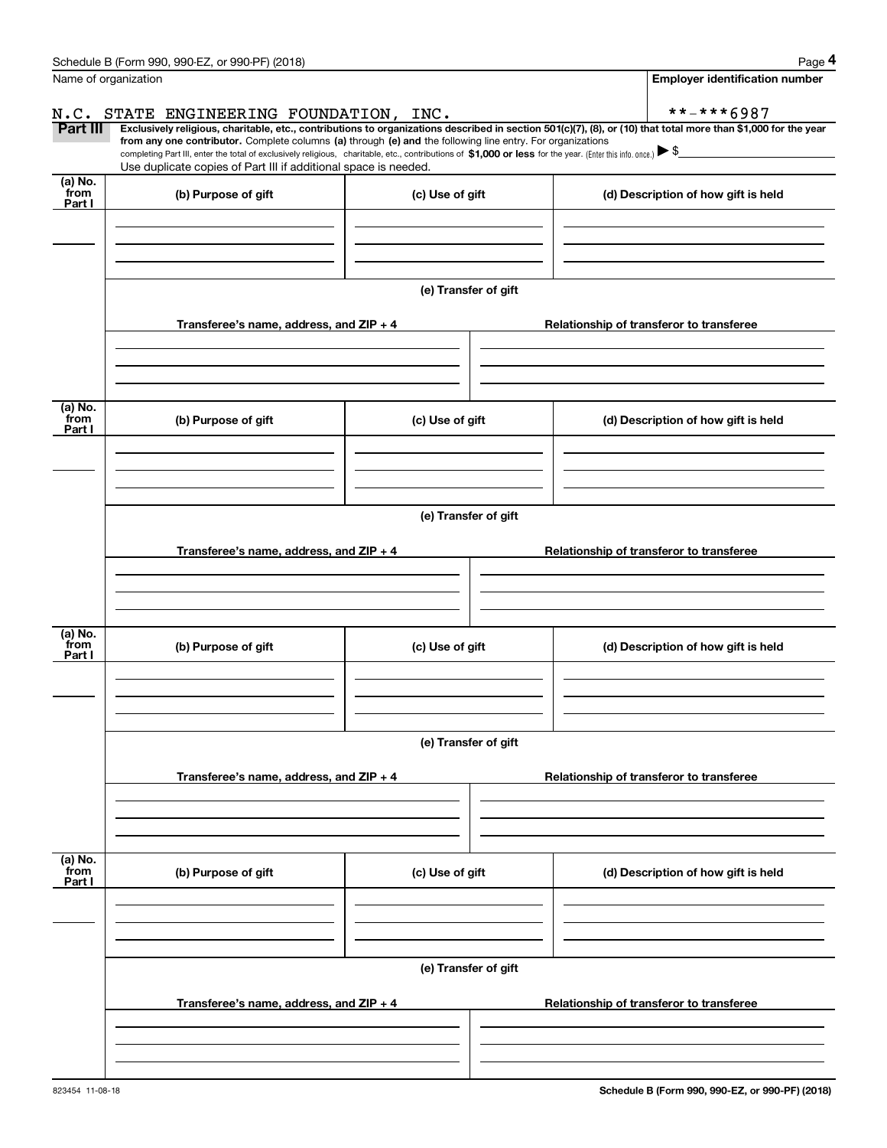|                           | Schedule B (Form 990, 990-EZ, or 990-PF) (2018)                                                                                                                                                                                                       |                      | Page 4                                                                                                                                                         |  |  |  |  |
|---------------------------|-------------------------------------------------------------------------------------------------------------------------------------------------------------------------------------------------------------------------------------------------------|----------------------|----------------------------------------------------------------------------------------------------------------------------------------------------------------|--|--|--|--|
|                           | Name of organization                                                                                                                                                                                                                                  |                      | <b>Employer identification number</b>                                                                                                                          |  |  |  |  |
| N.C.                      | STATE ENGINEERING FOUNDATION, INC.                                                                                                                                                                                                                    |                      | **-***6987                                                                                                                                                     |  |  |  |  |
| Part III                  | from any one contributor. Complete columns (a) through (e) and the following line entry. For organizations                                                                                                                                            |                      | Exclusively religious, charitable, etc., contributions to organizations described in section 501(c)(7), (8), or (10) that total more than \$1,000 for the year |  |  |  |  |
|                           | completing Part III, enter the total of exclusively religious, charitable, etc., contributions of $$1,000$ or less for the year. (Enter this info. once.) $\blacktriangleright$ \$<br>Use duplicate copies of Part III if additional space is needed. |                      |                                                                                                                                                                |  |  |  |  |
| (a) No.                   |                                                                                                                                                                                                                                                       |                      |                                                                                                                                                                |  |  |  |  |
| from<br>Part I            | (b) Purpose of gift                                                                                                                                                                                                                                   | (c) Use of gift      | (d) Description of how gift is held                                                                                                                            |  |  |  |  |
|                           |                                                                                                                                                                                                                                                       |                      |                                                                                                                                                                |  |  |  |  |
|                           |                                                                                                                                                                                                                                                       |                      |                                                                                                                                                                |  |  |  |  |
|                           |                                                                                                                                                                                                                                                       |                      |                                                                                                                                                                |  |  |  |  |
|                           |                                                                                                                                                                                                                                                       | (e) Transfer of gift |                                                                                                                                                                |  |  |  |  |
|                           | Transferee's name, address, and ZIP + 4                                                                                                                                                                                                               |                      | Relationship of transferor to transferee                                                                                                                       |  |  |  |  |
|                           |                                                                                                                                                                                                                                                       |                      |                                                                                                                                                                |  |  |  |  |
|                           |                                                                                                                                                                                                                                                       |                      |                                                                                                                                                                |  |  |  |  |
|                           |                                                                                                                                                                                                                                                       |                      |                                                                                                                                                                |  |  |  |  |
| (a) No.                   |                                                                                                                                                                                                                                                       |                      |                                                                                                                                                                |  |  |  |  |
| from<br>Part I            | (b) Purpose of gift                                                                                                                                                                                                                                   | (c) Use of gift      | (d) Description of how gift is held                                                                                                                            |  |  |  |  |
|                           |                                                                                                                                                                                                                                                       |                      |                                                                                                                                                                |  |  |  |  |
|                           |                                                                                                                                                                                                                                                       |                      |                                                                                                                                                                |  |  |  |  |
|                           |                                                                                                                                                                                                                                                       |                      |                                                                                                                                                                |  |  |  |  |
|                           | (e) Transfer of gift                                                                                                                                                                                                                                  |                      |                                                                                                                                                                |  |  |  |  |
|                           | Transferee's name, address, and ZIP + 4                                                                                                                                                                                                               |                      | Relationship of transferor to transferee                                                                                                                       |  |  |  |  |
|                           |                                                                                                                                                                                                                                                       |                      |                                                                                                                                                                |  |  |  |  |
|                           |                                                                                                                                                                                                                                                       |                      |                                                                                                                                                                |  |  |  |  |
|                           |                                                                                                                                                                                                                                                       |                      |                                                                                                                                                                |  |  |  |  |
| (a) No.<br>from           | (b) Purpose of gift                                                                                                                                                                                                                                   | (c) Use of gift      | (d) Description of how gift is held                                                                                                                            |  |  |  |  |
| Part I                    |                                                                                                                                                                                                                                                       |                      |                                                                                                                                                                |  |  |  |  |
|                           |                                                                                                                                                                                                                                                       |                      |                                                                                                                                                                |  |  |  |  |
|                           |                                                                                                                                                                                                                                                       |                      |                                                                                                                                                                |  |  |  |  |
|                           |                                                                                                                                                                                                                                                       | (e) Transfer of gift |                                                                                                                                                                |  |  |  |  |
|                           |                                                                                                                                                                                                                                                       |                      |                                                                                                                                                                |  |  |  |  |
|                           | Transferee's name, address, and $ZIP + 4$                                                                                                                                                                                                             |                      | Relationship of transferor to transferee                                                                                                                       |  |  |  |  |
|                           |                                                                                                                                                                                                                                                       |                      |                                                                                                                                                                |  |  |  |  |
|                           |                                                                                                                                                                                                                                                       |                      |                                                                                                                                                                |  |  |  |  |
|                           |                                                                                                                                                                                                                                                       |                      |                                                                                                                                                                |  |  |  |  |
| (a) No.<br>from<br>Part I | (b) Purpose of gift                                                                                                                                                                                                                                   | (c) Use of gift      | (d) Description of how gift is held                                                                                                                            |  |  |  |  |
|                           |                                                                                                                                                                                                                                                       |                      |                                                                                                                                                                |  |  |  |  |
|                           |                                                                                                                                                                                                                                                       |                      |                                                                                                                                                                |  |  |  |  |
|                           |                                                                                                                                                                                                                                                       |                      |                                                                                                                                                                |  |  |  |  |
|                           |                                                                                                                                                                                                                                                       | (e) Transfer of gift |                                                                                                                                                                |  |  |  |  |
|                           |                                                                                                                                                                                                                                                       |                      |                                                                                                                                                                |  |  |  |  |
|                           | Transferee's name, address, and $ZIP + 4$                                                                                                                                                                                                             |                      | Relationship of transferor to transferee                                                                                                                       |  |  |  |  |
|                           |                                                                                                                                                                                                                                                       |                      |                                                                                                                                                                |  |  |  |  |
|                           |                                                                                                                                                                                                                                                       |                      |                                                                                                                                                                |  |  |  |  |
|                           |                                                                                                                                                                                                                                                       |                      |                                                                                                                                                                |  |  |  |  |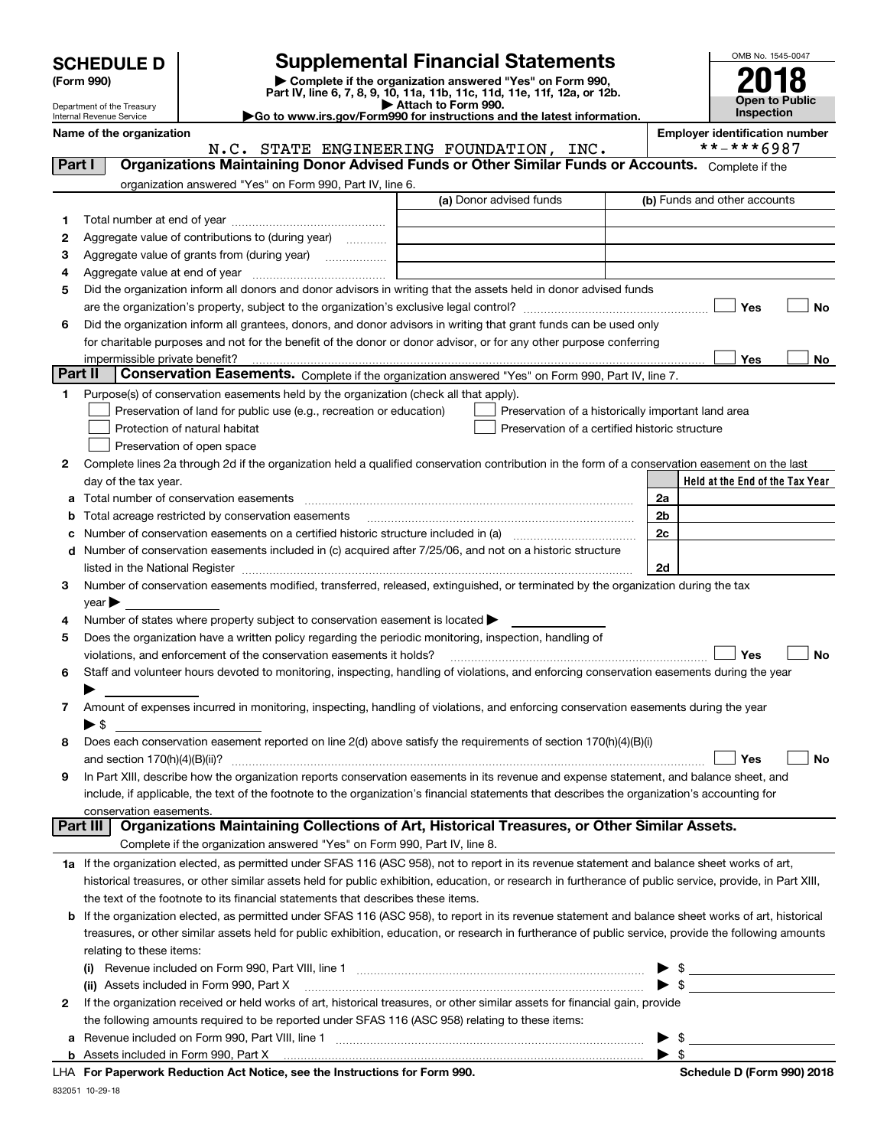| <b>SCHEDULE D</b> |  |
|-------------------|--|
|-------------------|--|

| (Form 990) |  |
|------------|--|
|------------|--|

# **SCHEDULE D Supplemental Financial Statements**

(Form 990)<br>
Pepartment of the Treasury<br>
Department of the Treasury<br>
Department of the Treasury<br>
Department of the Treasury<br> **Co to www.irs.gov/Form990 for instructions and the latest information.**<br> **Co to www.irs.gov/Form9** 



Department of the Treasury Internal Revenue Service

|         | Name of the organization                                                                                                                                                                                                      | N.C. STATE ENGINEERING FOUNDATION, INC. | <b>Employer identification number</b><br>**-***6987 |
|---------|-------------------------------------------------------------------------------------------------------------------------------------------------------------------------------------------------------------------------------|-----------------------------------------|-----------------------------------------------------|
| Part I  | Organizations Maintaining Donor Advised Funds or Other Similar Funds or Accounts. Complete if the                                                                                                                             |                                         |                                                     |
|         | organization answered "Yes" on Form 990, Part IV, line 6.                                                                                                                                                                     |                                         |                                                     |
|         |                                                                                                                                                                                                                               | (a) Donor advised funds                 | (b) Funds and other accounts                        |
| 1       |                                                                                                                                                                                                                               |                                         |                                                     |
| 2       | Aggregate value of contributions to (during year)                                                                                                                                                                             |                                         |                                                     |
| з       | Aggregate value of grants from (during year)                                                                                                                                                                                  |                                         |                                                     |
| 4       |                                                                                                                                                                                                                               |                                         |                                                     |
| 5       | Did the organization inform all donors and donor advisors in writing that the assets held in donor advised funds                                                                                                              |                                         |                                                     |
|         |                                                                                                                                                                                                                               |                                         | Yes<br>No                                           |
| 6       | Did the organization inform all grantees, donors, and donor advisors in writing that grant funds can be used only                                                                                                             |                                         |                                                     |
|         | for charitable purposes and not for the benefit of the donor or donor advisor, or for any other purpose conferring                                                                                                            |                                         |                                                     |
|         | impermissible private benefit?                                                                                                                                                                                                |                                         | Yes<br>No                                           |
| Part II | Conservation Easements. Complete if the organization answered "Yes" on Form 990, Part IV, line 7.                                                                                                                             |                                         |                                                     |
| 1       | Purpose(s) of conservation easements held by the organization (check all that apply).                                                                                                                                         |                                         |                                                     |
|         | Preservation of land for public use (e.g., recreation or education)                                                                                                                                                           |                                         | Preservation of a historically important land area  |
|         | Protection of natural habitat                                                                                                                                                                                                 |                                         | Preservation of a certified historic structure      |
|         | Preservation of open space                                                                                                                                                                                                    |                                         |                                                     |
| 2       | Complete lines 2a through 2d if the organization held a qualified conservation contribution in the form of a conservation easement on the last                                                                                |                                         |                                                     |
|         | day of the tax year.                                                                                                                                                                                                          |                                         | Held at the End of the Tax Year                     |
| а       |                                                                                                                                                                                                                               |                                         | 2a                                                  |
| b       | Total acreage restricted by conservation easements                                                                                                                                                                            |                                         | 2 <sub>b</sub>                                      |
| с       |                                                                                                                                                                                                                               |                                         | 2c                                                  |
| d       | Number of conservation easements included in (c) acquired after 7/25/06, and not on a historic structure                                                                                                                      |                                         |                                                     |
|         | listed in the National Register [11, 1200] [12] The National Register [11, 1200] [12] The National Register [11, 1200] [12] The National Register [11, 1200] [12] The National Register [11, 1200] [12] The National Register |                                         | 2d                                                  |
| З.      | Number of conservation easements modified, transferred, released, extinguished, or terminated by the organization during the tax                                                                                              |                                         |                                                     |
|         | $year \blacktriangleright$                                                                                                                                                                                                    |                                         |                                                     |
| 4       | Number of states where property subject to conservation easement is located >                                                                                                                                                 |                                         |                                                     |
| 5       | Does the organization have a written policy regarding the periodic monitoring, inspection, handling of                                                                                                                        |                                         |                                                     |
|         | violations, and enforcement of the conservation easements it holds?                                                                                                                                                           |                                         | Yes<br><b>No</b>                                    |
| 6       | Staff and volunteer hours devoted to monitoring, inspecting, handling of violations, and enforcing conservation easements during the year                                                                                     |                                         |                                                     |
|         |                                                                                                                                                                                                                               |                                         |                                                     |
| 7       | Amount of expenses incurred in monitoring, inspecting, handling of violations, and enforcing conservation easements during the year<br>$\blacktriangleright$ \$                                                               |                                         |                                                     |
|         | Does each conservation easement reported on line 2(d) above satisfy the requirements of section 170(h)(4)(B)(i)                                                                                                               |                                         |                                                     |
| 8       |                                                                                                                                                                                                                               |                                         | No<br>Yes                                           |
|         | In Part XIII, describe how the organization reports conservation easements in its revenue and expense statement, and balance sheet, and                                                                                       |                                         |                                                     |
|         | include, if applicable, the text of the footnote to the organization's financial statements that describes the organization's accounting for                                                                                  |                                         |                                                     |
|         | conservation easements.                                                                                                                                                                                                       |                                         |                                                     |
|         | Organizations Maintaining Collections of Art, Historical Treasures, or Other Similar Assets.<br>Part III                                                                                                                      |                                         |                                                     |
|         | Complete if the organization answered "Yes" on Form 990, Part IV, line 8.                                                                                                                                                     |                                         |                                                     |
|         | 1a If the organization elected, as permitted under SFAS 116 (ASC 958), not to report in its revenue statement and balance sheet works of art,                                                                                 |                                         |                                                     |
|         | historical treasures, or other similar assets held for public exhibition, education, or research in furtherance of public service, provide, in Part XIII,                                                                     |                                         |                                                     |
|         | the text of the footnote to its financial statements that describes these items.                                                                                                                                              |                                         |                                                     |
| b       | If the organization elected, as permitted under SFAS 116 (ASC 958), to report in its revenue statement and balance sheet works of art, historical                                                                             |                                         |                                                     |
|         | treasures, or other similar assets held for public exhibition, education, or research in furtherance of public service, provide the following amounts                                                                         |                                         |                                                     |
|         | relating to these items:                                                                                                                                                                                                      |                                         |                                                     |
|         |                                                                                                                                                                                                                               |                                         |                                                     |
|         | (ii) Assets included in Form 990, Part X                                                                                                                                                                                      |                                         | $\blacktriangleright$ \$                            |
| 2       | If the organization received or held works of art, historical treasures, or other similar assets for financial gain, provide                                                                                                  |                                         |                                                     |
|         | the following amounts required to be reported under SFAS 116 (ASC 958) relating to these items:                                                                                                                               |                                         |                                                     |
| а       |                                                                                                                                                                                                                               |                                         | $\blacktriangleright$ \$                            |
|         |                                                                                                                                                                                                                               |                                         | $\blacktriangleright$ \$                            |

|  | LHA For Paperwork Reduction Act Notice, see the Instructions for Form 990. |  |  |  |  |  |
|--|----------------------------------------------------------------------------|--|--|--|--|--|
|--|----------------------------------------------------------------------------|--|--|--|--|--|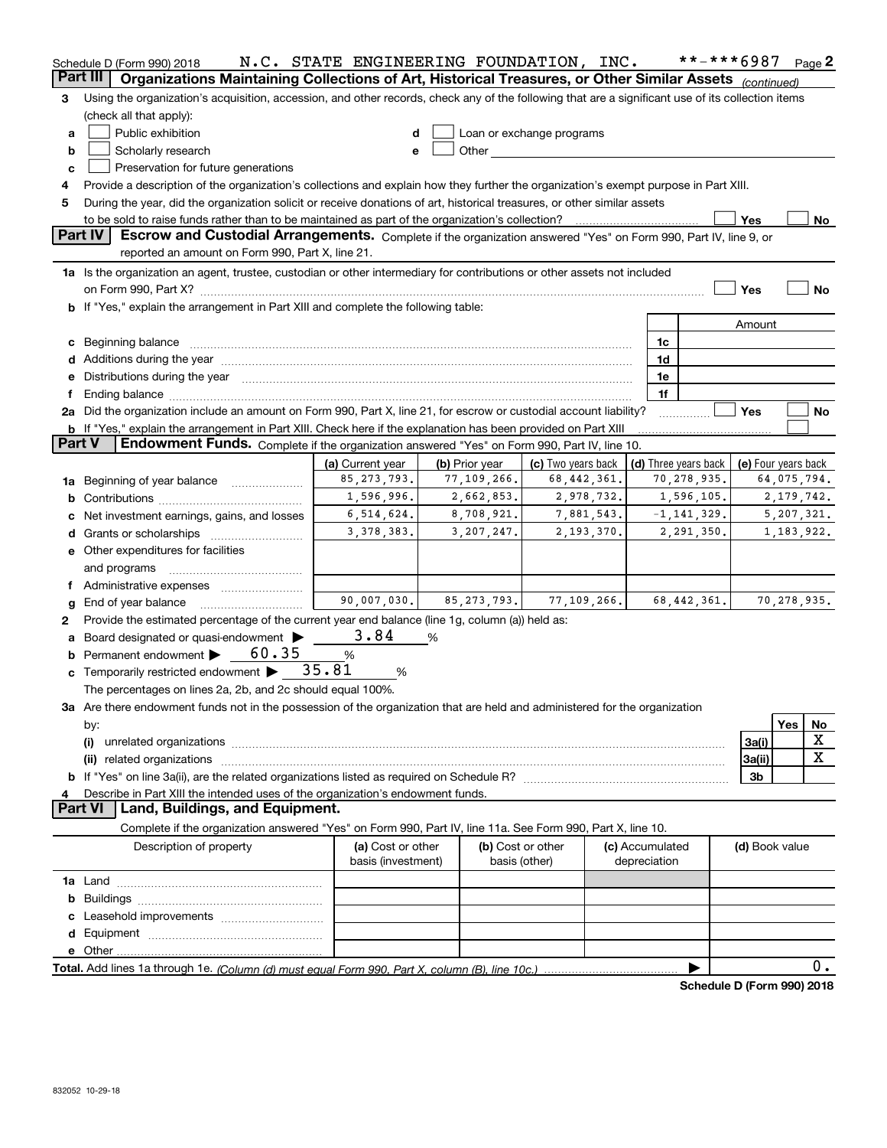|               | Schedule D (Form 990) 2018                                                                                                                                                                                                     | N.C. STATE ENGINEERING FOUNDATION, INC. |                |                                                                                                                                                                                                                               |                                 | **-***6987           |                     |     | Page 2      |  |  |  |  |
|---------------|--------------------------------------------------------------------------------------------------------------------------------------------------------------------------------------------------------------------------------|-----------------------------------------|----------------|-------------------------------------------------------------------------------------------------------------------------------------------------------------------------------------------------------------------------------|---------------------------------|----------------------|---------------------|-----|-------------|--|--|--|--|
|               | Part III<br>Organizations Maintaining Collections of Art, Historical Treasures, or Other Similar Assets (continued)                                                                                                            |                                         |                |                                                                                                                                                                                                                               |                                 |                      |                     |     |             |  |  |  |  |
| 3             | Using the organization's acquisition, accession, and other records, check any of the following that are a significant use of its collection items                                                                              |                                         |                |                                                                                                                                                                                                                               |                                 |                      |                     |     |             |  |  |  |  |
|               | (check all that apply):                                                                                                                                                                                                        |                                         |                |                                                                                                                                                                                                                               |                                 |                      |                     |     |             |  |  |  |  |
| a             | Public exhibition                                                                                                                                                                                                              | d                                       |                | Loan or exchange programs                                                                                                                                                                                                     |                                 |                      |                     |     |             |  |  |  |  |
| b             | Scholarly research                                                                                                                                                                                                             | е                                       |                | Other and the contract of the contract of the contract of the contract of the contract of the contract of the contract of the contract of the contract of the contract of the contract of the contract of the contract of the |                                 |                      |                     |     |             |  |  |  |  |
| c             | Preservation for future generations                                                                                                                                                                                            |                                         |                |                                                                                                                                                                                                                               |                                 |                      |                     |     |             |  |  |  |  |
| 4             | Provide a description of the organization's collections and explain how they further the organization's exempt purpose in Part XIII.                                                                                           |                                         |                |                                                                                                                                                                                                                               |                                 |                      |                     |     |             |  |  |  |  |
| 5             | During the year, did the organization solicit or receive donations of art, historical treasures, or other similar assets                                                                                                       |                                         |                |                                                                                                                                                                                                                               |                                 |                      |                     |     |             |  |  |  |  |
|               | Part IV                                                                                                                                                                                                                        |                                         |                |                                                                                                                                                                                                                               |                                 |                      | Yes                 |     | No          |  |  |  |  |
|               | Escrow and Custodial Arrangements. Complete if the organization answered "Yes" on Form 990, Part IV, line 9, or<br>reported an amount on Form 990, Part X, line 21.                                                            |                                         |                |                                                                                                                                                                                                                               |                                 |                      |                     |     |             |  |  |  |  |
|               |                                                                                                                                                                                                                                |                                         |                |                                                                                                                                                                                                                               |                                 |                      |                     |     |             |  |  |  |  |
|               | 1a Is the organization an agent, trustee, custodian or other intermediary for contributions or other assets not included                                                                                                       |                                         |                |                                                                                                                                                                                                                               |                                 |                      | Yes                 |     | <b>No</b>   |  |  |  |  |
|               | b If "Yes," explain the arrangement in Part XIII and complete the following table:                                                                                                                                             |                                         |                |                                                                                                                                                                                                                               |                                 |                      |                     |     |             |  |  |  |  |
|               |                                                                                                                                                                                                                                |                                         |                |                                                                                                                                                                                                                               |                                 |                      | Amount              |     |             |  |  |  |  |
|               | c Beginning balance manufactured and the contract of Beginning balance manufactured and the contract of the contract of the contract of the contract of the contract of the contract of the contract of the contract of the co |                                         |                |                                                                                                                                                                                                                               | 1c                              |                      |                     |     |             |  |  |  |  |
|               |                                                                                                                                                                                                                                |                                         |                |                                                                                                                                                                                                                               | 1d                              |                      |                     |     |             |  |  |  |  |
|               | Distributions during the year manufactured and an account of the state of the state of the state of the state of the state of the state of the state of the state of the state of the state of the state of the state of the s |                                         |                |                                                                                                                                                                                                                               | 1e                              |                      |                     |     |             |  |  |  |  |
|               |                                                                                                                                                                                                                                |                                         |                |                                                                                                                                                                                                                               | 1f                              |                      |                     |     |             |  |  |  |  |
|               | 2a Did the organization include an amount on Form 990, Part X, line 21, for escrow or custodial account liability?                                                                                                             |                                         |                |                                                                                                                                                                                                                               |                                 |                      | Yes                 |     | No          |  |  |  |  |
|               | <b>b</b> If "Yes," explain the arrangement in Part XIII. Check here if the explanation has been provided on Part XIII                                                                                                          |                                         |                |                                                                                                                                                                                                                               |                                 |                      |                     |     |             |  |  |  |  |
| <b>Part V</b> | Endowment Funds. Complete if the organization answered "Yes" on Form 990, Part IV, line 10.                                                                                                                                    |                                         |                |                                                                                                                                                                                                                               |                                 |                      |                     |     |             |  |  |  |  |
|               |                                                                                                                                                                                                                                | (a) Current year                        | (b) Prior year | (c) Two years back                                                                                                                                                                                                            |                                 | (d) Three years back | (e) Four years back |     |             |  |  |  |  |
| 1a            | Beginning of year balance                                                                                                                                                                                                      | 85, 273, 793.                           | 77,109,266.    | 68,442,361.                                                                                                                                                                                                                   |                                 | 70,278,935.          | 64,075,794.         |     |             |  |  |  |  |
| b             |                                                                                                                                                                                                                                | 1,596,996.                              | 2,662,853.     | 2,978,732.                                                                                                                                                                                                                    |                                 | 1,596,105.           | 2, 179, 742.        |     |             |  |  |  |  |
|               | Net investment earnings, gains, and losses                                                                                                                                                                                     | 6,514,624.                              | 8,708,921.     | 7,881,543.                                                                                                                                                                                                                    |                                 | $-1, 141, 329.$      | 5,207,321.          |     |             |  |  |  |  |
|               |                                                                                                                                                                                                                                | 3, 378, 383.                            | 3,207,247.     | 2, 193, 370.                                                                                                                                                                                                                  |                                 | 2,291,350.           | 1, 183, 922.        |     |             |  |  |  |  |
|               | e Other expenditures for facilities                                                                                                                                                                                            |                                         |                |                                                                                                                                                                                                                               |                                 |                      |                     |     |             |  |  |  |  |
|               | and programs                                                                                                                                                                                                                   |                                         |                |                                                                                                                                                                                                                               |                                 |                      |                     |     |             |  |  |  |  |
|               |                                                                                                                                                                                                                                |                                         |                |                                                                                                                                                                                                                               |                                 |                      |                     |     |             |  |  |  |  |
| g             | End of year balance                                                                                                                                                                                                            | 90,007,030.                             | 85, 273, 793.  | 77, 109, 266.                                                                                                                                                                                                                 |                                 | 68, 442, 361.        |                     |     | 70,278,935. |  |  |  |  |
| 2             | Provide the estimated percentage of the current year end balance (line 1g, column (a)) held as:                                                                                                                                |                                         |                |                                                                                                                                                                                                                               |                                 |                      |                     |     |             |  |  |  |  |
| а             | Board designated or quasi-endowment >                                                                                                                                                                                          | 3.84                                    | %              |                                                                                                                                                                                                                               |                                 |                      |                     |     |             |  |  |  |  |
|               | Permanent endowment > 60.35                                                                                                                                                                                                    | $\%$                                    |                |                                                                                                                                                                                                                               |                                 |                      |                     |     |             |  |  |  |  |
|               | c Temporarily restricted endowment $\blacktriangleright$ 35.81                                                                                                                                                                 | %                                       |                |                                                                                                                                                                                                                               |                                 |                      |                     |     |             |  |  |  |  |
|               | The percentages on lines 2a, 2b, and 2c should equal 100%.<br>3a Are there endowment funds not in the possession of the organization that are held and administered for the organization                                       |                                         |                |                                                                                                                                                                                                                               |                                 |                      |                     |     |             |  |  |  |  |
|               | by:                                                                                                                                                                                                                            |                                         |                |                                                                                                                                                                                                                               |                                 |                      |                     | Yes | No          |  |  |  |  |
|               | (i)                                                                                                                                                                                                                            |                                         |                |                                                                                                                                                                                                                               |                                 |                      | 3a(i)               |     | х           |  |  |  |  |
|               | (ii)                                                                                                                                                                                                                           |                                         |                |                                                                                                                                                                                                                               |                                 |                      | 3a(ii)              |     | x           |  |  |  |  |
|               |                                                                                                                                                                                                                                |                                         |                |                                                                                                                                                                                                                               |                                 |                      | 3 <sub>b</sub>      |     |             |  |  |  |  |
|               | Describe in Part XIII the intended uses of the organization's endowment funds.                                                                                                                                                 |                                         |                |                                                                                                                                                                                                                               |                                 |                      |                     |     |             |  |  |  |  |
|               | <b>Part VI</b><br>Land, Buildings, and Equipment.                                                                                                                                                                              |                                         |                |                                                                                                                                                                                                                               |                                 |                      |                     |     |             |  |  |  |  |
|               | Complete if the organization answered "Yes" on Form 990, Part IV, line 11a. See Form 990, Part X, line 10.                                                                                                                     |                                         |                |                                                                                                                                                                                                                               |                                 |                      |                     |     |             |  |  |  |  |
|               | Description of property                                                                                                                                                                                                        | (a) Cost or other<br>basis (investment) |                | (b) Cost or other<br>basis (other)                                                                                                                                                                                            | (c) Accumulated<br>depreciation |                      | (d) Book value      |     |             |  |  |  |  |
|               |                                                                                                                                                                                                                                |                                         |                |                                                                                                                                                                                                                               |                                 |                      |                     |     |             |  |  |  |  |
|               |                                                                                                                                                                                                                                |                                         |                |                                                                                                                                                                                                                               |                                 |                      |                     |     |             |  |  |  |  |
|               |                                                                                                                                                                                                                                |                                         |                |                                                                                                                                                                                                                               |                                 |                      |                     |     |             |  |  |  |  |
|               |                                                                                                                                                                                                                                |                                         |                |                                                                                                                                                                                                                               |                                 |                      |                     |     |             |  |  |  |  |
|               |                                                                                                                                                                                                                                |                                         |                |                                                                                                                                                                                                                               |                                 |                      |                     |     |             |  |  |  |  |
|               |                                                                                                                                                                                                                                |                                         |                |                                                                                                                                                                                                                               |                                 |                      |                     |     | $0$ .       |  |  |  |  |
|               |                                                                                                                                                                                                                                |                                         |                |                                                                                                                                                                                                                               |                                 |                      |                     |     |             |  |  |  |  |

**Schedule D (Form 990) 2018**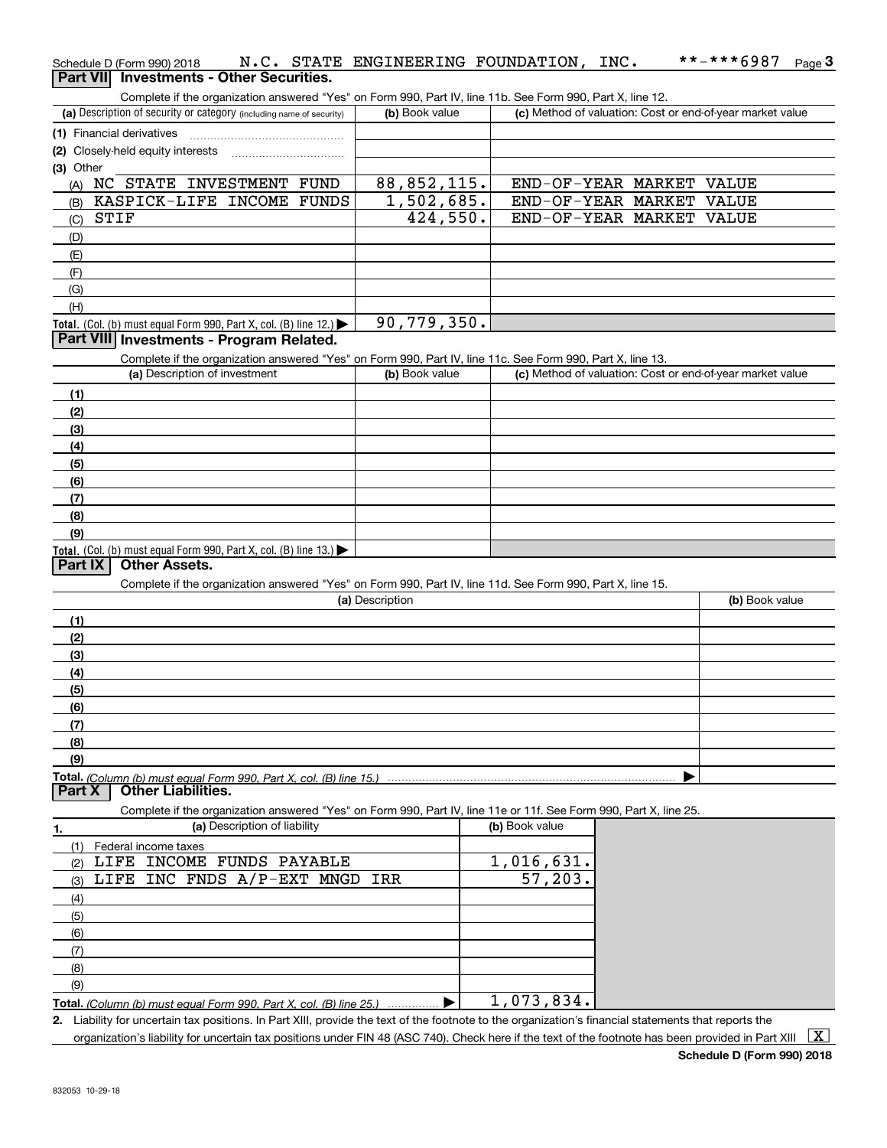| Schedule D (Form 990) 2018                      |  | N.C. STATE ENGINEERING FOUNDATION.                                                                         | INC. | **-***6987 | Page $3$ |
|-------------------------------------------------|--|------------------------------------------------------------------------------------------------------------|------|------------|----------|
| <b>Part VII</b> Investments - Other Securities. |  |                                                                                                            |      |            |          |
|                                                 |  | Complete if the organization answered "Yes" on Form 990. Part IV, line 11b, See Form 990, Part X, line 12. |      |            |          |

| (a) Description of security or category (including name of security)                                              | (b) Book value  | (c) Method of valuation: Cost or end-of-year market value |                |
|-------------------------------------------------------------------------------------------------------------------|-----------------|-----------------------------------------------------------|----------------|
| (1) Financial derivatives                                                                                         |                 |                                                           |                |
| (2) Closely-held equity interests                                                                                 |                 |                                                           |                |
| (3) Other                                                                                                         |                 |                                                           |                |
| (A) NC STATE INVESTMENT FUND                                                                                      | 88,852,115.     | END-OF-YEAR MARKET VALUE                                  |                |
| KASPICK-LIFE INCOME FUNDS<br>(B)                                                                                  | 1,502,685.      | END-OF-YEAR MARKET VALUE                                  |                |
| STIF<br>(C)                                                                                                       | 424,550.        | END-OF-YEAR MARKET VALUE                                  |                |
| (D)                                                                                                               |                 |                                                           |                |
| (E)                                                                                                               |                 |                                                           |                |
|                                                                                                                   |                 |                                                           |                |
| (F)                                                                                                               |                 |                                                           |                |
| (G)                                                                                                               |                 |                                                           |                |
| (H)                                                                                                               |                 |                                                           |                |
| Total. (Col. (b) must equal Form 990, Part X, col. (B) line 12.)                                                  | 90,779,350.     |                                                           |                |
| Part VIII Investments - Program Related.                                                                          |                 |                                                           |                |
| Complete if the organization answered "Yes" on Form 990, Part IV, line 11c. See Form 990, Part X, line 13.        |                 |                                                           |                |
| (a) Description of investment                                                                                     | (b) Book value  | (c) Method of valuation: Cost or end-of-year market value |                |
| (1)                                                                                                               |                 |                                                           |                |
| (2)                                                                                                               |                 |                                                           |                |
| (3)                                                                                                               |                 |                                                           |                |
| (4)                                                                                                               |                 |                                                           |                |
| (5)                                                                                                               |                 |                                                           |                |
| (6)                                                                                                               |                 |                                                           |                |
| (7)                                                                                                               |                 |                                                           |                |
| (8)                                                                                                               |                 |                                                           |                |
| (9)                                                                                                               |                 |                                                           |                |
| Total. (Col. (b) must equal Form 990, Part X, col. (B) line 13.)                                                  |                 |                                                           |                |
| Part IX<br><b>Other Assets.</b>                                                                                   |                 |                                                           |                |
| Complete if the organization answered "Yes" on Form 990, Part IV, line 11d. See Form 990, Part X, line 15.        |                 |                                                           |                |
|                                                                                                                   | (a) Description |                                                           | (b) Book value |
| (1)                                                                                                               |                 |                                                           |                |
| (2)                                                                                                               |                 |                                                           |                |
| (3)                                                                                                               |                 |                                                           |                |
| (4)                                                                                                               |                 |                                                           |                |
|                                                                                                                   |                 |                                                           |                |
| (5)                                                                                                               |                 |                                                           |                |
| (6)                                                                                                               |                 |                                                           |                |
| (7)                                                                                                               |                 |                                                           |                |
| (8)                                                                                                               |                 |                                                           |                |
| (9)                                                                                                               |                 |                                                           |                |
| Part X<br><b>Other Liabilities.</b>                                                                               |                 |                                                           |                |
|                                                                                                                   |                 |                                                           |                |
| Complete if the organization answered "Yes" on Form 990, Part IV, line 11e or 11f. See Form 990, Part X, line 25. |                 |                                                           |                |
| (a) Description of liability<br>1.                                                                                |                 | (b) Book value                                            |                |
| (1) Federal income taxes                                                                                          |                 |                                                           |                |
| LIFE INCOME FUNDS PAYABLE<br>(2)                                                                                  |                 | 1,016,631.                                                |                |
| LIFE INC FNDS A/P-EXT MNGD IRR<br>(3)                                                                             |                 |                                                           |                |
|                                                                                                                   |                 | 57,203.                                                   |                |
| (4)                                                                                                               |                 |                                                           |                |
| (5)                                                                                                               |                 |                                                           |                |

**Total.**  *(Column (b) must equal Form 990, Part X, col. (B) line 25.)* (9)  $\blacktriangleright$ 1,073,834.

**2.** Liability for uncertain tax positions. In Part XIII, provide the text of the footnote to the organization's financial statements that reports the

organization's liability for uncertain tax positions under FIN 48 (ASC 740). Check here if the text of the footnote has been provided in Part XIII  $~\boxed{\rm X}$ 

(7) (8)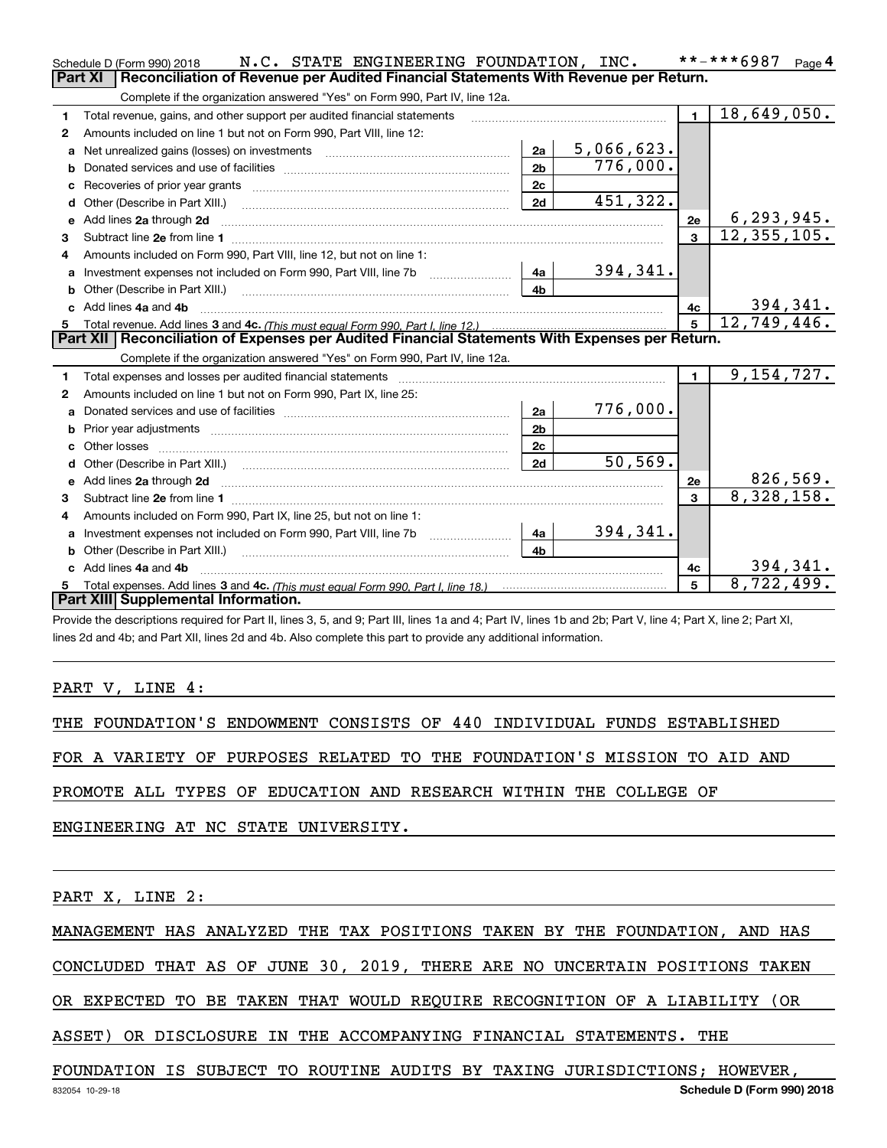|    | N.C. STATE ENGINEERING FOUNDATION, INC.<br>Schedule D (Form 990) 2018                                                                                                                                                               |                |            |                | **-***6987<br>Page $4$    |
|----|-------------------------------------------------------------------------------------------------------------------------------------------------------------------------------------------------------------------------------------|----------------|------------|----------------|---------------------------|
|    | <b>Part XI</b><br>Reconciliation of Revenue per Audited Financial Statements With Revenue per Return.                                                                                                                               |                |            |                |                           |
|    | Complete if the organization answered "Yes" on Form 990, Part IV, line 12a.                                                                                                                                                         |                |            |                |                           |
| 1  | Total revenue, gains, and other support per audited financial statements                                                                                                                                                            |                |            | $\blacksquare$ | $\overline{18,649,050}$ . |
| 2  | Amounts included on line 1 but not on Form 990, Part VIII, line 12:                                                                                                                                                                 |                |            |                |                           |
| a  | Net unrealized gains (losses) on investments [11] matter contracts and the unrealized gains (losses) on investments                                                                                                                 | 2a             | 5,066,623. |                |                           |
|    |                                                                                                                                                                                                                                     | 2 <sub>b</sub> | 776,000.   |                |                           |
| с  |                                                                                                                                                                                                                                     | 2 <sub>c</sub> |            |                |                           |
| d  | Other (Describe in Part XIII.) <b>2006</b> 2007 2010 2010 2010 2010 2011 2012 2013 2014 2014 2015 2016 2017 2018 2019 2016 2017 2018 2019 2016 2017 2018 2019 2016 2017 2018 2019 2018 2019 2019 2016 2017 2018 2019 2018 2019 2019 | 2d             | 451,322.   |                |                           |
| е  | Add lines 2a through 2d                                                                                                                                                                                                             |                |            | 2e             | 6, 293, 945.              |
| З. |                                                                                                                                                                                                                                     |                |            |                | 12, 355, 105.             |
| 4  | Amounts included on Form 990, Part VIII, line 12, but not on line 1:                                                                                                                                                                |                |            |                |                           |
|    |                                                                                                                                                                                                                                     | l 4a l         | 394,341.   |                |                           |
| b  |                                                                                                                                                                                                                                     | 4 <sub>h</sub> |            |                |                           |
|    | Add lines 4a and 4b                                                                                                                                                                                                                 |                |            | 4c             | 394,341.                  |
| 5. |                                                                                                                                                                                                                                     |                |            | 5              | 12,749,446.               |
|    |                                                                                                                                                                                                                                     |                |            |                |                           |
|    | Part XII   Reconciliation of Expenses per Audited Financial Statements With Expenses per Return.                                                                                                                                    |                |            |                |                           |
|    | Complete if the organization answered "Yes" on Form 990, Part IV, line 12a.                                                                                                                                                         |                |            |                |                           |
| 1  |                                                                                                                                                                                                                                     |                |            | $\mathbf{1}$   | 9, 154, 727.              |
| 2  | Amounts included on line 1 but not on Form 990, Part IX, line 25:                                                                                                                                                                   |                |            |                |                           |
| a  |                                                                                                                                                                                                                                     | 2a             | 776,000.   |                |                           |
|    |                                                                                                                                                                                                                                     | 2 <sub>b</sub> |            |                |                           |
| c  |                                                                                                                                                                                                                                     | 2c             |            |                |                           |
|    |                                                                                                                                                                                                                                     | 2d             | 50, 569.   |                |                           |
|    |                                                                                                                                                                                                                                     |                |            | 2e             | 826,569.                  |
| З. |                                                                                                                                                                                                                                     |                |            | $\mathbf{3}$   | 8,328,158.                |
| 4  | Amounts included on Form 990, Part IX, line 25, but not on line 1:                                                                                                                                                                  |                |            |                |                           |
| a  | Investment expenses not included on Form 990, Part VIII, line 7b [1000000000000000000000000000000000                                                                                                                                | 4a             | 394,341.   |                |                           |
|    |                                                                                                                                                                                                                                     | 4b             |            |                |                           |
|    | Add lines 4a and 4b                                                                                                                                                                                                                 |                |            | 4c             | 394,341.                  |
| 5. | Part XIII Supplemental Information.                                                                                                                                                                                                 |                |            |                | 8,722,499.                |

Provide the descriptions required for Part II, lines 3, 5, and 9; Part III, lines 1a and 4; Part IV, lines 1b and 2b; Part V, line 4; Part X, line 2; Part XI, lines 2d and 4b; and Part XII, lines 2d and 4b. Also complete this part to provide any additional information.

PART V, LINE 4:

THE FOUNDATION'S ENDOWMENT CONSISTS OF 440 INDIVIDUAL FUNDS ESTABLISHED

FOR A VARIETY OF PURPOSES RELATED TO THE FOUNDATION'S MISSION TO AID AND

PROMOTE ALL TYPES OF EDUCATION AND RESEARCH WITHIN THE COLLEGE OF

ENGINEERING AT NC STATE UNIVERSITY.

PART X, LINE 2:

MANAGEMENT HAS ANALYZED THE TAX POSITIONS TAKEN BY THE FOUNDATION, AND HAS

CONCLUDED THAT AS OF JUNE 30, 2019, THERE ARE NO UNCERTAIN POSITIONS TAKEN

OR EXPECTED TO BE TAKEN THAT WOULD REQUIRE RECOGNITION OF A LIABILITY (OR

ASSET) OR DISCLOSURE IN THE ACCOMPANYING FINANCIAL STATEMENTS. THE

FOUNDATION IS SUBJECT TO ROUTINE AUDITS BY TAXING JURISDICTIONS; HOWEVER,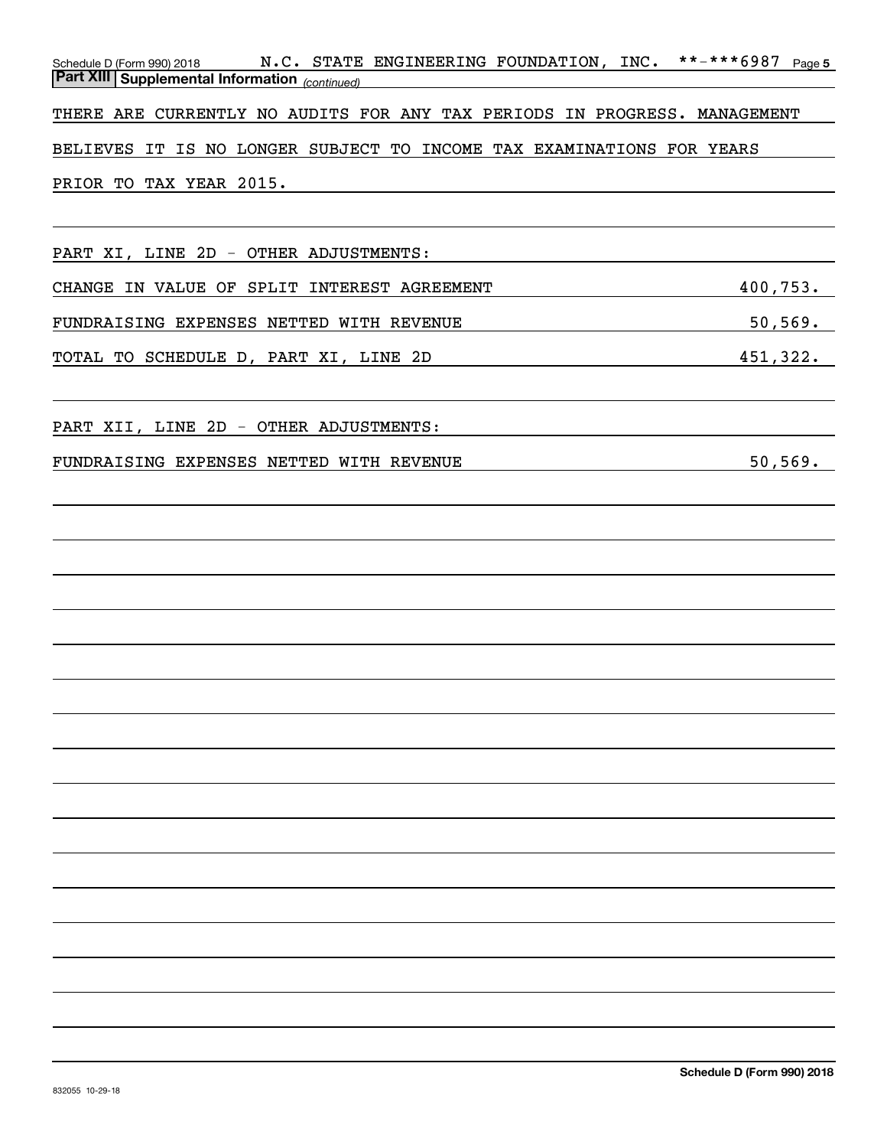| Schedule D (Form 990) 2018 N.C. STATE ENGINEERING FOUNDATION, INC. **-***6987 Page 5<br><b>Part XIII Supplemental Information</b> (continued)                  |            |
|----------------------------------------------------------------------------------------------------------------------------------------------------------------|------------|
| THERE ARE CURRENTLY NO AUDITS FOR ANY TAX PERIODS IN PROGRESS. MANAGEMENT                                                                                      |            |
| BELIEVES IT IS NO LONGER SUBJECT TO INCOME TAX EXAMINATIONS FOR YEARS                                                                                          |            |
| PRIOR TO TAX YEAR 2015.<br><u> 1989 - John Stein, september 1989 - John Stein, september 1989 - John Stein, september 1989 - John Stein, sep</u>               |            |
|                                                                                                                                                                |            |
| PART XI, LINE 2D - OTHER ADJUSTMENTS:                                                                                                                          |            |
| CHANGE IN VALUE OF SPLIT INTEREST AGREEMENT                                                                                                                    | 400,753.   |
| FUNDRAISING EXPENSES NETTED WITH REVENUE<br><u> 1989 - Johann Barn, fransk politik (d. 1989)</u>                                                               | $50,569$ . |
| TOTAL TO SCHEDULE D, PART XI, LINE 2D<br><u> 1989 - Johann Barn, mars ann an t-Amhair an t-Amhair an t-Amhair an t-Amhair an t-Amhair an t-Amhair an t-Amh</u> | 451,322.   |
| PART XII, LINE 2D - OTHER ADJUSTMENTS:                                                                                                                         |            |
| FUNDRAISING EXPENSES NETTED WITH REVENUE                                                                                                                       | 50, 569.   |
|                                                                                                                                                                |            |
|                                                                                                                                                                |            |
|                                                                                                                                                                |            |
|                                                                                                                                                                |            |
|                                                                                                                                                                |            |
|                                                                                                                                                                |            |
|                                                                                                                                                                |            |
|                                                                                                                                                                |            |
|                                                                                                                                                                |            |
|                                                                                                                                                                |            |
|                                                                                                                                                                |            |
|                                                                                                                                                                |            |
|                                                                                                                                                                |            |
|                                                                                                                                                                |            |
|                                                                                                                                                                |            |
|                                                                                                                                                                |            |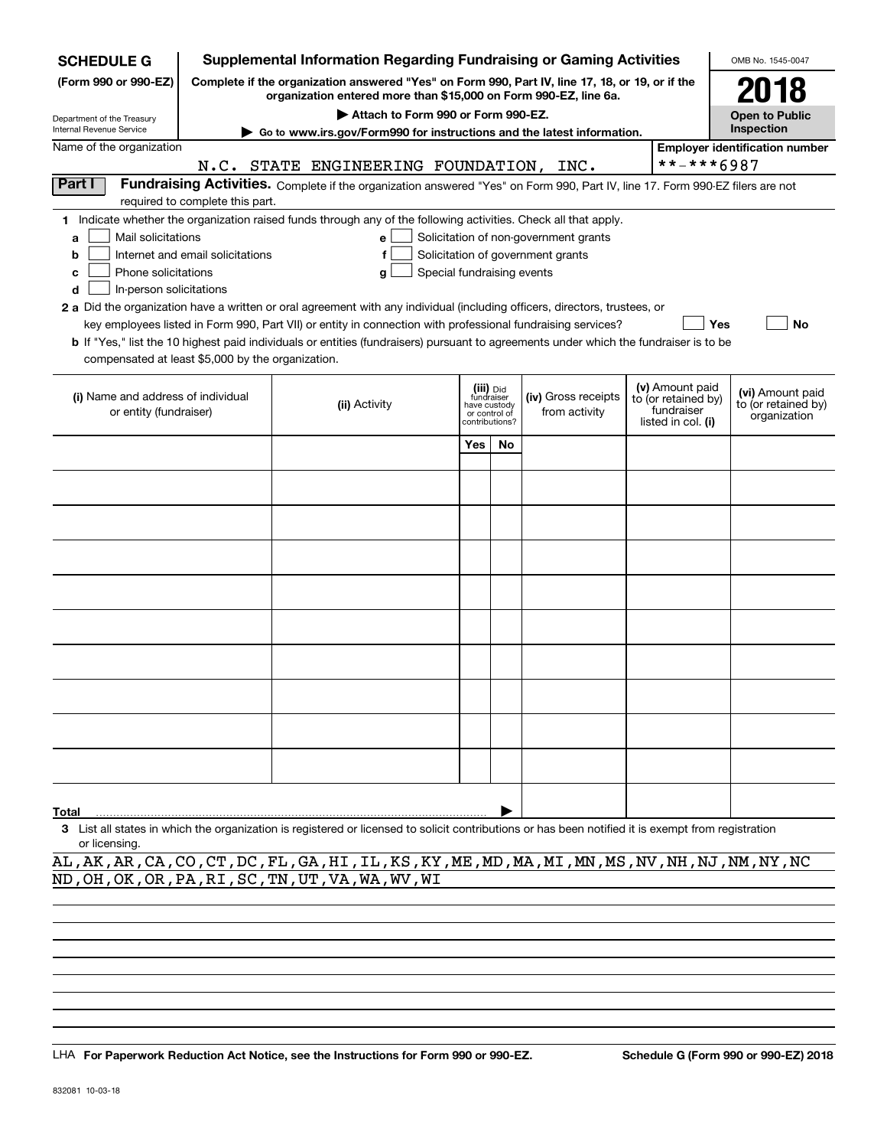| <b>SCHEDULE G</b>                                                                                                                                                          |                                                                                                                                                                     | <b>Supplemental Information Regarding Fundraising or Gaming Activities</b>                                                                         |      |                                 |                                       |  |                                   | OMB No. 1545-0047                     |  |  |  |  |
|----------------------------------------------------------------------------------------------------------------------------------------------------------------------------|---------------------------------------------------------------------------------------------------------------------------------------------------------------------|----------------------------------------------------------------------------------------------------------------------------------------------------|------|---------------------------------|---------------------------------------|--|-----------------------------------|---------------------------------------|--|--|--|--|
| (Form 990 or 990-EZ)                                                                                                                                                       | Complete if the organization answered "Yes" on Form 990, Part IV, line 17, 18, or 19, or if the<br>organization entered more than \$15,000 on Form 990-EZ, line 6a. |                                                                                                                                                    | 2018 |                                 |                                       |  |                                   |                                       |  |  |  |  |
| Department of the Treasury                                                                                                                                                 |                                                                                                                                                                     | Attach to Form 990 or Form 990-EZ.                                                                                                                 |      |                                 |                                       |  |                                   | <b>Open to Public</b>                 |  |  |  |  |
| Internal Revenue Service                                                                                                                                                   |                                                                                                                                                                     | Go to www.irs.gov/Form990 for instructions and the latest information.                                                                             |      |                                 |                                       |  |                                   | Inspection                            |  |  |  |  |
| Name of the organization                                                                                                                                                   |                                                                                                                                                                     |                                                                                                                                                    |      |                                 |                                       |  |                                   | <b>Employer identification number</b> |  |  |  |  |
|                                                                                                                                                                            |                                                                                                                                                                     | N.C. STATE ENGINEERING FOUNDATION, INC.                                                                                                            |      |                                 |                                       |  | **-***6987                        |                                       |  |  |  |  |
| Part I<br>Fundraising Activities. Complete if the organization answered "Yes" on Form 990, Part IV, line 17. Form 990-EZ filers are not<br>required to complete this part. |                                                                                                                                                                     |                                                                                                                                                    |      |                                 |                                       |  |                                   |                                       |  |  |  |  |
|                                                                                                                                                                            |                                                                                                                                                                     | 1 Indicate whether the organization raised funds through any of the following activities. Check all that apply.                                    |      |                                 |                                       |  |                                   |                                       |  |  |  |  |
| Mail solicitations<br>a                                                                                                                                                    |                                                                                                                                                                     | e                                                                                                                                                  |      |                                 | Solicitation of non-government grants |  |                                   |                                       |  |  |  |  |
| b                                                                                                                                                                          | Internet and email solicitations                                                                                                                                    |                                                                                                                                                    |      |                                 | Solicitation of government grants     |  |                                   |                                       |  |  |  |  |
| Phone solicitations<br>c                                                                                                                                                   |                                                                                                                                                                     | Special fundraising events<br>g                                                                                                                    |      |                                 |                                       |  |                                   |                                       |  |  |  |  |
| In-person solicitations<br>d                                                                                                                                               |                                                                                                                                                                     |                                                                                                                                                    |      |                                 |                                       |  |                                   |                                       |  |  |  |  |
|                                                                                                                                                                            |                                                                                                                                                                     | 2 a Did the organization have a written or oral agreement with any individual (including officers, directors, trustees, or                         |      |                                 |                                       |  |                                   |                                       |  |  |  |  |
|                                                                                                                                                                            |                                                                                                                                                                     | key employees listed in Form 990, Part VII) or entity in connection with professional fundraising services?                                        |      |                                 |                                       |  |                                   | Yes<br>No                             |  |  |  |  |
|                                                                                                                                                                            |                                                                                                                                                                     | <b>b</b> If "Yes," list the 10 highest paid individuals or entities (fundraisers) pursuant to agreements under which the fundraiser is to be       |      |                                 |                                       |  |                                   |                                       |  |  |  |  |
| compensated at least \$5,000 by the organization.                                                                                                                          |                                                                                                                                                                     |                                                                                                                                                    |      |                                 |                                       |  |                                   |                                       |  |  |  |  |
|                                                                                                                                                                            |                                                                                                                                                                     |                                                                                                                                                    |      | (iii) Did<br>fundraiser         |                                       |  | (v) Amount paid                   | (vi) Amount paid                      |  |  |  |  |
| (i) Name and address of individual                                                                                                                                         |                                                                                                                                                                     | (ii) Activity                                                                                                                                      |      | have custody                    | (iv) Gross receipts                   |  | to (or retained by)<br>fundraiser | to (or retained by)                   |  |  |  |  |
| or entity (fundraiser)                                                                                                                                                     |                                                                                                                                                                     |                                                                                                                                                    |      | or control of<br>contributions? | from activity                         |  | listed in col. (i)                | organization                          |  |  |  |  |
|                                                                                                                                                                            |                                                                                                                                                                     |                                                                                                                                                    | Yes  | <b>No</b>                       |                                       |  |                                   |                                       |  |  |  |  |
|                                                                                                                                                                            |                                                                                                                                                                     |                                                                                                                                                    |      |                                 |                                       |  |                                   |                                       |  |  |  |  |
|                                                                                                                                                                            |                                                                                                                                                                     |                                                                                                                                                    |      |                                 |                                       |  |                                   |                                       |  |  |  |  |
|                                                                                                                                                                            |                                                                                                                                                                     |                                                                                                                                                    |      |                                 |                                       |  |                                   |                                       |  |  |  |  |
|                                                                                                                                                                            |                                                                                                                                                                     |                                                                                                                                                    |      |                                 |                                       |  |                                   |                                       |  |  |  |  |
|                                                                                                                                                                            |                                                                                                                                                                     |                                                                                                                                                    |      |                                 |                                       |  |                                   |                                       |  |  |  |  |
|                                                                                                                                                                            |                                                                                                                                                                     |                                                                                                                                                    |      |                                 |                                       |  |                                   |                                       |  |  |  |  |
|                                                                                                                                                                            |                                                                                                                                                                     |                                                                                                                                                    |      |                                 |                                       |  |                                   |                                       |  |  |  |  |
|                                                                                                                                                                            |                                                                                                                                                                     |                                                                                                                                                    |      |                                 |                                       |  |                                   |                                       |  |  |  |  |
|                                                                                                                                                                            |                                                                                                                                                                     |                                                                                                                                                    |      |                                 |                                       |  |                                   |                                       |  |  |  |  |
|                                                                                                                                                                            |                                                                                                                                                                     |                                                                                                                                                    |      |                                 |                                       |  |                                   |                                       |  |  |  |  |
|                                                                                                                                                                            |                                                                                                                                                                     |                                                                                                                                                    |      |                                 |                                       |  |                                   |                                       |  |  |  |  |
|                                                                                                                                                                            |                                                                                                                                                                     |                                                                                                                                                    |      |                                 |                                       |  |                                   |                                       |  |  |  |  |
|                                                                                                                                                                            |                                                                                                                                                                     |                                                                                                                                                    |      |                                 |                                       |  |                                   |                                       |  |  |  |  |
|                                                                                                                                                                            |                                                                                                                                                                     |                                                                                                                                                    |      |                                 |                                       |  |                                   |                                       |  |  |  |  |
|                                                                                                                                                                            |                                                                                                                                                                     |                                                                                                                                                    |      |                                 |                                       |  |                                   |                                       |  |  |  |  |
|                                                                                                                                                                            |                                                                                                                                                                     |                                                                                                                                                    |      |                                 |                                       |  |                                   |                                       |  |  |  |  |
| Total                                                                                                                                                                      |                                                                                                                                                                     |                                                                                                                                                    |      |                                 |                                       |  |                                   |                                       |  |  |  |  |
|                                                                                                                                                                            |                                                                                                                                                                     | 3 List all states in which the organization is registered or licensed to solicit contributions or has been notified it is exempt from registration |      |                                 |                                       |  |                                   |                                       |  |  |  |  |

or licensing.

AL,AK,AR,CA,CO,CT,DC,FL,GA,HI,IL,KS,KY,ME,MD,MA,MI,MN,MS,NV,NH,NJ,NM,NY,NC ND,OH,OK,OR,PA,RI,SC,TN,UT,VA,WA,WV,WI

LHA For Paperwork Reduction Act Notice, see the Instructions for Form 990 or 990-EZ. Schedule G (Form 990 or 990-EZ) 2018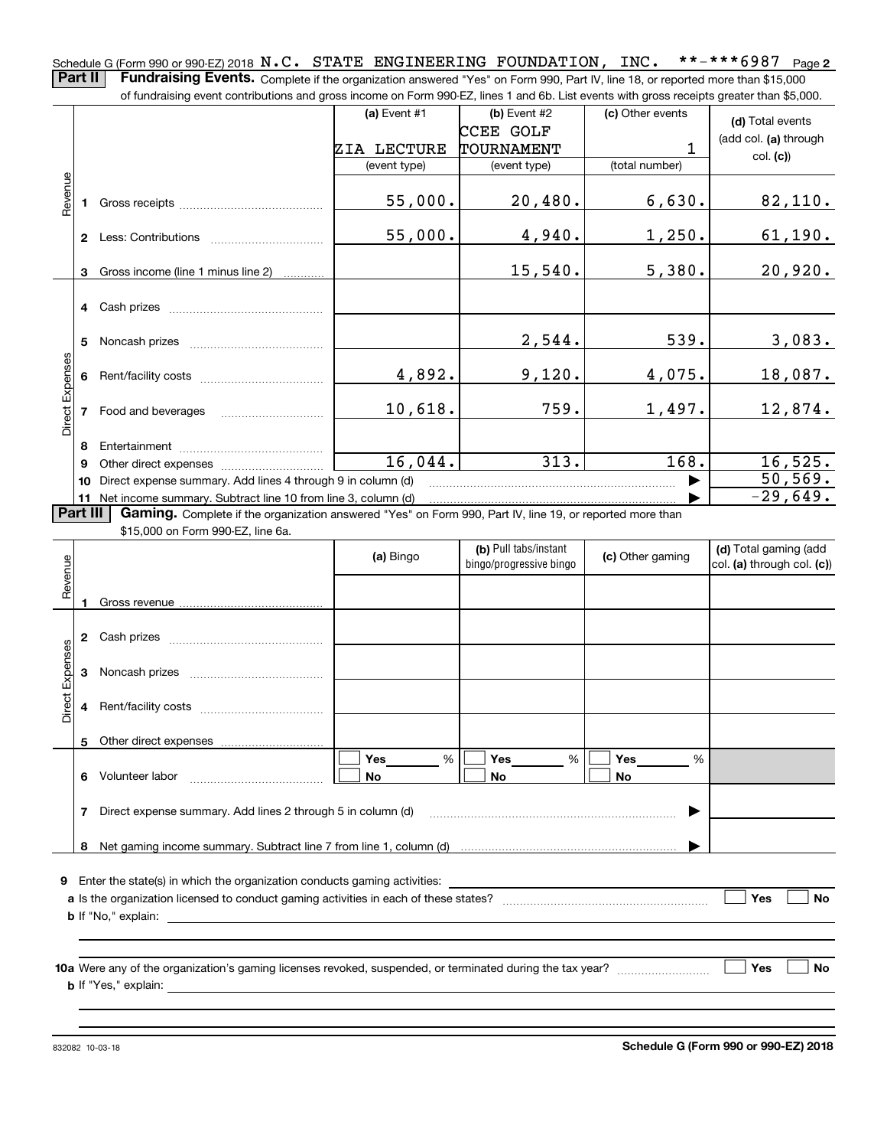**2** Schedule G (Form 990 or 990-EZ) 2018  $\rm\,N.C.$   $\,$   $\rm\,STATE$   $\,$   $\rm\,ENGINEERING$   $\,$   $\rm\,FOUNDATION$  ,  $\,$   $\rm\,INC.$   $\,$   $\,$  \* \* – \* \* \* 6  $987$   $\,$   $\rm\,Page$ **Part II** | Fundraising Events. Complete if the organization answered "Yes" on Form 990, Part IV, line 18, or reported more than \$15,000

|                 |                | of fundraising event contributions and gross income on Form 990-EZ, lines 1 and 6b. List events with gross receipts greater than \$5,000.                                   |              |                         |                  |                            |
|-----------------|----------------|-----------------------------------------------------------------------------------------------------------------------------------------------------------------------------|--------------|-------------------------|------------------|----------------------------|
|                 |                |                                                                                                                                                                             | (a) Event #1 | (b) Event #2            | (c) Other events | (d) Total events           |
|                 |                |                                                                                                                                                                             |              | <b>CCEE GOLF</b>        |                  | (add col. (a) through      |
|                 |                |                                                                                                                                                                             | ZIA LECTURE  | TOURNAMENT              | 1                |                            |
|                 |                |                                                                                                                                                                             | (event type) | (event type)            | (total number)   | col. (c)                   |
| Revenue         |                |                                                                                                                                                                             |              |                         |                  |                            |
|                 | 1.             |                                                                                                                                                                             | 55,000.      | 20,480.                 | 6,630.           | 82,110.                    |
|                 |                |                                                                                                                                                                             |              |                         |                  |                            |
|                 |                |                                                                                                                                                                             | 55,000.      | 4,940.                  | 1,250.           | 61, 190.                   |
|                 |                |                                                                                                                                                                             |              |                         |                  |                            |
|                 | 3              | Gross income (line 1 minus line 2)                                                                                                                                          |              | 15,540.                 | 5,380.           | 20,920.                    |
|                 |                |                                                                                                                                                                             |              |                         |                  |                            |
|                 |                | 4 Cash prizes                                                                                                                                                               |              |                         |                  |                            |
|                 |                |                                                                                                                                                                             |              |                         |                  |                            |
|                 | 5              |                                                                                                                                                                             |              | 2,544.                  | 539.             | 3,083.                     |
|                 |                |                                                                                                                                                                             |              |                         |                  |                            |
|                 | 6              |                                                                                                                                                                             | 4,892.       | 9,120.                  | 4,075.           | 18,087.                    |
|                 |                |                                                                                                                                                                             |              |                         |                  |                            |
| Direct Expenses | $\overline{7}$ |                                                                                                                                                                             | 10,618.      | 759.                    | 1,497.           | 12,874.                    |
|                 |                | Food and beverages                                                                                                                                                          |              |                         |                  |                            |
|                 |                |                                                                                                                                                                             |              |                         |                  |                            |
|                 | 8.             |                                                                                                                                                                             | 16,044.      | 313.                    | 168.             | 16,525.                    |
|                 | 9              |                                                                                                                                                                             |              |                         |                  | 50, 569.                   |
|                 |                | 10 Direct expense summary. Add lines 4 through 9 in column (d)                                                                                                              |              |                         |                  | $-29,649.$                 |
| <b>Part III</b> |                | 11 Net income summary. Subtract line 10 from line 3, column (d)<br>Gaming. Complete if the organization answered "Yes" on Form 990, Part IV, line 19, or reported more than |              |                         |                  |                            |
|                 |                | \$15,000 on Form 990-EZ, line 6a.                                                                                                                                           |              |                         |                  |                            |
|                 |                |                                                                                                                                                                             |              | (b) Pull tabs/instant   |                  | (d) Total gaming (add      |
|                 |                |                                                                                                                                                                             | (a) Bingo    | bingo/progressive bingo | (c) Other gaming | col. (a) through col. (c)) |
| Revenue         |                |                                                                                                                                                                             |              |                         |                  |                            |
|                 |                |                                                                                                                                                                             |              |                         |                  |                            |
|                 | 1.             |                                                                                                                                                                             |              |                         |                  |                            |
|                 |                |                                                                                                                                                                             |              |                         |                  |                            |
|                 | $\mathbf{2}$   |                                                                                                                                                                             |              |                         |                  |                            |
|                 |                |                                                                                                                                                                             |              |                         |                  |                            |
|                 | 3              |                                                                                                                                                                             |              |                         |                  |                            |
| Direct Expenses |                |                                                                                                                                                                             |              |                         |                  |                            |
|                 | 4              |                                                                                                                                                                             |              |                         |                  |                            |
|                 |                |                                                                                                                                                                             |              |                         |                  |                            |
|                 | 5              | Other direct expenses                                                                                                                                                       |              |                         |                  |                            |
|                 |                |                                                                                                                                                                             | Yes<br>%     | Yes<br>%                | Yes<br>%         |                            |

| <b>9</b> Enter the state(s) in which the organization conducts gaming activities:                         |     |  |
|-----------------------------------------------------------------------------------------------------------|-----|--|
| a Is the organization licensed to conduct gaming activities in each of these states?                      | Yes |  |
|                                                                                                           |     |  |
|                                                                                                           |     |  |
|                                                                                                           |     |  |
| 10a Were any of the organization's gaming licenses revoked, suspended, or terminated during the tax year? | Yes |  |
| <b>b</b> If "Yes," explain:                                                                               |     |  |

**No No**

**7**Direct expense summary. Add lines 2 through 5 in column (d) ~~~~~~~~~~~~~~~~~~~~~~~~ |

**8**Net gaming income summary. Subtract line 7 from line 1, column (d)

**No**

832082 10-03-18

**6** Volunteer labor

Volunteer labor \_\_\_\_\_\_\_\_\_\_\_\_\_\_\_\_\_\_\_\_\_\_\_\_\_\_\_\_\_

**Schedule G (Form 990 or 990-EZ) 2018**

 $\blacktriangleright$ 

**No**

**No**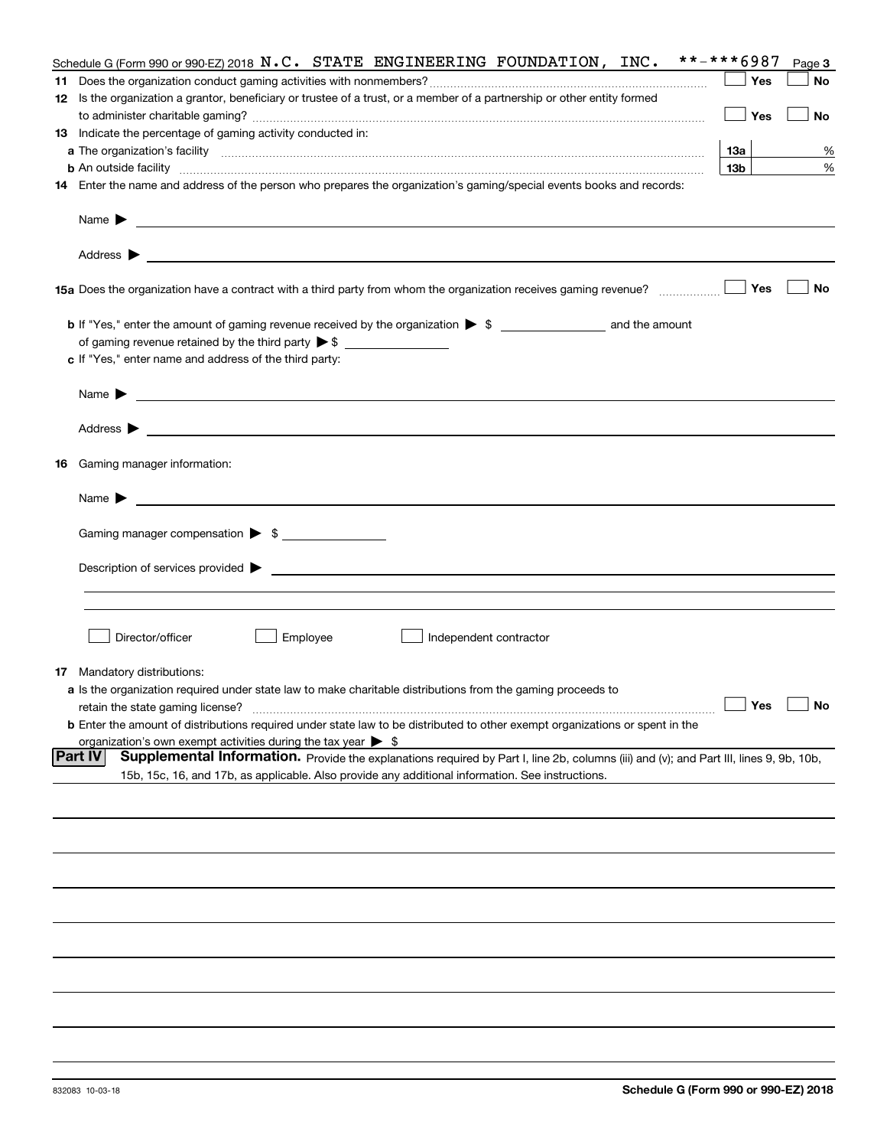|    | Schedule G (Form 990 or 990-EZ) 2018 $N.C.$ STATE ENGINEERING FOUNDATION, INC.                                                                                                                                                                                        | **-***6987      | Page 3 |
|----|-----------------------------------------------------------------------------------------------------------------------------------------------------------------------------------------------------------------------------------------------------------------------|-----------------|--------|
|    |                                                                                                                                                                                                                                                                       | Yes             | No     |
|    | 12 Is the organization a grantor, beneficiary or trustee of a trust, or a member of a partnership or other entity formed                                                                                                                                              |                 |        |
|    |                                                                                                                                                                                                                                                                       | Yes             | No     |
|    | 13 Indicate the percentage of gaming activity conducted in:                                                                                                                                                                                                           |                 |        |
|    |                                                                                                                                                                                                                                                                       | 13а             | %      |
|    | <b>b</b> An outside facility <i>www.communicality communicality communicality communicality communicality communicality communicality communicality communically communically communically communically communically communically com</i>                             | 13 <sub>b</sub> | %      |
|    | 14 Enter the name and address of the person who prepares the organization's gaming/special events books and records:                                                                                                                                                  |                 |        |
|    |                                                                                                                                                                                                                                                                       |                 |        |
|    | Name $\blacktriangleright$<br>and the control of the control of the control of the control of the control of the control of the control of the                                                                                                                        |                 |        |
|    | <u> 1989 - Johann Harry Harry Harry Harry Harry Harry Harry Harry Harry Harry Harry Harry Harry Harry Harry Harry</u><br>Address $\blacktriangleright$                                                                                                                |                 |        |
|    | 15a Does the organization have a contract with a third party from whom the organization receives gaming revenue?                                                                                                                                                      | Yes             | No     |
|    | <b>b</b> If "Yes," enter the amount of gaming revenue received by the organization $\triangleright$ \$ ___________________ and the amount                                                                                                                             |                 |        |
|    |                                                                                                                                                                                                                                                                       |                 |        |
|    | c If "Yes," enter name and address of the third party:                                                                                                                                                                                                                |                 |        |
|    |                                                                                                                                                                                                                                                                       |                 |        |
|    | Name $\blacktriangleright$                                                                                                                                                                                                                                            |                 |        |
|    | Address $\blacktriangleright$<br><u>state and the state of the state of the state of the state of the state of the state of the state of the state of the state of the state of the state of the state of the state of the state of the state of the state of the</u> |                 |        |
| 16 | Gaming manager information:                                                                                                                                                                                                                                           |                 |        |
|    | Name $\blacktriangleright$                                                                                                                                                                                                                                            |                 |        |
|    |                                                                                                                                                                                                                                                                       |                 |        |
|    | Gaming manager compensation > \$                                                                                                                                                                                                                                      |                 |        |
|    | Description of services provided $\blacktriangleright$ $\bot$                                                                                                                                                                                                         |                 |        |
|    |                                                                                                                                                                                                                                                                       |                 |        |
|    |                                                                                                                                                                                                                                                                       |                 |        |
|    |                                                                                                                                                                                                                                                                       |                 |        |
|    | Director/officer<br>Employee<br>Independent contractor                                                                                                                                                                                                                |                 |        |
|    | <b>17</b> Mandatory distributions:                                                                                                                                                                                                                                    |                 |        |
|    | a Is the organization required under state law to make charitable distributions from the gaming proceeds to                                                                                                                                                           |                 |        |
|    | retain the state gaming license?                                                                                                                                                                                                                                      | Yes             | No     |
|    | <b>b</b> Enter the amount of distributions required under state law to be distributed to other exempt organizations or spent in the                                                                                                                                   |                 |        |
|    | organization's own exempt activities during the tax year $\triangleright$ \$                                                                                                                                                                                          |                 |        |
|    | <b>Part IV</b><br>Supplemental Information. Provide the explanations required by Part I, line 2b, columns (iii) and (v); and Part III, lines 9, 9b, 10b,                                                                                                              |                 |        |
|    | 15b, 15c, 16, and 17b, as applicable. Also provide any additional information. See instructions.                                                                                                                                                                      |                 |        |
|    |                                                                                                                                                                                                                                                                       |                 |        |
|    |                                                                                                                                                                                                                                                                       |                 |        |
|    |                                                                                                                                                                                                                                                                       |                 |        |
|    |                                                                                                                                                                                                                                                                       |                 |        |
|    |                                                                                                                                                                                                                                                                       |                 |        |
|    |                                                                                                                                                                                                                                                                       |                 |        |
|    |                                                                                                                                                                                                                                                                       |                 |        |
|    |                                                                                                                                                                                                                                                                       |                 |        |
|    |                                                                                                                                                                                                                                                                       |                 |        |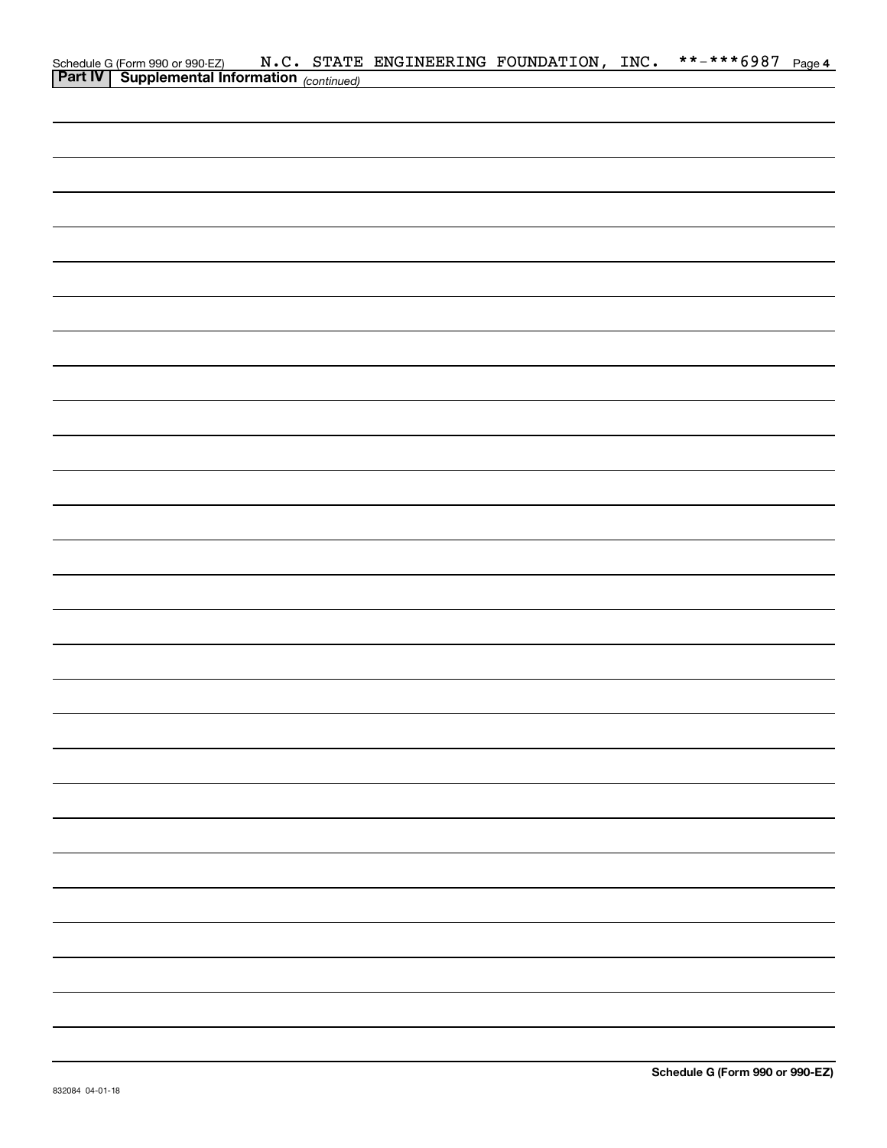|  |  | Schedule G (Form 990 or 990-EZ) $N.C.$ STATE ENGINEERING FOUNDATION, INC.<br><b>Part IV</b> Supplemental Information (continued) |  | **-***6987 Page 4 |  |
|--|--|----------------------------------------------------------------------------------------------------------------------------------|--|-------------------|--|
|  |  |                                                                                                                                  |  |                   |  |
|  |  |                                                                                                                                  |  |                   |  |
|  |  |                                                                                                                                  |  |                   |  |
|  |  |                                                                                                                                  |  |                   |  |
|  |  |                                                                                                                                  |  |                   |  |
|  |  |                                                                                                                                  |  |                   |  |
|  |  |                                                                                                                                  |  |                   |  |
|  |  |                                                                                                                                  |  |                   |  |
|  |  |                                                                                                                                  |  |                   |  |
|  |  |                                                                                                                                  |  |                   |  |
|  |  |                                                                                                                                  |  |                   |  |
|  |  |                                                                                                                                  |  |                   |  |
|  |  |                                                                                                                                  |  |                   |  |
|  |  |                                                                                                                                  |  |                   |  |
|  |  |                                                                                                                                  |  |                   |  |
|  |  |                                                                                                                                  |  |                   |  |
|  |  |                                                                                                                                  |  |                   |  |
|  |  |                                                                                                                                  |  |                   |  |
|  |  |                                                                                                                                  |  |                   |  |
|  |  |                                                                                                                                  |  |                   |  |
|  |  |                                                                                                                                  |  |                   |  |
|  |  |                                                                                                                                  |  |                   |  |
|  |  |                                                                                                                                  |  |                   |  |
|  |  |                                                                                                                                  |  |                   |  |
|  |  |                                                                                                                                  |  |                   |  |
|  |  |                                                                                                                                  |  |                   |  |
|  |  |                                                                                                                                  |  |                   |  |
|  |  |                                                                                                                                  |  |                   |  |
|  |  |                                                                                                                                  |  |                   |  |
|  |  |                                                                                                                                  |  |                   |  |
|  |  |                                                                                                                                  |  |                   |  |
|  |  |                                                                                                                                  |  |                   |  |
|  |  |                                                                                                                                  |  |                   |  |
|  |  |                                                                                                                                  |  |                   |  |
|  |  |                                                                                                                                  |  |                   |  |
|  |  |                                                                                                                                  |  |                   |  |
|  |  |                                                                                                                                  |  |                   |  |
|  |  |                                                                                                                                  |  |                   |  |
|  |  |                                                                                                                                  |  |                   |  |
|  |  |                                                                                                                                  |  |                   |  |
|  |  |                                                                                                                                  |  |                   |  |
|  |  |                                                                                                                                  |  |                   |  |
|  |  |                                                                                                                                  |  |                   |  |
|  |  |                                                                                                                                  |  |                   |  |
|  |  |                                                                                                                                  |  |                   |  |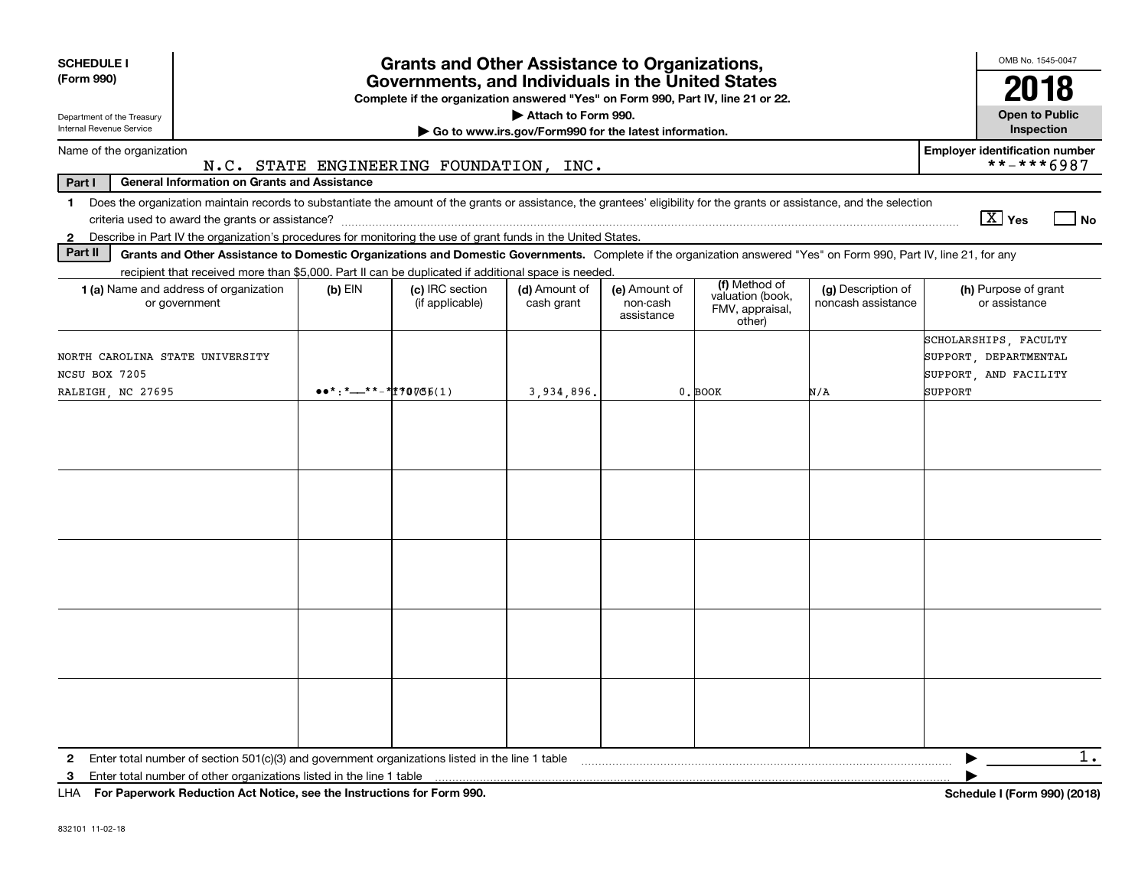| <b>SCHEDULE I</b><br>(Form 990)                                                                                                                                 |                                                                                                                            |           | <b>Grants and Other Assistance to Organizations,</b><br>Governments, and Individuals in the United States<br>Complete if the organization answered "Yes" on Form 990, Part IV, line 21 or 22. |                             |                                         |                                                                |                                                                                                                                                                          | OMB No. 1545-0047<br>20<br>18                                                      |  |
|-----------------------------------------------------------------------------------------------------------------------------------------------------------------|----------------------------------------------------------------------------------------------------------------------------|-----------|-----------------------------------------------------------------------------------------------------------------------------------------------------------------------------------------------|-----------------------------|-----------------------------------------|----------------------------------------------------------------|--------------------------------------------------------------------------------------------------------------------------------------------------------------------------|------------------------------------------------------------------------------------|--|
| Attach to Form 990.<br><b>Open to Public</b><br>Department of the Treasury<br>Internal Revenue Service<br>Go to www.irs.gov/Form990 for the latest information. |                                                                                                                            |           |                                                                                                                                                                                               |                             |                                         |                                                                |                                                                                                                                                                          |                                                                                    |  |
| Name of the organization                                                                                                                                        |                                                                                                                            |           | N.C. STATE ENGINEERING FOUNDATION, INC.                                                                                                                                                       |                             |                                         |                                                                |                                                                                                                                                                          | <b>Employer identification number</b><br>**-***6987                                |  |
| Part I                                                                                                                                                          | <b>General Information on Grants and Assistance</b>                                                                        |           |                                                                                                                                                                                               |                             |                                         |                                                                |                                                                                                                                                                          |                                                                                    |  |
| $\mathbf 1$<br>$\mathbf{2}$                                                                                                                                     | Describe in Part IV the organization's procedures for monitoring the use of grant funds in the United States.              |           |                                                                                                                                                                                               |                             |                                         |                                                                | Does the organization maintain records to substantiate the amount of the grants or assistance, the grantees' eligibility for the grants or assistance, and the selection | $\boxed{\text{X}}$ Yes<br>l No                                                     |  |
| Part II                                                                                                                                                         |                                                                                                                            |           |                                                                                                                                                                                               |                             |                                         |                                                                | Grants and Other Assistance to Domestic Organizations and Domestic Governments. Complete if the organization answered "Yes" on Form 990, Part IV, line 21, for any       |                                                                                    |  |
| 1 (a) Name and address of organization<br>or government                                                                                                         | recipient that received more than \$5,000. Part II can be duplicated if additional space is needed.                        | $(b)$ EIN | (c) IRC section<br>(if applicable)                                                                                                                                                            | (d) Amount of<br>cash grant | (e) Amount of<br>non-cash<br>assistance | (f) Method of<br>valuation (book,<br>FMV, appraisal,<br>other) | (g) Description of<br>noncash assistance                                                                                                                                 | (h) Purpose of grant<br>or assistance                                              |  |
| NORTH CAROLINA STATE UNIVERSITY<br>NCSU BOX 7205<br>RALEIGH, NC 27695                                                                                           |                                                                                                                            |           |                                                                                                                                                                                               | 3,934,896.                  |                                         | 0. BOOK                                                        | N/A                                                                                                                                                                      | SCHOLARSHIPS, FACULTY<br>SUPPORT, DEPARTMENTAL<br>SUPPORT, AND FACILITY<br>SUPPORT |  |
|                                                                                                                                                                 |                                                                                                                            |           |                                                                                                                                                                                               |                             |                                         |                                                                |                                                                                                                                                                          |                                                                                    |  |
| 3                                                                                                                                                               | $111A - 2.0$ $\sim 0.00$ and $\sim 0.00$ . And $\sim 0.00$ and $\sim 0.00$ and $\sim 0.00$ and $\sim 0.00$ and $\sim 0.00$ |           |                                                                                                                                                                                               |                             |                                         |                                                                |                                                                                                                                                                          | $1$ .<br>$1.1.1$ $(P_1, , Q_{n})$ (0040)                                           |  |

**For Paperwork Reduction Act Notice, see the Instructions for Form 990. Schedule I (Form 990) (2018)** LHA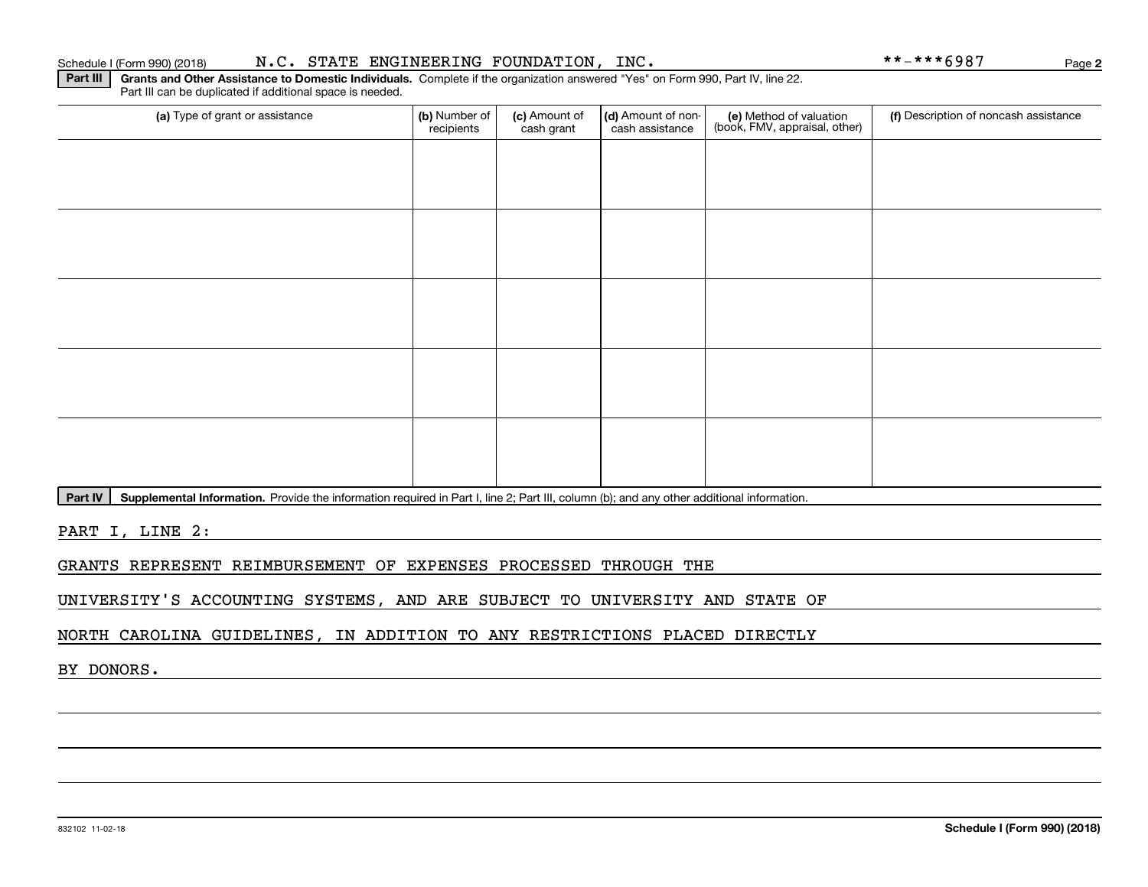#### Schedule I (Form 990) (2018) N.C. STATE ENGINEERING FOUNDATION, INC. \* \* – \* \* \* 6 9 8 7 Page

**Part III | Grants and Other Assistance to Domestic Individuals. Complete if the organization answered "Yes" on Form 990, Part IV, line 22.** Part III can be duplicated if additional space is needed.

| (a) Type of grant or assistance | (b) Number of<br>recipients | (c) Amount of<br>cash grant | (d) Amount of non-<br>cash assistance | (e) Method of valuation<br>(book, FMV, appraisal, other) | (f) Description of noncash assistance |
|---------------------------------|-----------------------------|-----------------------------|---------------------------------------|----------------------------------------------------------|---------------------------------------|
|                                 |                             |                             |                                       |                                                          |                                       |
|                                 |                             |                             |                                       |                                                          |                                       |
|                                 |                             |                             |                                       |                                                          |                                       |
|                                 |                             |                             |                                       |                                                          |                                       |
|                                 |                             |                             |                                       |                                                          |                                       |
|                                 |                             |                             |                                       |                                                          |                                       |
|                                 |                             |                             |                                       |                                                          |                                       |
|                                 |                             |                             |                                       |                                                          |                                       |
|                                 |                             |                             |                                       |                                                          |                                       |
|                                 |                             |                             |                                       |                                                          |                                       |

Part IV | Supplemental Information. Provide the information required in Part I, line 2; Part III, column (b); and any other additional information.

PART I, LINE 2:

GRANTS REPRESENT REIMBURSEMENT OF EXPENSES PROCESSED THROUGH THE

UNIVERSITY'S ACCOUNTING SYSTEMS, AND ARE SUBJECT TO UNIVERSITY AND STATE OF

NORTH CAROLINA GUIDELINES, IN ADDITION TO ANY RESTRICTIONS PLACED DIRECTLY

BY DONORS.

**2**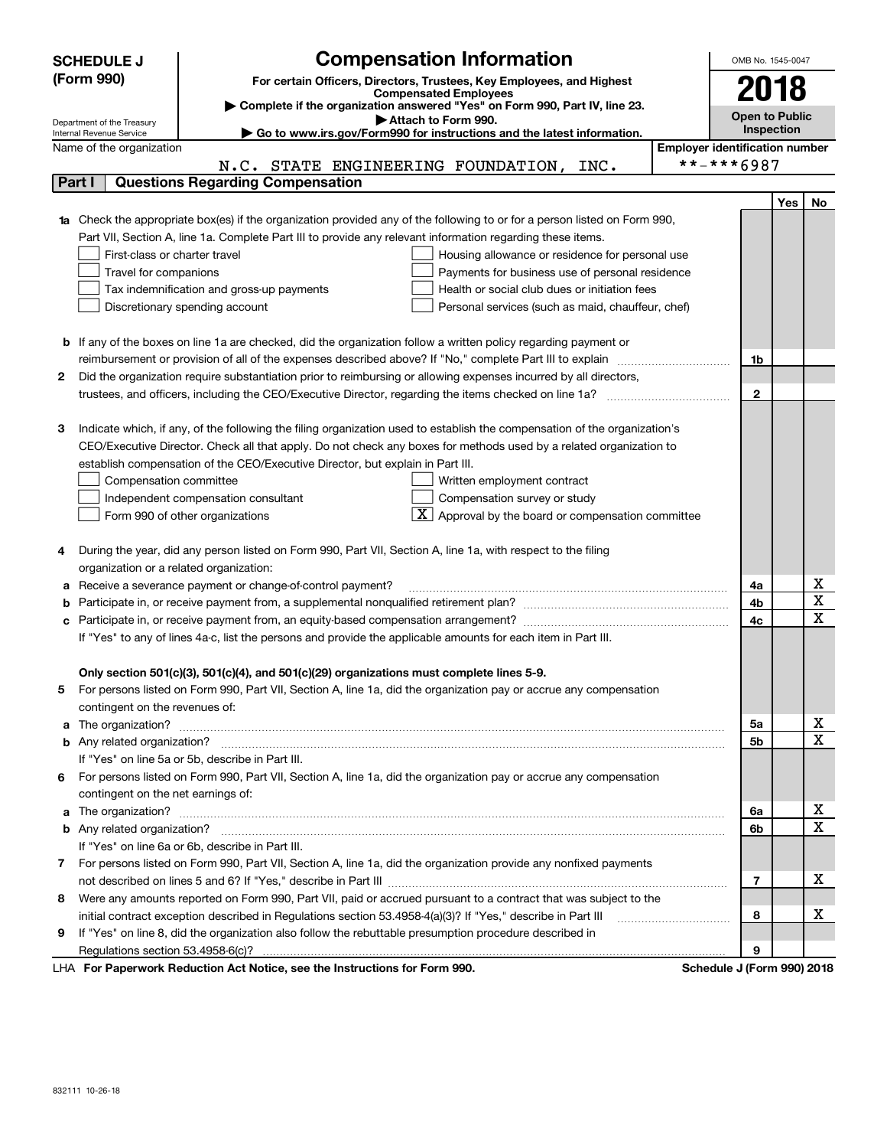|    | <b>Compensation Information</b><br><b>SCHEDULE J</b>                                                                                                                                                                  | OMB No. 1545-0047                     |            |                  |  |
|----|-----------------------------------------------------------------------------------------------------------------------------------------------------------------------------------------------------------------------|---------------------------------------|------------|------------------|--|
|    | (Form 990)<br>For certain Officers, Directors, Trustees, Key Employees, and Highest                                                                                                                                   |                                       |            |                  |  |
|    | <b>Compensated Employees</b>                                                                                                                                                                                          | 2018                                  |            |                  |  |
|    | Complete if the organization answered "Yes" on Form 990, Part IV, line 23.<br>Attach to Form 990.<br>Department of the Treasury                                                                                       | <b>Open to Public</b>                 |            |                  |  |
|    | ► Go to www.irs.gov/Form990 for instructions and the latest information.<br>Internal Revenue Service                                                                                                                  |                                       | Inspection |                  |  |
|    | Name of the organization                                                                                                                                                                                              | <b>Employer identification number</b> |            |                  |  |
|    | N.C. STATE ENGINEERING FOUNDATION, INC.                                                                                                                                                                               | **-***6987                            |            |                  |  |
|    | <b>Questions Regarding Compensation</b><br>Part I                                                                                                                                                                     |                                       |            |                  |  |
|    |                                                                                                                                                                                                                       |                                       | Yes        | No               |  |
|    | Check the appropriate box(es) if the organization provided any of the following to or for a person listed on Form 990,                                                                                                |                                       |            |                  |  |
|    | Part VII, Section A, line 1a. Complete Part III to provide any relevant information regarding these items.                                                                                                            |                                       |            |                  |  |
|    | First-class or charter travel<br>Housing allowance or residence for personal use                                                                                                                                      |                                       |            |                  |  |
|    | Travel for companions<br>Payments for business use of personal residence                                                                                                                                              |                                       |            |                  |  |
|    | Health or social club dues or initiation fees<br>Tax indemnification and gross-up payments                                                                                                                            |                                       |            |                  |  |
|    | Discretionary spending account<br>Personal services (such as maid, chauffeur, chef)                                                                                                                                   |                                       |            |                  |  |
|    | If any of the boxes on line 1a are checked, did the organization follow a written policy regarding payment or                                                                                                         |                                       |            |                  |  |
| b  |                                                                                                                                                                                                                       | 1b                                    |            |                  |  |
| 2  | Did the organization require substantiation prior to reimbursing or allowing expenses incurred by all directors,                                                                                                      |                                       |            |                  |  |
|    |                                                                                                                                                                                                                       | $\mathbf{2}$                          |            |                  |  |
|    |                                                                                                                                                                                                                       |                                       |            |                  |  |
| з  | Indicate which, if any, of the following the filing organization used to establish the compensation of the organization's                                                                                             |                                       |            |                  |  |
|    | CEO/Executive Director. Check all that apply. Do not check any boxes for methods used by a related organization to                                                                                                    |                                       |            |                  |  |
|    | establish compensation of the CEO/Executive Director, but explain in Part III.                                                                                                                                        |                                       |            |                  |  |
|    | Compensation committee<br>Written employment contract                                                                                                                                                                 |                                       |            |                  |  |
|    | Compensation survey or study<br>Independent compensation consultant                                                                                                                                                   |                                       |            |                  |  |
|    | $\boxed{\textbf{X}}$ Approval by the board or compensation committee<br>Form 990 of other organizations                                                                                                               |                                       |            |                  |  |
|    |                                                                                                                                                                                                                       |                                       |            |                  |  |
| 4  | During the year, did any person listed on Form 990, Part VII, Section A, line 1a, with respect to the filing                                                                                                          |                                       |            |                  |  |
|    | organization or a related organization:                                                                                                                                                                               |                                       |            |                  |  |
| а  | Receive a severance payment or change-of-control payment?                                                                                                                                                             | 4a                                    |            | х                |  |
| b  |                                                                                                                                                                                                                       | 4b                                    |            | X                |  |
|    |                                                                                                                                                                                                                       | 4c                                    |            | х                |  |
|    | If "Yes" to any of lines 4a-c, list the persons and provide the applicable amounts for each item in Part III.                                                                                                         |                                       |            |                  |  |
|    |                                                                                                                                                                                                                       |                                       |            |                  |  |
|    | Only section 501(c)(3), 501(c)(4), and 501(c)(29) organizations must complete lines 5-9.                                                                                                                              |                                       |            |                  |  |
| 5  | For persons listed on Form 990, Part VII, Section A, line 1a, did the organization pay or accrue any compensation                                                                                                     |                                       |            |                  |  |
|    | contingent on the revenues of:                                                                                                                                                                                        |                                       |            |                  |  |
| a  |                                                                                                                                                                                                                       | 5а                                    |            | х                |  |
|    |                                                                                                                                                                                                                       | 5b                                    |            | х                |  |
|    | If "Yes" on line 5a or 5b, describe in Part III.                                                                                                                                                                      |                                       |            |                  |  |
|    | 6 For persons listed on Form 990, Part VII, Section A, line 1a, did the organization pay or accrue any compensation                                                                                                   |                                       |            |                  |  |
|    | contingent on the net earnings of:                                                                                                                                                                                    |                                       |            |                  |  |
| a  |                                                                                                                                                                                                                       | 6a                                    |            | X<br>$\mathbf X$ |  |
|    |                                                                                                                                                                                                                       | 6b                                    |            |                  |  |
|    | If "Yes" on line 6a or 6b, describe in Part III.                                                                                                                                                                      |                                       |            |                  |  |
| 7. | For persons listed on Form 990, Part VII, Section A, line 1a, did the organization provide any nonfixed payments                                                                                                      |                                       |            | x                |  |
|    |                                                                                                                                                                                                                       | 7                                     |            |                  |  |
| 8  | Were any amounts reported on Form 990, Part VII, paid or accrued pursuant to a contract that was subject to the                                                                                                       | 8                                     |            | x                |  |
|    | initial contract exception described in Regulations section 53.4958-4(a)(3)? If "Yes," describe in Part III<br>If "Yes" on line 8, did the organization also follow the rebuttable presumption procedure described in |                                       |            |                  |  |
| 9  |                                                                                                                                                                                                                       | 9                                     |            |                  |  |
|    |                                                                                                                                                                                                                       | $\overline{1}$                        |            |                  |  |

LHA For Paperwork Reduction Act Notice, see the Instructions for Form 990. Schedule J (Form 990) 2018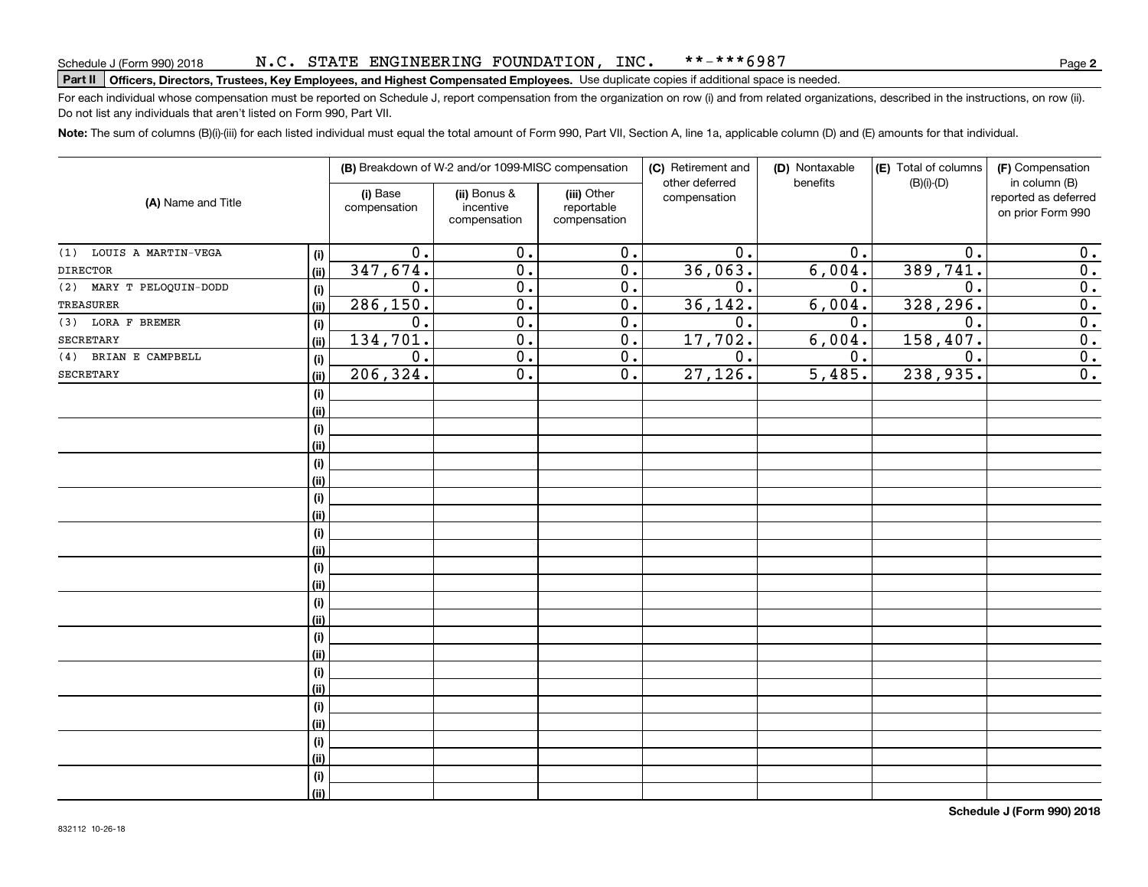# **Part II Officers, Directors, Trustees, Key Employees, and Highest Compensated Employees.**  Schedule J (Form 990) 2018 Page Use duplicate copies if additional space is needed.

For each individual whose compensation must be reported on Schedule J, report compensation from the organization on row (i) and from related organizations, described in the instructions, on row (ii). Do not list any individuals that aren't listed on Form 990, Part VII.

**Note:**  The sum of columns (B)(i)-(iii) for each listed individual must equal the total amount of Form 990, Part VII, Section A, line 1a, applicable column (D) and (E) amounts for that individual.

| (A) Name and Title       |      |                          | (B) Breakdown of W-2 and/or 1099-MISC compensation |                                           | (C) Retirement and<br>other deferred | (D) Nontaxable<br>benefits | (E) Total of columns<br>$(B)(i)-(D)$ | (F) Compensation<br>in column (B)         |
|--------------------------|------|--------------------------|----------------------------------------------------|-------------------------------------------|--------------------------------------|----------------------------|--------------------------------------|-------------------------------------------|
|                          |      | (i) Base<br>compensation | (ii) Bonus &<br>incentive<br>compensation          | (iii) Other<br>reportable<br>compensation | compensation                         |                            |                                      | reported as deferred<br>on prior Form 990 |
| (1) LOUIS A MARTIN-VEGA  | (i)  | 0.                       | 0.                                                 | 0.                                        | 0.                                   | 0.                         | 0.                                   | 0.                                        |
| <b>DIRECTOR</b>          | (ii) | 347,674.                 | 0.                                                 | $\overline{0}$ .                          | 36,063.                              | 6,004.                     | 389,741.                             | 0.                                        |
| (2) MARY T PELOQUIN-DODD | (i)  | 0.                       | 0.                                                 | 0.                                        | 0.                                   | 0.                         | $\mathbf 0$ .                        | $\overline{0}$ .                          |
| <b>TREASURER</b>         | (ii) | 286, 150.                | $\overline{0}$ .                                   | $\overline{0}$ .                          | 36, 142.                             | 6,004.                     | 328, 296.                            | $\overline{0}$ .                          |
| (3) LORA F BREMER        | (i)  | 0.                       | $\overline{0}$ .                                   | 0.                                        | 0.                                   | 0.                         | 0.                                   | $\overline{0}$ .                          |
| <b>SECRETARY</b>         | (ii) | 134,701.                 | $\overline{0}$ .                                   | $\overline{0}$ .                          | 17,702.                              | 6,004.                     | 158,407.                             | $\overline{0}$ .                          |
| (4) BRIAN E CAMPBELL     | (i)  | 0.                       | $\overline{0}$ .                                   | $\overline{0}$ .                          | 0.                                   | 0.                         | $\mathbf 0$ .                        | $\overline{0}$ .                          |
| SECRETARY                | (ii) | 206, 324.                | $0$ .                                              | $\overline{0}$ .                          | 27,126.                              | $\overline{5,485}$ .       | 238,935.                             | 0.                                        |
|                          | (i)  |                          |                                                    |                                           |                                      |                            |                                      |                                           |
|                          | (ii) |                          |                                                    |                                           |                                      |                            |                                      |                                           |
|                          | (i)  |                          |                                                    |                                           |                                      |                            |                                      |                                           |
|                          | (ii) |                          |                                                    |                                           |                                      |                            |                                      |                                           |
|                          | (i)  |                          |                                                    |                                           |                                      |                            |                                      |                                           |
|                          | (ii) |                          |                                                    |                                           |                                      |                            |                                      |                                           |
|                          | (i)  |                          |                                                    |                                           |                                      |                            |                                      |                                           |
|                          | (ii) |                          |                                                    |                                           |                                      |                            |                                      |                                           |
|                          | (i)  |                          |                                                    |                                           |                                      |                            |                                      |                                           |
|                          | (ii) |                          |                                                    |                                           |                                      |                            |                                      |                                           |
|                          | (i)  |                          |                                                    |                                           |                                      |                            |                                      |                                           |
|                          | (ii) |                          |                                                    |                                           |                                      |                            |                                      |                                           |
|                          | (i)  |                          |                                                    |                                           |                                      |                            |                                      |                                           |
|                          | (ii) |                          |                                                    |                                           |                                      |                            |                                      |                                           |
|                          | (i)  |                          |                                                    |                                           |                                      |                            |                                      |                                           |
|                          | (ii) |                          |                                                    |                                           |                                      |                            |                                      |                                           |
|                          | (i)  |                          |                                                    |                                           |                                      |                            |                                      |                                           |
|                          | (ii) |                          |                                                    |                                           |                                      |                            |                                      |                                           |
|                          | (i)  |                          |                                                    |                                           |                                      |                            |                                      |                                           |
|                          | (ii) |                          |                                                    |                                           |                                      |                            |                                      |                                           |
|                          | (i)  |                          |                                                    |                                           |                                      |                            |                                      |                                           |
|                          | (ii) |                          |                                                    |                                           |                                      |                            |                                      |                                           |
|                          | (i)  |                          |                                                    |                                           |                                      |                            |                                      |                                           |
|                          | (ii) |                          |                                                    |                                           |                                      |                            |                                      |                                           |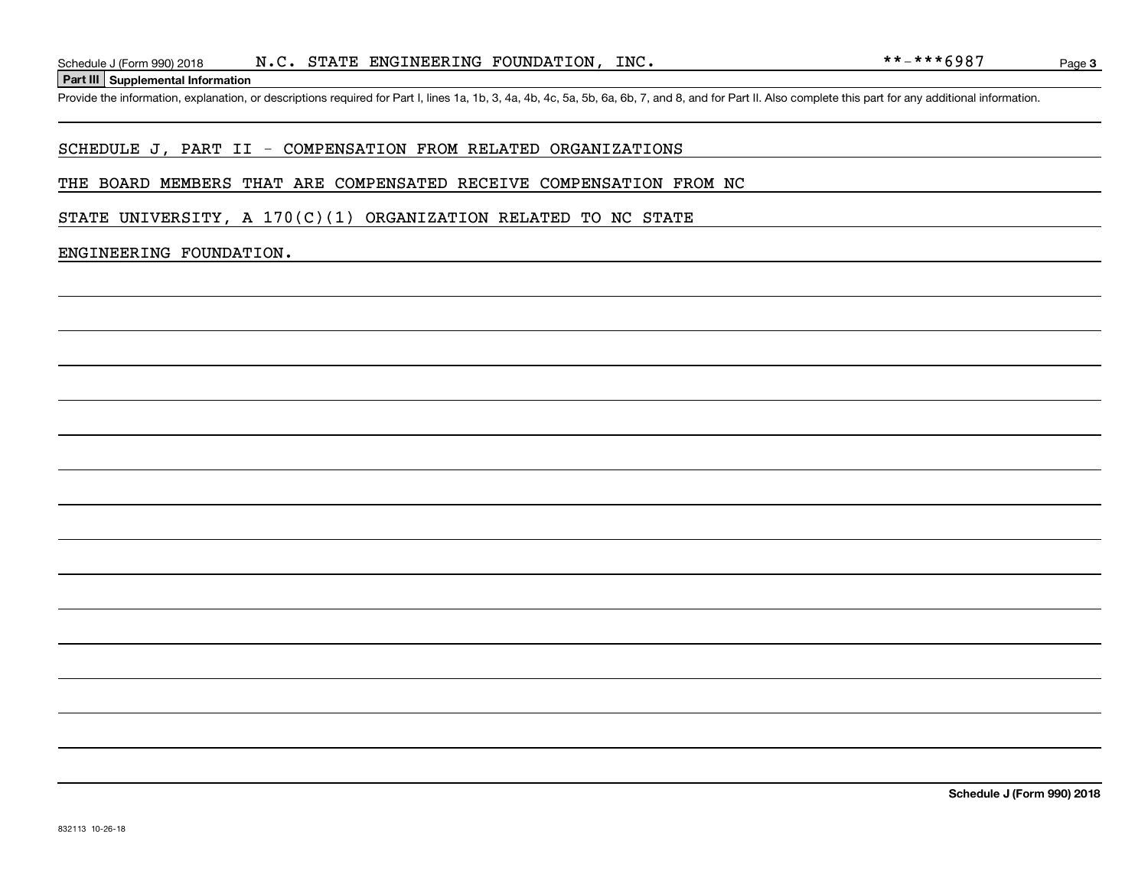**Part III Supplemental Information**

#### SCHEDULE J, PART II - COMPENSATION FROM RELATED ORGANIZATIONS

#### THE BOARD MEMBERS THAT ARE COMPENSATED RECEIVE COMPENSATION FROM NC

STATE UNIVERSITY, A  $170(C)(1)$  ORGANIZATION RELATED TO NC STATE

#### ENGINEERING FOUNDATION.

Page 3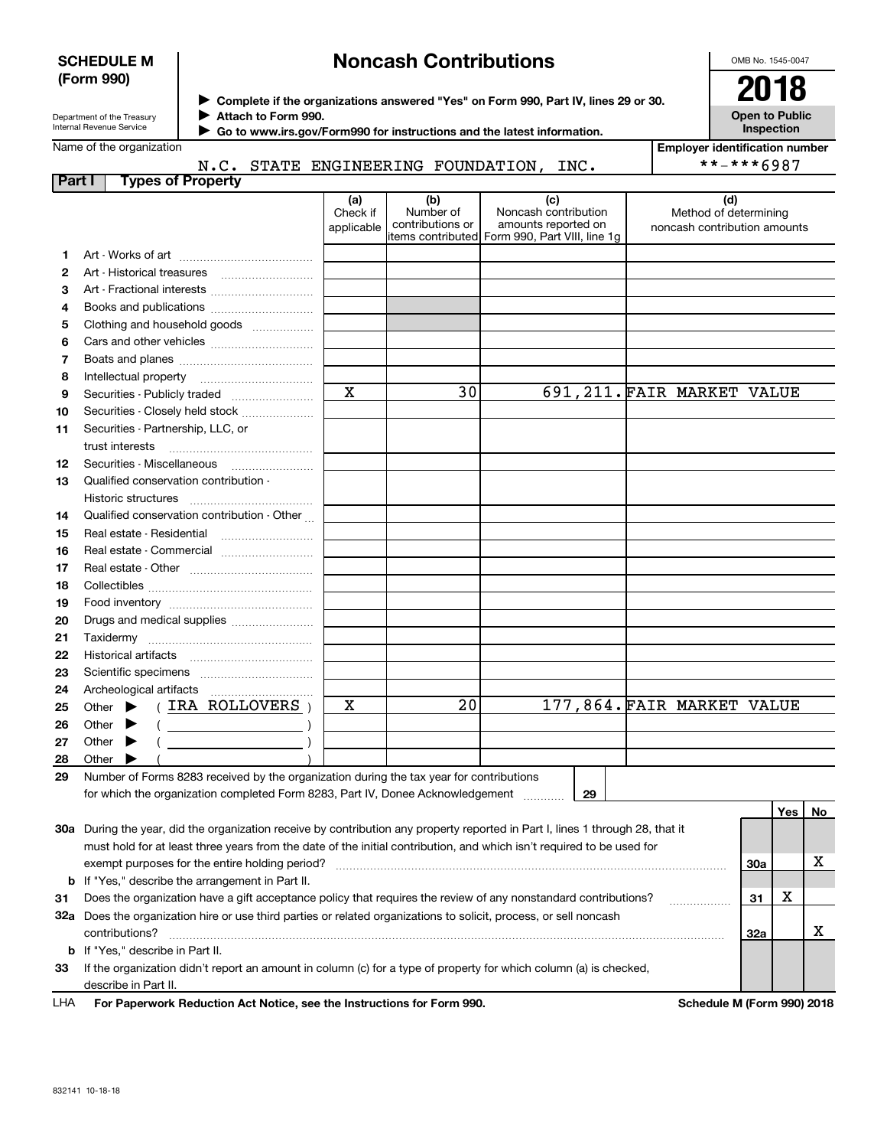#### **SCHEDULE M (Form 990)**

# **Noncash Contributions**

OMB No. 1545-0047

| Department of the Treasury      |
|---------------------------------|
| <b>Internal Revenue Service</b> |

**Complete if the organizations answered "Yes" on Form 990, Part IV, lines 29 or 30.** <sup>J</sup>**2018 Attach to Form 990.** J

**Open to Public Inspection**

 **Go to www.irs.gov/Form990 for instructions and the latest information.** J

| Employer identification number |
|--------------------------------|
| ** ***∠007                     |

| <b>Types of Property</b><br>Part I<br>(d)<br>(a)<br>(b)<br>(c)<br>Noncash contribution<br>Number of<br>Check if<br>Method of determining<br>contributions or<br>amounts reported on<br>applicable<br>noncash contribution amounts<br>litems contributed Form 990, Part VIII, line 1q<br>1.<br>2<br>Art - Historical treasures<br>Art - Fractional interests<br>3<br>Books and publications<br>4<br>Clothing and household goods<br>5<br>6<br>7<br>Intellectual property<br>8<br>$\mathbf X$<br>30<br>691, 211. FAIR MARKET VALUE<br>Securities - Publicly traded<br>9<br>Securities - Closely held stock<br>10<br>Securities - Partnership, LLC, or<br>11<br>trust interests<br>Securities - Miscellaneous<br>12<br>Qualified conservation contribution -<br>13<br>Historic structures<br><br>Qualified conservation contribution - Other<br>14<br>Real estate - Residential<br>15<br>Real estate - Commercial<br>16<br>17<br>18<br>19<br>Drugs and medical supplies<br>20<br>21<br>22<br>23<br>24<br>20<br>177,864. FAIR MARKET VALUE<br>(IRA ROLLOVERS)<br>х<br>Other $\blacktriangleright$<br>25<br>Other $\blacktriangleright$<br>$($ $)$<br>26<br>Other $\blacktriangleright$<br>27 |     |    |
|------------------------------------------------------------------------------------------------------------------------------------------------------------------------------------------------------------------------------------------------------------------------------------------------------------------------------------------------------------------------------------------------------------------------------------------------------------------------------------------------------------------------------------------------------------------------------------------------------------------------------------------------------------------------------------------------------------------------------------------------------------------------------------------------------------------------------------------------------------------------------------------------------------------------------------------------------------------------------------------------------------------------------------------------------------------------------------------------------------------------------------------------------------------------------------------|-----|----|
|                                                                                                                                                                                                                                                                                                                                                                                                                                                                                                                                                                                                                                                                                                                                                                                                                                                                                                                                                                                                                                                                                                                                                                                          |     |    |
|                                                                                                                                                                                                                                                                                                                                                                                                                                                                                                                                                                                                                                                                                                                                                                                                                                                                                                                                                                                                                                                                                                                                                                                          |     |    |
|                                                                                                                                                                                                                                                                                                                                                                                                                                                                                                                                                                                                                                                                                                                                                                                                                                                                                                                                                                                                                                                                                                                                                                                          |     |    |
|                                                                                                                                                                                                                                                                                                                                                                                                                                                                                                                                                                                                                                                                                                                                                                                                                                                                                                                                                                                                                                                                                                                                                                                          |     |    |
|                                                                                                                                                                                                                                                                                                                                                                                                                                                                                                                                                                                                                                                                                                                                                                                                                                                                                                                                                                                                                                                                                                                                                                                          |     |    |
|                                                                                                                                                                                                                                                                                                                                                                                                                                                                                                                                                                                                                                                                                                                                                                                                                                                                                                                                                                                                                                                                                                                                                                                          |     |    |
|                                                                                                                                                                                                                                                                                                                                                                                                                                                                                                                                                                                                                                                                                                                                                                                                                                                                                                                                                                                                                                                                                                                                                                                          |     |    |
|                                                                                                                                                                                                                                                                                                                                                                                                                                                                                                                                                                                                                                                                                                                                                                                                                                                                                                                                                                                                                                                                                                                                                                                          |     |    |
|                                                                                                                                                                                                                                                                                                                                                                                                                                                                                                                                                                                                                                                                                                                                                                                                                                                                                                                                                                                                                                                                                                                                                                                          |     |    |
|                                                                                                                                                                                                                                                                                                                                                                                                                                                                                                                                                                                                                                                                                                                                                                                                                                                                                                                                                                                                                                                                                                                                                                                          |     |    |
|                                                                                                                                                                                                                                                                                                                                                                                                                                                                                                                                                                                                                                                                                                                                                                                                                                                                                                                                                                                                                                                                                                                                                                                          |     |    |
|                                                                                                                                                                                                                                                                                                                                                                                                                                                                                                                                                                                                                                                                                                                                                                                                                                                                                                                                                                                                                                                                                                                                                                                          |     |    |
|                                                                                                                                                                                                                                                                                                                                                                                                                                                                                                                                                                                                                                                                                                                                                                                                                                                                                                                                                                                                                                                                                                                                                                                          |     |    |
|                                                                                                                                                                                                                                                                                                                                                                                                                                                                                                                                                                                                                                                                                                                                                                                                                                                                                                                                                                                                                                                                                                                                                                                          |     |    |
|                                                                                                                                                                                                                                                                                                                                                                                                                                                                                                                                                                                                                                                                                                                                                                                                                                                                                                                                                                                                                                                                                                                                                                                          |     |    |
|                                                                                                                                                                                                                                                                                                                                                                                                                                                                                                                                                                                                                                                                                                                                                                                                                                                                                                                                                                                                                                                                                                                                                                                          |     |    |
|                                                                                                                                                                                                                                                                                                                                                                                                                                                                                                                                                                                                                                                                                                                                                                                                                                                                                                                                                                                                                                                                                                                                                                                          |     |    |
|                                                                                                                                                                                                                                                                                                                                                                                                                                                                                                                                                                                                                                                                                                                                                                                                                                                                                                                                                                                                                                                                                                                                                                                          |     |    |
|                                                                                                                                                                                                                                                                                                                                                                                                                                                                                                                                                                                                                                                                                                                                                                                                                                                                                                                                                                                                                                                                                                                                                                                          |     |    |
|                                                                                                                                                                                                                                                                                                                                                                                                                                                                                                                                                                                                                                                                                                                                                                                                                                                                                                                                                                                                                                                                                                                                                                                          |     |    |
|                                                                                                                                                                                                                                                                                                                                                                                                                                                                                                                                                                                                                                                                                                                                                                                                                                                                                                                                                                                                                                                                                                                                                                                          |     |    |
|                                                                                                                                                                                                                                                                                                                                                                                                                                                                                                                                                                                                                                                                                                                                                                                                                                                                                                                                                                                                                                                                                                                                                                                          |     |    |
|                                                                                                                                                                                                                                                                                                                                                                                                                                                                                                                                                                                                                                                                                                                                                                                                                                                                                                                                                                                                                                                                                                                                                                                          |     |    |
|                                                                                                                                                                                                                                                                                                                                                                                                                                                                                                                                                                                                                                                                                                                                                                                                                                                                                                                                                                                                                                                                                                                                                                                          |     |    |
|                                                                                                                                                                                                                                                                                                                                                                                                                                                                                                                                                                                                                                                                                                                                                                                                                                                                                                                                                                                                                                                                                                                                                                                          |     |    |
|                                                                                                                                                                                                                                                                                                                                                                                                                                                                                                                                                                                                                                                                                                                                                                                                                                                                                                                                                                                                                                                                                                                                                                                          |     |    |
|                                                                                                                                                                                                                                                                                                                                                                                                                                                                                                                                                                                                                                                                                                                                                                                                                                                                                                                                                                                                                                                                                                                                                                                          |     |    |
|                                                                                                                                                                                                                                                                                                                                                                                                                                                                                                                                                                                                                                                                                                                                                                                                                                                                                                                                                                                                                                                                                                                                                                                          |     |    |
|                                                                                                                                                                                                                                                                                                                                                                                                                                                                                                                                                                                                                                                                                                                                                                                                                                                                                                                                                                                                                                                                                                                                                                                          |     |    |
|                                                                                                                                                                                                                                                                                                                                                                                                                                                                                                                                                                                                                                                                                                                                                                                                                                                                                                                                                                                                                                                                                                                                                                                          |     |    |
| 28<br>Other                                                                                                                                                                                                                                                                                                                                                                                                                                                                                                                                                                                                                                                                                                                                                                                                                                                                                                                                                                                                                                                                                                                                                                              |     |    |
| 29<br>Number of Forms 8283 received by the organization during the tax year for contributions                                                                                                                                                                                                                                                                                                                                                                                                                                                                                                                                                                                                                                                                                                                                                                                                                                                                                                                                                                                                                                                                                            |     |    |
| for which the organization completed Form 8283, Part IV, Donee Acknowledgement<br>29                                                                                                                                                                                                                                                                                                                                                                                                                                                                                                                                                                                                                                                                                                                                                                                                                                                                                                                                                                                                                                                                                                     | Yes | No |
| 30a During the year, did the organization receive by contribution any property reported in Part I, lines 1 through 28, that it                                                                                                                                                                                                                                                                                                                                                                                                                                                                                                                                                                                                                                                                                                                                                                                                                                                                                                                                                                                                                                                           |     |    |
| must hold for at least three years from the date of the initial contribution, and which isn't required to be used for                                                                                                                                                                                                                                                                                                                                                                                                                                                                                                                                                                                                                                                                                                                                                                                                                                                                                                                                                                                                                                                                    |     |    |
| exempt purposes for the entire holding period?<br>30a                                                                                                                                                                                                                                                                                                                                                                                                                                                                                                                                                                                                                                                                                                                                                                                                                                                                                                                                                                                                                                                                                                                                    |     | X  |
| If "Yes," describe the arrangement in Part II.<br>b                                                                                                                                                                                                                                                                                                                                                                                                                                                                                                                                                                                                                                                                                                                                                                                                                                                                                                                                                                                                                                                                                                                                      |     |    |
| Does the organization have a gift acceptance policy that requires the review of any nonstandard contributions?<br>31<br>31                                                                                                                                                                                                                                                                                                                                                                                                                                                                                                                                                                                                                                                                                                                                                                                                                                                                                                                                                                                                                                                               | х   |    |
| 32a Does the organization hire or use third parties or related organizations to solicit, process, or sell noncash                                                                                                                                                                                                                                                                                                                                                                                                                                                                                                                                                                                                                                                                                                                                                                                                                                                                                                                                                                                                                                                                        |     |    |
| contributions?<br>32a                                                                                                                                                                                                                                                                                                                                                                                                                                                                                                                                                                                                                                                                                                                                                                                                                                                                                                                                                                                                                                                                                                                                                                    |     |    |

**For Paperwork Reduction Act Notice, see the Instructions for Form 990. Schedule M (Form 990) 2018**

**33**If the organization didn't report an amount in column (c) for a type of property for which column (a) is checked,

LHA

**b**If "Yes," describe in Part II.

describe in Part II.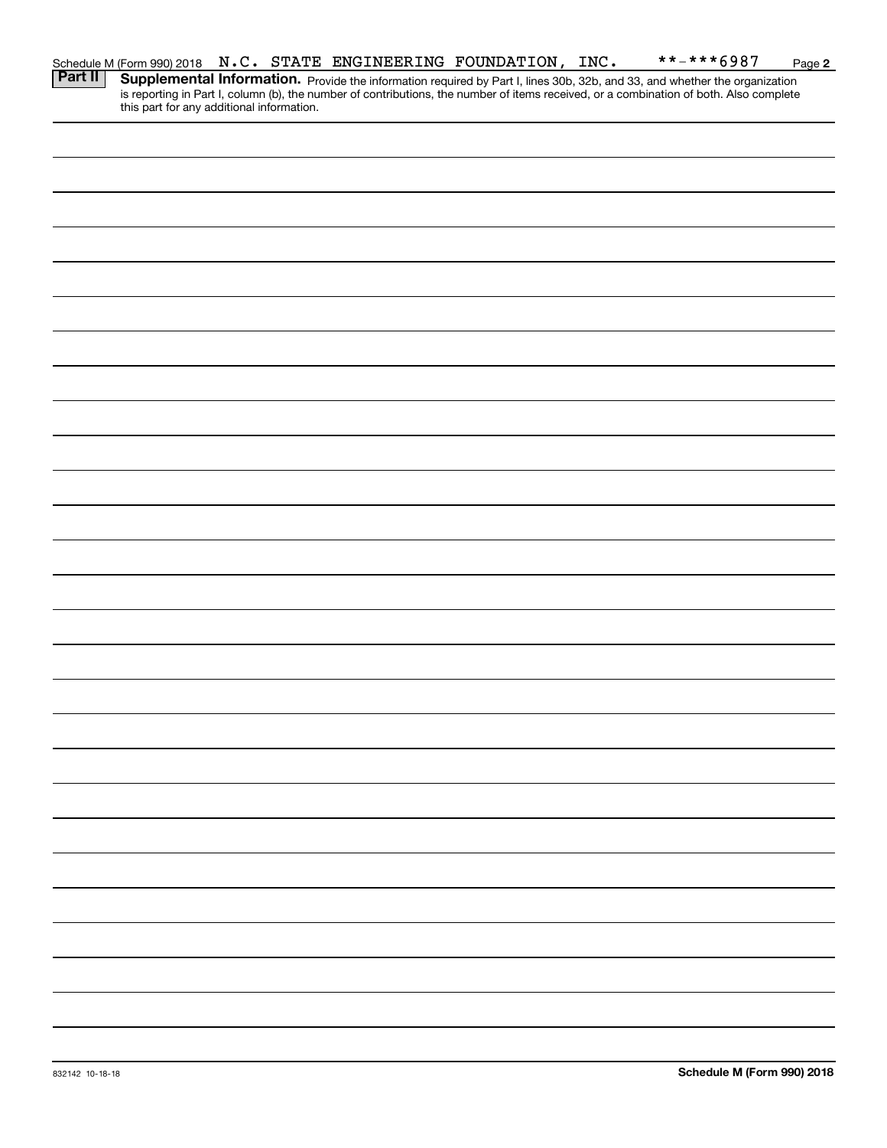|                |                                           |  | Schedule M (Form 990) 2018 N.C. STATE ENGINEERING FOUNDATION, INC. |  | **-***6987                                                                                                                                                                                                                          | Page 2 |
|----------------|-------------------------------------------|--|--------------------------------------------------------------------|--|-------------------------------------------------------------------------------------------------------------------------------------------------------------------------------------------------------------------------------------|--------|
| <b>Part II</b> |                                           |  |                                                                    |  |                                                                                                                                                                                                                                     |        |
|                |                                           |  |                                                                    |  | <b>Supplemental Information.</b> Provide the information required by Part I, lines 30b, 32b, and 33, and whether the organization is reporting in Part I, column (b), the number of contributions, the number of items received, or |        |
|                | this part for any additional information. |  |                                                                    |  |                                                                                                                                                                                                                                     |        |
|                |                                           |  |                                                                    |  |                                                                                                                                                                                                                                     |        |
|                |                                           |  |                                                                    |  |                                                                                                                                                                                                                                     |        |
|                |                                           |  |                                                                    |  |                                                                                                                                                                                                                                     |        |
|                |                                           |  |                                                                    |  |                                                                                                                                                                                                                                     |        |
|                |                                           |  |                                                                    |  |                                                                                                                                                                                                                                     |        |
|                |                                           |  |                                                                    |  |                                                                                                                                                                                                                                     |        |
|                |                                           |  |                                                                    |  |                                                                                                                                                                                                                                     |        |
|                |                                           |  |                                                                    |  |                                                                                                                                                                                                                                     |        |
|                |                                           |  |                                                                    |  |                                                                                                                                                                                                                                     |        |
|                |                                           |  |                                                                    |  |                                                                                                                                                                                                                                     |        |
|                |                                           |  |                                                                    |  |                                                                                                                                                                                                                                     |        |
|                |                                           |  |                                                                    |  |                                                                                                                                                                                                                                     |        |
|                |                                           |  |                                                                    |  |                                                                                                                                                                                                                                     |        |
|                |                                           |  |                                                                    |  |                                                                                                                                                                                                                                     |        |
|                |                                           |  |                                                                    |  |                                                                                                                                                                                                                                     |        |
|                |                                           |  |                                                                    |  |                                                                                                                                                                                                                                     |        |
|                |                                           |  |                                                                    |  |                                                                                                                                                                                                                                     |        |
|                |                                           |  |                                                                    |  |                                                                                                                                                                                                                                     |        |
|                |                                           |  |                                                                    |  |                                                                                                                                                                                                                                     |        |
|                |                                           |  |                                                                    |  |                                                                                                                                                                                                                                     |        |
|                |                                           |  |                                                                    |  |                                                                                                                                                                                                                                     |        |
|                |                                           |  |                                                                    |  |                                                                                                                                                                                                                                     |        |
|                |                                           |  |                                                                    |  |                                                                                                                                                                                                                                     |        |
|                |                                           |  |                                                                    |  |                                                                                                                                                                                                                                     |        |
|                |                                           |  |                                                                    |  |                                                                                                                                                                                                                                     |        |
|                |                                           |  |                                                                    |  |                                                                                                                                                                                                                                     |        |
|                |                                           |  |                                                                    |  |                                                                                                                                                                                                                                     |        |
|                |                                           |  |                                                                    |  |                                                                                                                                                                                                                                     |        |
|                |                                           |  |                                                                    |  |                                                                                                                                                                                                                                     |        |
|                |                                           |  |                                                                    |  |                                                                                                                                                                                                                                     |        |
|                |                                           |  |                                                                    |  |                                                                                                                                                                                                                                     |        |
|                |                                           |  |                                                                    |  |                                                                                                                                                                                                                                     |        |
|                |                                           |  |                                                                    |  |                                                                                                                                                                                                                                     |        |
|                |                                           |  |                                                                    |  |                                                                                                                                                                                                                                     |        |
|                |                                           |  |                                                                    |  |                                                                                                                                                                                                                                     |        |
|                |                                           |  |                                                                    |  |                                                                                                                                                                                                                                     |        |
|                |                                           |  |                                                                    |  |                                                                                                                                                                                                                                     |        |
|                |                                           |  |                                                                    |  |                                                                                                                                                                                                                                     |        |
|                |                                           |  |                                                                    |  |                                                                                                                                                                                                                                     |        |
|                |                                           |  |                                                                    |  |                                                                                                                                                                                                                                     |        |
|                |                                           |  |                                                                    |  |                                                                                                                                                                                                                                     |        |
|                |                                           |  |                                                                    |  |                                                                                                                                                                                                                                     |        |
|                |                                           |  |                                                                    |  |                                                                                                                                                                                                                                     |        |
|                |                                           |  |                                                                    |  |                                                                                                                                                                                                                                     |        |
|                |                                           |  |                                                                    |  |                                                                                                                                                                                                                                     |        |
|                |                                           |  |                                                                    |  |                                                                                                                                                                                                                                     |        |
|                |                                           |  |                                                                    |  |                                                                                                                                                                                                                                     |        |
|                |                                           |  |                                                                    |  |                                                                                                                                                                                                                                     |        |
|                |                                           |  |                                                                    |  |                                                                                                                                                                                                                                     |        |
|                |                                           |  |                                                                    |  |                                                                                                                                                                                                                                     |        |
|                |                                           |  |                                                                    |  |                                                                                                                                                                                                                                     |        |
|                |                                           |  |                                                                    |  |                                                                                                                                                                                                                                     |        |
|                |                                           |  |                                                                    |  |                                                                                                                                                                                                                                     |        |
|                |                                           |  |                                                                    |  |                                                                                                                                                                                                                                     |        |
|                |                                           |  |                                                                    |  |                                                                                                                                                                                                                                     |        |
|                |                                           |  |                                                                    |  |                                                                                                                                                                                                                                     |        |
|                |                                           |  |                                                                    |  |                                                                                                                                                                                                                                     |        |
|                |                                           |  |                                                                    |  |                                                                                                                                                                                                                                     |        |
|                |                                           |  |                                                                    |  |                                                                                                                                                                                                                                     |        |
|                |                                           |  |                                                                    |  |                                                                                                                                                                                                                                     |        |
|                |                                           |  |                                                                    |  |                                                                                                                                                                                                                                     |        |
|                |                                           |  |                                                                    |  |                                                                                                                                                                                                                                     |        |
|                |                                           |  |                                                                    |  |                                                                                                                                                                                                                                     |        |
|                |                                           |  |                                                                    |  |                                                                                                                                                                                                                                     |        |
|                |                                           |  |                                                                    |  |                                                                                                                                                                                                                                     |        |
|                |                                           |  |                                                                    |  |                                                                                                                                                                                                                                     |        |
|                |                                           |  |                                                                    |  |                                                                                                                                                                                                                                     |        |
|                |                                           |  |                                                                    |  |                                                                                                                                                                                                                                     |        |
|                |                                           |  |                                                                    |  |                                                                                                                                                                                                                                     |        |
|                |                                           |  |                                                                    |  |                                                                                                                                                                                                                                     |        |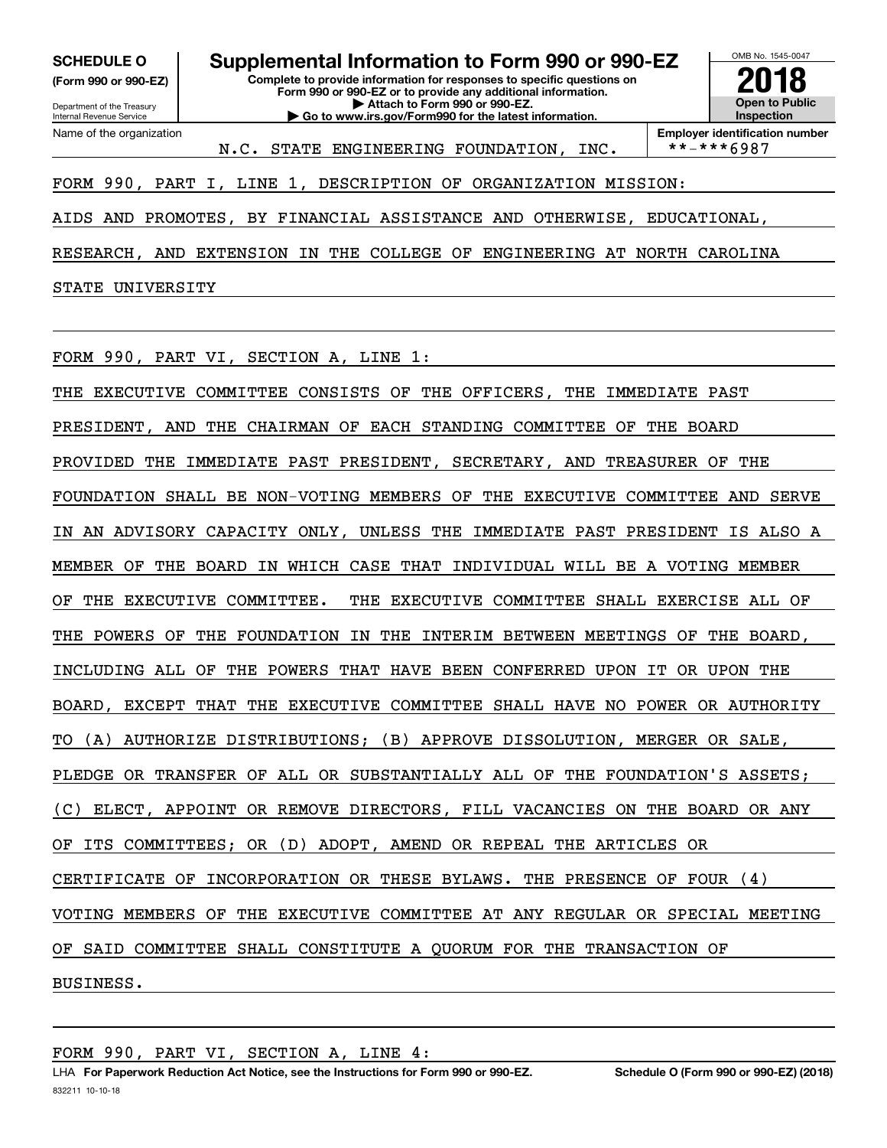**(Form 990 or 990-EZ)**

Department of the Treasury Internal Revenue Service Name of the organization

**Complete to provide information for responses to specific questions on Form 990 or 990-EZ or to provide any additional information. | Attach to Form 990 or 990-EZ. | Go to www.irs.gov/Form990 for the latest information. SCHEDULE O Supplemental Information to Form 990 or 990-EZ**



**Employer identification number**<br>\*\*-\*\*\*6987

## FORM 990, PART I, LINE 1, DESCRIPTION OF ORGANIZATION MISSION:

AIDS AND PROMOTES, BY FINANCIAL ASSISTANCE AND OTHERWISE, EDUCATIONAL,

N.C. STATE ENGINEERING FOUNDATION, INC.

RESEARCH, AND EXTENSION IN THE COLLEGE OF ENGINEERING AT NORTH CAROLINA

STATE UNIVERSITY

FORM 990, PART VI, SECTION A, LINE 1:

THE EXECUTIVE COMMITTEE CONSISTS OF THE OFFICERS, THE IMMEDIATE PAST PRESIDENT, AND THE CHAIRMAN OF EACH STANDING COMMITTEE OF THE BOARD PROVIDED THE IMMEDIATE PAST PRESIDENT, SECRETARY, AND TREASURER OF THE FOUNDATION SHALL BE NON-VOTING MEMBERS OF THE EXECUTIVE COMMITTEE AND SERVE IN AN ADVISORY CAPACITY ONLY, UNLESS THE IMMEDIATE PAST PRESIDENT IS ALSO A MEMBER OF THE BOARD IN WHICH CASE THAT INDIVIDUAL WILL BE A VOTING MEMBER OF THE EXECUTIVE COMMITTEE. THE EXECUTIVE COMMITTEE SHALL EXERCISE ALL OF THE POWERS OF THE FOUNDATION IN THE INTERIM BETWEEN MEETINGS OF THE BOARD, INCLUDING ALL OF THE POWERS THAT HAVE BEEN CONFERRED UPON IT OR UPON THE BOARD, EXCEPT THAT THE EXECUTIVE COMMITTEE SHALL HAVE NO POWER OR AUTHORITY TO (A) AUTHORIZE DISTRIBUTIONS; (B) APPROVE DISSOLUTION, MERGER OR SALE, PLEDGE OR TRANSFER OF ALL OR SUBSTANTIALLY ALL OF THE FOUNDATION'S ASSETS; (C) ELECT, APPOINT OR REMOVE DIRECTORS, FILL VACANCIES ON THE BOARD OR ANY OF ITS COMMITTEES; OR (D) ADOPT, AMEND OR REPEAL THE ARTICLES OR CERTIFICATE OF INCORPORATION OR THESE BYLAWS. THE PRESENCE OF FOUR (4) VOTING MEMBERS OF THE EXECUTIVE COMMITTEE AT ANY REGULAR OR SPECIAL MEETING OF SAID COMMITTEE SHALL CONSTITUTE A QUORUM FOR THE TRANSACTION OF BUSINESS.

FORM 990, PART VI, SECTION A, LINE 4: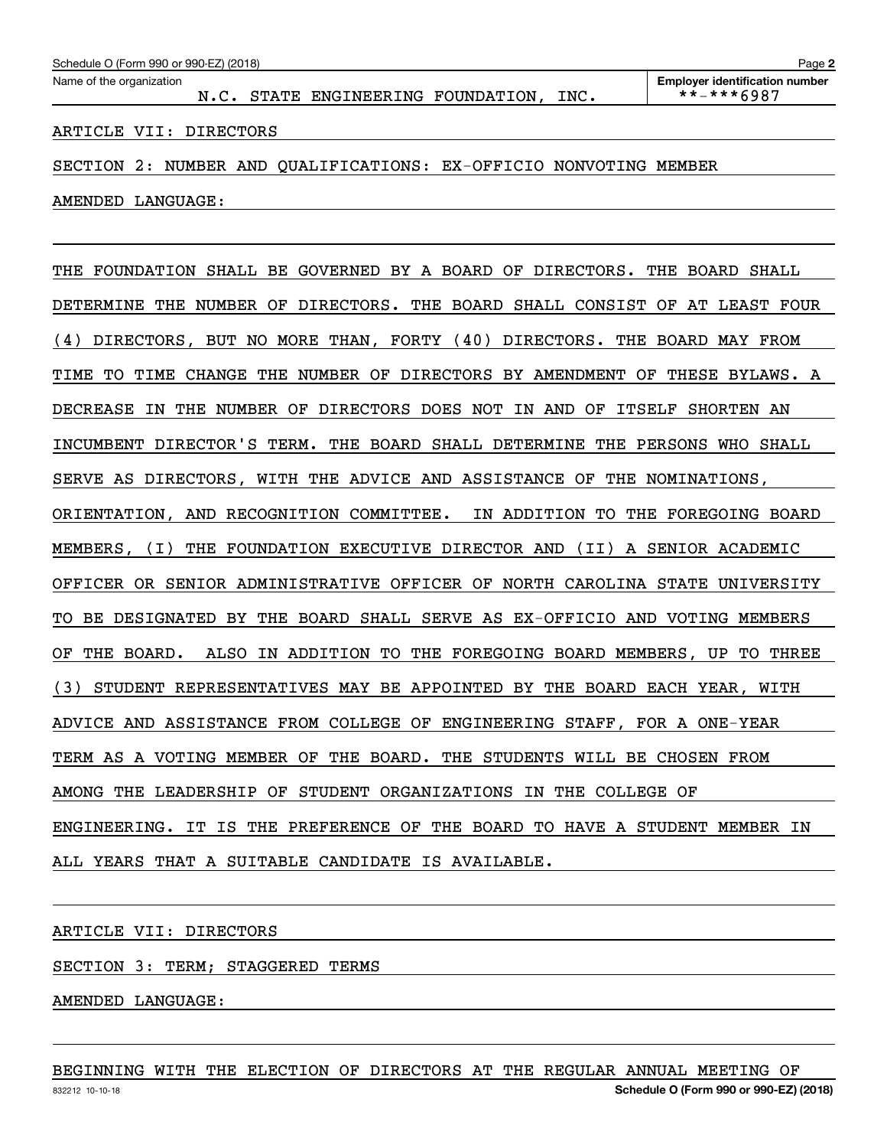ARTICLE VII: DIRECTORS

SECTION 2: NUMBER AND QUALIFICATIONS: EX-OFFICIO NONVOTING MEMBER

AMENDED LANGUAGE:

THE FOUNDATION SHALL BE GOVERNED BY A BOARD OF DIRECTORS. THE BOARD SHALL DETERMINE THE NUMBER OF DIRECTORS. THE BOARD SHALL CONSIST OF AT LEAST FOUR (4) DIRECTORS, BUT NO MORE THAN, FORTY (40) DIRECTORS. THE BOARD MAY FROM TIME TO TIME CHANGE THE NUMBER OF DIRECTORS BY AMENDMENT OF THESE BYLAWS. A DECREASE IN THE NUMBER OF DIRECTORS DOES NOT IN AND OF ITSELF SHORTEN AN INCUMBENT DIRECTOR'S TERM. THE BOARD SHALL DETERMINE THE PERSONS WHO SHALL SERVE AS DIRECTORS, WITH THE ADVICE AND ASSISTANCE OF THE NOMINATIONS, ORIENTATION, AND RECOGNITION COMMITTEE. IN ADDITION TO THE FOREGOING BOARD MEMBERS, (I) THE FOUNDATION EXECUTIVE DIRECTOR AND (II) A SENIOR ACADEMIC OFFICER OR SENIOR ADMINISTRATIVE OFFICER OF NORTH CAROLINA STATE UNIVERSITY TO BE DESIGNATED BY THE BOARD SHALL SERVE AS EX-OFFICIO AND VOTING MEMBERS OF THE BOARD. ALSO IN ADDITION TO THE FOREGOING BOARD MEMBERS, UP TO THREE (3) STUDENT REPRESENTATIVES MAY BE APPOINTED BY THE BOARD EACH YEAR, WITH ADVICE AND ASSISTANCE FROM COLLEGE OF ENGINEERING STAFF, FOR A ONE-YEAR TERM AS A VOTING MEMBER OF THE BOARD. THE STUDENTS WILL BE CHOSEN FROM AMONG THE LEADERSHIP OF STUDENT ORGANIZATIONS IN THE COLLEGE OF ENGINEERING. IT IS THE PREFERENCE OF THE BOARD TO HAVE A STUDENT MEMBER IN ALL YEARS THAT A SUITABLE CANDIDATE IS AVAILABLE.

ARTICLE VII: DIRECTORS

SECTION 3: TERM; STAGGERED TERMS

AMENDED LANGUAGE:

BEGINNING WITH THE ELECTION OF DIRECTORS AT THE REGULAR ANNUAL MEETING OF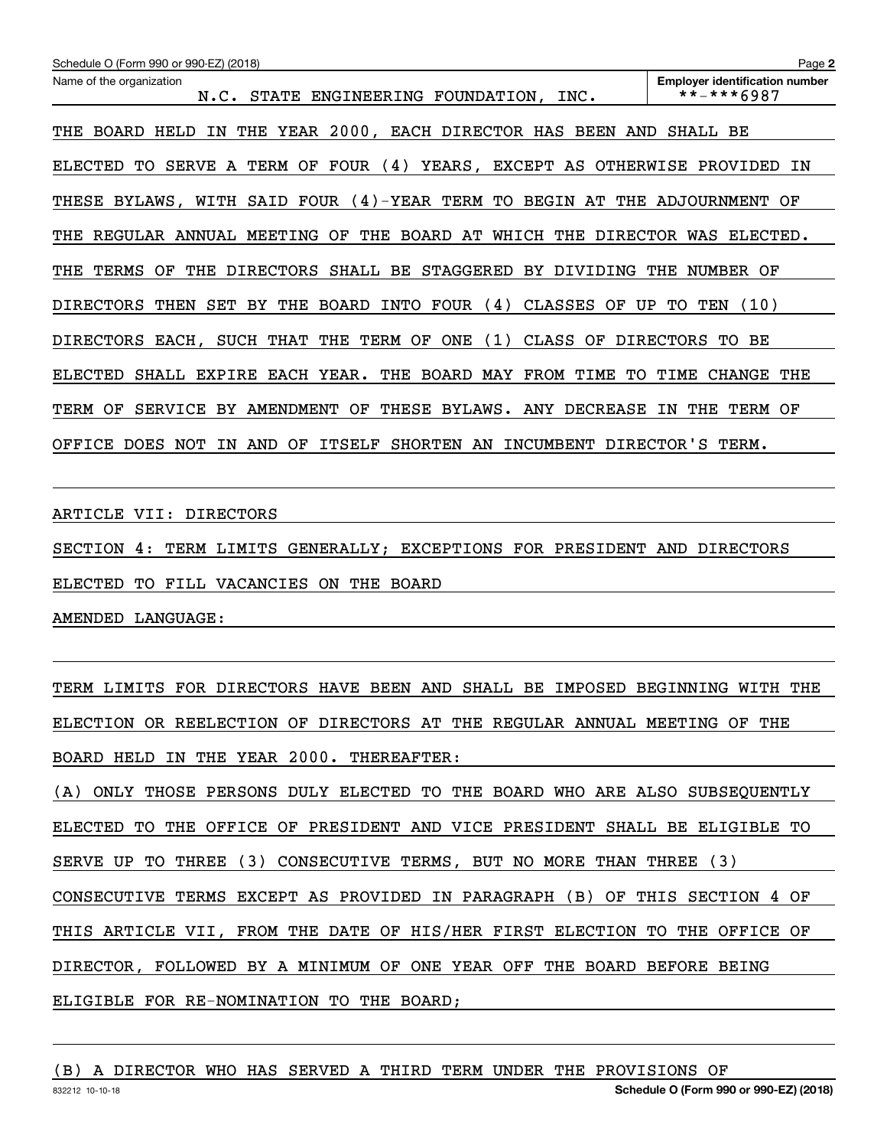| Schedule O (Form 990 or 990-EZ) (2018)                                                                     | Page 2                                              |
|------------------------------------------------------------------------------------------------------------|-----------------------------------------------------|
| Name of the organization<br>STATE<br>ENGINEERING FOUNDATION,<br>INC.<br>N.C.                               | <b>Employer identification number</b><br>**-***6987 |
| 2000, EACH DIRECTOR HAS<br>YEAR<br>THE<br><b>BOARD</b><br>HELD<br>IN<br>THE<br>BEEN<br>AND                 | SHALL<br>BE                                         |
| A TERM OF<br>FOUR $(4)$<br>YEARS,<br>EXCEPT AS OTHERWISE<br><b>ELECTED</b><br><b>SERVE</b><br>TО           | PROVIDED<br>ΙN                                      |
| WITH SAID FOUR $(4)$ -YEAR TERM TO<br><b>BEGIN</b><br>AT THE<br>THESE<br>BYLAWS,                           | ADJOURNMENT<br>OF                                   |
| WHICH<br>REGULAR<br>ANNUAL<br>MEETING<br>OF<br>THE<br>BOARD<br>AТ<br>THE<br><b>DIRECTOR</b><br>THE         | WAS<br>ELECTED.                                     |
| STAGGERED<br>TERMS<br><b>DIRECTORS</b><br>SHALL BE<br>BY<br>THE<br>OF<br>THE<br>DIVIDING                   | NUMBER<br>THE<br>OF                                 |
| THE<br>BOARD<br>INTO<br>FOUR<br>(4)<br>CLASSES<br>UP<br><b>DIRECTORS</b><br>THEN<br>SET<br>BY.<br>ОF       | (10)<br>TO.<br>TEN                                  |
| (1)<br>SUCH THAT<br>TERM OF<br><b>ONE</b><br>CLASS<br>OF<br><b>DIRECTORS</b><br>EACH,<br>THE               | <b>DIRECTORS</b><br>ВE<br>TО                        |
| EACH YEAR.<br><b>BOARD</b><br>FROM<br>TIME<br><b>ELECTED</b><br><b>EXPIRE</b><br>THE<br>MAY<br>TО<br>SHALL | TIME<br><b>CHANGE</b><br>THE                        |
| THESE<br><b>DECREASE</b><br>TERM<br>OF<br><b>SERVICE</b><br>AMENDMENT<br>OF<br>BYLAWS.<br>BY.<br>ANY       | THE<br>TERM<br>OF<br>IN                             |
| OFFICE<br><b>DOES</b><br>AND<br>ОF<br>ITSELF<br><b>SHORTEN</b><br>AN<br>INCUMBENT<br>NOT<br>ΙN             | DIRECTOR'S<br>TERM.                                 |

ARTICLE VII: DIRECTORS

SECTION 4: TERM LIMITS GENERALLY; EXCEPTIONS FOR PRESIDENT AND DIRECTORS

ELECTED TO FILL VACANCIES ON THE BOARD

AMENDED LANGUAGE:

TERM LIMITS FOR DIRECTORS HAVE BEEN AND SHALL BE IMPOSED BEGINNING WITH THE ELECTION OR REELECTION OF DIRECTORS AT THE REGULAR ANNUAL MEETING OF THE BOARD HELD IN THE YEAR 2000. THEREAFTER:

(A) ONLY THOSE PERSONS DULY ELECTED TO THE BOARD WHO ARE ALSO SUBSEQUENTLY ELECTED TO THE OFFICE OF PRESIDENT AND VICE PRESIDENT SHALL BE ELIGIBLE TO SERVE UP TO THREE (3) CONSECUTIVE TERMS, BUT NO MORE THAN THREE (3) CONSECUTIVE TERMS EXCEPT AS PROVIDED IN PARAGRAPH (B) OF THIS SECTION 4 OF THIS ARTICLE VII, FROM THE DATE OF HIS/HER FIRST ELECTION TO THE OFFICE OF DIRECTOR, FOLLOWED BY A MINIMUM OF ONE YEAR OFF THE BOARD BEFORE BEING ELIGIBLE FOR RE-NOMINATION TO THE BOARD;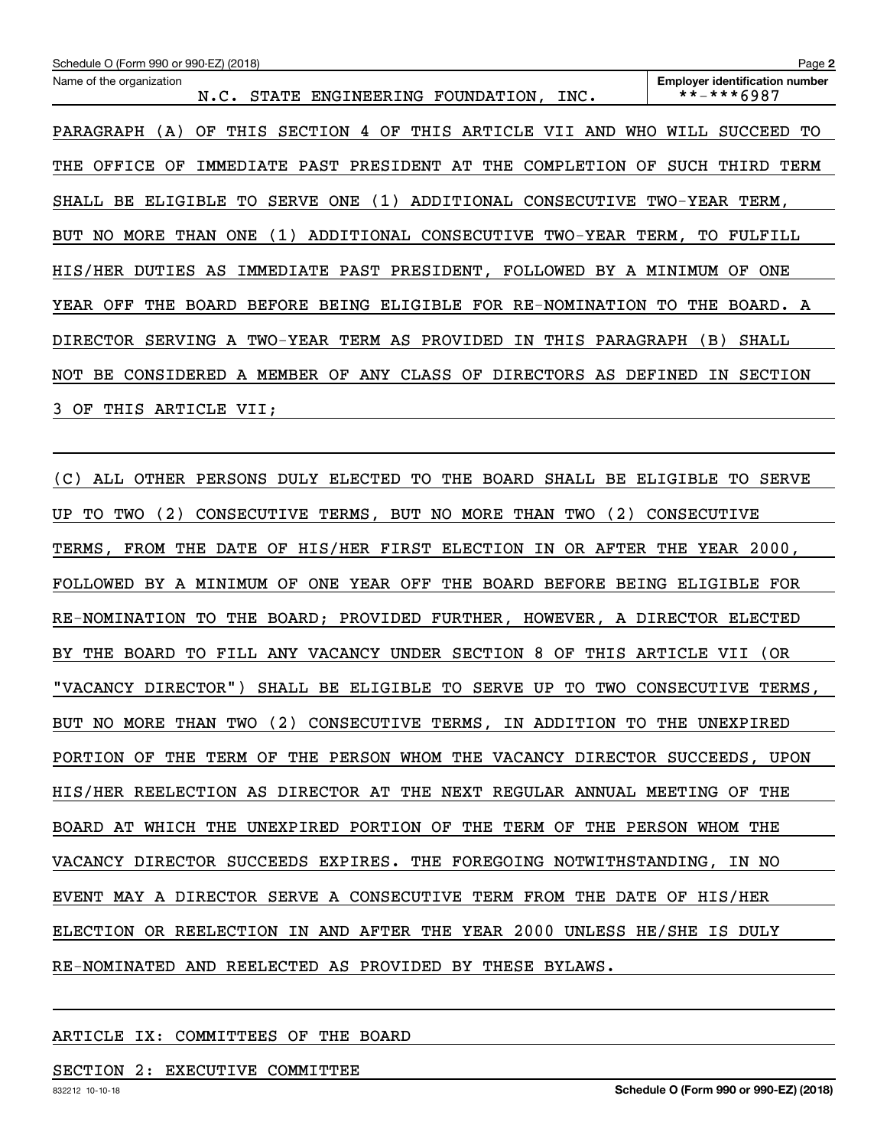| Schedule O (Form 990 or 990-EZ) (2018)                                                                  | Page 2                                              |
|---------------------------------------------------------------------------------------------------------|-----------------------------------------------------|
| Name of the organization<br>ENGINEERING FOUNDATION, INC.<br><b>STATE</b><br>N.C.                        | <b>Employer identification number</b><br>**-***6987 |
| THIS<br><b>SECTION</b><br>THIS<br>ARTICLE<br>PARAGRAPH<br>OF.<br>OF<br>VII<br>AND<br>WHO<br>(A)<br>4    | WILL<br><b>SUCCEED</b><br>TО                        |
| PAST<br>PRESIDENT<br>THE<br>COMPLETION<br>OFFICE<br>ΟF<br>AТ<br>ΟF<br>THE<br>IMMEDIATE                  | SUCH<br>THIRD<br>TERM                               |
| ADDITIONAL<br><b>SERVE</b><br>ONE<br>CONSECUTIVE<br>BE.<br>ELIGIBLE<br>TО<br>(1)<br>SHALL               | TWO-YEAR TERM,                                      |
| ADDITIONAL<br>MORE<br>ONE<br>(1)<br>CONSECUTIVE<br>TWO-YEAR<br>BUT<br>NO.<br>THAN                       | TERM,<br>FULFILL<br>TO.                             |
| IMMEDIATE PAST PRESIDENT,<br>FOLLOWED<br>HIS/HER<br>DUTIES<br>BY A<br>AS                                | MINIMUM<br>ONE<br>OF                                |
| RE-NOMINATION<br>OFF<br><b>BEFORE</b><br><b>BEING</b><br>ELIGIBLE<br>FOR<br>YEAR<br>THE<br><b>BOARD</b> | THE<br>BOARD. A<br>TO.                              |
| TWO-YEAR<br>TERM AS<br>PROVIDED<br>THIS<br>PARAGRAPH<br>DIRECTOR<br>SERVING<br>ΙN<br>A                  | (B)<br>SHALL                                        |
| ANY<br>CLASS<br>CONSIDERED<br>MEMBER<br>OF<br>ОF<br><b>DIRECTORS</b><br>NOT<br>BE.<br>AS<br>A           | DEFINED<br><b>SECTION</b><br>ΙN                     |
| 3.<br>OF<br>THIS<br>ARTICLE VII;                                                                        |                                                     |

(C) ALL OTHER PERSONS DULY ELECTED TO THE BOARD SHALL BE ELIGIBLE TO SERVE UP TO TWO (2) CONSECUTIVE TERMS, BUT NO MORE THAN TWO (2) CONSECUTIVE TERMS, FROM THE DATE OF HIS/HER FIRST ELECTION IN OR AFTER THE YEAR 2000, FOLLOWED BY A MINIMUM OF ONE YEAR OFF THE BOARD BEFORE BEING ELIGIBLE FOR RE-NOMINATION TO THE BOARD; PROVIDED FURTHER, HOWEVER, A DIRECTOR ELECTED BY THE BOARD TO FILL ANY VACANCY UNDER SECTION 8 OF THIS ARTICLE VII (OR "VACANCY DIRECTOR") SHALL BE ELIGIBLE TO SERVE UP TO TWO CONSECUTIVE TERMS, BUT NO MORE THAN TWO (2) CONSECUTIVE TERMS, IN ADDITION TO THE UNEXPIRED PORTION OF THE TERM OF THE PERSON WHOM THE VACANCY DIRECTOR SUCCEEDS, UPON HIS/HER REELECTION AS DIRECTOR AT THE NEXT REGULAR ANNUAL MEETING OF THE BOARD AT WHICH THE UNEXPIRED PORTION OF THE TERM OF THE PERSON WHOM THE VACANCY DIRECTOR SUCCEEDS EXPIRES. THE FOREGOING NOTWITHSTANDING, IN NO EVENT MAY A DIRECTOR SERVE A CONSECUTIVE TERM FROM THE DATE OF HIS/HER ELECTION OR REELECTION IN AND AFTER THE YEAR 2000 UNLESS HE/SHE IS DULY RE-NOMINATED AND REELECTED AS PROVIDED BY THESE BYLAWS.

#### ARTICLE IX: COMMITTEES OF THE BOARD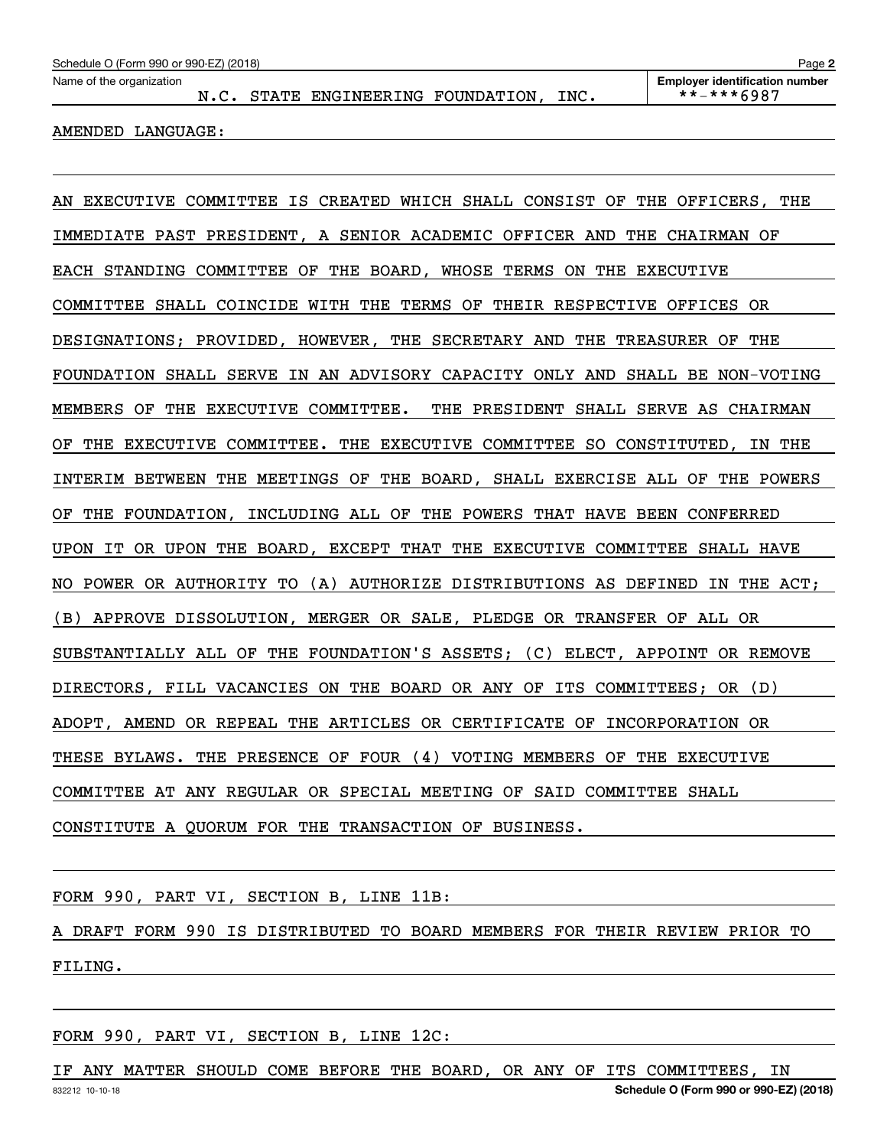N.C. STATE ENGINEERING FOUNDATION, INC. | \*\*-\*\*\*6987

AMENDED LANGUAGE:

AN EXECUTIVE COMMITTEE IS CREATED WHICH SHALL CONSIST OF THE OFFICERS, THE IMMEDIATE PAST PRESIDENT, A SENIOR ACADEMIC OFFICER AND THE CHAIRMAN OF EACH STANDING COMMITTEE OF THE BOARD, WHOSE TERMS ON THE EXECUTIVE COMMITTEE SHALL COINCIDE WITH THE TERMS OF THEIR RESPECTIVE OFFICES OR DESIGNATIONS; PROVIDED, HOWEVER, THE SECRETARY AND THE TREASURER OF THE FOUNDATION SHALL SERVE IN AN ADVISORY CAPACITY ONLY AND SHALL BE NON-VOTING MEMBERS OF THE EXECUTIVE COMMITTEE. THE PRESIDENT SHALL SERVE AS CHAIRMAN OF THE EXECUTIVE COMMITTEE. THE EXECUTIVE COMMITTEE SO CONSTITUTED, IN THE INTERIM BETWEEN THE MEETINGS OF THE BOARD, SHALL EXERCISE ALL OF THE POWERS OF THE FOUNDATION, INCLUDING ALL OF THE POWERS THAT HAVE BEEN CONFERRED UPON IT OR UPON THE BOARD, EXCEPT THAT THE EXECUTIVE COMMITTEE SHALL HAVE NO POWER OR AUTHORITY TO (A) AUTHORIZE DISTRIBUTIONS AS DEFINED IN THE ACT; (B) APPROVE DISSOLUTION, MERGER OR SALE, PLEDGE OR TRANSFER OF ALL OR SUBSTANTIALLY ALL OF THE FOUNDATION'S ASSETS; (C) ELECT, APPOINT OR REMOVE DIRECTORS, FILL VACANCIES ON THE BOARD OR ANY OF ITS COMMITTEES; OR (D) ADOPT, AMEND OR REPEAL THE ARTICLES OR CERTIFICATE OF INCORPORATION OR THESE BYLAWS. THE PRESENCE OF FOUR (4) VOTING MEMBERS OF THE EXECUTIVE COMMITTEE AT ANY REGULAR OR SPECIAL MEETING OF SAID COMMITTEE SHALL CONSTITUTE A QUORUM FOR THE TRANSACTION OF BUSINESS.

FORM 990, PART VI, SECTION B, LINE 11B:

A DRAFT FORM 990 IS DISTRIBUTED TO BOARD MEMBERS FOR THEIR REVIEW PRIOR TO FILING.

FORM 990, PART VI, SECTION B, LINE 12C:

832212 10-10-18 **Schedule O (Form 990 or 990-EZ) (2018)** IF ANY MATTER SHOULD COME BEFORE THE BOARD, OR ANY OF ITS COMMITTEES, IN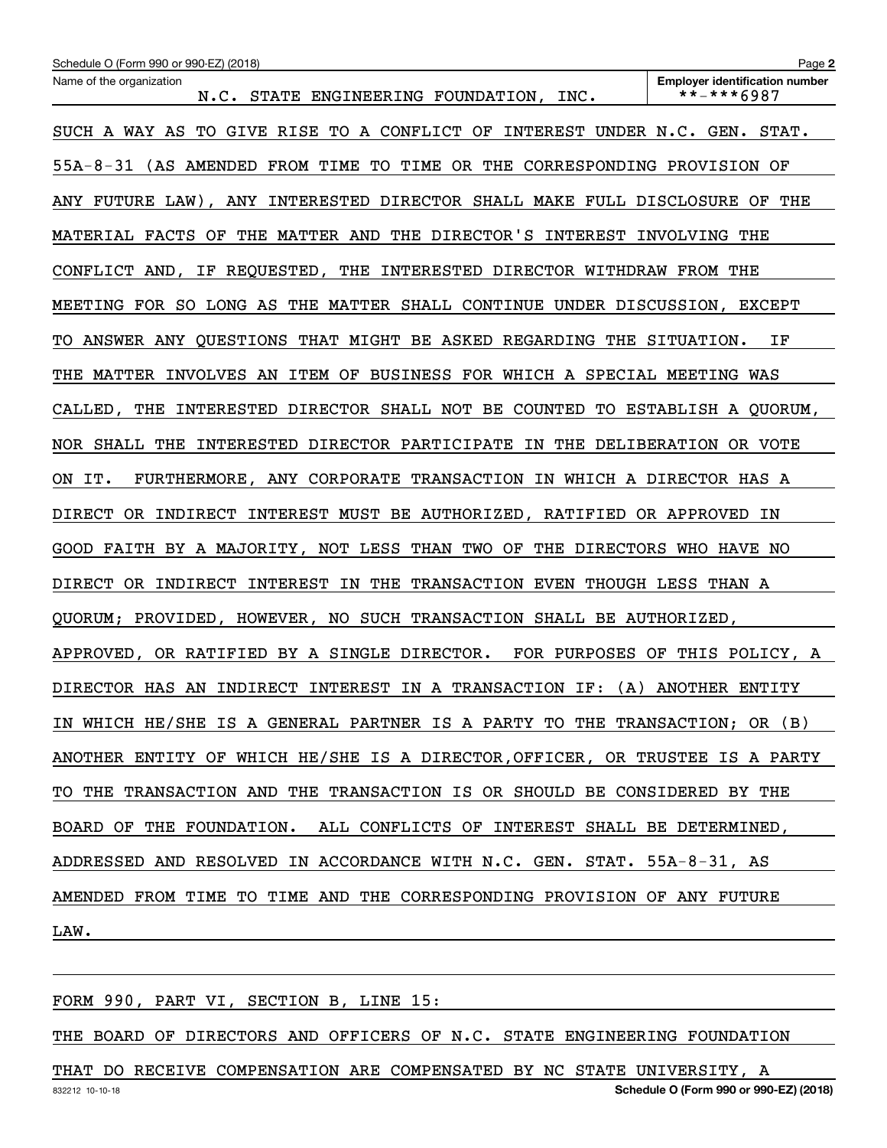| Schedule O (Form 990 or 990-EZ) (2018)                                       | Page 2                                              |
|------------------------------------------------------------------------------|-----------------------------------------------------|
| Name of the organization<br>N.C. STATE ENGINEERING FOUNDATION, INC.          | <b>Employer identification number</b><br>**-***6987 |
| SUCH A WAY AS TO GIVE RISE TO A CONFLICT OF INTEREST UNDER N.C. GEN. STAT.   |                                                     |
| 55A-8-31 (AS AMENDED FROM TIME TO TIME OR THE CORRESPONDING PROVISION OF     |                                                     |
| ANY FUTURE LAW), ANY INTERESTED DIRECTOR SHALL MAKE FULL DISCLOSURE OF THE   |                                                     |
| MATERIAL FACTS OF THE MATTER AND THE DIRECTOR'S INTEREST INVOLVING THE       |                                                     |
| CONFLICT AND, IF REQUESTED, THE INTERESTED DIRECTOR WITHDRAW FROM THE        |                                                     |
| MEETING FOR SO LONG AS THE MATTER SHALL CONTINUE UNDER DISCUSSION, EXCEPT    |                                                     |
| TO ANSWER ANY QUESTIONS THAT MIGHT BE ASKED REGARDING THE SITUATION. IF      |                                                     |
| THE MATTER INVOLVES AN ITEM OF BUSINESS FOR WHICH A SPECIAL MEETING WAS      |                                                     |
| CALLED, THE INTERESTED DIRECTOR SHALL NOT BE COUNTED TO ESTABLISH A QUORUM,  |                                                     |
| NOR SHALL THE INTERESTED DIRECTOR PARTICIPATE IN THE DELIBERATION OR VOTE    |                                                     |
| ON IT. FURTHERMORE, ANY CORPORATE TRANSACTION IN WHICH A DIRECTOR HAS A      |                                                     |
| DIRECT OR INDIRECT INTEREST MUST BE AUTHORIZED, RATIFIED OR APPROVED IN      |                                                     |
| GOOD FAITH BY A MAJORITY, NOT LESS THAN TWO OF THE DIRECTORS WHO HAVE NO     |                                                     |
| DIRECT OR INDIRECT INTEREST IN THE TRANSACTION EVEN THOUGH LESS THAN A       |                                                     |
| QUORUM; PROVIDED, HOWEVER, NO SUCH TRANSACTION SHALL BE AUTHORIZED,          |                                                     |
| APPROVED, OR RATIFIED BY A SINGLE DIRECTOR. FOR PURPOSES OF THIS POLICY, A   |                                                     |
| DIRECTOR HAS AN INDIRECT INTEREST IN A TRANSACTION IF: (A) ANOTHER ENTITY    |                                                     |
| IN WHICH HE/SHE IS A GENERAL PARTNER IS A PARTY TO THE TRANSACTION; OR (B)   |                                                     |
| ANOTHER ENTITY OF WHICH HE/SHE IS A DIRECTOR, OFFICER, OR TRUSTEE IS A PARTY |                                                     |
| TO THE TRANSACTION AND THE TRANSACTION IS OR SHOULD BE CONSIDERED BY THE     |                                                     |
| BOARD OF THE FOUNDATION. ALL CONFLICTS OF INTEREST SHALL BE DETERMINED,      |                                                     |
| ADDRESSED AND RESOLVED IN ACCORDANCE WITH N.C. GEN. STAT. 55A-8-31, AS       |                                                     |
| AMENDED FROM TIME TO TIME AND THE CORRESPONDING PROVISION OF ANY FUTURE      |                                                     |
| LAW.                                                                         |                                                     |

FORM 990, PART VI, SECTION B, LINE 15:

THE BOARD OF DIRECTORS AND OFFICERS OF N.C. STATE ENGINEERING FOUNDATION

832212 10-10-18 **Schedule O (Form 990 or 990-EZ) (2018)** THAT DO RECEIVE COMPENSATION ARE COMPENSATED BY NC STATE UNIVERSITY, A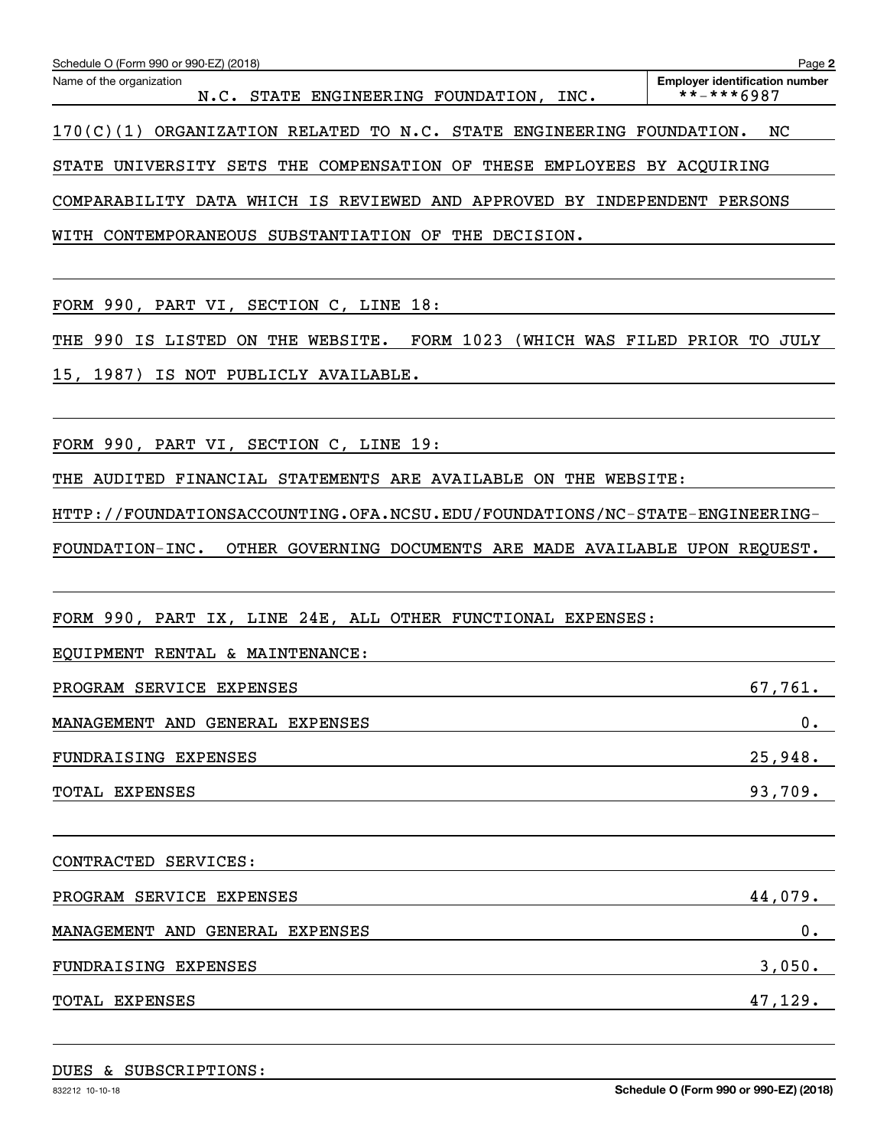| Schedule O (Form 990 or 990-EZ) (2018)                                                                                                   | Page 2                                              |
|------------------------------------------------------------------------------------------------------------------------------------------|-----------------------------------------------------|
| Name of the organization<br>N.C. STATE ENGINEERING FOUNDATION, INC.                                                                      | <b>Employer identification number</b><br>**-***6987 |
| 170(C)(1) ORGANIZATION RELATED TO N.C. STATE ENGINEERING FOUNDATION.                                                                     | NC                                                  |
| STATE UNIVERSITY SETS THE COMPENSATION OF THESE EMPLOYEES BY ACQUIRING                                                                   |                                                     |
| COMPARABILITY DATA WHICH IS REVIEWED AND APPROVED BY INDEPENDENT PERSONS                                                                 |                                                     |
| WITH CONTEMPORANEOUS SUBSTANTIATION OF THE DECISION.                                                                                     |                                                     |
|                                                                                                                                          |                                                     |
| FORM 990, PART VI, SECTION C, LINE 18:                                                                                                   |                                                     |
| THE 990 IS LISTED ON THE WEBSITE. FORM 1023 (WHICH WAS FILED PRIOR TO JULY                                                               |                                                     |
| 15, 1987) IS NOT PUBLICLY AVAILABLE.                                                                                                     |                                                     |
|                                                                                                                                          |                                                     |
| FORM 990, PART VI, SECTION C, LINE 19:                                                                                                   |                                                     |
| THE AUDITED FINANCIAL STATEMENTS ARE AVAILABLE ON THE WEBSITE:                                                                           |                                                     |
| HTTP://FOUNDATIONSACCOUNTING.OFA.NCSU.EDU/FOUNDATIONS/NC-STATE-ENGINEERING-                                                              |                                                     |
| FOUNDATION-INC.<br>OTHER GOVERNING DOCUMENTS ARE MADE AVAILABLE UPON REQUEST.                                                            |                                                     |
|                                                                                                                                          |                                                     |
| FORM 990, PART IX, LINE 24E, ALL OTHER FUNCTIONAL EXPENSES:                                                                              |                                                     |
| EQUIPMENT RENTAL & MAINTENANCE:                                                                                                          |                                                     |
| PROGRAM SERVICE EXPENSES                                                                                                                 | 67,761.                                             |
| MANAGEMENT AND GENERAL EXPENSES                                                                                                          | $\mathbf 0$ .                                       |
| FUNDRAISING EXPENSES                                                                                                                     | 25,948.                                             |
| TOTAL EXPENSES<br><u> 1989 - Johann Barbara, markazi ya mshindi aliyofanyika mwaka wa 1989 - Amerika mwaka wa 1989 - Amerika mwaka</u>   | 93,709.                                             |
|                                                                                                                                          |                                                     |
| CONTRACTED SERVICES:                                                                                                                     |                                                     |
| PROGRAM SERVICE EXPENSES                                                                                                                 | 44,079.                                             |
| MANAGEMENT AND GENERAL EXPENSES                                                                                                          | 0.                                                  |
| FUNDRAISING EXPENSES<br>and the control of the control of the control of the control of the control of the control of the control of the | 3,050.                                              |
| TOTAL EXPENSES                                                                                                                           | 47,129.                                             |
|                                                                                                                                          |                                                     |
|                                                                                                                                          |                                                     |

DUES & SUBSCRIPTIONS: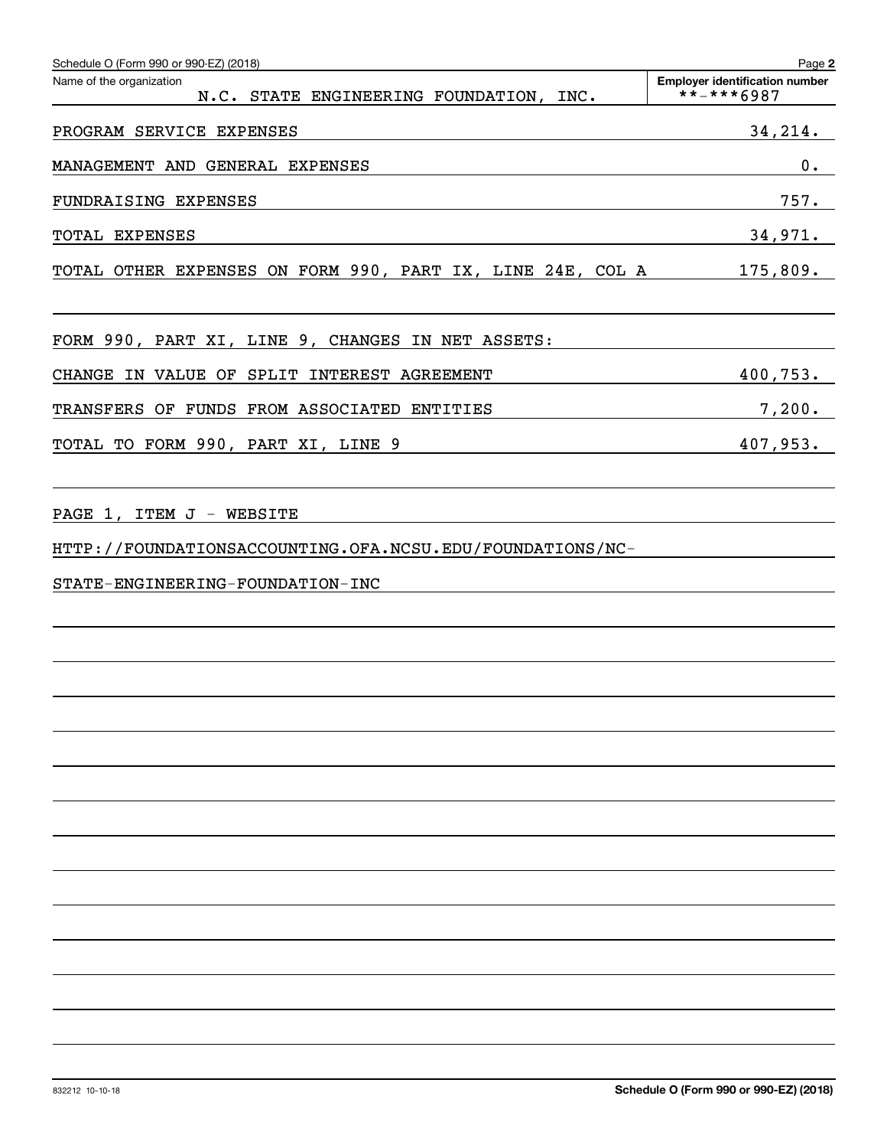| Schedule O (Form 990 or 990-EZ) (2018)                                                | Page 2                                                     |
|---------------------------------------------------------------------------------------|------------------------------------------------------------|
| Name of the organization<br>N.C. STATE ENGINEERING FOUNDATION, INC.                   | <b>Employer identification number</b><br>$***$ ** * * 6987 |
| PROGRAM SERVICE EXPENSES                                                              | 34, 214.                                                   |
| MANAGEMENT AND GENERAL EXPENSES                                                       | 0.                                                         |
| FUNDRAISING EXPENSES                                                                  | 757.                                                       |
| TOTAL EXPENSES                                                                        | 34,971.                                                    |
| TOTAL OTHER EXPENSES ON FORM 990, PART IX, LINE 24E, COL A                            | 175,809.                                                   |
| FORM 990, PART XI, LINE 9, CHANGES IN NET ASSETS:                                     |                                                            |
| CHANGE IN VALUE OF SPLIT INTEREST AGREEMENT                                           | 400,753.                                                   |
| TRANSFERS OF FUNDS FROM ASSOCIATED ENTITIES                                           | 7,200.                                                     |
| TOTAL TO FORM 990, PART XI, LINE 9                                                    | 407,953.                                                   |
| PAGE 1, ITEM J - WEBSITE<br>HTTP://FOUNDATIONSACCOUNTING.OFA.NCSU.EDU/FOUNDATIONS/NC- |                                                            |
| STATE-ENGINEERING-FOUNDATION-INC                                                      |                                                            |
|                                                                                       |                                                            |
|                                                                                       |                                                            |
|                                                                                       |                                                            |
|                                                                                       |                                                            |
|                                                                                       |                                                            |
|                                                                                       |                                                            |
|                                                                                       |                                                            |
|                                                                                       |                                                            |
|                                                                                       |                                                            |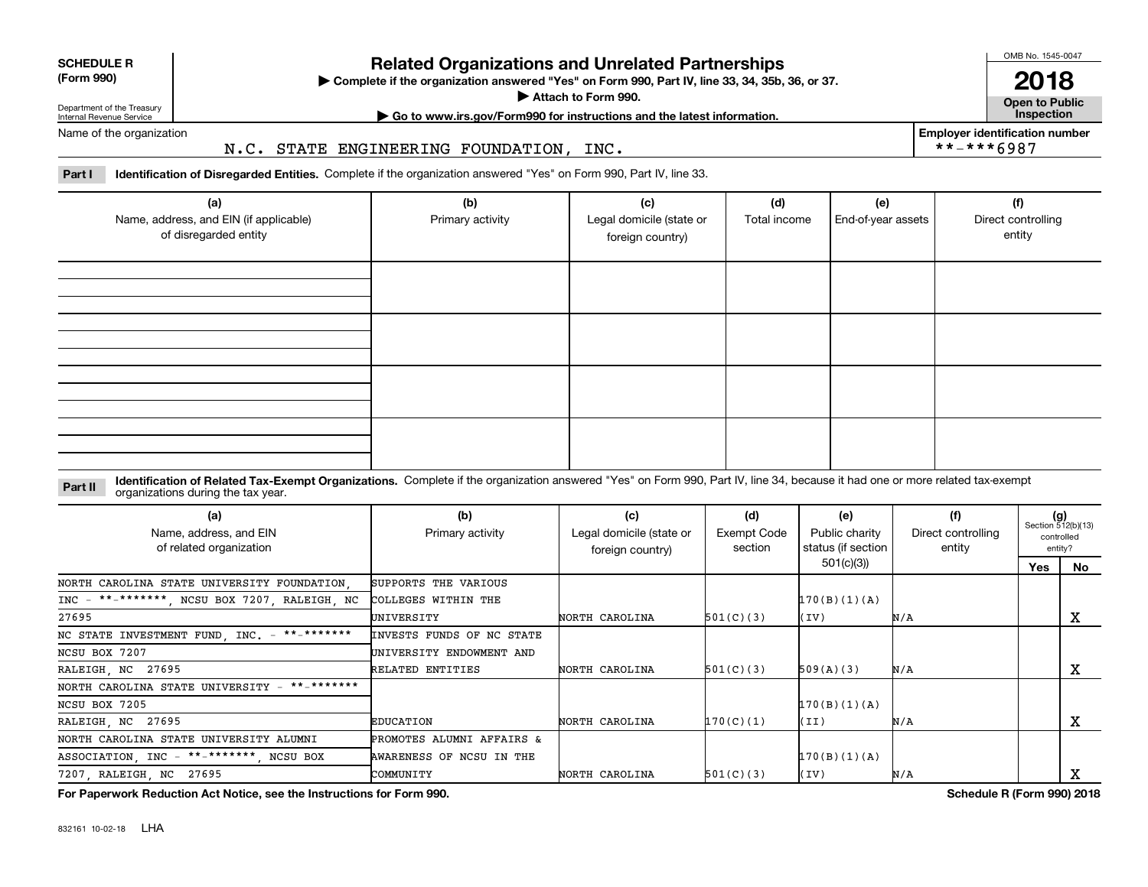| <b>SCHEDULE R</b>         |  |
|---------------------------|--|
| $\sim$ 0.00<br>$\sqrt{2}$ |  |

**(Form 990)**

## **Related Organizations and Unrelated Partnerships**

**Complete if the organization answered "Yes" on Form 990, Part IV, line 33, 34, 35b, 36, or 37.** |

**Attach to Form 990.**  |

OMB No. 1545-0047

**Open to Public 2018**

**Employer identification number**

\*\*-\*\*\*6987

Department of the Treasury Internal Revenue Service

## **| Go to www.irs.gov/Form990 for instructions and the latest information. Inspection**

Name of the organization

#### N.C. STATE ENGINEERING FOUNDATION, INC.

**Part I Identification of Disregarded Entities.**  Complete if the organization answered "Yes" on Form 990, Part IV, line 33.

| (a)<br>Name, address, and EIN (if applicable)<br>of disregarded entity | (b)<br>Primary activity | (c)<br>Legal domicile (state or<br>foreign country) | (d)<br>Total income | (e)<br>End-of-year assets | (f)<br>Direct controlling<br>entity |
|------------------------------------------------------------------------|-------------------------|-----------------------------------------------------|---------------------|---------------------------|-------------------------------------|
|                                                                        |                         |                                                     |                     |                           |                                     |
|                                                                        |                         |                                                     |                     |                           |                                     |
|                                                                        |                         |                                                     |                     |                           |                                     |
|                                                                        |                         |                                                     |                     |                           |                                     |

#### **Identification of Related Tax-Exempt Organizations.** Complete if the organization answered "Yes" on Form 990, Part IV, line 34, because it had one or more related tax-exempt **Part II** organizations during the tax year.

| (a)<br>Name, address, and EIN<br>of related organization | (b)<br>Primary activity   | (c)<br>Legal domicile (state or<br>foreign country) | (d)<br>Exempt Code<br>section | (e)<br>Public charity<br>status (if section | (f)<br>Direct controlling<br>entity | $(g)$<br>Section 512(b)(13) | controlled<br>entity? |
|----------------------------------------------------------|---------------------------|-----------------------------------------------------|-------------------------------|---------------------------------------------|-------------------------------------|-----------------------------|-----------------------|
|                                                          |                           |                                                     |                               | 501(c)(3)                                   |                                     | Yes                         | No                    |
| NORTH CAROLINA STATE UNIVERSITY FOUNDATION.              | SUPPORTS THE VARIOUS      |                                                     |                               |                                             |                                     |                             |                       |
| $INC - **-*******$ , NCSU BOX 7207, RALEIGH, NC          | COLLEGES WITHIN THE       |                                                     |                               | 170(B)(1)(A)                                |                                     |                             |                       |
| 27695                                                    | UNIVERSITY                | NORTH CAROLINA                                      | 501(C)(3)                     | (IV)                                        | N/A                                 |                             | A                     |
| NC STATE INVESTMENT FUND, INC. - **-*******              | INVESTS FUNDS OF NC STATE |                                                     |                               |                                             |                                     |                             |                       |
| NCSU BOX 7207                                            | UNIVERSITY ENDOWMENT AND  |                                                     |                               |                                             |                                     |                             |                       |
| RALEIGH, NC 27695                                        | RELATED ENTITIES          | NORTH CAROLINA                                      | 501(C)(3)                     | 509(A)(3)                                   | N/A                                 |                             | x                     |
| **_*******<br>NORTH CAROLINA STATE UNIVERSITY -          |                           |                                                     |                               |                                             |                                     |                             |                       |
| NCSU BOX 7205                                            |                           |                                                     |                               | 170(B)(1)(A)                                |                                     |                             |                       |
| RALEIGH, NC 27695                                        | EDUCATION                 | NORTH CAROLINA                                      | 170(C)(1)                     | (II)                                        | N/A                                 |                             | x                     |
| NORTH CAROLINA STATE UNIVERSITY ALUMNI                   | PROMOTES ALUMNI AFFAIRS & |                                                     |                               |                                             |                                     |                             |                       |
| ASSOCIATION, INC - **-*******, NCSU BOX                  | AWARENESS OF NCSU IN THE  |                                                     |                               | 170(B)(1)(A)                                |                                     |                             |                       |
| 7207, RALEIGH, NC 27695                                  | COMMUNITY                 | NORTH CAROLINA                                      | 501(C)(3)                     | (IV)                                        | N/A                                 |                             | х                     |

**For Paperwork Reduction Act Notice, see the Instructions for Form 990. Schedule R (Form 990) 2018**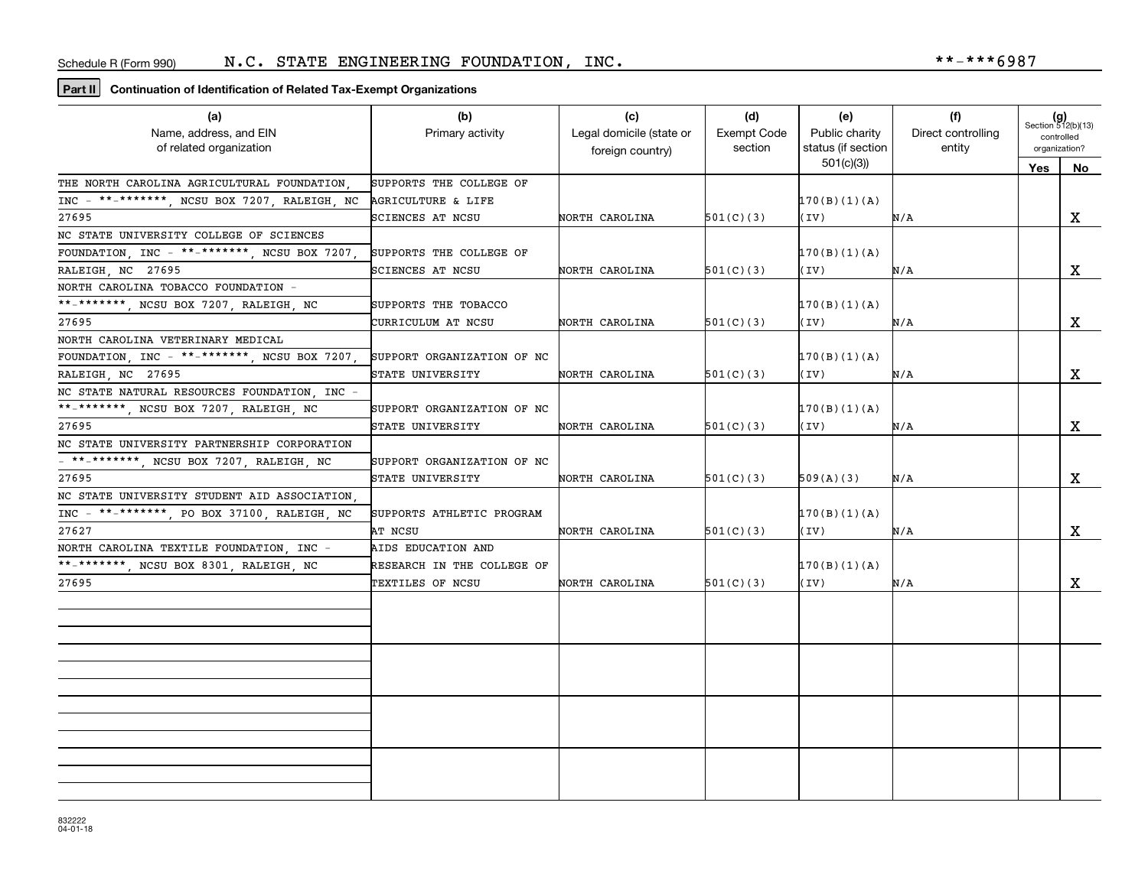#### **Part II Continuation of Identification of Related Tax-Exempt Organizations**

| (a)                                          | (b)                        | (c)                      | (d)         | (e)                | (f)                | $(g)$<br>Section 512(b)(13) |             |
|----------------------------------------------|----------------------------|--------------------------|-------------|--------------------|--------------------|-----------------------------|-------------|
| Name, address, and EIN                       | Primary activity           | Legal domicile (state or | Exempt Code | Public charity     | Direct controlling | controlled                  |             |
| of related organization                      |                            | foreign country)         | section     | status (if section | entity             | organization?               |             |
|                                              |                            |                          |             | 501(c)(3)          |                    | Yes                         | No          |
| THE NORTH CAROLINA AGRICULTURAL FOUNDATION.  | SUPPORTS THE COLLEGE OF    |                          |             |                    |                    |                             |             |
| INC - **-*******, NCSU BOX 7207, RALEIGH, NC | AGRICULTURE & LIFE         |                          |             | 170(B)(1)(A)       |                    |                             |             |
| 27695                                        | SCIENCES AT NCSU           | NORTH CAROLINA           | 501(C)(3)   | (IV)               | N/A                |                             | X           |
| NC STATE UNIVERSITY COLLEGE OF SCIENCES      |                            |                          |             |                    |                    |                             |             |
| FOUNDATION, INC - **-*******, NCSU BOX 7207, | SUPPORTS THE COLLEGE OF    |                          |             | 170(B)(1)(A)       |                    |                             |             |
| RALEIGH NC 27695                             | SCIENCES AT NCSU           | NORTH CAROLINA           | 501(C)(3)   | (IV)               | N/A                |                             | X           |
| NORTH CAROLINA TOBACCO FOUNDATION -          |                            |                          |             |                    |                    |                             |             |
| **_*******, NCSU BOX 7207, RALEIGH, NC       | SUPPORTS THE TOBACCO       |                          |             | 170(B)(1)(A)       |                    |                             |             |
| 27695                                        | CURRICULUM AT NCSU         | NORTH CAROLINA           | 501(C)(3)   | (IV)               | N/A                |                             | X           |
| NORTH CAROLINA VETERINARY MEDICAL            |                            |                          |             |                    |                    |                             |             |
| FOUNDATION, INC - **-*******, NCSU BOX 7207, | SUPPORT ORGANIZATION OF NC |                          |             | 170(B)(1)(A)       |                    |                             |             |
| RALEIGH, NC 27695                            | STATE UNIVERSITY           | NORTH CAROLINA           | 501(C)(3)   | (IV)               | N/A                |                             | x           |
| NC STATE NATURAL RESOURCES FOUNDATION INC -  |                            |                          |             |                    |                    |                             |             |
| **-*******, NCSU BOX 7207, RALEIGH, NC       | SUPPORT ORGANIZATION OF NC |                          |             | 170(B)(1)(A)       |                    |                             |             |
| 27695                                        | STATE UNIVERSITY           | NORTH CAROLINA           | 501(C)(3)   | (IV)               | N/A                |                             | $\mathbf X$ |
| NC STATE UNIVERSITY PARTNERSHIP CORPORATION  |                            |                          |             |                    |                    |                             |             |
| - **-*******, NCSU BOX 7207, RALEIGH, NC     | SUPPORT ORGANIZATION OF NC |                          |             |                    |                    |                             |             |
| 27695                                        | STATE UNIVERSITY           | NORTH CAROLINA           | 501(C)(3)   | 509(A)(3)          | N/A                |                             | x           |
| NC STATE UNIVERSITY STUDENT AID ASSOCIATION. |                            |                          |             |                    |                    |                             |             |
| INC - **-*******, PO BOX 37100, RALEIGH, NC  | SUPPORTS ATHLETIC PROGRAM  |                          |             | 170(B)(1)(A)       |                    |                             |             |
| 27627                                        | AT NCSU                    | NORTH CAROLINA           | 501(C)(3)   | (IV)               | N/A                |                             | X           |
| NORTH CAROLINA TEXTILE FOUNDATION . INC -    | AIDS EDUCATION AND         |                          |             |                    |                    |                             |             |
| **-*******, NCSU BOX 8301, RALEIGH, NC       | RESEARCH IN THE COLLEGE OF |                          |             | 170(B)(1)(A)       |                    |                             |             |
| 27695                                        | TEXTILES OF NCSU           | NORTH CAROLINA           | 501(C)(3)   | (IV)               | N/A                |                             | X           |
|                                              |                            |                          |             |                    |                    |                             |             |
|                                              |                            |                          |             |                    |                    |                             |             |
|                                              |                            |                          |             |                    |                    |                             |             |
|                                              |                            |                          |             |                    |                    |                             |             |
|                                              |                            |                          |             |                    |                    |                             |             |
|                                              |                            |                          |             |                    |                    |                             |             |
|                                              |                            |                          |             |                    |                    |                             |             |
|                                              |                            |                          |             |                    |                    |                             |             |
|                                              |                            |                          |             |                    |                    |                             |             |
|                                              |                            |                          |             |                    |                    |                             |             |
|                                              |                            |                          |             |                    |                    |                             |             |
|                                              |                            |                          |             |                    |                    |                             |             |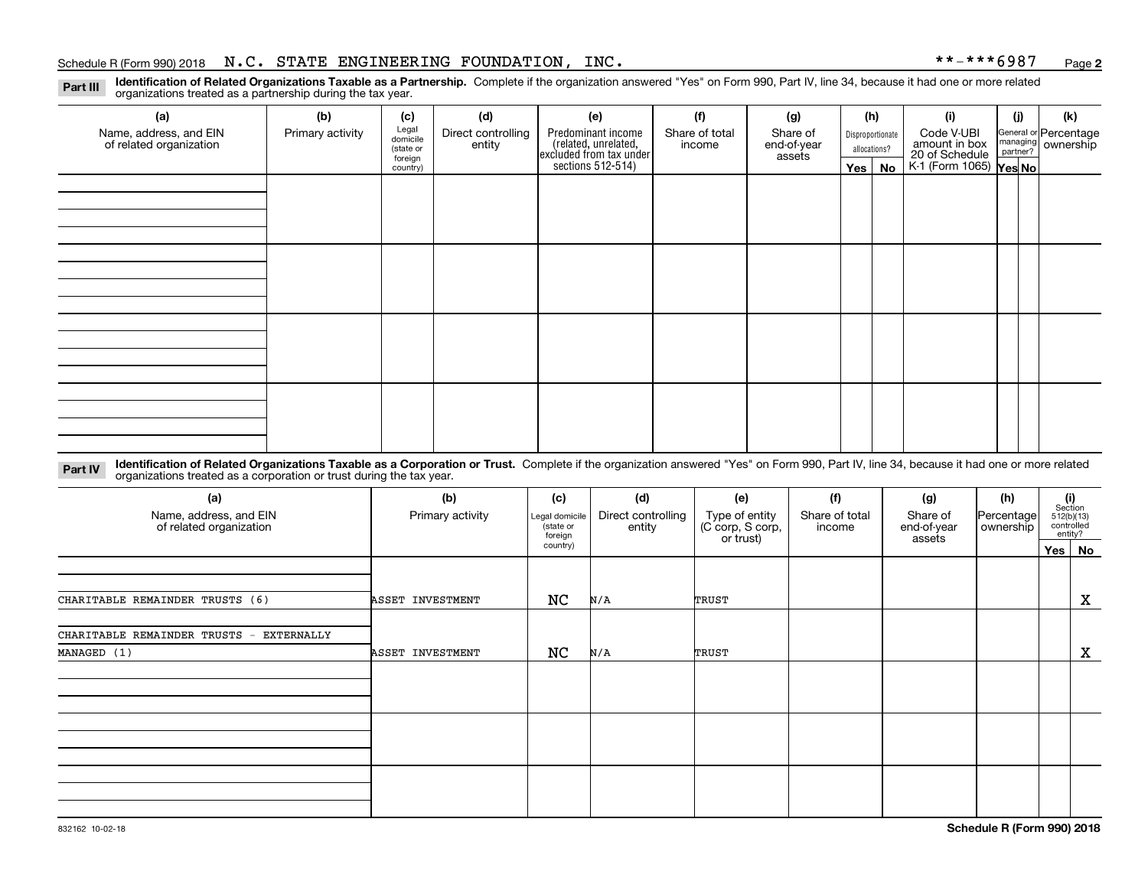#### Schedule R (Form 990) 2018 Page N.C. STATE ENGINEERING FOUNDATION, INC. \*\*-\*\*\*6987

**2**

**Identification of Related Organizations Taxable as a Partnership.** Complete if the organization answered "Yes" on Form 990, Part IV, line 34, because it had one or more related **Part III** organizations treated as a partnership during the tax year.

| (a)<br>Name, address, and EIN<br>of related organization | (b)<br>Primary activity | (c)<br>Legal<br>domicile<br>(state or<br>foreign | (d)<br>Direct controlling<br>entity | (e)<br>Predominant income<br>(related, unrelated,<br>excluded from tax under<br>sections 512-514) | (f)<br>Share of total<br>income | (g)<br>Share of<br>end-of-year<br>assets |            | (h)<br>Disproportionate<br>allocations? | (i)<br>Code V-UBI<br>amount in box<br>20 of Schedule<br>K-1 (Form 1065) <b>Yes No</b> | (j) | (k)<br>General or Percentage<br>managing<br>partner?<br>partner? |
|----------------------------------------------------------|-------------------------|--------------------------------------------------|-------------------------------------|---------------------------------------------------------------------------------------------------|---------------------------------|------------------------------------------|------------|-----------------------------------------|---------------------------------------------------------------------------------------|-----|------------------------------------------------------------------|
|                                                          |                         | country)                                         |                                     |                                                                                                   |                                 |                                          | $Yes \mid$ | No                                      |                                                                                       |     |                                                                  |
|                                                          |                         |                                                  |                                     |                                                                                                   |                                 |                                          |            |                                         |                                                                                       |     |                                                                  |
|                                                          |                         |                                                  |                                     |                                                                                                   |                                 |                                          |            |                                         |                                                                                       |     |                                                                  |
|                                                          |                         |                                                  |                                     |                                                                                                   |                                 |                                          |            |                                         |                                                                                       |     |                                                                  |
|                                                          |                         |                                                  |                                     |                                                                                                   |                                 |                                          |            |                                         |                                                                                       |     |                                                                  |
|                                                          |                         |                                                  |                                     |                                                                                                   |                                 |                                          |            |                                         |                                                                                       |     |                                                                  |
|                                                          |                         |                                                  |                                     |                                                                                                   |                                 |                                          |            |                                         |                                                                                       |     |                                                                  |
|                                                          |                         |                                                  |                                     |                                                                                                   |                                 |                                          |            |                                         |                                                                                       |     |                                                                  |
|                                                          |                         |                                                  |                                     |                                                                                                   |                                 |                                          |            |                                         |                                                                                       |     |                                                                  |
|                                                          |                         |                                                  |                                     |                                                                                                   |                                 |                                          |            |                                         |                                                                                       |     |                                                                  |
|                                                          |                         |                                                  |                                     |                                                                                                   |                                 |                                          |            |                                         |                                                                                       |     |                                                                  |
|                                                          |                         |                                                  |                                     |                                                                                                   |                                 |                                          |            |                                         |                                                                                       |     |                                                                  |
|                                                          |                         |                                                  |                                     |                                                                                                   |                                 |                                          |            |                                         |                                                                                       |     |                                                                  |
|                                                          |                         |                                                  |                                     |                                                                                                   |                                 |                                          |            |                                         |                                                                                       |     |                                                                  |

**Identification of Related Organizations Taxable as a Corporation or Trust.** Complete if the organization answered "Yes" on Form 990, Part IV, line 34, because it had one or more related **Part IV** organizations treated as a corporation or trust during the tax year.

| (a)<br>Name, address, and EIN<br>of related organization | (b)<br>Primary activity | (c)<br>Legal domicile<br>(state or<br>foreign | (d)<br>Direct controlling<br>entity | (e)<br>Type of entity<br>(C corp, S corp,<br>or trust) | (f)<br>Share of total<br>income | (g)<br>Share of<br>end-of-year<br>assets | (h)<br>Percentage<br>ownership | (i)<br>Section<br>512(b)(13)<br>controlled | entity?     |
|----------------------------------------------------------|-------------------------|-----------------------------------------------|-------------------------------------|--------------------------------------------------------|---------------------------------|------------------------------------------|--------------------------------|--------------------------------------------|-------------|
|                                                          |                         | country)                                      |                                     |                                                        |                                 |                                          |                                |                                            | Yes No      |
|                                                          |                         |                                               |                                     |                                                        |                                 |                                          |                                |                                            |             |
| CHARITABLE REMAINDER TRUSTS (6)                          | ASSET INVESTMENT        | NC                                            | N/A                                 | TRUST                                                  |                                 |                                          |                                |                                            | X           |
| CHARITABLE REMAINDER TRUSTS -<br>EXTERNALLY              |                         |                                               |                                     |                                                        |                                 |                                          |                                |                                            |             |
| MANAGED (1)                                              | ASSET INVESTMENT        | NC                                            | N/A                                 | TRUST                                                  |                                 |                                          |                                |                                            | $\mathbf X$ |
|                                                          |                         |                                               |                                     |                                                        |                                 |                                          |                                |                                            |             |
|                                                          |                         |                                               |                                     |                                                        |                                 |                                          |                                |                                            |             |
|                                                          |                         |                                               |                                     |                                                        |                                 |                                          |                                |                                            |             |
|                                                          |                         |                                               |                                     |                                                        |                                 |                                          |                                |                                            |             |
|                                                          |                         |                                               |                                     |                                                        |                                 |                                          |                                |                                            |             |
|                                                          |                         |                                               |                                     |                                                        |                                 |                                          |                                |                                            |             |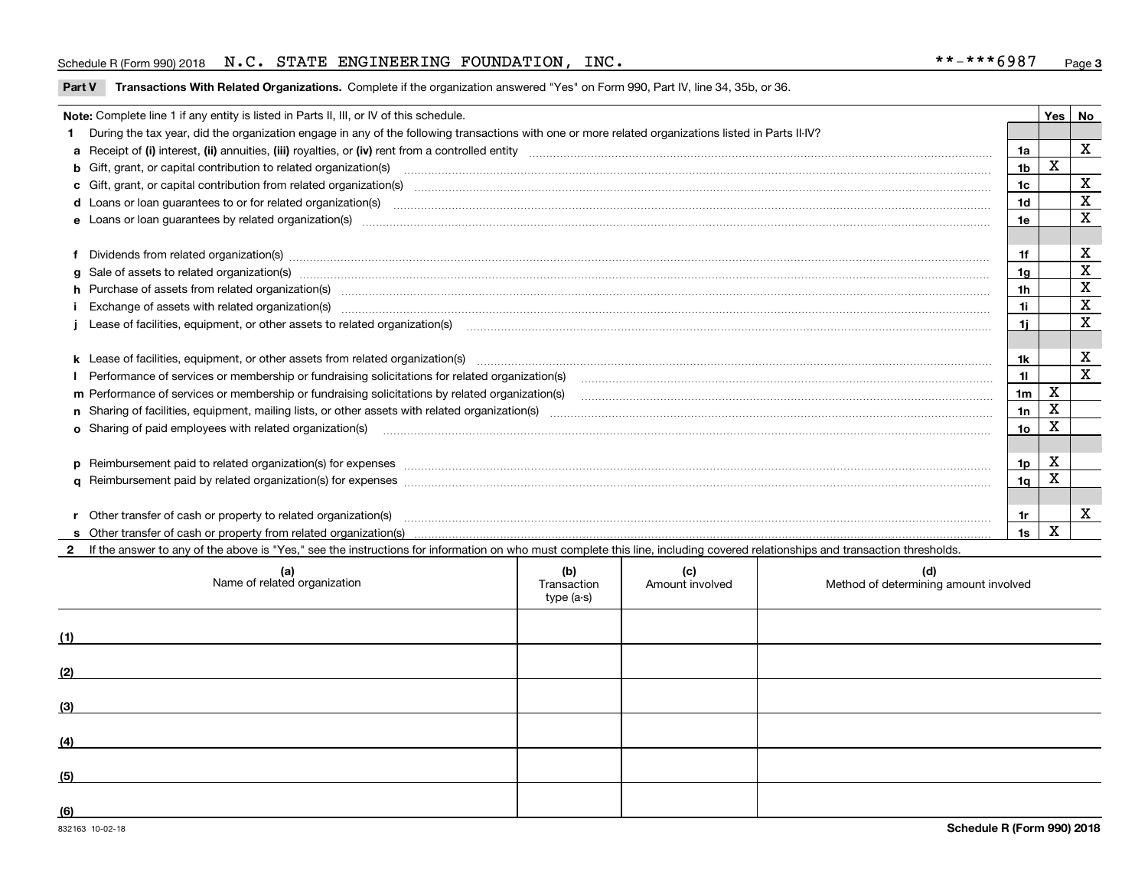#### Schedule R (Form 990) 2018 Page N.C. STATE ENGINEERING FOUNDATION, INC. \*\*-\*\*\*6987

**Part V** T**ransactions With Related Organizations.** Complete if the organization answered "Yes" on Form 990, Part IV, line 34, 35b, or 36.

|   | Note: Complete line 1 if any entity is listed in Parts II, III, or IV of this schedule.                                                                                                                                        |                | Yes   No |             |
|---|--------------------------------------------------------------------------------------------------------------------------------------------------------------------------------------------------------------------------------|----------------|----------|-------------|
|   | During the tax year, did the organization engage in any of the following transactions with one or more related organizations listed in Parts II-IV?                                                                            |                |          |             |
|   |                                                                                                                                                                                                                                | 1a             |          | X           |
|   | b Gift, grant, or capital contribution to related organization(s) manufaction contracts and contribution to related organization(s)                                                                                            | 1 <sub>b</sub> | X        |             |
|   | c Gift, grant, or capital contribution from related organization(s) mature material contract contribution from related organization(s) matured contents of mature material contribution from related organization(s) material  | 1 <sub>c</sub> |          | $\mathbf X$ |
|   |                                                                                                                                                                                                                                | 1 <sub>d</sub> |          | X           |
|   |                                                                                                                                                                                                                                | 1e             |          | $\mathbf X$ |
|   |                                                                                                                                                                                                                                |                |          |             |
|   | Dividends from related organization(s) Entertainment and the contract of the contract of the contract of the contract of the contract of the contract of the contract of the contract of the contract of the contract of the c | 1f             |          | х           |
| a |                                                                                                                                                                                                                                | 1a             |          | $\mathbf X$ |
|   | h Purchase of assets from related organization(s) manufactured and content to the content of the content of the content of the content of the content of the content of the content of the content of the content of the conte | 1 <sub>h</sub> |          | $\mathbf X$ |
|   |                                                                                                                                                                                                                                | 1i             |          | X           |
|   | Lease of facilities, equipment, or other assets to related organization(s) manufactured content to the set of facilities, equipment, or other assets to related organization(s) manufactured content to the set of the set of  | 11             |          | X           |
|   |                                                                                                                                                                                                                                |                |          |             |
|   | k Lease of facilities, equipment, or other assets from related organization(s) manufaction content and content to content and an analyzing content and an analyzing content and an analyzing content and content and content a | 1k             |          | X           |
|   |                                                                                                                                                                                                                                | 11             |          | X           |
|   | m Performance of services or membership or fundraising solicitations by related organization(s)                                                                                                                                | 1 <sub>m</sub> | X        |             |
|   |                                                                                                                                                                                                                                | 1n             | X        |             |
|   | <b>o</b> Sharing of paid employees with related organization(s)                                                                                                                                                                | 1o             | Χ        |             |
|   |                                                                                                                                                                                                                                |                |          |             |
|   |                                                                                                                                                                                                                                | 1p             | X        |             |
|   |                                                                                                                                                                                                                                | 1 <sub>q</sub> | x        |             |
|   |                                                                                                                                                                                                                                |                |          |             |
|   | r Other transfer of cash or property to related organization(s)                                                                                                                                                                | 1r             |          | X           |
|   |                                                                                                                                                                                                                                | 1s             | X        |             |
|   | 2 If the answer to any of the above is "Yes," see the instructions for information on who must complete this line, including covered relationships and transaction thresholds.                                                 |                |          |             |

|     | (a)<br>Name of related organization | (b)<br>Transaction<br>type (a-s) | (c)<br>Amount involved | (d)<br>Method of determining amount involved |
|-----|-------------------------------------|----------------------------------|------------------------|----------------------------------------------|
| (1) |                                     |                                  |                        |                                              |
| (2) |                                     |                                  |                        |                                              |
| (3) |                                     |                                  |                        |                                              |
| (4) |                                     |                                  |                        |                                              |
| (5) |                                     |                                  |                        |                                              |
| (6) |                                     |                                  |                        |                                              |

 $\overline{a}$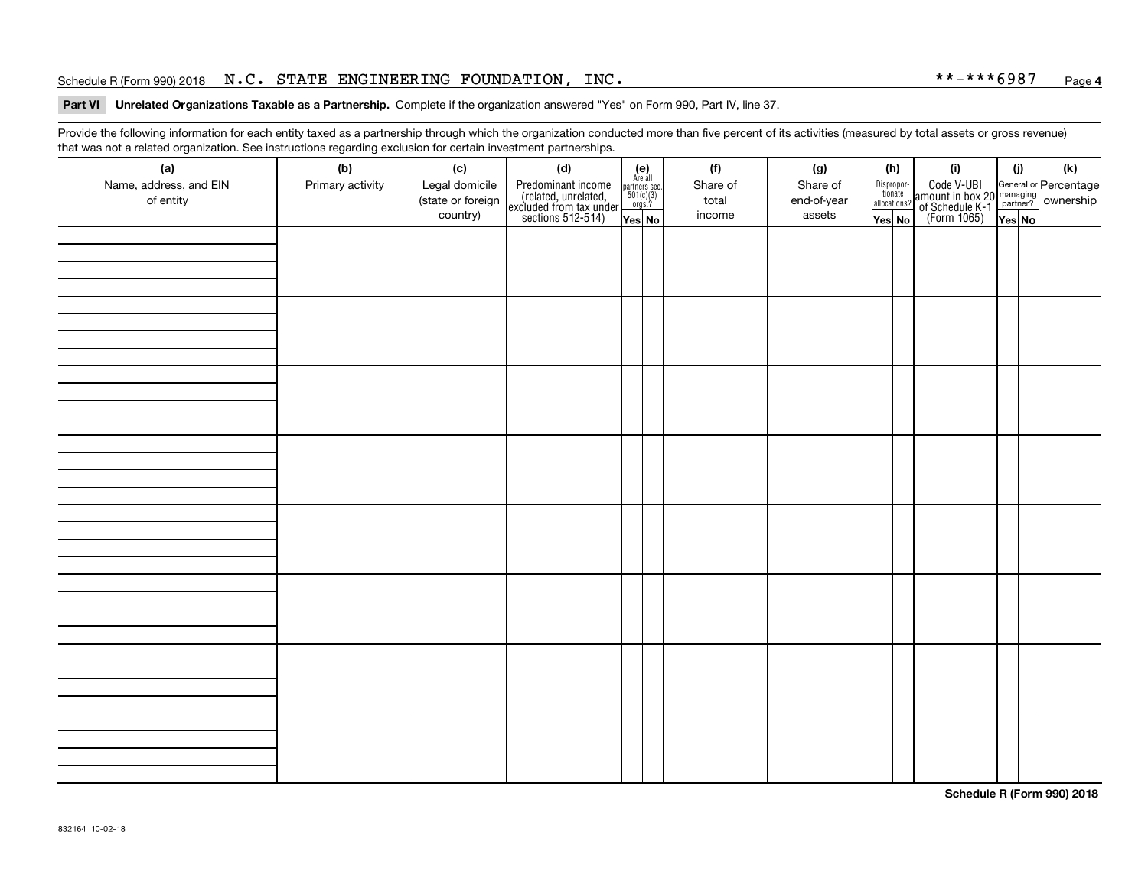#### Schedule R (Form 990) 2018 Page N.C. STATE ENGINEERING FOUNDATION, INC. \*\*-\*\*\*6987

#### **4**

#### **Part VI Unrelated Organizations Taxable as a Partnership. Complete if the organization answered "Yes" on Form 990, Part IV, line 37.**

Provide the following information for each entity taxed as a partnership through which the organization conducted more than five percent of its activities (measured by total assets or gross revenue) that was not a related organization. See instructions regarding exclusion for certain investment partnerships.

| (a)<br>Name, address, and EIN<br>of entity | ັ<br>(b)<br>Primary activity | (c)<br>Legal domicile<br>(state or foreign<br>country) | (d)<br>Predominant income<br>(related, unrelated,<br>excluded from tax under<br>sections 512-514) | $(e)$<br>Are all<br>$\begin{array}{c}\n\text{partners} \sec.\n\\ \n501(c)(3)\n\\ \n0rgs.?\n\end{array}$<br>Yes No | (f)<br>Share of<br>total<br>income | (g)<br>Share of<br>end-of-year<br>assets | (h)<br>Dispropor-<br>tionate<br>allocations?<br>Yes No | (i)<br>Code V-UBI<br>amount in box 20 managing<br>of Schedule K-1<br>(Form 1065)<br>$\overline{Yes}$ No | (i)<br>Yes No | $(\mathsf{k})$ |
|--------------------------------------------|------------------------------|--------------------------------------------------------|---------------------------------------------------------------------------------------------------|-------------------------------------------------------------------------------------------------------------------|------------------------------------|------------------------------------------|--------------------------------------------------------|---------------------------------------------------------------------------------------------------------|---------------|----------------|
|                                            |                              |                                                        |                                                                                                   |                                                                                                                   |                                    |                                          |                                                        |                                                                                                         |               |                |
|                                            |                              |                                                        |                                                                                                   |                                                                                                                   |                                    |                                          |                                                        |                                                                                                         |               |                |
|                                            |                              |                                                        |                                                                                                   |                                                                                                                   |                                    |                                          |                                                        |                                                                                                         |               |                |
|                                            |                              |                                                        |                                                                                                   |                                                                                                                   |                                    |                                          |                                                        |                                                                                                         |               |                |
|                                            |                              |                                                        |                                                                                                   |                                                                                                                   |                                    |                                          |                                                        |                                                                                                         |               |                |
|                                            |                              |                                                        |                                                                                                   |                                                                                                                   |                                    |                                          |                                                        |                                                                                                         |               |                |
|                                            |                              |                                                        |                                                                                                   |                                                                                                                   |                                    |                                          |                                                        |                                                                                                         |               |                |
|                                            |                              |                                                        |                                                                                                   |                                                                                                                   |                                    |                                          |                                                        |                                                                                                         |               |                |

**Schedule R (Form 990) 2018**